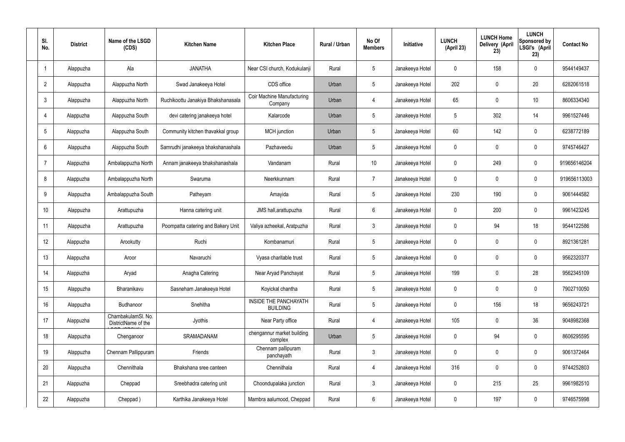| SI.<br>No.      | <b>District</b> | Name of the LSGD<br>(CDS)                 | <b>Kitchen Name</b>                | <b>Kitchen Place</b>                            | Rural / Urban | No Of<br><b>Members</b> | <b>Initiative</b> | <b>LUNCH</b><br>(April 23) | <b>LUNCH Home</b><br>Delivery (April<br>23) | <b>LUNCH</b><br>Sponsored by<br>LSGI's (April<br>23) | <b>Contact No</b> |
|-----------------|-----------------|-------------------------------------------|------------------------------------|-------------------------------------------------|---------------|-------------------------|-------------------|----------------------------|---------------------------------------------|------------------------------------------------------|-------------------|
|                 | Alappuzha       | Ala                                       | <b>JANATHA</b>                     | Near CSI church, Kodukulanji                    | Rural         | $5\phantom{.0}$         | Janakeeya Hotel   | $\mathbf 0$                | 158                                         | $\mathbf 0$                                          | 9544149437        |
| $\overline{2}$  | Alappuzha       | Alappuzha North                           | Swad Janakeeya Hotel               | CDS office                                      | Urban         | $5\phantom{.0}$         | Janakeeya Hotel   | 202                        | $\mathbf 0$                                 | 20                                                   | 6282061518        |
| $\mathbf{3}$    | Alappuzha       | Alappuzha North                           | Ruchikoottu Janakiya Bhakshanasala | <b>Coir Machine Manufacturing</b><br>Company    | Urban         | $\overline{4}$          | Janakeeya Hotel   | 65                         | $\mathbf 0$                                 | 10                                                   | 8606334340        |
| $\overline{4}$  | Alappuzha       | Alappuzha South                           | devi catering janakeeya hotel      | Kalarcode                                       | Urban         | $5\phantom{.0}$         | Janakeeya Hotel   | 5                          | 302                                         | 14                                                   | 9961527446        |
| $5\phantom{.0}$ | Alappuzha       | Alappuzha South                           | Community kitchen thavakkal group  | MCH junction                                    | Urban         | $5\phantom{.0}$         | Janakeeya Hotel   | $60\,$                     | 142                                         | $\mathbf 0$                                          | 6238772189        |
| 6               | Alappuzha       | Alappuzha South                           | Samrudhi janakeeya bhakshanashala  | Pazhaveedu                                      | Urban         | $5\phantom{.0}$         | Janakeeya Hotel   | $\mathbf 0$                | $\mathbf 0$                                 | $\mathbf 0$                                          | 9745746427        |
| $\overline{7}$  | Alappuzha       | Ambalappuzha North                        | Annam janakeeya bhakshanashala     | Vandanam                                        | Rural         | 10 <sup>°</sup>         | Janakeeya Hotel   | $\mathbf 0$                | 249                                         | $\mathbf 0$                                          | 919656146204      |
| 8               | Alappuzha       | Ambalappuzha North                        | Swaruma                            | Neerkkunnam                                     | Rural         | $\overline{7}$          | Janakeeya Hotel   | $\mathbf 0$                | 0                                           | $\mathbf 0$                                          | 919656113003      |
| 9               | Alappuzha       | Ambalappuzha South                        | Patheyam                           | Amayida                                         | Rural         | $5\phantom{.0}$         | Janakeeya Hotel   | 230                        | 190                                         | $\mathbf 0$                                          | 9061444582        |
| 10              | Alappuzha       | Arattupuzha                               | Hanna catering unit                | JMS hall, arattupuzha                           | Rural         | $6\phantom{.}6$         | Janakeeya Hotel   | $\mathbf 0$                | 200                                         | $\mathbf 0$                                          | 9961423245        |
| 11              | Alappuzha       | Arattupuzha                               | Poompatta catering and Bakery Unit | Valiya azheekal, Aratpuzha                      | Rural         | $\mathbf{3}$            | Janakeeya Hotel   | $\mathbf 0$                | 94                                          | 18                                                   | 9544122586        |
| 12              | Alappuzha       | Arookutty                                 | Ruchi                              | Kombanamuri                                     | Rural         | $5\phantom{.0}$         | Janakeeya Hotel   | $\mathbf 0$                | $\mathbf 0$                                 | $\mathbf 0$                                          | 8921361281        |
| 13              | Alappuzha       | Aroor                                     | Navaruchi                          | Vyasa charitable trust                          | Rural         | $5\phantom{.0}$         | Janakeeya Hotel   | $\mathbf 0$                | 0                                           | 0                                                    | 9562320377        |
| 14              | Alappuzha       | Aryad                                     | Anagha Catering                    | Near Aryad Panchayat                            | Rural         | $5\phantom{.0}$         | Janakeeya Hotel   | 199                        | $\mathbf 0$                                 | 28                                                   | 9562345109        |
| 15              | Alappuzha       | Bharanikavu                               | Sasneham Janakeeya Hotel           | Koyickal chantha                                | Rural         | $5\phantom{.0}$         | Janakeeya Hotel   | $\mathbf 0$                | $\mathbf 0$                                 | $\mathbf 0$                                          | 7902710050        |
| 16              | Alappuzha       | Budhanoor                                 | Snehitha                           | <b>INSIDE THE PANCHAYATH</b><br><b>BUILDING</b> | Rural         | $5\phantom{.0}$         | Janakeeya Hotel   | $\mathbf 0$                | 156                                         | 18                                                   | 9656243721        |
| 17              | Alappuzha       | ChambakulamSl. No.<br>DistrictName of the | Jyothis                            | Near Party office                               | Rural         | 4                       | Janakeeya Hotel   | 105                        | $\mathbf 0$                                 | 36                                                   | 9048982368        |
| 18              | Alappuzha       | Chenganoor                                | SRAMADANAM                         | chengannur market building<br>complex           | Urban         | $5\phantom{.0}$         | Janakeeya Hotel   | $\mathbf 0$                | 94                                          | $\mathbf 0$                                          | 8606295595        |
| 19              | Alappuzha       | Chennam Pallippuram                       | Friends                            | Chennam pallipuram<br>panchayath                | Rural         | $\mathbf{3}$            | Janakeeya Hotel   | $\mathbf 0$                | 0                                           | $\mathbf 0$                                          | 9061372464        |
| 20              | Alappuzha       | Chennithala                               | Bhakshana sree canteen             | Chennithala                                     | Rural         | $\overline{4}$          | Janakeeya Hotel   | 316                        | 0                                           | $\mathbf 0$                                          | 9744252803        |
| 21              | Alappuzha       | Cheppad                                   | Sreebhadra catering unit           | Choondupalaka junction                          | Rural         | $\mathbf{3}$            | Janakeeya Hotel   | $\mathbf 0$                | 215                                         | 25                                                   | 9961982510        |
| 22              | Alappuzha       | Cheppad)                                  | Karthika Janakeeya Hotel           | Mambra aalumood, Cheppad                        | Rural         | $6\overline{6}$         | Janakeeya Hotel   | 0                          | 197                                         | $\mathbf 0$                                          | 9746575998        |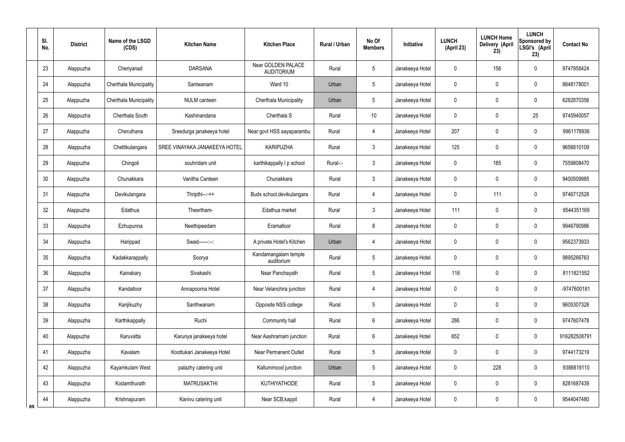|    | SI.<br>No. | <b>District</b> | Name of the LSGD<br>(CDS) | <b>Kitchen Name</b>           | <b>Kitchen Place</b>                    | <b>Rural / Urban</b> | No Of<br><b>Members</b> | Initiative      | <b>LUNCH</b><br>(April 23) | <b>LUNCH Home</b><br><b>Delivery (April</b><br>23) | <b>LUNCH</b><br>Sponsored by<br>LSGI's (April<br>23) | <b>Contact No</b> |
|----|------------|-----------------|---------------------------|-------------------------------|-----------------------------------------|----------------------|-------------------------|-----------------|----------------------------|----------------------------------------------------|------------------------------------------------------|-------------------|
|    | 23         | Alappuzha       | Cheriyanad                | <b>DARSANA</b>                | Near GOLDEN PALACE<br><b>AUDITORIUM</b> | Rural                | 5                       | Janakeeya Hotel | 0                          | 156                                                | $\mathbf 0$                                          | 9747958424        |
|    | 24         | Alappuzha       | Cherthala Municipality    | Santwanam                     | Ward 10                                 | Urban                | 5                       | Janakeeya Hotel | 0                          | 0                                                  | $\mathbf 0$                                          | 8848178001        |
|    | 25         | Alappuzha       | Cherthala Municipality    | NULM canteen                  | Cherthala Municipality                  | Urban                | 5                       | Janakeeya Hotel | 0                          | 0                                                  | $\mathbf 0$                                          | 6282870356        |
|    | 26         | Alappuzha       | Cherthala South           | Kashinandana                  | Cherthala S                             | Rural                | 10                      | Janakeeya Hotel | 0                          | $\mathbf 0$                                        | 25                                                   | 9745940057        |
|    | 27         | Alappuzha       | Cheruthana                | Sreedurga janakeeya hotel     | Near govt HSS aayaparambu               | Rural                | 4                       | Janakeeya Hotel | 207                        | 0                                                  | $\mathbf 0$                                          | 9961178936        |
|    | 28         | Alappuzha       | Chettikulangara           | SREE VINAYAKA JANAKEEYA HOTEL | <b>KARIPUZHA</b>                        | Rural                | $\mathbf{3}$            | Janakeeya Hotel | 125                        | $\mathbf 0$                                        | $\mathbf 0$                                          | 9656810109        |
|    | 29         | Alappuzha       | Chingoli                  | souhridam unit                | karthikappally I p school               | Rural-:-             | $\mathbf{3}$            | Janakeeya Hotel | 0                          | 185                                                | $\mathbf 0$                                          | 7559808470        |
|    | 30         | Alappuzha       | Chunakkara                | Vanitha Canteen               | Chunakkara                              | Rural                | $\mathfrak{Z}$          | Janakeeya Hotel | 0                          | $\mathbf 0$                                        | $\boldsymbol{0}$                                     | 9400509985        |
|    | 31         | Alappuzha       | Devikulangara             | $Thripthi--++$                | Buds school, devikulangara              | Rural                | $\overline{4}$          | Janakeeya Hotel | 0                          | 111                                                | $\boldsymbol{0}$                                     | 9746712528        |
|    | 32         | Alappuzha       | Edathua                   | Theertham-                    | Edathua market                          | Rural                | 3                       | Janakeeya Hotel | 111                        | $\mathbf 0$                                        | $\mathbf 0$                                          | 9544351169        |
|    | 33         | Alappuzha       | Ezhupunna                 | Neethipeedam                  | Eramalloor                              | Rural                | 8                       | Janakeeya Hotel | 0                          | 0                                                  | $\mathbf 0$                                          | 9946790986        |
|    | 34         | Alappuzha       | Harippad                  | Swad------:--:                | A private Hotel's Kitchen               | Urban                | $\overline{4}$          | Janakeeya Hotel | 0                          | $\mathbf 0$                                        | $\boldsymbol{0}$                                     | 9562373933        |
|    | 35         | Alappuzha       | Kadakkarappally           | Soorya                        | Kandamangalam temple<br>auditorium      | Rural                | 5                       | Janakeeya Hotel | 0                          | $\mathbf 0$                                        | $\mathbf 0$                                          | 9895266763        |
|    | 36         | Alappuzha       | Kainakary                 | Sivakashi                     | Near Panchayath                         | Rural                | 5                       | Janakeeya Hotel | 116                        | $\mathbf 0$                                        | $\boldsymbol{0}$                                     | 8111821552        |
|    | 37         | Alappuzha       | Kandalloor                | Annapoorna Hotel              | Near Velanchira junction                | Rural                | $\overline{4}$          | Janakeeya Hotel | 0                          | $\pmb{0}$                                          | $\pmb{0}$                                            | -9747600181       |
|    | 38         | Alappuzha       | Kanjikuzhy                | Santhwanam                    | Opposite NSS college                    | Rural                | 5                       | Janakeeya Hotel | 0                          | $\pmb{0}$                                          | $\pmb{0}$                                            | 9605307328        |
|    | 39         | Alappuzha       | Karthikappally            | Ruchi                         | Community hall                          | Rural                | $6\overline{6}$         | Janakeeya Hotel | 286                        | $\mathbf 0$                                        | $\boldsymbol{0}$                                     | 9747607478        |
|    | 40         | Alappuzha       | Karuvatta                 | Karunya janakeeya hotel       | Near Aashramam junction                 | Rural                | $6\overline{6}$         | Janakeeya Hotel | 652                        | $\pmb{0}$                                          | $\pmb{0}$                                            | 916282508791      |
|    | 41         | Alappuzha       | Kavalam                   | Koottukari Janakeeya Hotel    | <b>Near Permanent Outlet</b>            | Rural                | 5                       | Janakeeya Hotel | 0                          | $\pmb{0}$                                          | $\pmb{0}$                                            | 9744173219        |
|    | 42         | Alappuzha       | Kayamkulam West           | palazhy catering unit         | Kallummood junction                     | Urban                | 5                       | Janakeeya Hotel | 0                          | 228                                                | $\pmb{0}$                                            | 9388819110        |
|    | 43         | Alappuzha       | Kodamthurath              | <b>MATRUSAKTHI</b>            | <b>KUTHIYATHODE</b>                     | Rural                | 5                       | Janakeeya Hotel | 0                          | $\overline{0}$                                     | $\pmb{0}$                                            | 8281687439        |
| ՋQ | 44         | Alappuzha       | Krishnapuram              | Kanivu catering unit          | Near SCB, kappil                        | Rural                | $\overline{4}$          | Janakeeya Hotel | 0                          | $\mathbf 0$                                        | $\pmb{0}$                                            | 9544047480        |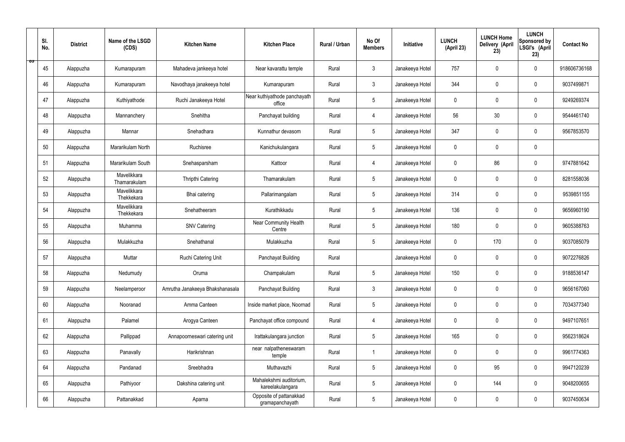|   | SI.<br>No. | <b>District</b> | Name of the LSGD<br>(CDS)   | <b>Kitchen Name</b>             | <b>Kitchen Place</b>                        | Rural / Urban | No Of<br><b>Members</b> | Initiative      | <b>LUNCH</b><br>(April 23) | <b>LUNCH Home</b><br>Delivery (April<br>23) | <b>LUNCH</b><br>Sponsored by<br>LSGI's (April<br>23) | <b>Contact No</b> |
|---|------------|-----------------|-----------------------------|---------------------------------|---------------------------------------------|---------------|-------------------------|-----------------|----------------------------|---------------------------------------------|------------------------------------------------------|-------------------|
| ಾ | 45         | Alappuzha       | Kumarapuram                 | Mahadeva jankeeya hotel         | Near kavarattu temple                       | Rural         | $\mathfrak{Z}$          | Janakeeya Hotel | 757                        | $\mathbf 0$                                 | $\mathbf 0$                                          | 918606736168      |
|   | 46         | Alappuzha       | Kumarapuram                 | Navodhaya janakeeya hotel       | Kumarapuram                                 | Rural         | $\mathbf{3}$            | Janakeeya Hotel | 344                        | $\mathbf 0$                                 | $\mathbf 0$                                          | 9037499871        |
|   | 47         | Alappuzha       | Kuthiyathode                | Ruchi Janakeeya Hotel           | Near kuthiyathode panchayath<br>office      | Rural         | $5\phantom{.0}$         | Janakeeya Hotel | $\mathbf 0$                | 0                                           | $\mathbf 0$                                          | 9249269374        |
|   | 48         | Alappuzha       | Mannanchery                 | Snehitha                        | Panchayat building                          | Rural         | 4                       | Janakeeya Hotel | 56                         | 30                                          | $\mathbf 0$                                          | 9544461740        |
|   | 49         | Alappuzha       | Mannar                      | Snehadhara                      | Kunnathur devasom                           | Rural         | $5\phantom{.0}$         | Janakeeya Hotel | 347                        | $\mathbf 0$                                 | $\mathbf 0$                                          | 9567853570        |
|   | 50         | Alappuzha       | Mararikulam North           | Ruchisree                       | Kanichukulangara                            | Rural         | $5\phantom{.0}$         | Janakeeya Hotel | $\mathbf 0$                | $\mathbf 0$                                 | $\mathbf 0$                                          |                   |
|   | 51         | Alappuzha       | Mararikulam South           | Snehasparsham                   | Kattoor                                     | Rural         | 4                       | Janakeeya Hotel | $\mathbf 0$                | 86                                          | $\mathbf 0$                                          | 9747881642        |
|   | 52         | Alappuzha       | Mavelikkara<br>Thamarakulam | Thripthi Catering               | Thamarakulam                                | Rural         | $5\overline{)}$         | Janakeeya Hotel | $\mathbf 0$                | $\mathbf 0$                                 | $\mathbf 0$                                          | 8281558036        |
|   | 53         | Alappuzha       | Mavelikkara<br>Thekkekara   | Bhai catering                   | Pallarimangalam                             | Rural         | $5\phantom{.0}$         | Janakeeya Hotel | 314                        | $\mathbf 0$                                 | $\mathbf 0$                                          | 9539851155        |
|   | 54         | Alappuzha       | Mavelikkara<br>Thekkekara   | Snehatheeram                    | Kurathikkadu                                | Rural         | $5\overline{)}$         | Janakeeya Hotel | 136                        | $\mathbf 0$                                 | $\mathbf 0$                                          | 9656960190        |
|   | 55         | Alappuzha       | Muhamma                     | <b>SNV Catering</b>             | Near Community Health<br>Centre             | Rural         | $5\phantom{.0}$         | Janakeeya Hotel | 180                        | $\mathbf 0$                                 | $\mathbf 0$                                          | 9605388763        |
|   | 56         | Alappuzha       | Mulakkuzha                  | Snehathanal                     | Mulakkuzha                                  | Rural         | $5\phantom{.0}$         | Janakeeya Hotel | $\mathbf 0$                | 170                                         | $\mathbf 0$                                          | 9037085079        |
|   | 57         | Alappuzha       | Muttar                      | Ruchi Catering Unit             | Panchayat Building                          | Rural         |                         | Janakeeya Hotel | $\pmb{0}$                  | 0                                           | $\mathbf 0$                                          | 9072276826        |
|   | 58         | Alappuzha       | Nedumudy                    | Oruma                           | Champakulam                                 | Rural         | $5\phantom{.0}$         | Janakeeya Hotel | 150                        | $\pmb{0}$                                   | $\mathbf 0$                                          | 9188536147        |
|   | 59         | Alappuzha       | Neelamperoor                | Amrutha Janakeeya Bhakshanasala | Panchayat Building                          | Rural         | $\mathbf{3}$            | Janakeeya Hotel | $\mathbf 0$                | $\pmb{0}$                                   | $\mathbf 0$                                          | 9656167060        |
|   | 60         | Alappuzha       | Nooranad                    | Amma Canteen                    | Inside market place, Noornad                | Rural         | $5\phantom{.0}$         | Janakeeya Hotel | $\pmb{0}$                  | $\mathbf 0$                                 | $\mathbf 0$                                          | 7034377340        |
|   | 61         | Alappuzha       | Palamel                     | Arogya Canteen                  | Panchayat office compound                   | Rural         | $\overline{4}$          | Janakeeya Hotel | $\mathbf 0$                | $\mathbf 0$                                 | $\mathbf 0$                                          | 9497107651        |
|   | 62         | Alappuzha       | Pallippad                   | Annapoorneswari catering unit   | Irattakulangara junction                    | Rural         | $5\phantom{.0}$         | Janakeeya Hotel | 165                        | $\mathbf 0$                                 | $\mathbf 0$                                          | 9562318624        |
|   | 63         | Alappuzha       | Panavally                   | Harikrishnan                    | near nalpatheneswaram<br>temple             | Rural         | $\mathbf{1}$            | Janakeeya Hotel | $\mathbf 0$                | $\pmb{0}$                                   | $\mathbf 0$                                          | 9961774363        |
|   | 64         | Alappuzha       | Pandanad                    | Sreebhadra                      | Muthavazhi                                  | Rural         | $5\phantom{.0}$         | Janakeeya Hotel | $\pmb{0}$                  | 95                                          | $\mathbf 0$                                          | 9947120239        |
|   | 65         | Alappuzha       | Pathiyoor                   | Dakshina catering unit          | Mahalekshmi auditorium,<br>kareelakulangara | Rural         | $5\phantom{.0}$         | Janakeeya Hotel | $\mathbf 0$                | 144                                         | $\mathbf 0$                                          | 9048200655        |
|   | 66         | Alappuzha       | Pattanakkad                 | Aparna                          | Opposite of pattanakkad<br>gramapanchayath  | Rural         | $5\phantom{.0}$         | Janakeeya Hotel | 0                          | $\pmb{0}$                                   | $\mathbf 0$                                          | 9037450634        |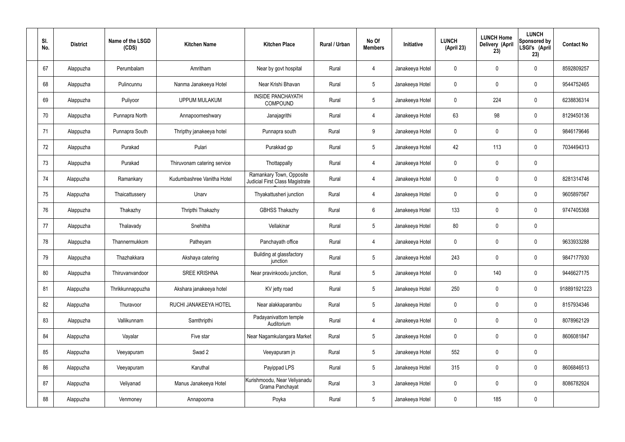| SI.<br>No. | <b>District</b> | Name of the LSGD<br>(CDS) | <b>Kitchen Name</b>         | <b>Kitchen Place</b>                                        | Rural / Urban | No Of<br><b>Members</b> | Initiative      | <b>LUNCH</b><br>(April 23) | <b>LUNCH Home</b><br>Delivery (April<br>23) | <b>LUNCH</b><br>Sponsored by<br>LSGI's (April<br>23) | <b>Contact No</b> |
|------------|-----------------|---------------------------|-----------------------------|-------------------------------------------------------------|---------------|-------------------------|-----------------|----------------------------|---------------------------------------------|------------------------------------------------------|-------------------|
| 67         | Alappuzha       | Perumbalam                | Amritham                    | Near by govt hospital                                       | Rural         | $\overline{4}$          | Janakeeya Hotel | $\mathbf 0$                | $\mathbf 0$                                 | $\pmb{0}$                                            | 8592809257        |
| 68         | Alappuzha       | Pulincunnu                | Nanma Janakeeya Hotel       | Near Krishi Bhavan                                          | Rural         | $5\phantom{.0}$         | Janakeeya Hotel | $\mathbf 0$                | $\mathbf 0$                                 | $\pmb{0}$                                            | 9544752465        |
| 69         | Alappuzha       | Puliyoor                  | <b>UPPUM MULAKUM</b>        | <b>INSIDE PANCHAYATH</b><br>COMPOUND                        | Rural         | $5\phantom{.0}$         | Janakeeya Hotel | $\mathbf 0$                | 224                                         | $\pmb{0}$                                            | 6238836314        |
| 70         | Alappuzha       | Punnapra North            | Annapoorneshwary            | Janajagrithi                                                | Rural         | $\overline{4}$          | Janakeeya Hotel | 63                         | 98                                          | $\pmb{0}$                                            | 8129450136        |
| 71         | Alappuzha       | Punnapra South            | Thripthy janakeeya hotel    | Punnapra south                                              | Rural         | 9                       | Janakeeya Hotel | $\mathbf 0$                | $\mathbf 0$                                 | $\pmb{0}$                                            | 9846179646        |
| 72         | Alappuzha       | Purakad                   | Pulari                      | Purakkad gp                                                 | Rural         | $5\phantom{.0}$         | Janakeeya Hotel | 42                         | 113                                         | $\pmb{0}$                                            | 7034494313        |
| 73         | Alappuzha       | Purakad                   | Thiruvonam catering service | Thottappally                                                | Rural         | $\overline{4}$          | Janakeeya Hotel | $\mathbf 0$                | $\mathbf 0$                                 | $\pmb{0}$                                            |                   |
| 74         | Alappuzha       | Ramankary                 | Kudumbashree Vanitha Hotel  | Ramankary Town, Opposite<br>Judicial First Class Magistrate | Rural         | 4                       | Janakeeya Hotel | $\mathbf 0$                | $\mathbf 0$                                 | $\pmb{0}$                                            | 8281314746        |
| 75         | Alappuzha       | Thaicattussery            | Unarv                       | Thyakattusheri junction                                     | Rural         | 4                       | Janakeeya Hotel | $\mathbf 0$                | $\mathbf 0$                                 | $\pmb{0}$                                            | 9605897567        |
| 76         | Alappuzha       | Thakazhy                  | Thripthi Thakazhy           | <b>GBHSS Thakazhy</b>                                       | Rural         | $6\phantom{.}6$         | Janakeeya Hotel | 133                        | $\mathbf 0$                                 | $\pmb{0}$                                            | 9747405368        |
| 77         | Alappuzha       | Thalavady                 | Snehitha                    | Vellakinar                                                  | Rural         | $5\phantom{.0}$         | Janakeeya Hotel | 80                         | $\pmb{0}$                                   | $\pmb{0}$                                            |                   |
| 78         | Alappuzha       | Thannermukkom             | Patheyam                    | Panchayath office                                           | Rural         | 4                       | Janakeeya Hotel | $\mathbf 0$                | $\mathbf 0$                                 | $\pmb{0}$                                            | 9633933288        |
| 79         | Alappuzha       | Thazhakkara               | Akshaya catering            | Building at glassfactory<br>junction                        | Rural         | 5                       | Janakeeya Hotel | 243                        | $\mathbf 0$                                 | $\mathbf 0$                                          | 9847177930        |
| 80         | Alappuzha       | Thiruvanvandoor           | <b>SREE KRISHNA</b>         | Near pravinkoodu junction,                                  | Rural         | 5 <sub>5</sub>          | Janakeeya Hotel | $\pmb{0}$                  | 140                                         | $\pmb{0}$                                            | 9446627175        |
| 81         | Alappuzha       | Thrikkunnappuzha          | Akshara janakeeya hotel     | KV jetty road                                               | Rural         | 5 <sup>5</sup>          | Janakeeya Hotel | 250                        | $\pmb{0}$                                   | $\mathbf 0$                                          | 918891921223      |
| 82         | Alappuzha       | Thuravoor                 | RUCHI JANAKEEYA HOTEL       | Near alakkaparambu                                          | Rural         | 5 <sup>5</sup>          | Janakeeya Hotel | $\pmb{0}$                  | $\pmb{0}$                                   | $\mathbf 0$                                          | 8157934346        |
| 83         | Alappuzha       | Vallikunnam               | Samthripthi                 | Padayanivattom temple<br>Auditorium                         | Rural         | $\overline{4}$          | Janakeeya Hotel | $\mathbf 0$                | $\pmb{0}$                                   | $\mathbf 0$                                          | 8078962129        |
| 84         | Alappuzha       | Vayalar                   | Five star                   | Near Nagamkulangara Market                                  | Rural         | 5 <sup>5</sup>          | Janakeeya Hotel | $\pmb{0}$                  | $\pmb{0}$                                   | $\mathbf 0$                                          | 8606081847        |
| 85         | Alappuzha       | Veeyapuram                | Swad 2                      | Veeyapuram jn                                               | Rural         | 5 <sup>5</sup>          | Janakeeya Hotel | 552                        | $\pmb{0}$                                   | $\mathbf 0$                                          |                   |
| 86         | Alappuzha       | Veeyapuram                | Karuthal                    | Payippad LPS                                                | Rural         | 5 <sub>5</sub>          | Janakeeya Hotel | 315                        | $\pmb{0}$                                   | $\mathbf 0$                                          | 8606846513        |
| 87         | Alappuzha       | Veliyanad                 | Manus Janakeeya Hotel       | Kurishmoodu, Near Veliyanadu<br>Grama Panchayat             | Rural         | $\mathbf{3}$            | Janakeeya Hotel | $\mathbf 0$                | $\pmb{0}$                                   | $\mathbf 0$                                          | 8086782924        |
| 88         | Alappuzha       | Venmoney                  | Annapoorna                  | Poyka                                                       | Rural         | 5 <sub>5</sub>          | Janakeeya Hotel | 0                          | 185                                         | $\pmb{0}$                                            |                   |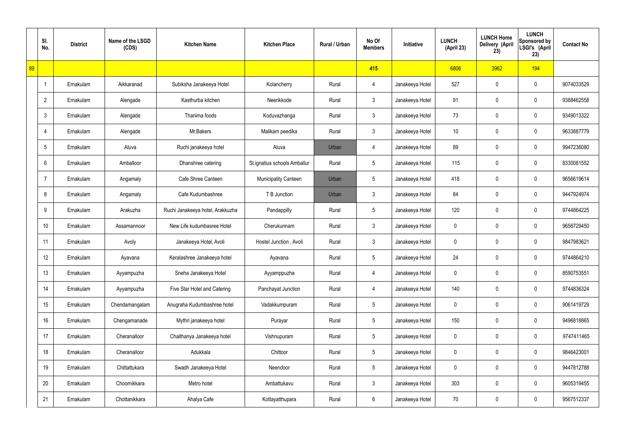|    | SI.<br>No.     | <b>District</b> | Name of the LSGD<br>(CDS) | <b>Kitchen Name</b>              | <b>Kitchen Place</b>         | Rural / Urban | No Of<br><b>Members</b> | Initiative      | <b>LUNCH</b><br>(April 23) | <b>LUNCH Home</b><br>Delivery (April<br>23) | <b>LUNCH</b><br>Sponsored by<br>LSGI's (April<br>23) | <b>Contact No</b> |
|----|----------------|-----------------|---------------------------|----------------------------------|------------------------------|---------------|-------------------------|-----------------|----------------------------|---------------------------------------------|------------------------------------------------------|-------------------|
| 89 |                |                 |                           |                                  |                              |               | 415                     |                 | 6806                       | 3962                                        | 194                                                  |                   |
|    | $\overline{1}$ | Ernakulam       | Aikkaranad                | Subiksha Janakeeya Hotel         | Kolancherry                  | Rural         | 4                       | Janakeeya Hotel | 527                        | 0                                           | $\mathbf 0$                                          | 9074033529        |
|    | $\overline{2}$ | Ernakulam       | Alengade                  | Kasthurba kitchen                | Neerikkode                   | Rural         | $\mathbf{3}$            | Janakeeya Hotel | 91                         | 0                                           | $\mathbf 0$                                          | 9388462558        |
|    | $\mathfrak{Z}$ | Ernakulam       | Alengade                  | Thanima foods                    | Koduvazhanga                 | Rural         | $\mathfrak{Z}$          | Janakeeya Hotel | 73                         | 0                                           | $\mathbf 0$                                          | 9349013322        |
|    | $\overline{4}$ | Ernakulam       | Alengade                  | Mr.Bakers                        | Malikam peedika              | Rural         | $\mathbf{3}$            | Janakeeya Hotel | 10 <sup>°</sup>            | 0                                           | $\mathbf 0$                                          | 9633887779        |
|    | 5              | Ernakulam       | Aluva                     | Ruchi janakeeya hotel            | Aluva                        | Urban         | 4                       | Janakeeya Hotel | 89                         | 0                                           | $\mathbf 0$                                          | 9947236080        |
|    | 6              | Ernakulam       | Amballoor                 | Dhanshree catering               | St.ignatius schools Amballur | Rural         | $5\phantom{.0}$         | Janakeeya Hotel | 115                        | 0                                           | $\mathbf 0$                                          | 8330081552        |
|    | $\overline{7}$ | Ernakulam       | Angamaly                  | Cafe Shree Canteen               | <b>Municipality Canteen</b>  | Urban         | $5\phantom{.0}$         | Janakeeya Hotel | 418                        | 0                                           | $\mathbf 0$                                          | 9656619614        |
|    | 8              | Ernakulam       | Angamaly                  | Cafe Kudumbashree                | T B Junction                 | Urban         | $\mathbf{3}$            | Janakeeya Hotel | 84                         | 0                                           | $\mathbf 0$                                          | 9447924974        |
|    | 9              | Ernakulam       | Arakuzha                  | Ruchi Janakeeya hotel, Arakkuzha | Pandappilly                  | Rural         | $5\phantom{.0}$         | Janakeeya Hotel | 120                        | 0                                           | $\mathbf 0$                                          | 9744864225        |
|    | 10             | Ernakulam       | Assamannoor               | New Life kudumbasree Hotel       | Cherukunnam                  | Rural         | $\mathfrak{Z}$          | Janakeeya Hotel | 0                          | 0                                           | $\boldsymbol{0}$                                     | 9656729450        |
|    | 11             | Ernakulam       | Avoly                     | Janakeeya Hotel, Avoli           | Hostel Junction, Avoli       | Rural         | $\mathbf{3}$            | Janakeeya Hotel | 0                          | 0                                           | $\boldsymbol{0}$                                     | 9847983621        |
|    | 12             | Ernakulam       | Ayavana                   | Keralashree Janakeeya hotel      | Ayavana                      | Rural         | $5\phantom{.0}$         | Janakeeya Hotel | 24                         | 0                                           | $\boldsymbol{0}$                                     | 9744864210        |
|    | 13             | Ernakulam       | Ayyampuzha                | Sneha Janakeeya Hotel            | Ayyamppuzha                  | Rural         | 4                       | Janakeeya Hotel | 0                          | 0                                           | $\mathbf 0$                                          | 8590753551        |
|    | 14             | Ernakulam       | Ayyampuzha                | Five Star Hotel and Catering     | Panchayat Junction           | Rural         | $\overline{4}$          | Janakeeya Hotel | 140                        | 0                                           | $\mathbf 0$                                          | 9744836324        |
|    | 15             | Ernakulam       | Chendamangalam            | Anugraha Kudumbashree hotel      | Vadakkumpuram                | Rural         | $5\phantom{.0}$         | Janakeeya Hotel | 0                          | 0                                           | $\mathbf 0$                                          | 9061419729        |
|    | 16             | Ernakulam       | Chengamanade              | Mythri janakeeya hotel           | Purayar                      | Rural         | $5\phantom{.0}$         | Janakeeya Hotel | 150                        | 0                                           | $\mathbf 0$                                          | 9496818865        |
|    | 17             | Ernakulam       | Cheranalloor              | Chaithanya Janakeeya hotel       | Vishnupuram                  | Rural         | $5\phantom{.0}$         | Janakeeya Hotel | 0                          | 0                                           | $\mathbf 0$                                          | 9747411465        |
|    | 18             | Ernakulam       | Cheranalloor              | Adukkala                         | Chittoor                     | Rural         | $5\phantom{.0}$         | Janakeeya Hotel | 0                          | 0                                           | $\mathbf 0$                                          | 9846423001        |
|    | 19             | Ernakulam       | Chittattukara             | Swadh Janakeeya Hotel            | Neendoor                     | Rural         | $5\phantom{.0}$         | Janakeeya Hotel | 0                          | 0                                           | $\mathbf 0$                                          | 9447812788        |
|    | 20             | Ernakulam       | Choornikkara              | Metro hotel                      | Ambattukavu                  | Rural         | $\mathfrak{Z}$          | Janakeeya Hotel | 303                        | 0                                           | $\mathbf 0$                                          | 9605319455        |
|    | 21             | Ernakulam       | Chottanikkara             | Ahalya Cafe                      | Kottayatthupara              | Rural         | $6\,$                   | Janakeeya Hotel | 70                         | 0                                           | $\boldsymbol{0}$                                     | 9567512337        |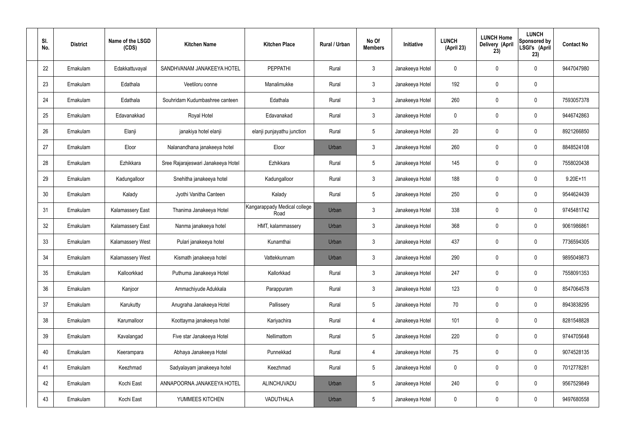| SI.<br>No. | <b>District</b> | Name of the LSGD<br>(CDS) | <b>Kitchen Name</b>                | <b>Kitchen Place</b>                 | Rural / Urban | No Of<br><b>Members</b> | Initiative      | <b>LUNCH</b><br>(April 23) | <b>LUNCH Home</b><br>Delivery (April<br>23) | <b>LUNCH</b><br>Sponsored by<br>LSGI's (April<br>23) | <b>Contact No</b> |
|------------|-----------------|---------------------------|------------------------------------|--------------------------------------|---------------|-------------------------|-----------------|----------------------------|---------------------------------------------|------------------------------------------------------|-------------------|
| 22         | Ernakulam       | Edakkattuvayal            | SANDHVANAM JANAKEEYA HOTEL         | <b>PEPPATHI</b>                      | Rural         | $\mathfrak{Z}$          | Janakeeya Hotel | 0                          | 0                                           | $\mathbf 0$                                          | 9447047980        |
| 23         | Ernakulam       | Edathala                  | Veetiloru oonne                    | Manalimukke                          | Rural         | $\mathbf{3}$            | Janakeeya Hotel | 192                        | 0                                           | $\mathbf 0$                                          |                   |
| 24         | Ernakulam       | Edathala                  | Souhridam Kudumbashree canteen     | Edathala                             | Rural         | $\mathbf{3}$            | Janakeeya Hotel | 260                        | 0                                           | $\mathbf 0$                                          | 7593057378        |
| 25         | Ernakulam       | Edavanakkad               | Royal Hotel                        | Edavanakad                           | Rural         | $\mathbf{3}$            | Janakeeya Hotel | $\mathbf 0$                | 0                                           | $\mathbf 0$                                          | 9446742863        |
| 26         | Ernakulam       | Elanji                    | janakiya hotel elanji              | elanji punjayathu junction           | Rural         | $5\phantom{.0}$         | Janakeeya Hotel | 20                         | 0                                           | $\mathbf 0$                                          | 8921266850        |
| 27         | Ernakulam       | Eloor                     | Nalanandhana janakeeya hotel       | Eloor                                | Urban         | $\mathbf{3}$            | Janakeeya Hotel | 260                        | 0                                           | $\mathbf 0$                                          | 8848524108        |
| 28         | Ernakulam       | Ezhikkara                 | Sree Rajarajeswari Janakeeya Hotel | Ezhikkara                            | Rural         | $5\phantom{.0}$         | Janakeeya Hotel | 145                        | $\boldsymbol{0}$                            | $\mathbf 0$                                          | 7558020438        |
| 29         | Ernakulam       | Kadungalloor              | Snehitha janakeeya hotel           | Kadungalloor                         | Rural         | $\mathbf{3}$            | Janakeeya Hotel | 188                        | 0                                           | $\mathbf 0$                                          | $9.20E + 11$      |
| 30         | Ernakulam       | Kalady                    | Jyothi Vanitha Canteen             | Kalady                               | Rural         | $5\phantom{.0}$         | Janakeeya Hotel | 250                        | $\boldsymbol{0}$                            | $\mathbf 0$                                          | 9544624439        |
| 31         | Ernakulam       | <b>Kalamassery East</b>   | Thanima Janakeeya Hotel            | Kangarappady Medical college<br>Road | Urban         | $\mathbf{3}$            | Janakeeya Hotel | 338                        | 0                                           | $\mathbf 0$                                          | 9745481742        |
| 32         | Ernakulam       | <b>Kalamassery East</b>   | Nanma janakeeya hotel              | HMT, kalammassery                    | Urban         | $\mathbf{3}$            | Janakeeya Hotel | 368                        | 0                                           | $\boldsymbol{0}$                                     | 9061986861        |
| 33         | Ernakulam       | Kalamassery West          | Pulari janakeeya hotel             | Kunamthai                            | Urban         | $\mathfrak{Z}$          | Janakeeya Hotel | 437                        | 0                                           | $\boldsymbol{0}$                                     | 7736594305        |
| 34         | Ernakulam       | Kalamassery West          | Kismath janakeeya hotel            | Vattekkunnam                         | Urban         | $\mathbf{3}$            | Janakeeya Hotel | 290                        | 0                                           | 0                                                    | 9895049873        |
| 35         | Ernakulam       | Kalloorkkad               | Puthuma Janakeeya Hotel            | Kallorkkad                           | Rural         | $\mathbf{3}$            | Janakeeya Hotel | 247                        | $\mathbf 0$                                 | $\mathbf 0$                                          | 7558091353        |
| 36         | Ernakulam       | Kanjoor                   | Ammachiyude Adukkala               | Parappuram                           | Rural         | 3 <sup>1</sup>          | Janakeeya Hotel | 123                        | $\mathbf 0$                                 | $\mathbf 0$                                          | 8547064578        |
| 37         | Ernakulam       | Karukutty                 | Anugraha Janakeeya Hotel           | Pallissery                           | Rural         | $5\phantom{.0}$         | Janakeeya Hotel | 70                         | $\mathbf 0$                                 | $\mathbf 0$                                          | 8943838295        |
| 38         | Ernakulam       | Karumalloor               | Koottayma janakeeya hotel          | Kariyachira                          | Rural         | $\overline{4}$          | Janakeeya Hotel | 101                        | $\mathbf 0$                                 | $\mathbf 0$                                          | 8281548828        |
| 39         | Ernakulam       | Kavalangad                | Five star Janakeeya Hotel          | Nellimattom                          | Rural         | $5\phantom{.0}$         | Janakeeya Hotel | 220                        | $\mathbf 0$                                 | $\mathbf 0$                                          | 9744705648        |
| 40         | Ernakulam       | Keerampara                | Abhaya Janakeeya Hotel             | Punnekkad                            | Rural         | $\overline{4}$          | Janakeeya Hotel | 75                         | $\mathbf 0$                                 | $\mathbf 0$                                          | 9074528135        |
| 41         | Ernakulam       | Keezhmad                  | Sadyalayam janakeeya hotel         | Keezhmad                             | Rural         | $5\phantom{.0}$         | Janakeeya Hotel | $\mathbf 0$                | $\mathbf 0$                                 | $\mathbf 0$                                          | 7012778281        |
| 42         | Ernakulam       | Kochi East                | ANNAPOORNA JANAKEEYA HOTEL         | ALINCHUVADU                          | Urban         | $5\phantom{.0}$         | Janakeeya Hotel | 240                        | 0                                           | $\mathbf 0$                                          | 9567529849        |
| 43         | Ernakulam       | Kochi East                | YUMMEES KITCHEN                    | VADUTHALA                            | Urban         | $5\,$                   | Janakeeya Hotel | 0                          | $\pmb{0}$                                   | $\boldsymbol{0}$                                     | 9497680558        |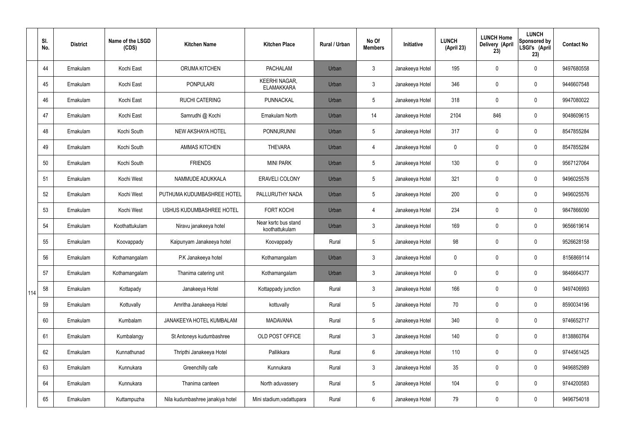|     | SI.<br>No. | <b>District</b> | Name of the LSGD<br>(CDS) | <b>Kitchen Name</b>              | <b>Kitchen Place</b>                      | <b>Rural / Urban</b> | No Of<br><b>Members</b> | Initiative      | <b>LUNCH</b><br>(April 23) | <b>LUNCH Home</b><br>Delivery (April<br>23) | <b>LUNCH</b><br><b>Sponsored by</b><br>LSGI's (April<br>23) | <b>Contact No</b> |
|-----|------------|-----------------|---------------------------|----------------------------------|-------------------------------------------|----------------------|-------------------------|-----------------|----------------------------|---------------------------------------------|-------------------------------------------------------------|-------------------|
|     | 44         | Ernakulam       | Kochi East                | ORUMA KITCHEN                    | <b>PACHALAM</b>                           | Urban                | $\mathbf{3}$            | Janakeeya Hotel | 195                        | 0                                           | $\mathbf 0$                                                 | 9497680558        |
|     | 45         | Ernakulam       | Kochi East                | <b>PONPULARI</b>                 | <b>KEERHI NAGAR,</b><br><b>ELAMAKKARA</b> | Urban                | $\mathfrak{Z}$          | Janakeeya Hotel | 346                        | 0                                           | $\boldsymbol{0}$                                            | 9446607548        |
|     | 46         | Ernakulam       | Kochi East                | <b>RUCHI CATERING</b>            | PUNNACKAL                                 | Urban                | 5                       | Janakeeya Hotel | 318                        | 0                                           | $\mathbf 0$                                                 | 9947080022        |
|     | 47         | Ernakulam       | Kochi East                | Samrudhi @ Kochi                 | Ernakulam North                           | Urban                | 14                      | Janakeeya Hotel | 2104                       | 846                                         | $\pmb{0}$                                                   | 9048609615        |
|     | 48         | Ernakulam       | Kochi South               | NEW AKSHAYA HOTEL                | <b>PONNURUNNI</b>                         | Urban                | 5                       | Janakeeya Hotel | 317                        | 0                                           | $\mathbf 0$                                                 | 8547855284        |
|     | 49         | Ernakulam       | Kochi South               | <b>AMMAS KITCHEN</b>             | <b>THEVARA</b>                            | Urban                | 4                       | Janakeeya Hotel | 0                          | 0                                           | $\mathbf 0$                                                 | 8547855284        |
|     | 50         | Ernakulam       | Kochi South               | <b>FRIENDS</b>                   | <b>MINI PARK</b>                          | Urban                | 5                       | Janakeeya Hotel | 130                        | 0                                           | $\mathbf 0$                                                 | 9567127064        |
|     | 51         | Ernakulam       | Kochi West                | NAMMUDE ADUKKALA                 | <b>ERAVELI COLONY</b>                     | Urban                | 5                       | Janakeeya Hotel | 321                        | 0                                           | $\mathbf 0$                                                 | 9496025576        |
|     | 52         | Ernakulam       | Kochi West                | PUTHUMA KUDUMBASHREE HOTEL       | PALLURUTHY NADA                           | Urban                | 5                       | Janakeeya Hotel | 200                        | 0                                           | $\mathbf 0$                                                 | 9496025576        |
|     | 53         | Ernakulam       | Kochi West                | USHUS KUDUMBASHREE HOTEL         | <b>FORT KOCHI</b>                         | Urban                | $\overline{4}$          | Janakeeya Hotel | 234                        | 0                                           | $\pmb{0}$                                                   | 9847866090        |
|     | 54         | Ernakulam       | Koothattukulam            | Niravu janakeeya hotel           | Near ksrtc bus stand<br>koothattukulam    | Urban                | $\mathfrak{Z}$          | Janakeeya Hotel | 169                        | 0                                           | $\pmb{0}$                                                   | 9656619614        |
|     | 55         | Ernakulam       | Koovappady                | Kaipunyam Janakeeya hotel        | Koovappady                                | Rural                | 5                       | Janakeeya Hotel | 98                         | 0                                           | $\boldsymbol{0}$                                            | 9526628158        |
|     | 56         | Ernakulam       | Kothamangalam             | P.K Janakeeya hotel              | Kothamangalam                             | Urban                | $\mathbf{3}$            | Janakeeya Hotel | 0                          | 0                                           | $\mathbf 0$                                                 | 8156869114        |
|     | 57         | Ernakulam       | Kothamangalam             | Thanima catering unit            | Kothamangalam                             | Urban                | $\mathbf{3}$            | Janakeeya Hotel | 0                          | 0                                           | $\mathbf 0$                                                 | 9846664377        |
| 114 | 58         | Ernakulam       | Kottapady                 | Janakeeya Hotel                  | Kottappady junction                       | Rural                | $\mathbf{3}$            | Janakeeya Hotel | 166                        | 0                                           | $\mathbf 0$                                                 | 9497406993        |
|     | 59         | Ernakulam       | Kottuvally                | Amritha Janakeeya Hotel          | kottuvally                                | Rural                | 5                       | Janakeeya Hotel | 70                         | 0                                           | $\mathbf 0$                                                 | 8590034196        |
|     | 60         | Ernakulam       | Kumbalam                  | JANAKEEYA HOTEL KUMBALAM         | <b>MADAVANA</b>                           | Rural                | 5                       | Janakeeya Hotel | 340                        | 0                                           | $\pmb{0}$                                                   | 9746652717        |
|     | 61         | Ernakulam       | Kumbalangy                | St Antoneys kudumbashree         | OLD POST OFFICE                           | Rural                | $\mathbf{3}$            | Janakeeya Hotel | 140                        | 0                                           | $\pmb{0}$                                                   | 8138860764        |
|     | 62         | Ernakulam       | Kunnathunad               | Thripthi Janakeeya Hotel         | Pallikkara                                | Rural                | 6                       | Janakeeya Hotel | 110                        | 0                                           | $\pmb{0}$                                                   | 9744561425        |
|     | 63         | Ernakulam       | Kunnukara                 | Greenchilly cafe                 | Kunnukara                                 | Rural                | $\mathfrak{Z}$          | Janakeeya Hotel | 35 <sub>5</sub>            | 0                                           | $\pmb{0}$                                                   | 9496852989        |
|     | 64         | Ernakulam       | Kunnukara                 | Thanima canteen                  | North aduvassery                          | Rural                | $5\phantom{.0}$         | Janakeeya Hotel | 104                        | 0                                           | $\pmb{0}$                                                   | 9744200583        |
|     | 65         | Ernakulam       | Kuttampuzha               | Nila kudumbashree janakiya hotel | Mini stadium, vadattupara                 | Rural                | $6\phantom{.0}$         | Janakeeya Hotel | 79                         | 0                                           | $\pmb{0}$                                                   | 9496754018        |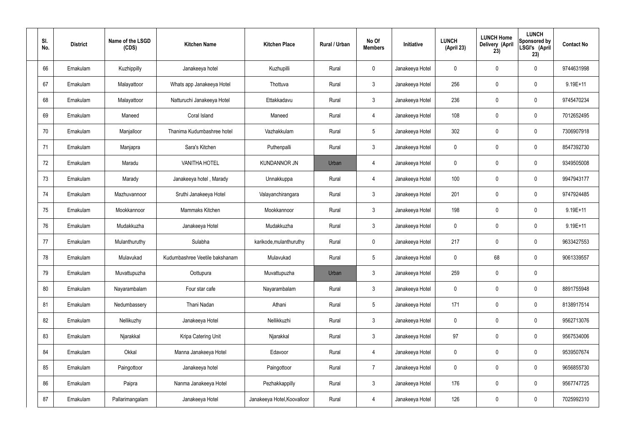| SI.<br>No. | <b>District</b> | Name of the LSGD<br>(CDS) | <b>Kitchen Name</b>            | <b>Kitchen Place</b>        | Rural / Urban | No Of<br><b>Members</b> | Initiative      | <b>LUNCH</b><br>(April 23) | <b>LUNCH Home</b><br>Delivery (April<br>23) | <b>LUNCH</b><br>Sponsored by<br>LSGI's (April<br>23) | <b>Contact No</b> |
|------------|-----------------|---------------------------|--------------------------------|-----------------------------|---------------|-------------------------|-----------------|----------------------------|---------------------------------------------|------------------------------------------------------|-------------------|
| 66         | Ernakulam       | Kuzhippilly               | Janakeeya hotel                | Kuzhupilli                  | Rural         | $\mathbf 0$             | Janakeeya Hotel | 0                          | 0                                           | $\mathbf 0$                                          | 9744631998        |
| 67         | Ernakulam       | Malayattoor               | Whats app Janakeeya Hotel      | Thottuva                    | Rural         | $\mathbf{3}$            | Janakeeya Hotel | 256                        | 0                                           | $\mathbf 0$                                          | 9.19E+11          |
| 68         | Ernakulam       | Malayattoor               | Natturuchi Janakeeya Hotel     | Ettakkadavu                 | Rural         | $\mathbf{3}$            | Janakeeya Hotel | 236                        | 0                                           | $\mathbf 0$                                          | 9745470234        |
| 69         | Ernakulam       | Maneed                    | Coral Island                   | Maneed                      | Rural         | $\overline{4}$          | Janakeeya Hotel | 108                        | 0                                           | $\mathbf 0$                                          | 7012652495        |
| 70         | Ernakulam       | Manjalloor                | Thanima Kudumbashree hotel     | Vazhakkulam                 | Rural         | $5\phantom{.0}$         | Janakeeya Hotel | 302                        | $\boldsymbol{0}$                            | $\mathbf 0$                                          | 7306907918        |
| 71         | Ernakulam       | Manjapra                  | Sara's Kitchen                 | Puthenpalli                 | Rural         | $\mathbf{3}$            | Janakeeya Hotel | $\mathbf 0$                | 0                                           | $\mathbf 0$                                          | 8547392730        |
| 72         | Ernakulam       | Maradu                    | <b>VANITHA HOTEL</b>           | <b>KUNDANNOR JN</b>         | Urban         | $\overline{4}$          | Janakeeya Hotel | $\mathbf 0$                | 0                                           | $\mathbf 0$                                          | 9349505008        |
| 73         | Ernakulam       | Marady                    | Janakeeya hotel, Marady        | Unnakkuppa                  | Rural         | $\overline{4}$          | Janakeeya Hotel | 100                        | 0                                           | $\mathbf 0$                                          | 9947943177        |
| 74         | Ernakulam       | Mazhuvannoor              | Sruthi Janakeeya Hotel         | Valayanchirangara           | Rural         | $\mathbf{3}$            | Janakeeya Hotel | 201                        | $\boldsymbol{0}$                            | $\mathbf 0$                                          | 9747924485        |
| 75         | Ernakulam       | Mookkannoor               | Mammaks Kitchen                | Mookkannoor                 | Rural         | $\mathfrak{Z}$          | Janakeeya Hotel | 198                        | 0                                           | $\mathbf 0$                                          | $9.19E + 11$      |
| 76         | Ernakulam       | Mudakkuzha                | Janakeeya Hotel                | Mudakkuzha                  | Rural         | $\mathbf{3}$            | Janakeeya Hotel | $\mathbf 0$                | 0                                           | $\boldsymbol{0}$                                     | $9.19E + 11$      |
| 77         | Ernakulam       | Mulanthuruthy             | Sulabha                        | karikode, mulanthuruthy     | Rural         | $\mathbf 0$             | Janakeeya Hotel | 217                        | 0                                           | $\boldsymbol{0}$                                     | 9633427553        |
| 78         | Ernakulam       | Mulavukad                 | Kudumbashree Veetile bakshanam | Mulavukad                   | Rural         | $5\phantom{.0}$         | Janakeeya Hotel | 0                          | 68                                          | $\boldsymbol{0}$                                     | 9061339557        |
| 79         | Ernakulam       | Muvattupuzha              | Oottupura                      | Muvattupuzha                | Urban         | 3                       | Janakeeya Hotel | 259                        | $\mathsf{0}$                                | $\pmb{0}$                                            |                   |
| 80         | Ernakulam       | Nayarambalam              | Four star cafe                 | Nayarambalam                | Rural         | $\mathbf{3}$            | Janakeeya Hotel | $\mathbf 0$                | $\mathbf 0$                                 | $\mathbf 0$                                          | 8891755948        |
| 81         | Ernakulam       | Nedumbassery              | Thani Nadan                    | Athani                      | Rural         | $5\phantom{.0}$         | Janakeeya Hotel | 171                        | $\mathbf 0$                                 | $\mathbf 0$                                          | 8138917514        |
| 82         | Ernakulam       | Nellikuzhy                | Janakeeya Hotel                | Nellikkuzhi                 | Rural         | $\mathbf{3}$            | Janakeeya Hotel | $\mathbf 0$                | $\mathbf 0$                                 | $\mathbf 0$                                          | 9562713076        |
| 83         | Ernakulam       | Njarakkal                 | Kripa Catering Unit            | Njarakkal                   | Rural         | $\mathbf{3}$            | Janakeeya Hotel | 97                         | $\mathbf 0$                                 | $\mathbf 0$                                          | 9567534006        |
| 84         | Ernakulam       | Okkal                     | Manna Janakeeya Hotel          | Edavoor                     | Rural         | $\overline{4}$          | Janakeeya Hotel | $\mathbf 0$                | $\mathbf 0$                                 | $\mathbf 0$                                          | 9539507674        |
| 85         | Ernakulam       | Paingottoor               | Janakeeya hotel                | Paingottoor                 | Rural         | $\overline{7}$          | Janakeeya Hotel | $\mathbf 0$                | $\mathbf 0$                                 | $\mathbf 0$                                          | 9656855730        |
| 86         | Ernakulam       | Paipra                    | Nanma Janakeeya Hotel          | Pezhakkappilly              | Rural         | $\mathfrak{Z}$          | Janakeeya Hotel | 176                        | 0                                           | $\mathbf 0$                                          | 9567747725        |
| 87         | Ernakulam       | Pallarimangalam           | Janakeeya Hotel                | Janakeeya Hotel, Koovalloor | Rural         | 4                       | Janakeeya Hotel | 126                        | $\pmb{0}$                                   | $\boldsymbol{0}$                                     | 7025992310        |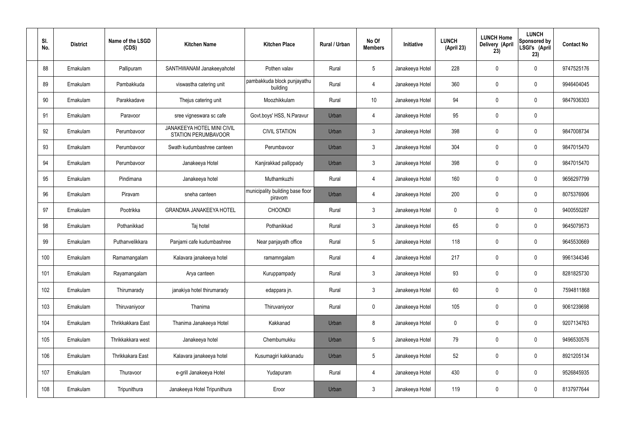| SI.<br>No. | <b>District</b> | Name of the LSGD<br>(CDS) | <b>Kitchen Name</b>                                             | <b>Kitchen Place</b>                        | Rural / Urban | No Of<br><b>Members</b> | Initiative      | <b>LUNCH</b><br>(April 23) | <b>LUNCH Home</b><br>Delivery (April<br>23) | <b>LUNCH</b><br>Sponsored by<br>LSGI's (April<br>23) | <b>Contact No</b> |
|------------|-----------------|---------------------------|-----------------------------------------------------------------|---------------------------------------------|---------------|-------------------------|-----------------|----------------------------|---------------------------------------------|------------------------------------------------------|-------------------|
| 88         | Ernakulam       | Pallipuram                | SANTHWANAM Janakeeyahotel                                       | Pothen valav                                | Rural         | $5\phantom{.0}$         | Janakeeya Hotel | 228                        | $\mathbf 0$                                 | $\mathbf 0$                                          | 9747525176        |
| 89         | Ernakulam       | Pambakkuda                | viswastha catering unit                                         | pambakkuda block punjayathu<br>building     | Rural         | $\overline{4}$          | Janakeeya Hotel | 360                        | 0                                           | $\mathbf 0$                                          | 9946404045        |
| 90         | Ernakulam       | Parakkadave               | Thejus catering unit                                            | Moozhikkulam                                | Rural         | 10 <sup>°</sup>         | Janakeeya Hotel | 94                         | 0                                           | $\mathbf 0$                                          | 9847936303        |
| 91         | Ernakulam       | Paravoor                  | sree vigneswara sc cafe                                         | Govt.boys' HSS, N.Paravur                   | Urban         | 4                       | Janakeeya Hotel | 95                         | 0                                           | $\mathbf 0$                                          |                   |
| 92         | Ernakulam       | Perumbavoor               | <b>JANAKEEYA HOTEL MINI CIVIL</b><br><b>STATION PERUMBAVOOR</b> | <b>CIVIL STATION</b>                        | Urban         | $\mathbf{3}$            | Janakeeya Hotel | 398                        | $\mathbf 0$                                 | $\mathbf 0$                                          | 9847008734        |
| 93         | Ernakulam       | Perumbavoor               | Swath kudumbashree canteen                                      | Perumbavoor                                 | Urban         | $\mathbf{3}$            | Janakeeya Hotel | 304                        | 0                                           | $\mathbf 0$                                          | 9847015470        |
| 94         | Ernakulam       | Perumbayoor               | Janakeeya Hotel                                                 | Kanjirakkad pallippady                      | Urban         | $\mathbf{3}$            | Janakeeya Hotel | 398                        | $\mathbf 0$                                 | $\mathbf 0$                                          | 9847015470        |
| 95         | Ernakulam       | Pindimana                 | Janakeeya hotel                                                 | Muthamkuzhi                                 | Rural         | 4                       | Janakeeya Hotel | 160                        | 0                                           | $\mathbf 0$                                          | 9656297799        |
| 96         | Ernakulam       | Piravam                   | sneha canteen                                                   | municipality building base floor<br>piravom | Urban         | 4                       | Janakeeya Hotel | 200                        | 0                                           | $\mathbf 0$                                          | 8075376906        |
| 97         | Ernakulam       | Pootrikka                 | <b>GRANDMA JANAKEEYA HOTEL</b>                                  | <b>CHOONDI</b>                              | Rural         | $\mathbf{3}$            | Janakeeya Hotel | $\mathbf 0$                | 0                                           | $\mathbf 0$                                          | 9400550287        |
| 98         | Ernakulam       | Pothanikkad               | Taj hotel                                                       | Pothanikkad                                 | Rural         | $\mathbf{3}$            | Janakeeya Hotel | 65                         | $\mathbf 0$                                 | $\mathbf 0$                                          | 9645079573        |
| 99         | Ernakulam       | Puthanvelikkara           | Panjami cafe kudumbashree                                       | Near panjayath office                       | Rural         | $5\phantom{.0}$         | Janakeeya Hotel | 118                        | $\mathbf 0$                                 | $\mathbf 0$                                          | 9645530669        |
| 100        | Ernakulam       | Ramamangalam              | Kalavara janakeeya hotel                                        | ramamngalam                                 | Rural         | 4                       | Janakeeya Hotel | 217                        | $\mathbf 0$                                 | $\mathbf 0$                                          | 9961344346        |
| 101        | Ernakulam       | Rayamangalam              | Arya canteen                                                    | Kuruppampady                                | Rural         | $\mathbf{3}$            | Janakeeya Hotel | 93                         | 0                                           | $\pmb{0}$                                            | 8281825730        |
| 102        | Ernakulam       | Thirumarady               | janakiya hotel thirumarady                                      | edappara jn.                                | Rural         | $\mathbf{3}$            | Janakeeya Hotel | 60                         | $\boldsymbol{0}$                            | $\mathbf 0$                                          | 7594811868        |
| 103        | Ernakulam       | Thiruvaniyoor             | Thanima                                                         | Thiruvaniyoor                               | Rural         | $\mathbf 0$             | Janakeeya Hotel | 105                        | 0                                           | $\mathbf 0$                                          | 9061239698        |
| 104        | Ernakulam       | Thrikkakkara East         | Thanima Janakeeya Hotel                                         | Kakkanad                                    | Urban         | 8                       | Janakeeya Hotel | 0                          | $\boldsymbol{0}$                            | $\mathbf 0$                                          | 9207134763        |
| 105        | Ernakulam       | Thrikkakkara west         | Janakeeya hotel                                                 | Chembumukku                                 | Urban         | $5\,$                   | Janakeeya Hotel | 79                         | 0                                           | $\mathbf 0$                                          | 9496530576        |
| 106        | Ernakulam       | Thrikkakara East          | Kalavara janakeeya hotel                                        | Kusumagiri kakkanadu                        | Urban         | $5\phantom{.0}$         | Janakeeya Hotel | 52                         | 0                                           | $\mathbf 0$                                          | 8921205134        |
| 107        | Ernakulam       | Thuravoor                 | e-grill Janakeeya Hotel                                         | Yudapuram                                   | Rural         | $\overline{4}$          | Janakeeya Hotel | 430                        | $\pmb{0}$                                   | $\mathbf 0$                                          | 9526845935        |
| 108        | Ernakulam       | Tripunithura              | Janakeeya Hotel Tripunithura                                    | Eroor                                       | Urban         | $\mathbf{3}$            | Janakeeya Hotel | 119                        | 0                                           | $\mathbf 0$                                          | 8137977644        |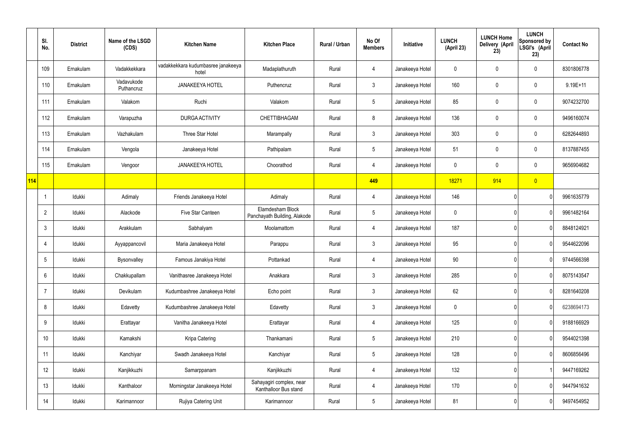|     | SI.<br>No.      | <b>District</b> | Name of the LSGD<br>(CDS) | <b>Kitchen Name</b>                         | <b>Kitchen Place</b>                              | Rural / Urban | No Of<br><b>Members</b> | Initiative      | <b>LUNCH</b><br>(April 23) | <b>LUNCH Home</b><br>Delivery (April<br>23) | <b>LUNCH</b><br><b>Sponsored by</b><br>LSGI's (April<br>23) | <b>Contact No</b> |
|-----|-----------------|-----------------|---------------------------|---------------------------------------------|---------------------------------------------------|---------------|-------------------------|-----------------|----------------------------|---------------------------------------------|-------------------------------------------------------------|-------------------|
|     | 109             | Ernakulam       | Vadakkekkara              | vadakkekkara kudumbasree janakeeya<br>hotel | Madaplathuruth                                    | Rural         | 4                       | Janakeeya Hotel | 0                          | 0                                           | $\pmb{0}$                                                   | 8301806778        |
|     | 110             | Ernakulam       | Vadavukode<br>Puthancruz  | <b>JANAKEEYA HOTEL</b>                      | Puthencruz                                        | Rural         | $\mathfrak{Z}$          | Janakeeya Hotel | 160                        | $\mathbf 0$                                 | $\pmb{0}$                                                   | $9.19E + 11$      |
|     | 111             | Ernakulam       | Valakom                   | Ruchi                                       | Valakom                                           | Rural         | $5\phantom{.0}$         | Janakeeya Hotel | 85                         | 0                                           | $\pmb{0}$                                                   | 9074232700        |
|     | 112             | Ernakulam       | Varapuzha                 | <b>DURGA ACTIVITY</b>                       | <b>CHETTIBHAGAM</b>                               | Rural         | 8                       | Janakeeya Hotel | 136                        | 0                                           | $\mathbf 0$                                                 | 9496160074        |
|     | 113             | Ernakulam       | Vazhakulam                | Three Star Hotel                            | Marampally                                        | Rural         | $\mathfrak{Z}$          | Janakeeya Hotel | 303                        | $\mathbf 0$                                 | $\pmb{0}$                                                   | 6282644893        |
|     | 114             | Ernakulam       | Vengola                   | Janakeeya Hotel                             | Pathipalam                                        | Rural         | $5\phantom{.0}$         | Janakeeya Hotel | 51                         | 0                                           | $\pmb{0}$                                                   | 8137887455        |
|     | 115             | Ernakulam       | Vengoor                   | <b>JANAKEEYA HOTEL</b>                      | Choorathod                                        | Rural         | 4                       | Janakeeya Hotel | $\mathbf 0$                | 0                                           | $\pmb{0}$                                                   | 9656904682        |
| 114 |                 |                 |                           |                                             |                                                   |               | 449                     |                 | 18271                      | 914                                         | $\overline{0}$                                              |                   |
|     | $\overline{1}$  | Idukki          | Adimaly                   | Friends Janakeeya Hotel                     | Adimaly                                           | Rural         | 4                       | Janakeeya Hotel | 146                        |                                             | 0                                                           | 9961635779        |
|     | $\overline{2}$  | Idukki          | Alackode                  | Five Star Canteen                           | Elamdesham Block<br>Panchayath Building, Alakode  | Rural         | $5\phantom{.0}$         | Janakeeya Hotel | $\mathbf 0$                |                                             | 0                                                           | 9961482164        |
|     | $\mathbf{3}$    | Idukki          | Arakkulam                 | Sabhalyam                                   | Moolamattom                                       | Rural         | 4                       | Janakeeya Hotel | 187                        |                                             | 0                                                           | 8848124921        |
|     | 4               | Idukki          | Ayyappancovil             | Maria Janakeeya Hotel                       | Parappu                                           | Rural         | $\mathfrak{Z}$          | Janakeeya Hotel | 95                         |                                             | 0                                                           | 9544622096        |
|     | 5               | Idukki          | Bysonvalley               | Famous Janakiya Hotel                       | Pottankad                                         | Rural         | 4                       | Janakeeya Hotel | 90                         |                                             | 0                                                           | 9744566398        |
|     | $6\phantom{.}6$ | Idukki          | Chakkupallam              | Vanithasree Janakeeya Hotel                 | Anakkara                                          | Rural         | $\mathbf{3}$            | Janakeeya Hotel | 285                        |                                             | 0                                                           | 8075143547        |
|     | $\overline{7}$  | Idukki          | Devikulam                 | Kudumbashree Janakeeya Hotel                | Echo point                                        | Rural         | $\mathbf{3}$            | Janakeeya Hotel | 62                         |                                             | 0                                                           | 8281640208        |
|     | 8               | Idukki          | Edavetty                  | Kudumbashree Janakeeya Hotel                | Edavetty                                          | Rural         | $\mathfrak{Z}$          | Janakeeya Hotel | $\mathbf 0$                |                                             | 0                                                           | 6238694173        |
|     | $9\,$           | Idukki          | Erattayar                 | Vanitha Janakeeya Hotel                     | Erattayar                                         | Rural         | 4                       | Janakeeya Hotel | 125                        |                                             | 0                                                           | 9188166929        |
|     | 10              | Idukki          | Kamakshi                  | Kripa Catering                              | Thankamani                                        | Rural         | $5\phantom{.0}$         | Janakeeya Hotel | 210                        |                                             | 0                                                           | 9544021398        |
|     | 11              | Idukki          | Kanchiyar                 | Swadh Janakeeya Hotel                       | Kanchiyar                                         | Rural         | $5\phantom{.0}$         | Janakeeya Hotel | 128                        |                                             | 0                                                           | 8606856496        |
|     | 12              | Idukki          | Kanjikkuzhi               | Samarppanam                                 | Kanjikkuzhi                                       | Rural         | 4                       | Janakeeya Hotel | 132                        |                                             |                                                             | 9447169262        |
|     | 13              | Idukki          | Kanthaloor                | Morningstar Janakeeya Hotel                 | Sahayagiri complex, near<br>Kanthalloor Bus stand | Rural         | 4                       | Janakeeya Hotel | 170                        |                                             | 0                                                           | 9447941632        |
|     | 14              | ldukki          | Karimannoor               | Rujiya Catering Unit                        | Karimannoor                                       | Rural         | $\overline{5}$          | Janakeeya Hotel | 81                         |                                             | 0                                                           | 9497454952        |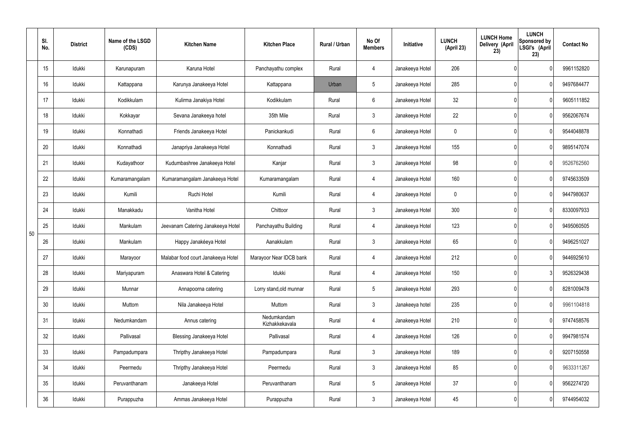|    | SI.<br>No. | <b>District</b> | Name of the LSGD<br>(CDS) | <b>Kitchen Name</b>                | <b>Kitchen Place</b>          | <b>Rural / Urban</b> | No Of<br><b>Members</b> | Initiative      | <b>LUNCH</b><br>(April 23) | <b>LUNCH Home</b><br>Delivery (April<br>23) | <b>LUNCH</b><br>Sponsored by<br>LSGI's (April<br>23) | <b>Contact No</b> |
|----|------------|-----------------|---------------------------|------------------------------------|-------------------------------|----------------------|-------------------------|-----------------|----------------------------|---------------------------------------------|------------------------------------------------------|-------------------|
|    | 15         | Idukki          | Karunapuram               | Karuna Hotel                       | Panchayathu complex           | Rural                | 4                       | Janakeeya Hotel | 206                        |                                             | 0                                                    | 9961152820        |
|    | 16         | Idukki          | Kattappana                | Karunya Janakeeya Hotel            | Kattappana                    | Urban                | 5                       | Janakeeya Hotel | 285                        |                                             | 0                                                    | 9497684477        |
|    | 17         | Idukki          | Kodikkulam                | Kulirma Janakiya Hotel             | Kodikkulam                    | Rural                | 6                       | Janakeeya Hotel | 32                         |                                             | 0                                                    | 9605111852        |
|    | 18         | Idukki          | Kokkayar                  | Sevana Janakeeya hotel             | 35th Mile                     | Rural                | 3                       | Janakeeya Hotel | 22                         |                                             | 0                                                    | 9562067674        |
|    | 19         | Idukki          | Konnathadi                | Friends Janakeeya Hotel            | Panickankudi                  | Rural                | 6                       | Janakeeya Hotel | 0                          |                                             | 0                                                    | 9544048878        |
|    | 20         | Idukki          | Konnathadi                | Janapriya Janakeeya Hotel          | Konnathadi                    | Rural                | 3                       | Janakeeya Hotel | 155                        |                                             | 0                                                    | 9895147074        |
|    | 21         | Idukki          | Kudayathoor               | Kudumbashree Janakeeya Hotel       | Kanjar                        | Rural                | $\mathbf{3}$            | Janakeeya Hotel | 98                         |                                             | 0                                                    | 9526762560        |
|    | 22         | Idukki          | Kumaramangalam            | Kumaramangalam Janakeeya Hotel     | Kumaramangalam                | Rural                | 4                       | Janakeeya Hotel | 160                        |                                             | 0                                                    | 9745633509        |
|    | 23         | Idukki          | Kumili                    | Ruchi Hotel                        | Kumili                        | Rural                | 4                       | Janakeeya Hotel | 0                          |                                             | 0                                                    | 9447980637        |
|    | 24         | Idukki          | Manakkadu                 | Vanitha Hotel                      | Chittoor                      | Rural                | $\mathbf{3}$            | Janakeeya Hotel | 300                        |                                             | 0                                                    | 8330097933        |
| 50 | 25         | Idukki          | Mankulam                  | Jeevanam Catering Janakeeya Hotel  | Panchayathu Building          | Rural                | 4                       | Janakeeya Hotel | 123                        |                                             | 0                                                    | 9495060505        |
|    | 26         | Idukki          | Mankulam                  | Happy Janakéeya Hotel              | Aanakkulam                    | Rural                | 3                       | Janakeeya Hotel | 65                         |                                             | 0                                                    | 9496251027        |
|    | 27         | Idukki          | Marayoor                  | Malabar food court Janakeeya Hotel | Marayoor Near IDCB bank       | Rural                | 4                       | Janakeeya Hotel | 212                        |                                             | 0                                                    | 9446925610        |
|    | 28         | Idukki          | Mariyapuram               | Anaswara Hotel & Catering          | Idukki                        | Rural                | 4                       | Janakeeya Hotel | 150                        |                                             | 3                                                    | 9526329438        |
|    | 29         | Idukki          | Munnar                    | Annapoorna catering                | Lorry stand, old munnar       | Rural                | 5 <sub>5</sub>          | Janakeeya Hotel | 293                        |                                             | 0                                                    | 8281009478        |
|    | 30         | Idukki          | Muttom                    | Nila Janakeeya Hotel               | Muttom                        | Rural                | $\mathbf{3}$            | Janakeeya hotel | 235                        |                                             | 0                                                    | 9961104818        |
|    | 31         | Idukki          | Nedumkandam               | Annus catering                     | Nedumkandam<br>Kizhakkekavala | Rural                | 4                       | Janakeeya Hotel | 210                        |                                             | 0                                                    | 9747458576        |
|    | 32         | Idukki          | Pallivasal                | <b>Blessing Janakeeya Hotel</b>    | Pallivasal                    | Rural                | 4                       | Janakeeya Hotel | 126                        |                                             | 0                                                    | 9947981574        |
|    | 33         | Idukki          | Pampadumpara              | Thripthy Janakeeya Hotel           | Pampadumpara                  | Rural                | $\mathbf{3}$            | Janakeeya Hotel | 189                        |                                             | 0                                                    | 9207150558        |
|    | 34         | Idukki          | Peermedu                  | Thripthy Janakeeya Hotel           | Peermedu                      | Rural                | $3\phantom{.0}$         | Janakeeya Hotel | 85                         |                                             | 0                                                    | 9633311267        |
|    | 35         | Idukki          | Peruvanthanam             | Janakeeya Hotel                    | Peruvanthanam                 | Rural                | $5\phantom{.0}$         | Janakeeya Hotel | 37                         |                                             | 0                                                    | 9562274720        |
|    | 36         | Idukki          | Purappuzha                | Ammas Janakeeya Hotel              | Purappuzha                    | Rural                | $\mathfrak{Z}$          | Janakeeya Hotel | 45                         |                                             | 0                                                    | 9744954032        |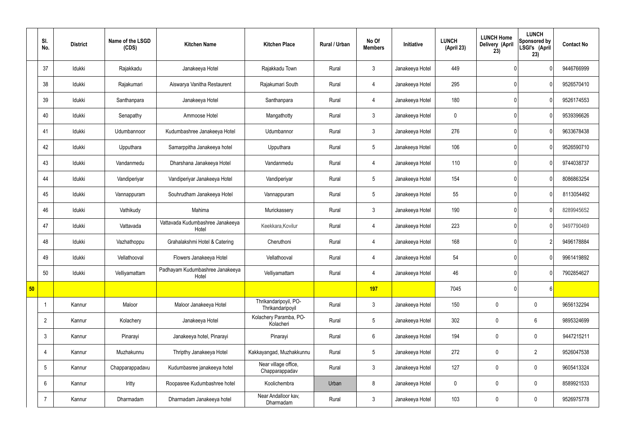|    | SI.<br>No.      | <b>District</b> | Name of the LSGD<br>(CDS) | <b>Kitchen Name</b>                       | <b>Kitchen Place</b>                      | Rural / Urban | No Of<br><b>Members</b> | Initiative      | <b>LUNCH</b><br>(April 23) | <b>LUNCH Home</b><br>Delivery (April<br>23) | <b>LUNCH</b><br>Sponsored by<br>LSGI's (April<br>23) | <b>Contact No</b> |
|----|-----------------|-----------------|---------------------------|-------------------------------------------|-------------------------------------------|---------------|-------------------------|-----------------|----------------------------|---------------------------------------------|------------------------------------------------------|-------------------|
|    | 37              | Idukki          | Rajakkadu                 | Janakeeya Hotel                           | Rajakkadu Town                            | Rural         | $\mathbf{3}$            | Janakeeya Hotel | 449                        |                                             | $\mathbf{0}$                                         | 9446766999        |
|    | 38              | Idukki          | Rajakumari                | Aiswarya Vanitha Restaurent               | Rajakumari South                          | Rural         | $\overline{4}$          | Janakeeya Hotel | 295                        |                                             | $\mathbf{0}$                                         | 9526570410        |
|    | 39              | Idukki          | Santhanpara               | Janakeeya Hotel                           | Santhanpara                               | Rural         | 4                       | Janakeeya Hotel | 180                        |                                             | $\mathbf{0}$                                         | 9526174553        |
|    | 40              | Idukki          | Senapathy                 | Ammoose Hotel                             | Mangathotty                               | Rural         | $\mathbf{3}$            | Janakeeya Hotel | $\mathbf 0$                |                                             | $\mathbf{0}$                                         | 9539396626        |
|    | 41              | Idukki          | Udumbannoor               | Kudumbashree Janakeeya Hotel              | Udumbannor                                | Rural         | $\mathbf{3}$            | Janakeeya Hotel | 276                        |                                             | $\overline{0}$                                       | 9633678438        |
|    | 42              | Idukki          | Upputhara                 | Samarppitha Janakeeya hotel               | Upputhara                                 | Rural         | $5\phantom{.0}$         | Janakeeya Hotel | 106                        |                                             | $\mathbf{0}$                                         | 9526590710        |
|    | 43              | Idukki          | Vandanmedu                | Dharshana Janakeeya Hotel                 | Vandanmedu                                | Rural         | 4                       | Janakeeya Hotel | 110                        |                                             | $\mathbf{0}$                                         | 9744038737        |
|    | 44              | Idukki          | Vandiperiyar              | Vandiperiyar Janakeeya Hotel              | Vandiperiyar                              | Rural         | $5\phantom{.0}$         | Janakeeya Hotel | 154                        |                                             | $\overline{0}$                                       | 8086863254        |
|    | 45              | Idukki          | Vannappuram               | Souhrudham Janakeeya Hotel                | Vannappuram                               | Rural         | $5\phantom{.0}$         | Janakeeya Hotel | 55                         |                                             | $\overline{0}$                                       | 8113054492        |
|    | 46              | Idukki          | Vathikudy                 | Mahima                                    | Murickassery                              | Rural         | $\mathbf{3}$            | Janakeeya Hotel | 190                        |                                             | $\overline{0}$                                       | 8289945652        |
|    | 47              | Idukki          | Vattavada                 | Vattavada Kudumbashree Janakeeya<br>Hotel | Keekkara, Kovilur                         | Rural         | $\overline{4}$          | Janakeeya Hotel | 223                        |                                             | $\overline{0}$                                       | 9497790469        |
|    | 48              | Idukki          | Vazhathoppu               | Grahalakshmi Hotel & Catering             | Cheruthoni                                | Rural         | $\overline{4}$          | Janakeeya Hotel | 168                        |                                             | $\overline{2}$                                       | 9496178884        |
|    | 49              | Idukki          | Vellathooval              | Flowers Janakeeya Hotel                   | Vellathooval                              | Rural         | 4                       | Janakeeya Hotel | 54                         |                                             | $\overline{0}$                                       | 9961419892        |
|    | 50              | Idukki          | Velliyamattam             | Padhayam Kudumbashree Janakeeya<br>Hotel  | Velliyamattam                             | Rural         | $\overline{4}$          | Janakeeya Hotel | 46                         |                                             | $\overline{0}$                                       | 7902854627        |
| 50 |                 |                 |                           |                                           |                                           |               | 197                     |                 | 7045                       |                                             | $6 \mid$                                             |                   |
|    |                 | Kannur          | Maloor                    | Maloor Janakeeya Hotel                    | Thrikandaripoyil, PO-<br>Thrikandaripoyil | Rural         | $\mathbf{3}$            | Janakeeya Hotel | 150                        | $\pmb{0}$                                   | $\mathbf 0$                                          | 9656132294        |
|    | $\overline{2}$  | Kannur          | Kolachery                 | Janakeeya Hotel                           | Kolachery Paramba, PO-<br>Kolacheri       | Rural         | $5\overline{)}$         | Janakeeya Hotel | 302                        | $\pmb{0}$                                   | $6\phantom{.}6$                                      | 9895324699        |
|    | $\mathfrak{Z}$  | Kannur          | Pinarayi                  | Janakeeya hotel, Pinarayi                 | Pinarayi                                  | Rural         | $6\overline{6}$         | Janakeeya Hotel | 194                        | $\pmb{0}$                                   | $\mathbf 0$                                          | 9447215211        |
|    | 4               | Kannur          | Muzhakunnu                | Thripthy Janakeeya Hotel                  | Kakkayangad, Muzhakkunnu                  | Rural         | $5\phantom{.0}$         | Janakeeya Hotel | 272                        | $\pmb{0}$                                   | $\overline{2}$                                       | 9526047538        |
|    | $5\phantom{.0}$ | Kannur          | Chapparappadavu           | Kudumbasree janakeeya hotel               | Near village office,<br>Chapparappadav    | Rural         | $\mathbf{3}$            | Janakeeya Hotel | 127                        | $\pmb{0}$                                   | $\mathbf 0$                                          | 9605413324        |
|    | $6\phantom{.}$  | Kannur          | Iritty                    | Roopasree Kudumbashree hotel              | Koolichembra                              | Urban         | 8                       | Janakeeya Hotel | $\mathbf 0$                | $\pmb{0}$                                   | $\mathbf 0$                                          | 8589921533        |
|    | $\overline{7}$  | Kannur          | Dharmadam                 | Dharmadam Janakeeya hotel                 | Near Andalloor kav,<br>Dharmadam          | Rural         | $3\overline{3}$         | Janakeeya Hotel | 103                        | $\pmb{0}$                                   | $\boldsymbol{0}$                                     | 9526975778        |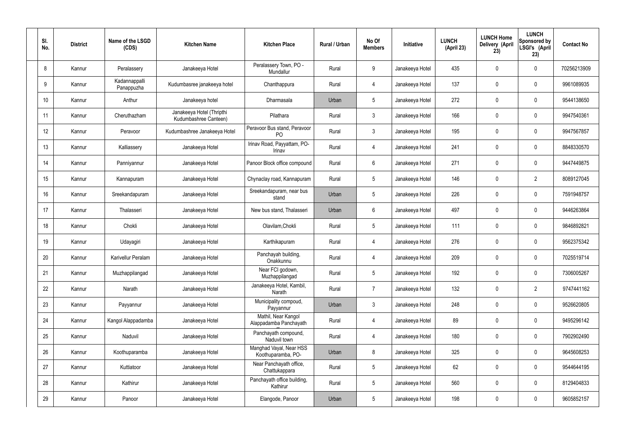| SI.<br>No. | <b>District</b> | Name of the LSGD<br>(CDS)   | <b>Kitchen Name</b>                                | <b>Kitchen Place</b>                           | Rural / Urban | No Of<br><b>Members</b> | Initiative      | <b>LUNCH</b><br>(April 23) | <b>LUNCH Home</b><br>Delivery (April<br>23) | <b>LUNCH</b><br>Sponsored by<br>LSGI's (April<br>23) | <b>Contact No</b> |
|------------|-----------------|-----------------------------|----------------------------------------------------|------------------------------------------------|---------------|-------------------------|-----------------|----------------------------|---------------------------------------------|------------------------------------------------------|-------------------|
| 8          | Kannur          | Peralassery                 | Janakeeya Hotel                                    | Peralassery Town, PO -<br>Mundallur            | Rural         | 9                       | Janakeeya Hotel | 435                        | 0                                           | $\mathbf 0$                                          | 70256213909       |
| 9          | Kannur          | Kadannappalli<br>Panappuzha | Kudumbasree janakeeya hotel                        | Chanthappura                                   | Rural         | $\overline{4}$          | Janakeeya Hotel | 137                        | 0                                           | $\mathbf 0$                                          | 9961089935        |
| 10         | Kannur          | Anthur                      | Janakeeya hotel                                    | Dharmasala                                     | Urban         | $5\phantom{.0}$         | Janakeeya Hotel | 272                        | 0                                           | $\mathbf 0$                                          | 9544138650        |
| 11         | Kannur          | Cheruthazham                | Janakeeya Hotel (Thripthi<br>Kudumbashree Canteen) | Pilathara                                      | Rural         | $\mathbf{3}$            | Janakeeya Hotel | 166                        | 0                                           | $\mathbf 0$                                          | 9947540361        |
| 12         | Kannur          | Peravoor                    | Kudumbashree Janakeeya Hotel                       | Peravoor Bus stand, Peravoor<br>P <sub>O</sub> | Rural         | $\mathbf{3}$            | Janakeeya Hotel | 195                        | 0                                           | $\mathbf 0$                                          | 9947567857        |
| 13         | Kannur          | Kalliassery                 | Janakeeya Hotel                                    | Irinav Road, Payyattam, PO-<br>Irinav          | Rural         | $\overline{4}$          | Janakeeya Hotel | 241                        | 0                                           | $\mathbf 0$                                          | 8848330570        |
| 14         | Kannur          | Panniyannur                 | Janakeeya Hotel                                    | Panoor Block office compound                   | Rural         | $6\phantom{.}6$         | Janakeeya Hotel | 271                        | 0                                           | $\mathbf 0$                                          | 9447449875        |
| 15         | Kannur          | Kannapuram                  | Janakeeya Hotel                                    | Chynaclay road, Kannapuram                     | Rural         | $5\phantom{.0}$         | Janakeeya Hotel | 146                        | 0                                           | $\overline{2}$                                       | 8089127045        |
| 16         | Kannur          | Sreekandapuram              | Janakeeya Hotel                                    | Sreekandapuram, near bus<br>stand              | Urban         | $5\phantom{.0}$         | Janakeeya Hotel | 226                        | 0                                           | $\mathbf 0$                                          | 7591948757        |
| 17         | Kannur          | Thalasseri                  | Janakeeya Hotel                                    | New bus stand, Thalasseri                      | Urban         | $6\phantom{.}6$         | Janakeeya Hotel | 497                        | 0                                           | $\mathbf 0$                                          | 9446263864        |
| 18         | Kannur          | Chokli                      | Janakeeya Hotel                                    | Olavilam, Chokli                               | Rural         | $5\,$                   | Janakeeya Hotel | 111                        | $\boldsymbol{0}$                            | $\mathbf 0$                                          | 9846892821        |
| 19         | Kannur          | Udayagiri                   | Janakeeya Hotel                                    | Karthikapuram                                  | Rural         | 4                       | Janakeeya Hotel | 276                        | 0                                           | $\mathbf 0$                                          | 9562375342        |
| 20         | Kannur          | Karivellur Peralam          | Janakeeya Hotel                                    | Panchayah building,<br>Onakkunnu               | Rural         | 4                       | Janakeeya Hotel | 209                        | 0                                           | 0                                                    | 7025519714        |
| 21         | Kannur          | Muzhappilangad              | Janakeeya Hotel                                    | Near FCI godown,<br>Muzhappilangad             | Rural         | $5\phantom{.0}$         | Janakeeya Hotel | 192                        | 0                                           | $\mathbf 0$                                          | 7306005267        |
| 22         | Kannur          | Narath                      | Janakeeya Hotel                                    | Janakeeya Hotel, Kambil,<br>Narath             | Rural         | $\overline{7}$          | Janakeeya Hotel | 132                        | 0                                           | $\overline{2}$                                       | 9747441162        |
| 23         | Kannur          | Payyannur                   | Janakeeya Hotel                                    | Municipality compoud,<br>Payyannur             | Urban         | $\mathbf{3}$            | Janakeeya Hotel | 248                        | 0                                           | $\mathbf 0$                                          | 9526620805        |
| 24         | Kannur          | Kangol Alappadamba          | Janakeeya Hotel                                    | Mathil, Near Kangol<br>Alappadamba Panchayath  | Rural         | $\overline{4}$          | Janakeeya Hotel | 89                         | 0                                           | $\mathbf 0$                                          | 9495296142        |
| 25         | Kannur          | Naduvil                     | Janakeeya Hotel                                    | Panchayath compound,<br>Naduvil town           | Rural         | $\overline{4}$          | Janakeeya Hotel | 180                        | 0                                           | $\mathbf 0$                                          | 7902902490        |
| 26         | Kannur          | Koothuparamba               | Janakeeya Hotel                                    | Manghad Vayal, Near HSS<br>Koothuparamba, PO-  | Urban         | 8                       | Janakeeya Hotel | 325                        | 0                                           | $\mathbf 0$                                          | 9645608253        |
| 27         | Kannur          | Kuttiatoor                  | Janakeeya Hotel                                    | Near Panchayath office,<br>Chattukappara       | Rural         | $5\phantom{.0}$         | Janakeeya Hotel | 62                         | 0                                           | $\mathbf 0$                                          | 9544644195        |
| 28         | Kannur          | Kathirur                    | Janakeeya Hotel                                    | Panchayath office building,<br>Kathirur        | Rural         | $5\phantom{.0}$         | Janakeeya Hotel | 560                        | 0                                           | $\mathbf 0$                                          | 8129404833        |
| 29         | Kannur          | Panoor                      | Janakeeya Hotel                                    | Elangode, Panoor                               | Urban         | $5\phantom{.0}$         | Janakeeya Hotel | 198                        | $\pmb{0}$                                   | $\boldsymbol{0}$                                     | 9605852157        |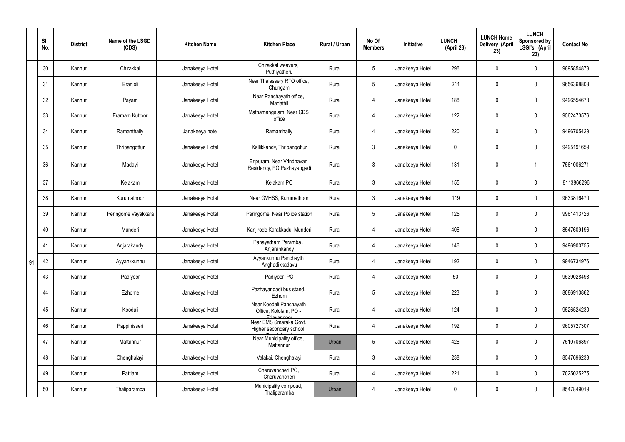|    | SI.<br>No. | <b>District</b> | Name of the LSGD<br>(CDS) | <b>Kitchen Name</b> | <b>Kitchen Place</b>                                           | Rural / Urban | No Of<br><b>Members</b> | Initiative      | <b>LUNCH</b><br>(April 23) | <b>LUNCH Home</b><br>Delivery (April<br>23) | <b>LUNCH</b><br><b>Sponsored by</b><br>LSGI's (April<br>23) | <b>Contact No</b> |
|----|------------|-----------------|---------------------------|---------------------|----------------------------------------------------------------|---------------|-------------------------|-----------------|----------------------------|---------------------------------------------|-------------------------------------------------------------|-------------------|
|    | 30         | Kannur          | Chirakkal                 | Janakeeya Hotel     | Chirakkal weavers,<br>Puthiyatheru                             | Rural         | $5\phantom{.0}$         | Janakeeya Hotel | 296                        | 0                                           | $\mathbf 0$                                                 | 9895854873        |
|    | 31         | Kannur          | Eranjoli                  | Janakeeya Hotel     | Near Thalassery RTO office,<br>Chungam                         | Rural         | $5\phantom{.0}$         | Janakeeya Hotel | 211                        | $\mathbf 0$                                 | $\overline{0}$                                              | 9656368808        |
|    | 32         | Kannur          | Payam                     | Janakeeya Hotel     | Near Panchayath office,<br>Madathil                            | Rural         | 4                       | Janakeeya Hotel | 188                        | $\mathbf 0$                                 | $\mathbf 0$                                                 | 9496554678        |
|    | 33         | Kannur          | Eramam Kuttoor            | Janakeeya Hotel     | Mathamangalam, Near CDS<br>office                              | Rural         | $\overline{4}$          | Janakeeya Hotel | 122                        | $\mathbf 0$                                 | $\overline{0}$                                              | 9562473576        |
|    | 34         | Kannur          | Ramanthally               | Janakeeya hotel     | Ramanthally                                                    | Rural         | 4                       | Janakeeya Hotel | 220                        | $\mathbf 0$                                 | $\mathbf 0$                                                 | 9496705429        |
|    | 35         | Kannur          | Thripangottur             | Janakeeya Hotel     | Kallikkandy, Thripangottur                                     | Rural         | $\mathbf{3}$            | Janakeeya Hotel | $\mathbf 0$                | $\mathbf 0$                                 | $\overline{0}$                                              | 9495191659        |
|    | 36         | Kannur          | Madayi                    | Janakeeya Hotel     | Eripuram, Near Vrindhavan<br>Residency, PO Pazhayangadi        | Rural         | $\mathbf{3}$            | Janakeeya Hotel | 131                        | $\pmb{0}$                                   |                                                             | 7561006271        |
|    | 37         | Kannur          | Kelakam                   | Janakeeya Hotel     | Kelakam PO                                                     | Rural         | $\mathbf{3}$            | Janakeeya Hotel | 155                        | 0                                           | $\mathbf 0$                                                 | 8113866296        |
|    | 38         | Kannur          | Kurumathoor               | Janakeeya Hotel     | Near GVHSS, Kurumathoor                                        | Rural         | $\mathbf{3}$            | Janakeeya Hotel | 119                        | $\mathbf 0$                                 | $\mathbf 0$                                                 | 9633816470        |
|    | 39         | Kannur          | Peringome Vayakkara       | Janakeeya Hotel     | Peringome, Near Police station                                 | Rural         | $5\overline{)}$         | Janakeeya Hotel | 125                        | 0                                           | $\mathbf 0$                                                 | 9961413726        |
|    | 40         | Kannur          | Munderi                   | Janakeeya Hotel     | Kanjirode Karakkadu, Munderi                                   | Rural         | 4                       | Janakeeya Hotel | 406                        | 0                                           | $\mathbf 0$                                                 | 8547609196        |
|    | 41         | Kannur          | Anjarakandy               | Janakeeya Hotel     | Panayatham Paramba,<br>Anjarankandy                            | Rural         | $\overline{4}$          | Janakeeya Hotel | 146                        | 0                                           | $\overline{0}$                                              | 9496900755        |
| 91 | 42         | Kannur          | Ayyankkunnu               | Janakeeya Hotel     | Ayyankunnu Panchayth<br>Anghadikkadavu                         | Rural         | 4                       | Janakeeya Hotel | 192                        | 0                                           | 0                                                           | 9946734976        |
|    | 43         | Kannur          | Padiyoor                  | Janakeeya Hotel     | Padiyoor PO                                                    | Rural         | $\overline{4}$          | Janakeeya Hotel | 50                         | 0                                           | $\mathbf 0$                                                 | 9539028498        |
|    | 44         | Kannur          | Ezhome                    | Janakeeya Hotel     | Pazhayangadi bus stand,<br>Ezhom                               | Rural         | $5\phantom{.0}$         | Janakeeya Hotel | 223                        | 0                                           | $\mathbf 0$                                                 | 8086910862        |
|    | 45         | Kannur          | Koodali                   | Janakeeya Hotel     | Near Koodali Panchayath<br>Office, Kololam, PO -<br>Edavannoor | Rural         | $\overline{4}$          | Janakeeya Hotel | 124                        | $\pmb{0}$                                   | $\mathbf 0$                                                 | 9526524230        |
|    | 46         | Kannur          | Pappinisseri              | Janakeeya Hotel     | Near EMS Smaraka Govt.<br>Higher secondary school,             | Rural         | 4                       | Janakeeya Hotel | 192                        | $\pmb{0}$                                   | $\mathbf 0$                                                 | 9605727307        |
|    | 47         | Kannur          | Mattannur                 | Janakeeya Hotel     | Near Municipality office,<br>Mattannur                         | Urban         | $5\phantom{.0}$         | Janakeeya Hotel | 426                        | 0                                           | $\mathbf 0$                                                 | 7510706897        |
|    | 48         | Kannur          | Chenghalayi               | Janakeeya Hotel     | Valakai, Chenghalayi                                           | Rural         | $\mathbf{3}$            | Janakeeya Hotel | 238                        | $\pmb{0}$                                   | $\mathbf 0$                                                 | 8547696233        |
|    | 49         | Kannur          | Pattiam                   | Janakeeya Hotel     | Cheruvancheri PO,<br>Cheruvancheri                             | Rural         | $\overline{4}$          | Janakeeya Hotel | 221                        | 0                                           | $\mathbf 0$                                                 | 7025025275        |
|    | 50         | Kannur          | Thaliparamba              | Janakeeya Hotel     | Municipality compoud,<br>Thaliparamba                          | Urban         | 4                       | Janakeeya Hotel | $\pmb{0}$                  | 0                                           | $\boldsymbol{0}$                                            | 8547849019        |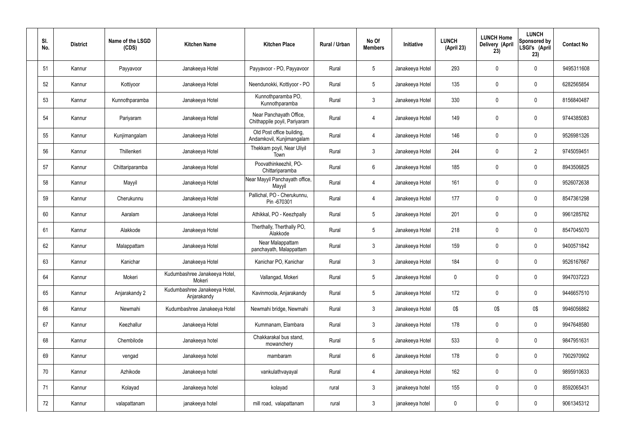| SI.<br>No. | <b>District</b> | Name of the LSGD<br>(CDS) | <b>Kitchen Name</b>                          | <b>Kitchen Place</b>                                    | Rural / Urban | No Of<br><b>Members</b> | Initiative      | <b>LUNCH</b><br>(April 23) | <b>LUNCH Home</b><br>Delivery (April<br>23) | <b>LUNCH</b><br>Sponsored by<br>LSGI's (April<br>23) | <b>Contact No</b> |
|------------|-----------------|---------------------------|----------------------------------------------|---------------------------------------------------------|---------------|-------------------------|-----------------|----------------------------|---------------------------------------------|------------------------------------------------------|-------------------|
| 51         | Kannur          | Payyavoor                 | Janakeeya Hotel                              | Payyavoor - PO, Payyavoor                               | Rural         | $5\overline{)}$         | Janakeeya Hotel | 293                        | 0                                           | $\mathbf 0$                                          | 9495311608        |
| 52         | Kannur          | Kottiyoor                 | Janakeeya Hotel                              | Neendunokki, Kottiyoor - PO                             | Rural         | $5\phantom{.0}$         | Janakeeya Hotel | 135                        | 0                                           | $\mathbf 0$                                          | 6282565854        |
| 53         | Kannur          | Kunnothparamba            | Janakeeya Hotel                              | Kunnothparamba PO,<br>Kunnothparamba                    | Rural         | $\mathbf{3}$            | Janakeeya Hotel | 330                        | 0                                           | $\mathbf 0$                                          | 8156840487        |
| 54         | Kannur          | Pariyaram                 | Janakeeya Hotel                              | Near Panchayath Office,<br>Chithappile poyil, Pariyaram | Rural         | 4                       | Janakeeya Hotel | 149                        | 0                                           | $\mathbf 0$                                          | 9744385083        |
| 55         | Kannur          | Kunjimangalam             | Janakeeya Hotel                              | Old Post office building,<br>Andamkovil, Kunjimangalam  | Rural         | 4                       | Janakeeya Hotel | 146                        | $\mathbf 0$                                 | $\mathbf 0$                                          | 9526981326        |
| 56         | Kannur          | Thillenkeri               | Janakeeya Hotel                              | Thekkam poyil, Near Uliyil<br>Town                      | Rural         | $\mathbf{3}$            | Janakeeya Hotel | 244                        | 0                                           | $\overline{2}$                                       | 9745059451        |
| 57         | Kannur          | Chittariparamba           | Janakeeya Hotel                              | Poovathinkeezhil, PO-<br>Chittariparamba                | Rural         | $6\overline{6}$         | Janakeeya Hotel | 185                        | 0                                           | $\mathbf 0$                                          | 8943506825        |
| 58         | Kannur          | Mayyil                    | Janakeeya Hotel                              | Near Mayyil Panchayath office,<br>Mayyil                | Rural         | $\overline{4}$          | Janakeeya Hotel | 161                        | 0                                           | $\mathbf 0$                                          | 9526072638        |
| 59         | Kannur          | Cherukunnu                | Janakeeya Hotel                              | Pallichal, PO - Cherukunnu,<br>Pin -670301              | Rural         | 4                       | Janakeeya Hotel | 177                        | 0                                           | $\mathbf 0$                                          | 8547361298        |
| 60         | Kannur          | Aaralam                   | Janakeeya Hotel                              | Athikkal, PO - Keezhpally                               | Rural         | $5\overline{)}$         | Janakeeya Hotel | 201                        | 0                                           | $\mathbf 0$                                          | 9961285762        |
| 61         | Kannur          | Alakkode                  | Janakeeya Hotel                              | Therthally, Therthally PO,<br>Alakkode                  | Rural         | $5\overline{)}$         | Janakeeya Hotel | 218                        | 0                                           | $\mathbf 0$                                          | 8547045070        |
| 62         | Kannur          | Malappattam               | Janakeeya Hotel                              | Near Malappattam<br>panchayath, Malappattam             | Rural         | $\mathbf{3}$            | Janakeeya Hotel | 159                        | 0                                           | $\overline{0}$                                       | 9400571842        |
| 63         | Kannur          | Kanichar                  | Janakeeya Hotel                              | Kanichar PO, Kanichar                                   | Rural         | 3                       | Janakeeya Hotel | 184                        | 0                                           | 0                                                    | 9526167667        |
| 64         | Kannur          | Mokeri                    | Kudumbashree Janakeeya Hotel,<br>Mokeri      | Vallangad, Mokeri                                       | Rural         | $5\overline{)}$         | Janakeeya Hotel | $\pmb{0}$                  | 0                                           | $\mathbf 0$                                          | 9947037223        |
| 65         | Kannur          | Anjarakandy 2             | Kudumbashree Janakeeya Hotel,<br>Anjarakandy | Kavinmoola, Anjarakandy                                 | Rural         | $5\phantom{.0}$         | Janakeeya Hotel | 172                        | 0                                           | $\mathbf 0$                                          | 9446657510        |
| 66         | Kannur          | Newmahi                   | Kudumbashree Janakeeya Hotel                 | Newmahi bridge, Newmahi                                 | Rural         | $\mathbf{3}$            | Janakeeya Hotel | 0\$                        | 0\$                                         | 0\$                                                  | 9946056862        |
| 67         | Kannur          | Keezhallur                | Janakeeya Hotel                              | Kummanam, Elambara                                      | Rural         | $\mathbf{3}$            | Janakeeya Hotel | 178                        | 0                                           | $\mathbf 0$                                          | 9947648580        |
| 68         | Kannur          | Chembilode                | Janakeeya hotel                              | Chakkarakal bus stand,<br>mowanchery                    | Rural         | $5\phantom{.0}$         | Janakeeya Hotel | 533                        | 0                                           | $\mathbf 0$                                          | 9847951631        |
| 69         | Kannur          | vengad                    | Janakeeya hotel                              | mambaram                                                | Rural         | $6\phantom{.}6$         | Janakeeya Hotel | 178                        | 0                                           | $\mathbf 0$                                          | 7902970902        |
| 70         | Kannur          | Azhikode                  | Janakeeya hotel                              | vankulathvayayal                                        | Rural         | 4                       | Janakeeya Hotel | 162                        | 0                                           | $\mathbf 0$                                          | 9895910633        |
| 71         | Kannur          | Kolayad                   | Janakeeya hotel                              | kolayad                                                 | rural         | $\mathbf{3}$            | janakeeya hotel | 155                        | 0                                           | $\boldsymbol{0}$                                     | 8592065431        |
| 72         | Kannur          | valapattanam              | janakeeya hotel                              | mill road, valapattanam                                 | rural         | $\mathbf{3}$            | janakeeya hotel | $\pmb{0}$                  | 0                                           | $\boldsymbol{0}$                                     | 9061345312        |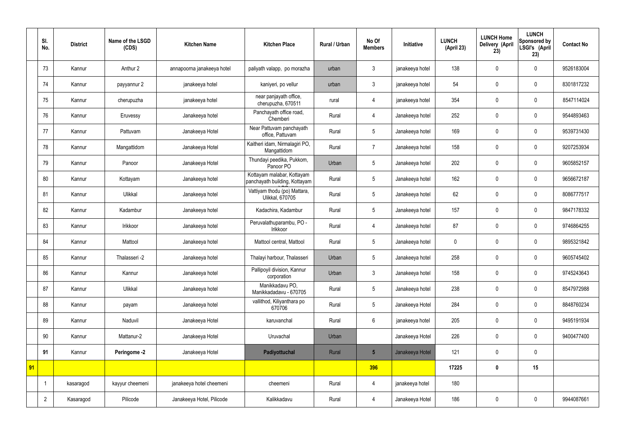|    | SI.<br>No.     | <b>District</b> | Name of the LSGD<br>(CDS) | <b>Kitchen Name</b>        | <b>Kitchen Place</b>                                        | <b>Rural / Urban</b> | No Of<br><b>Members</b> | Initiative      | <b>LUNCH</b><br>(April 23) | <b>LUNCH Home</b><br>Delivery (April<br>23) | <b>LUNCH</b><br>Sponsored by<br>LSGI's (April<br>23) | <b>Contact No</b> |
|----|----------------|-----------------|---------------------------|----------------------------|-------------------------------------------------------------|----------------------|-------------------------|-----------------|----------------------------|---------------------------------------------|------------------------------------------------------|-------------------|
|    | 73             | Kannur          | Anthur 2                  | annapoorna janakeeya hotel | paliyath valapp, po morazha                                 | urban                | 3                       | janakeeya hotel | 138                        | $\mathbf 0$                                 | $\mathbf 0$                                          | 9526183004        |
|    | 74             | Kannur          | payyannur 2               | janakeeya hotel            | kaniyeri, po vellur                                         | urban                | $\mathbf{3}$            | janakeeya hotel | 54                         | $\mathbf 0$                                 | $\mathbf 0$                                          | 8301817232        |
|    | 75             | Kannur          | cherupuzha                | janakeeya hotel            | near panjayath office,<br>cherupuzha, 670511                | rural                | 4                       | janakeeya hotel | 354                        | $\mathbf 0$                                 | $\mathbf 0$                                          | 8547114024        |
|    | 76             | Kannur          | Eruvessy                  | Janakeeya hotel            | Panchayath office road,<br>Chemberi                         | Rural                | 4                       | Janakeeya hotel | 252                        | $\mathbf 0$                                 | $\mathbf 0$                                          | 9544893463        |
|    | 77             | Kannur          | Pattuvam                  | Janakeeya Hotel            | Near Pattuvam panchayath<br>office, Pattuvam                | Rural                | 5                       | Janakeeya hotel | 169                        | $\mathbf 0$                                 | $\mathbf 0$                                          | 9539731430        |
|    | 78             | Kannur          | Mangattidom               | Janakeeya Hotel            | Kaitheri idam, Nirmalagiri PO,<br>Mangattidom               | Rural                | $\overline{7}$          | Janakeeya hotel | 158                        | $\mathbf 0$                                 | $\mathbf 0$                                          | 9207253934        |
|    | 79             | Kannur          | Panoor                    | Janakeeya Hotel            | Thundayi peedika, Pukkom,<br>Panoor PO                      | Urban                | 5                       | Janakeeya hotel | 202                        | $\mathbf 0$                                 | $\mathbf 0$                                          | 9605852157        |
|    | 80             | Kannur          | Kottayam                  | Janakeeya hotel            | Kottayam malabar, Kottayam<br>panchayath building, Kottayam | Rural                | 5                       | Janakeeya hotel | 162                        | $\mathbf 0$                                 | $\mathbf 0$                                          | 9656672187        |
|    | 81             | Kannur          | Ulikkal                   | Janakeeya hotel            | Vattiyam thodu (po) Mattara,<br>Ulikkal, 670705             | Rural                | 5                       | Janakeeya hotel | 62                         | $\mathbf 0$                                 | $\mathbf 0$                                          | 8086777517        |
|    | 82             | Kannur          | Kadambur                  | Janakeeya hotel            | Kadachira, Kadambur                                         | Rural                | 5                       | Janakeeya hotel | 157                        | $\mathbf 0$                                 | $\mathbf 0$                                          | 9847178332        |
|    | 83             | Kannur          | Irikkoor                  | Janakeeya hotel            | Peruvalathuparambu, PO -<br>Irikkoor                        | Rural                | $\overline{4}$          | Janakeeya hotel | 87                         | $\mathbf 0$                                 | $\mathbf 0$                                          | 9746864255        |
|    | 84             | Kannur          | Mattool                   | Janakeeya hotel            | Mattool central, Mattool                                    | Rural                | 5                       | Janakeeya hotel | $\boldsymbol{0}$           | $\mathbf 0$                                 | $\mathbf 0$                                          | 9895321842        |
|    | 85             | Kannur          | Thalasseri -2             | Janakeeya hotel            | Thalayi harbour, Thalasseri                                 | Urban                | 5                       | Janakeeya hotel | 258                        | $\mathbf 0$                                 | $\mathbf 0$                                          | 9605745402        |
|    | 86             | Kannur          | Kannur                    | Janakeeya hotel            | Pallipoyil division, Kannur<br>corporation                  | Urban                | $\mathfrak{Z}$          | Janakeeya hotel | 158                        | $\pmb{0}$                                   | $\mathbf 0$                                          | 9745243643        |
|    | 87             | Kannur          | Ulikkal                   | Janakeeya hotel            | Manikkadavu PO,<br>Manikkadadavu - 670705                   | Rural                | 5                       | Janakeeya hotel | 238                        | $\pmb{0}$                                   | $\mathbf 0$                                          | 8547972988        |
|    | 88             | Kannur          | payam                     | Janakeeya hotel            | vallithod, Kiliyanthara po<br>670706                        | Rural                | 5                       | Janakeeya Hotel | 284                        | $\pmb{0}$                                   | $\mathbf 0$                                          | 8848760234        |
|    | 89             | Kannur          | Naduvil                   | Janakeeya Hotel            | karuvanchal                                                 | Rural                | $6\overline{6}$         | janakeeya hotel | 205                        | $\pmb{0}$                                   | $\mathbf 0$                                          | 9495191934        |
|    | 90             | Kannur          | Mattanur-2                | Janakeeya Hotel            | Uruvachal                                                   | Urban                |                         | Janakeeya Hotel | 226                        | $\pmb{0}$                                   | $\mathbf 0$                                          | 9400477400        |
|    | 91             | Kannur          | Peringome -2              | Janakeeya Hotel            | Padiyottuchal                                               | Rural                | $5\overline{)}$         | Janakeeya Hotel | 121                        | $\pmb{0}$                                   | $\mathbf 0$                                          |                   |
| 91 |                |                 |                           |                            |                                                             |                      | 396                     |                 | 17225                      | $\pmb{0}$                                   | 15                                                   |                   |
|    |                | kasaragod       | kayyur cheemeni           | janakeeya hotel cheemeni   | cheemeni                                                    | Rural                | 4                       | janakeeya hotel | 180                        |                                             |                                                      |                   |
|    | $\overline{2}$ | Kasaragod       | Pilicode                  | Janakeeya Hotel, Pilicode  | Kalikkadavu                                                 | Rural                | 4                       | Janakeeya Hotel | 186                        | $\pmb{0}$                                   | $\mathbf 0$                                          | 9944087661        |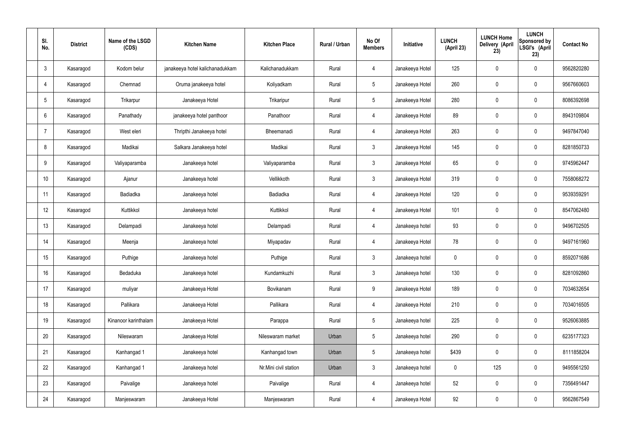| SI.<br>No.      | <b>District</b> | Name of the LSGD<br>(CDS) | <b>Kitchen Name</b>             | <b>Kitchen Place</b>  | <b>Rural / Urban</b> | No Of<br><b>Members</b> | Initiative      | <b>LUNCH</b><br>(April 23) | <b>LUNCH Home</b><br>Delivery (April<br>23) | <b>LUNCH</b><br>Sponsored by<br>LSGI's (April<br>23) | <b>Contact No</b> |
|-----------------|-----------------|---------------------------|---------------------------------|-----------------------|----------------------|-------------------------|-----------------|----------------------------|---------------------------------------------|------------------------------------------------------|-------------------|
| $\mathbf{3}$    | Kasaragod       | Kodom belur               | janakeeya hotel kalichanadukkam | Kalichanadukkam       | Rural                | $\overline{4}$          | Janakeeya Hotel | 125                        | $\mathbf 0$                                 | $\mathbf 0$                                          | 9562820280        |
| $\overline{4}$  | Kasaragod       | Chemnad                   | Oruma janakeeya hotel           | Koliyadkam            | Rural                | $5\phantom{.0}$         | Janakeeya Hotel | 260                        | $\mathbf 0$                                 | $\mathbf 0$                                          | 9567660603        |
| $5\phantom{.0}$ | Kasaragod       | Trikarpur                 | Janakeeya Hotel                 | Trikaripur            | Rural                | $5\phantom{.0}$         | Janakeeya Hotel | 280                        | $\mathbf 0$                                 | $\mathbf 0$                                          | 8086392698        |
| 6               | Kasaragod       | Panathady                 | janakeeya hotel panthoor        | Panathoor             | Rural                | $\overline{4}$          | Janakeeya Hotel | 89                         | $\mathbf 0$                                 | $\mathbf 0$                                          | 8943109804        |
| 7               | Kasaragod       | West eleri                | Thripthi Janakeeya hotel        | Bheemanadi            | Rural                | $\overline{4}$          | Janakeeya Hotel | 263                        | $\mathbf 0$                                 | $\mathbf 0$                                          | 9497847040        |
| 8               | Kasaragod       | Madikai                   | Salkara Janakeeya hotel         | Madikai               | Rural                | $\mathbf{3}$            | Janakeeya Hotel | 145                        | $\pmb{0}$                                   | $\mathbf 0$                                          | 8281850733        |
| 9               | Kasaragod       | Valiyaparamba             | Janakeeya hotel                 | Valiyaparamba         | Rural                | $\mathbf{3}$            | Janakeeya Hotel | 65                         | $\mathbf 0$                                 | $\mathbf 0$                                          | 9745962447        |
| 10 <sup>°</sup> | Kasaragod       | Ajanur                    | Janakeeya hotel                 | Vellikkoth            | Rural                | $\mathbf{3}$            | Janakeeya Hotel | 319                        | $\mathbf 0$                                 | $\mathbf 0$                                          | 7558068272        |
| 11              | Kasaragod       | Badiadka                  | Janakeeya hotel                 | Badiadka              | Rural                | $\overline{4}$          | Janakeeya Hotel | 120                        | $\pmb{0}$                                   | $\mathbf 0$                                          | 9539359291        |
| 12              | Kasaragod       | Kuttikkol                 | Janakeeya hotel                 | Kuttikkol             | Rural                | $\overline{4}$          | Janakeeya Hotel | 101                        | $\mathbf 0$                                 | $\mathbf 0$                                          | 8547062480        |
| 13              | Kasaragod       | Delampadi                 | Janakeeya hotel                 | Delampadi             | Rural                | $\overline{4}$          | Janakeeya hotel | 93                         | $\pmb{0}$                                   | $\mathbf 0$                                          | 9496702505        |
| 14              | Kasaragod       | Meenja                    | Janakeeya hotel                 | Miyapadav             | Rural                | 4                       | Janakeeya Hotel | 78                         | $\mathbf 0$                                 | $\mathbf 0$                                          | 9497161960        |
| 15              | Kasaragod       | Puthige                   | Janakeeya hotel                 | Puthige               | Rural                | 3 <sup>1</sup>          | Janakeeya hotel | 0                          | $\mathbf 0$                                 | $\mathbf 0$                                          | 8592071686        |
| 16              | Kasaragod       | Bedaduka                  | Janakeeya hotel                 | Kundamkuzhi           | Rural                | $\mathbf{3}$            | Janakeeya hotel | 130                        | $\pmb{0}$                                   | $\mathbf 0$                                          | 8281092860        |
| 17              | Kasaragod       | muliyar                   | Janakeeya Hotel                 | Bovikanam             | Rural                | 9                       | Janakeeya Hotel | 189                        | $\pmb{0}$                                   | $\mathbf 0$                                          | 7034632654        |
| 18              | Kasaragod       | Pallikara                 | Janakeeya Hotel                 | Pallikara             | Rural                | $\overline{4}$          | Janakeeya Hotel | 210                        | $\pmb{0}$                                   | $\mathbf 0$                                          | 7034016505        |
| 19              | Kasaragod       | Kinanoor karinthalam      | Janakeeya Hotel                 | Parappa               | Rural                | $5\phantom{.0}$         | Janakeeya hotel | 225                        | $\pmb{0}$                                   | $\mathbf 0$                                          | 9526063885        |
| 20              | Kasaragod       | Nileswaram                | Janakeeya Hotel                 | Nileswaram market     | Urban                | 5                       | Janakeeya hotel | 290                        | $\pmb{0}$                                   | $\mathbf 0$                                          | 6235177323        |
| 21              | Kasaragod       | Kanhangad 1               | Janakeeya hotel                 | Kanhangad town        | Urban                | 5                       | Janakeeya hotel | \$439                      | $\pmb{0}$                                   | $\mathbf 0$                                          | 8111858204        |
| 22              | Kasaragod       | Kanhangad 1               | Janakeeya hotel                 | Nr.Mini civil station | Urban                | $\mathbf{3}$            | Janakeeya hotel | $\mathbf 0$                | 125                                         | $\mathbf 0$                                          | 9495561250        |
| 23              | Kasaragod       | Paivalige                 | Janakeeya hotel                 | Paivalige             | Rural                | $\overline{4}$          | Janakeeya hotel | 52                         | $\pmb{0}$                                   | $\mathbf 0$                                          | 7356491447        |
| 24              | Kasaragod       | Manjeswaram               | Janakeeya Hotel                 | Manjeswaram           | Rural                | 4                       | Janakeeya Hotel | 92                         | $\pmb{0}$                                   | $\mathbf 0$                                          | 9562867549        |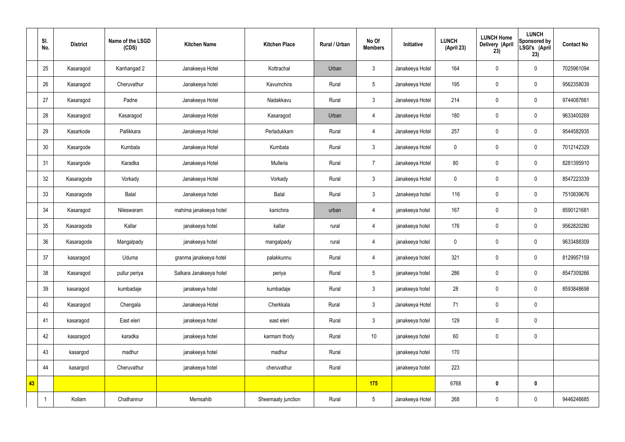|    | SI.<br>No. | <b>District</b> | Name of the LSGD<br>(CDS) | <b>Kitchen Name</b>     | <b>Kitchen Place</b> | <b>Rural / Urban</b> | No Of<br><b>Members</b> | Initiative      | <b>LUNCH</b><br>(April 23) | <b>LUNCH Home</b><br>Delivery (April<br>23) | <b>LUNCH</b><br>Sponsored by<br>LSGI's (April<br>23) | <b>Contact No</b> |
|----|------------|-----------------|---------------------------|-------------------------|----------------------|----------------------|-------------------------|-----------------|----------------------------|---------------------------------------------|------------------------------------------------------|-------------------|
|    | 25         | Kasaragod       | Kanhangad 2               | Janakeeya Hotel         | Kottrachal           | Urban                | 3                       | Janakeeya Hotel | 164                        | $\pmb{0}$                                   | $\mathbf 0$                                          | 7025961094        |
|    | 26         | Kasaragod       | Cheruvathur               | Janakeeya hotel         | Kavumchira           | Rural                | 5                       | Janakeeya Hotel | 195                        | $\pmb{0}$                                   | $\pmb{0}$                                            | 9562358039        |
|    | 27         | Kasaragod       | Padne                     | Janakeeya Hotel         | Nadakkavu            | Rural                | $\mathfrak{Z}$          | Janakeeya Hotel | 214                        | $\pmb{0}$                                   | $\mathbf 0$                                          | 9744087661        |
|    | 28         | Kasaragod       | Kasaragod                 | Janakeeya Hotel         | Kasaragod            | Urban                | 4                       | Janakeeya Hotel | 180                        | $\pmb{0}$                                   | $\pmb{0}$                                            | 9633400269        |
|    | 29         | Kasarkode       | Pallikkara                | Janakeeya Hotel         | Perladukkam          | Rural                | $\overline{4}$          | Janakeeya Hotel | 257                        | $\mathbf 0$                                 | $\mathbf 0$                                          | 9544582935        |
|    | 30         | Kasargode       | Kumbala                   | Janakeeya Hotel         | Kumbala              | Rural                | $\mathbf{3}$            | Janakeeya Hotel | $\mathbf 0$                | $\mathbf 0$                                 | $\mathbf 0$                                          | 7012142329        |
|    | 31         | Kasargode       | Karadka                   | Janakeeya Hotel         | Mulleria             | Rural                | $\overline{7}$          | Janakeeya Hotel | 80                         | $\mathbf 0$                                 | $\mathbf 0$                                          | 8281395910        |
|    | 32         | Kasaragode      | Vorkady                   | Janakeeya Hotel         | Vorkady              | Rural                | $\mathbf{3}$            | Janakeeya Hotel | $\mathbf 0$                | $\mathbf 0$                                 | $\pmb{0}$                                            | 8547223339        |
|    | 33         | Kasaragode      | Balal                     | Janakeeya hotel         | Balal                | Rural                | $\mathfrak{Z}$          | Janakeeya hotel | 116                        | $\pmb{0}$                                   | $\mathbf 0$                                          | 7510839676        |
|    | 34         | Kasaragod       | Nileswaram                | mahima janakeeya hotel  | kanichira            | urban                | $\overline{4}$          | janakeeya hotel | 167                        | $\mathbf 0$                                 | $\mathbf 0$                                          | 8590121681        |
|    | 35         | Kasaragode      | Kallar                    | janakeeya hotel         | kallar               | rural                | $\overline{4}$          | janakeeya hotel | 176                        | $\pmb{0}$                                   | $\mathbf 0$                                          | 9562820280        |
|    | 36         | Kasaragode      | Mangalpady                | janakeeya hotel         | mangalpady           | rural                | $\overline{4}$          | janakeeya hotel | $\mathbf 0$                | $\pmb{0}$                                   | $\pmb{0}$                                            | 9633488309        |
|    | 37         | kasaragod       | Uduma                     | granma janakeeya hotel  | palakkunnu           | Rural                | $\overline{4}$          | janakeeya hotel | 321                        | $\mathbf 0$                                 | $\mathbf 0$                                          | 8129957159        |
|    | 38         | Kasaragod       | pullur periya             | Salkara Janakeeya hotel | periya               | Rural                | $5\phantom{.0}$         | janakeeya hotel | 286                        | $\pmb{0}$                                   | $\pmb{0}$                                            | 8547309266        |
|    | 39         | kasaragod       | kumbadaje                 | janakeeya hotel         | kumbadaje            | Rural                | 3 <sup>1</sup>          | janakeeya hotel | 28                         | $\mathbf 0$                                 | $\pmb{0}$                                            | 8593848698        |
|    | 40         | Kasaragod       | Chengala                  | Janakeeya Hotel         | Cherkkala            | Rural                | 3 <sup>1</sup>          | Janakeeya Hotel | 71                         | $\mathbf 0$                                 | $\pmb{0}$                                            |                   |
|    | 41         | kasaragod       | East eleri                | janakeeya hotel         | east eleri           | Rural                | 3 <sup>1</sup>          | janakeeya hotel | 129                        | $\mathbf 0$                                 | $\pmb{0}$                                            |                   |
|    | 42         | kasaragod       | karadka                   | janakeeya hotel         | karmam thody         | Rural                | 10                      | janakeeya hotel | 60                         | $\mathbf 0$                                 | $\pmb{0}$                                            |                   |
|    | 43         | kasargod        | madhur                    | janakeeya hotel         | madhur               | Rural                |                         | janakeeya hotel | 170                        |                                             |                                                      |                   |
|    | 44         | kasargod        | Cheruvathur               | janakeeya hotel         | cheruvathur          | Rural                |                         | janakeeya hotel | 223                        |                                             |                                                      |                   |
| 43 |            |                 |                           |                         |                      |                      | 175                     |                 | 6768                       | $\pmb{0}$                                   | $\pmb{0}$                                            |                   |
|    |            | Kollam          | Chathannur                | Memsahib                | Sheemaaty junction   | Rural                | $5\overline{)}$         | Janakeeya Hotel | 268                        | $\boldsymbol{0}$                            | $\pmb{0}$                                            | 9446246685        |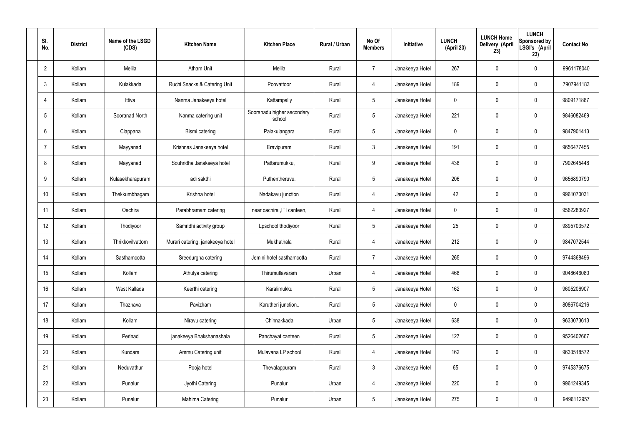| SI.<br>No.     | <b>District</b> | Name of the LSGD<br>(CDS) | <b>Kitchen Name</b>              | <b>Kitchen Place</b>                 | Rural / Urban | No Of<br><b>Members</b> | Initiative      | <b>LUNCH</b><br>(April 23) | <b>LUNCH Home</b><br>Delivery (April<br>23) | <b>LUNCH</b><br>Sponsored by<br>LSGI's (April<br>23) | <b>Contact No</b> |
|----------------|-----------------|---------------------------|----------------------------------|--------------------------------------|---------------|-------------------------|-----------------|----------------------------|---------------------------------------------|------------------------------------------------------|-------------------|
| $\overline{2}$ | Kollam          | Melila                    | <b>Atham Unit</b>                | Melila                               | Rural         | $\overline{7}$          | Janakeeya Hotel | 267                        | $\mathbf 0$                                 | $\mathbf 0$                                          | 9961178040        |
| 3              | Kollam          | Kulakkada                 | Ruchi Snacks & Catering Unit     | Poovattoor                           | Rural         | $\overline{4}$          | Janakeeya Hotel | 189                        | $\mathbf 0$                                 | $\mathbf 0$                                          | 7907941183        |
| $\overline{4}$ | Kollam          | Ittiva                    | Nanma Janakeeya hotel            | Kattampally                          | Rural         | $5\overline{)}$         | Janakeeya Hotel | 0                          | $\mathbf 0$                                 | $\mathbf 0$                                          | 9809171887        |
| 5              | Kollam          | Sooranad North            | Nanma catering unit              | Sooranadu higher secondary<br>school | Rural         | $5\overline{)}$         | Janakeeya Hotel | 221                        | $\mathbf 0$                                 | $\mathbf 0$                                          | 9846082469        |
| 6              | Kollam          | Clappana                  | Bismi catering                   | Palakulangara                        | Rural         | $5\overline{)}$         | Janakeeya Hotel | 0                          | $\mathbf 0$                                 | $\mathbf 0$                                          | 9847901413        |
| $\overline{7}$ | Kollam          | Mayyanad                  | Krishnas Janakeeya hotel         | Eravipuram                           | Rural         | $\mathbf{3}$            | Janakeeya Hotel | 191                        | $\mathbf 0$                                 | $\mathbf 0$                                          | 9656477455        |
| 8              | Kollam          | Mayyanad                  | Souhridha Janakeeya hotel        | Pattarumukku,                        | Rural         | 9                       | Janakeeya Hotel | 438                        | $\mathbf 0$                                 | $\mathbf 0$                                          | 7902645448        |
| 9              | Kollam          | Kulasekharapuram          | adi sakthi                       | Puthentheruvu.                       | Rural         | $5\overline{)}$         | Janakeeya Hotel | 206                        | $\mathbf 0$                                 | $\mathbf 0$                                          | 9656890790        |
| 10             | Kollam          | Thekkumbhagam             | Krishna hotel                    | Nadakavu junction                    | Rural         | $\overline{4}$          | Janakeeya Hotel | 42                         | $\mathbf 0$                                 | $\mathbf 0$                                          | 9961070031        |
| 11             | Kollam          | Oachira                   | Parabhramam catering             | near oachira , ITI canteen,          | Rural         | 4                       | Janakeeya Hotel | 0                          | $\mathbf 0$                                 | $\mathbf 0$                                          | 9562283927        |
| 12             | Kollam          | Thodiyoor                 | Samridhi activity group          | Lpschool thodiyoor                   | Rural         | $5\overline{)}$         | Janakeeya Hotel | 25                         | 0                                           | $\mathbf 0$                                          | 9895703572        |
| 13             | Kollam          | Thrikkovilvattom          | Murari catering, janakeeya hotel | Mukhathala                           | Rural         | 4                       | Janakeeya Hotel | 212                        | $\mathbf 0$                                 | $\mathbf 0$                                          | 9847072544        |
| 14             | Kollam          | Sasthamcotta              | Sreedurgha catering              | Jemini hotel sasthamcotta            | Rural         | $\overline{7}$          | Janakeeya Hotel | 265                        | 0                                           | $\mathbf 0$                                          | 9744368496        |
| 15             | Kollam          | Kollam                    | Athulya catering                 | Thirumullavaram                      | Urban         | $\overline{4}$          | Janakeeya Hotel | 468                        | $\mathbf 0$                                 | $\mathbf 0$                                          | 9048646080        |
| 16             | Kollam          | West Kallada              | Keerthi catering                 | Karalimukku                          | Rural         | $5\phantom{.0}$         | Janakeeya Hotel | 162                        | 0                                           | $\mathbf 0$                                          | 9605206907        |
| 17             | Kollam          | Thazhava                  | Pavizham                         | Karutheri junction                   | Rural         | $5\overline{)}$         | Janakeeya Hotel | 0                          | 0                                           | $\mathbf 0$                                          | 8086704216        |
| 18             | Kollam          | Kollam                    | Niravu catering                  | Chinnakkada                          | Urban         | $5\overline{)}$         | Janakeeya Hotel | 638                        | 0                                           | $\mathbf 0$                                          | 9633073613        |
| 19             | Kollam          | Perinad                   | janakeeya Bhakshanashala         | Panchayat canteen                    | Rural         | $5\overline{)}$         | Janakeeya Hotel | 127                        | 0                                           | $\mathbf 0$                                          | 9526402667        |
| 20             | Kollam          | Kundara                   | Ammu Catering unit               | Mulavana LP school                   | Rural         | $\overline{4}$          | Janakeeya Hotel | 162                        | 0                                           | $\mathbf 0$                                          | 9633518572        |
| 21             | Kollam          | Neduvathur                | Pooja hotel                      | Thevalappuram                        | Rural         | $\mathbf{3}$            | Janakeeya Hotel | 65                         | 0                                           | $\mathbf 0$                                          | 9745376675        |
| 22             | Kollam          | Punalur                   | Jyothi Catering                  | Punalur                              | Urban         | $\overline{4}$          | Janakeeya Hotel | 220                        | 0                                           | $\mathbf 0$                                          | 9961249345        |
| 23             | Kollam          | Punalur                   | Mahima Catering                  | Punalur                              | Urban         | $5\phantom{.0}$         | Janakeeya Hotel | 275                        | 0                                           | $\overline{0}$                                       | 9496112957        |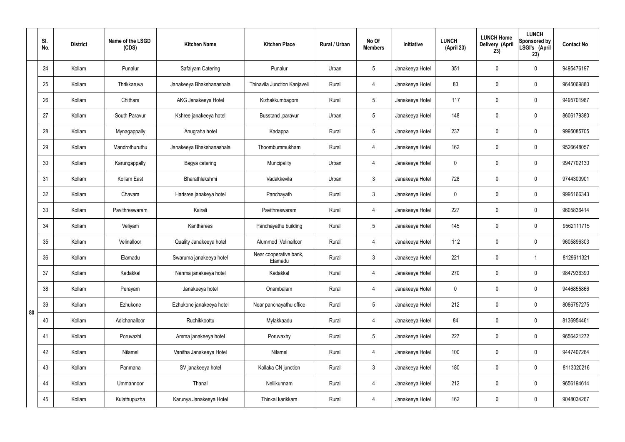|    | SI.<br>No. | <b>District</b> | Name of the LSGD<br>(CDS) | <b>Kitchen Name</b>      | <b>Kitchen Place</b>              | Rural / Urban | No Of<br><b>Members</b> | Initiative      | <b>LUNCH</b><br>(April 23) | <b>LUNCH Home</b><br>Delivery (April<br>23) | <b>LUNCH</b><br>Sponsored by<br>LSGI's (April<br>23) | <b>Contact No</b> |
|----|------------|-----------------|---------------------------|--------------------------|-----------------------------------|---------------|-------------------------|-----------------|----------------------------|---------------------------------------------|------------------------------------------------------|-------------------|
|    | 24         | Kollam          | Punalur                   | Safalyam Catering        | Punalur                           | Urban         | $5\overline{)}$         | Janakeeya Hotel | 351                        | $\mathbf 0$                                 | $\mathbf 0$                                          | 9495476197        |
|    | 25         | Kollam          | Thrikkaruva               | Janakeeya Bhakshanashala | Thinavila Junction Kanjaveli      | Rural         | 4                       | Janakeeya Hotel | 83                         | $\mathbf 0$                                 | $\mathbf 0$                                          | 9645069880        |
|    | 26         | Kollam          | Chithara                  | AKG Janakeeya Hotel      | Kizhakkumbagom                    | Rural         | $5\overline{)}$         | Janakeeya Hotel | 117                        | $\mathbf 0$                                 | $\mathbf 0$                                          | 9495701987        |
|    | 27         | Kollam          | South Paravur             | Kshree janakeeya hotel   | Busstand , paravur                | Urban         | $5\phantom{.0}$         | Janakeeya Hotel | 148                        | $\mathbf 0$                                 | $\mathbf 0$                                          | 8606179380        |
|    | 28         | Kollam          | Mynagappally              | Anugraha hotel           | Kadappa                           | Rural         | $5\overline{)}$         | Janakeeya Hotel | 237                        | $\mathbf 0$                                 | $\mathbf 0$                                          | 9995085705        |
|    | 29         | Kollam          | Mandrothuruthu            | Janakeeya Bhakshanashala | Thoombummukham                    | Rural         | $\overline{4}$          | Janakeeya Hotel | 162                        | $\mathbf 0$                                 | $\mathbf 0$                                          | 9526648057        |
|    | 30         | Kollam          | Karungappally             | Bagya catering           | Muncipality                       | Urban         | 4                       | Janakeeya Hotel | $\mathbf 0$                | $\mathbf 0$                                 | $\mathbf 0$                                          | 9947702130        |
|    | 31         | Kollam          | Kollam East               | Bharathlekshmi           | Vadakkevila                       | Urban         | $\mathbf{3}$            | Janakeeya Hotel | 728                        | $\mathbf 0$                                 | $\mathbf 0$                                          | 9744300901        |
|    | 32         | Kollam          | Chavara                   | Harisree janakeya hotel  | Panchayath                        | Rural         | $\mathbf{3}$            | Janakeeya Hotel | $\mathbf 0$                | 0                                           | $\mathbf 0$                                          | 9995166343        |
|    | 33         | Kollam          | Pavithreswaram            | Kairali                  | Pavithreswaram                    | Rural         | 4                       | Janakeeya Hotel | 227                        | $\mathbf 0$                                 | $\mathbf 0$                                          | 9605836414        |
|    | 34         | Kollam          | Veliyam                   | Kantharees               | Panchayathu building              | Rural         | $5\overline{)}$         | Janakeeya Hotel | 145                        | 0                                           | $\mathbf 0$                                          | 9562111715        |
|    | 35         | Kollam          | Velinalloor               | Quality Janakeeya hotel  | Alummod, Velinalloor              | Rural         | 4                       | Janakeeya Hotel | 112                        | $\mathbf 0$                                 | $\mathbf 0$                                          | 9605896303        |
|    | 36         | Kollam          | Elamadu                   | Swaruma janakeeya hotel  | Near cooperative bank,<br>Elamadu | Rural         | $\mathbf{3}$            | Janakeeya Hotel | 221                        | $\mathbf 0$                                 |                                                      | 8129611321        |
|    | 37         | Kollam          | Kadakkal                  | Nanma janakeeya hotel    | Kadakkal                          | Rural         | 4                       | Janakeeya Hotel | 270                        | $\pmb{0}$                                   | $\mathbf 0$                                          | 9847936390        |
|    | 38         | Kollam          | Perayam                   | Janakeeya hotel          | Onambalam                         | Rural         | $\overline{4}$          | Janakeeya Hotel | $\mathbf 0$                | $\pmb{0}$                                   | $\mathbf 0$                                          | 9446855866        |
| 80 | 39         | Kollam          | Ezhukone                  | Ezhukone janakeeya hotel | Near panchayathu office           | Rural         | $5\overline{)}$         | Janakeeya Hotel | 212                        | 0                                           | $\mathbf 0$                                          | 8086757275        |
|    | 40         | Kollam          | Adichanalloor             | Ruchikkoottu             | Mylakkaadu                        | Rural         | $\overline{4}$          | Janakeeya Hotel | 84                         | $\pmb{0}$                                   | $\mathbf 0$                                          | 8136954461        |
|    | 41         | Kollam          | Poruvazhi                 | Amma janakeeya hotel     | Poruvaxhy                         | Rural         | $5\overline{)}$         | Janakeeya Hotel | 227                        | 0                                           | $\mathbf 0$                                          | 9656421272        |
|    | 42         | Kollam          | Nilamel                   | Vanitha Janakeeya Hotel  | Nilamel                           | Rural         | $\overline{4}$          | Janakeeya Hotel | 100                        | $\pmb{0}$                                   | $\mathbf 0$                                          | 9447407264        |
|    | 43         | Kollam          | Panmana                   | SV janakeeya hotel       | Kollaka CN junction               | Rural         | 3                       | Janakeeya Hotel | 180                        | 0                                           | $\mathbf 0$                                          | 8113020216        |
|    | 44         | Kollam          | Ummannoor                 | Thanal                   | Nellikunnam                       | Rural         | $\overline{4}$          | Janakeeya Hotel | 212                        | 0                                           | $\mathbf 0$                                          | 9656194614        |
|    | 45         | Kollam          | Kulathupuzha              | Karunya Janakeeya Hotel  | Thinkal karikkam                  | Rural         | 4                       | Janakeeya Hotel | 162                        | $\pmb{0}$                                   | $\boldsymbol{0}$                                     | 9048034267        |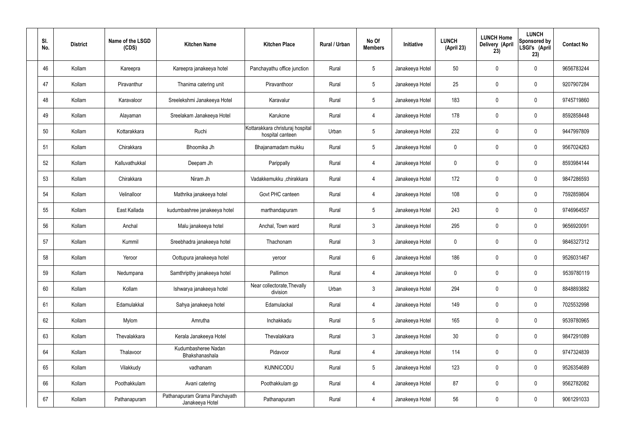| SI.<br>No. | <b>District</b> | Name of the LSGD<br>(CDS) | <b>Kitchen Name</b>                              | <b>Kitchen Place</b>                                 | Rural / Urban | No Of<br><b>Members</b> | Initiative      | <b>LUNCH</b><br>(April 23) | <b>LUNCH Home</b><br>Delivery (April<br>23) | <b>LUNCH</b><br>Sponsored by<br>LSGI's (April<br>23) | <b>Contact No</b> |
|------------|-----------------|---------------------------|--------------------------------------------------|------------------------------------------------------|---------------|-------------------------|-----------------|----------------------------|---------------------------------------------|------------------------------------------------------|-------------------|
| 46         | Kollam          | Kareepra                  | Kareepra janakeeya hotel                         | Panchayathu office junction                          | Rural         | $5\phantom{.0}$         | Janakeeya Hotel | 50                         | 0                                           | $\mathbf 0$                                          | 9656783244        |
| 47         | Kollam          | Piravanthur               | Thanima catering unit                            | Piravanthoor                                         | Rural         | $5\phantom{.0}$         | Janakeeya Hotel | 25                         | 0                                           | $\mathbf 0$                                          | 9207907284        |
| 48         | Kollam          | Karavaloor                | Sreelekshmi Janakeeya Hotel                      | Karavalur                                            | Rural         | $5\phantom{.0}$         | Janakeeya Hotel | 183                        | 0                                           | $\mathbf 0$                                          | 9745719860        |
| 49         | Kollam          | Alayaman                  | Sreelakam Janakeeya Hotel                        | Karukone                                             | Rural         | $\overline{4}$          | Janakeeya Hotel | 178                        | 0                                           | $\mathbf 0$                                          | 8592858448        |
| 50         | Kollam          | Kottarakkara              | Ruchi                                            | Kottarakkara christuraj hospital<br>hospital canteen | Urban         | $5\phantom{.0}$         | Janakeeya Hotel | 232                        | 0                                           | $\mathbf 0$                                          | 9447997809        |
| 51         | Kollam          | Chirakkara                | Bhoomika Jh                                      | Bhajanamadam mukku                                   | Rural         | $5\phantom{.0}$         | Janakeeya Hotel | $\mathbf 0$                | 0                                           | $\mathbf 0$                                          | 9567024263        |
| 52         | Kollam          | Kalluvathukkal            | Deepam Jh                                        | Parippally                                           | Rural         | $\overline{4}$          | Janakeeya Hotel | $\mathbf 0$                | 0                                           | $\mathbf 0$                                          | 8593984144        |
| 53         | Kollam          | Chirakkara                | Niram Jh                                         | Vadakkemukku ,chirakkara                             | Rural         | $\overline{4}$          | Janakeeya Hotel | 172                        | 0                                           | $\mathbf 0$                                          | 9847286593        |
| 54         | Kollam          | Velinalloor               | Mathrika janakeeya hotel                         | Govt PHC canteen                                     | Rural         | 4                       | Janakeeya Hotel | 108                        | $\boldsymbol{0}$                            | $\mathbf 0$                                          | 7592859804        |
| 55         | Kollam          | East Kallada              | kudumbashree janakeeya hotel                     | marthandapuram                                       | Rural         | $5\phantom{.0}$         | Janakeeya Hotel | 243                        | 0                                           | $\mathbf 0$                                          | 9746964557        |
| 56         | Kollam          | Anchal                    | Malu janakeeya hotel                             | Anchal, Town ward                                    | Rural         | $\mathbf{3}$            | Janakeeya Hotel | 295                        | 0                                           | $\boldsymbol{0}$                                     | 9656920091        |
| 57         | Kollam          | Kummil                    | Sreebhadra janakeeya hotel                       | Thachonam                                            | Rural         | $\mathfrak{Z}$          | Janakeeya Hotel | $\mathbf 0$                | 0                                           | $\boldsymbol{0}$                                     | 9846327312        |
| 58         | Kollam          | Yeroor                    | Oottupura janakeeya hotel                        | yeroor                                               | Rural         | $6\phantom{.}$          | Janakeeya Hotel | 186                        | 0                                           | 0                                                    | 9526031467        |
| 59         | Kollam          | Nedumpana                 | Samthripthy janakeeya hotel                      | Pallimon                                             | Rural         | $\overline{4}$          | Janakeeya Hotel | $\mathbf 0$                | $\mathbf 0$                                 | $\mathbf 0$                                          | 9539780119        |
| 60         | Kollam          | Kollam                    | Ishwarya janakeeya hotel                         | Near collectorate, Thevally<br>division              | Urban         | $\mathbf{3}$            | Janakeeya Hotel | 294                        | $\mathbf 0$                                 | $\mathbf 0$                                          | 8848893882        |
| 61         | Kollam          | Edamulakkal               | Sahya janakeeya hotel                            | Edamulackal                                          | Rural         | 4                       | Janakeeya Hotel | 149                        | $\mathbf 0$                                 | $\mathbf 0$                                          | 7025532998        |
| 62         | Kollam          | Mylom                     | Amrutha                                          | Inchakkadu                                           | Rural         | $5\phantom{.0}$         | Janakeeya Hotel | 165                        | $\mathbf 0$                                 | $\mathbf 0$                                          | 9539780965        |
| 63         | Kollam          | Thevalakkara              | Kerala Janakeeya Hotel                           | Thevalakkara                                         | Rural         | $\mathbf{3}$            | Janakeeya Hotel | 30 <sup>°</sup>            | 0                                           | $\mathbf 0$                                          | 9847291089        |
| 64         | Kollam          | Thalavoor                 | Kudumbasheree Nadan<br>Bhakshanashala            | Pidavoor                                             | Rural         | 4                       | Janakeeya Hotel | 114                        | $\mathbf 0$                                 | $\mathbf 0$                                          | 9747324839        |
| 65         | Kollam          | Vilakkudy                 | vadhanam                                         | <b>KUNNICODU</b>                                     | Rural         | $5\phantom{.0}$         | Janakeeya Hotel | 123                        | $\mathbf 0$                                 | $\mathbf 0$                                          | 9526354689        |
| 66         | Kollam          | Poothakkulam              | Avani catering                                   | Poothakkulam gp                                      | Rural         | 4                       | Janakeeya Hotel | 87                         | 0                                           | $\mathbf 0$                                          | 9562782082        |
| 67         | Kollam          | Pathanapuram              | Pathanapuram Grama Panchayath<br>Janakeeya Hotel | Pathanapuram                                         | Rural         | 4                       | Janakeeya Hotel | 56                         | 0                                           | $\boldsymbol{0}$                                     | 9061291033        |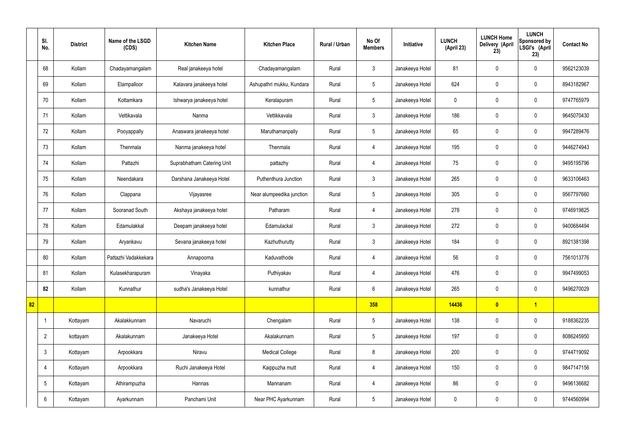|    | SI.<br>No.      | <b>District</b> | Name of the LSGD<br>(CDS) | <b>Kitchen Name</b>        | <b>Kitchen Place</b>      | <b>Rural / Urban</b> | No Of<br><b>Members</b> | Initiative      | <b>LUNCH</b><br>(April 23) | <b>LUNCH Home</b><br>Delivery (April<br>23) | <b>LUNCH</b><br>Sponsored by<br>LSGI's (April<br>23) | <b>Contact No</b> |
|----|-----------------|-----------------|---------------------------|----------------------------|---------------------------|----------------------|-------------------------|-----------------|----------------------------|---------------------------------------------|------------------------------------------------------|-------------------|
|    | 68              | Kollam          | Chadayamangalam           | Real janakeeya hotel       | Chadayamangalam           | Rural                | $\mathbf{3}$            | Janakeeya Hotel | 81                         | $\mathbf 0$                                 | $\mathbf 0$                                          | 9562123039        |
|    | 69              | Kollam          | Elampalloor               | Kalavara janakeeya hotel   | Ashupathri mukku, Kundara | Rural                | $5\overline{)}$         | Janakeeya Hotel | 624                        | $\mathbf 0$                                 | $\mathbf 0$                                          | 8943182967        |
|    | 70              | Kollam          | Kottamkara                | Ishwarya janakeeya hotel   | Keralapuram               | Rural                | $5\phantom{.0}$         | Janakeeya Hotel | $\mathbf 0$                | $\mathbf 0$                                 | $\mathbf 0$                                          | 9747765979        |
|    | 71              | Kollam          | Vettikavala               | Nanma                      | Vettikkavala              | Rural                | $\mathbf{3}$            | Janakeeya Hotel | 186                        | $\mathbf 0$                                 | $\mathbf 0$                                          | 9645070430        |
|    | 72              | Kollam          | Pooyappally               | Anaswara janakeeya hotel   | Maruthamanpally           | Rural                | $5\phantom{.0}$         | Janakeeya Hotel | 65                         | $\mathbf 0$                                 | $\mathbf 0$                                          | 9947289476        |
|    | 73              | Kollam          | Thenmala                  | Nanma janakeeya hotel      | Thenmala                  | Rural                | 4                       | Janakeeya Hotel | 195                        | $\mathbf 0$                                 | $\mathbf 0$                                          | 9446274943        |
|    | 74              | Kollam          | Pattazhi                  | Suprabhatham Catering Unit | pattazhy                  | Rural                | $\overline{4}$          | Janakeeya Hotel | 75                         | $\mathbf 0$                                 | $\mathbf 0$                                          | 9495195796        |
|    | 75              | Kollam          | Neendakara                | Darshana Janakeeya Hotel   | Puthenthura Junction      | Rural                | $\mathbf{3}$            | Janakeeya Hotel | 265                        | $\mathbf 0$                                 | $\mathbf 0$                                          | 9633106463        |
|    | 76              | Kollam          | Clappana                  | Vijayasree                 | Near alumpeedika junction | Rural                | $5\overline{)}$         | Janakeeya Hotel | 305                        | $\mathbf 0$                                 | $\mathbf 0$                                          | 9567797660        |
|    | 77              | Kollam          | Sooranad South            | Akshaya janakeeya hotel    | Patharam                  | Rural                | 4                       | Janakeeya Hotel | 278                        | $\mathbf 0$                                 | $\mathbf 0$                                          | 9746919825        |
|    | 78              | Kollam          | Edamulakkal               | Deepam janakeeya hotel     | Edamulackal               | Rural                | $\mathbf{3}$            | Janakeeya Hotel | 272                        | $\mathbf 0$                                 | $\mathbf 0$                                          | 9400684494        |
|    | 79              | Kollam          | Aryankavu                 | Sevana janakeeya hotel     | Kazhuthurutty             | Rural                | $\mathbf{3}$            | Janakeeya Hotel | 184                        | $\mathbf 0$                                 | $\mathbf 0$                                          | 8921381398        |
|    | 80              | Kollam          | Pattazhi Vadakkekara      | Annapoorna                 | Kaduvathode               | Rural                | 4                       | Janakeeya Hotel | 56                         | 0                                           | $\mathbf 0$                                          | 7561013776        |
|    | 81              | Kollam          | Kulasekharapuram          | Vinayaka                   | Puthiyakav                | Rural                | $\overline{4}$          | Janakeeya Hotel | 476                        | $\mathbf 0$                                 | $\mathbf 0$                                          | 9947499053        |
|    | 82              | Kollam          | Kunnathur                 | sudha's Janakeeya Hotel    | kunnathur                 | Rural                | $6\phantom{.}6$         | Janakeeya Hotel | 265                        | $\mathbf 0$                                 | $\mathbf 0$                                          | 9496270029        |
| 82 |                 |                 |                           |                            |                           |                      | 358                     |                 | 14436                      | $\bullet$                                   | $\overline{1}$                                       |                   |
|    | -1              | Kottayam        | Akalakkunnam              | Navaruchi                  | Chengalam                 | Rural                | $5\phantom{.0}$         | Janakeeya Hotel | 138                        | $\mathbf 0$                                 | $\mathbf 0$                                          | 9188362235        |
|    | $\overline{2}$  | kottayam        | Akalakunnam               | Janakeeya Hotel            | Akalakunnam               | Rural                | $5\phantom{.0}$         | Janakeeya Hotel | 197                        | $\pmb{0}$                                   | $\mathbf 0$                                          | 8086245950        |
|    | $\mathbf{3}$    | Kottayam        | Arpookkara                | Niravu                     | <b>Medical College</b>    | Rural                | 8                       | Janakeeya Hotel | 200                        | $\pmb{0}$                                   | $\mathbf 0$                                          | 9744719092        |
|    | 4               | Kottayam        | Arpookkara                | Ruchi Janakeeya Hotel      | Kaippuzha mutt            | Rural                | $\overline{4}$          | Janakeeya Hotel | 150                        | $\pmb{0}$                                   | $\mathbf 0$                                          | 9847147156        |
|    | $5\phantom{.0}$ | Kottayam        | Athirampuzha              | Hannas                     | Mannanam                  | Rural                | 4                       | Janakeeya Hotel | 86                         | $\pmb{0}$                                   | $\mathbf 0$                                          | 9496136682        |
|    | 6               | Kottayam        | Ayarkunnam                | Panchami Unit              | Near PHC Ayarkunnam       | Rural                | $5\phantom{.0}$         | Janakeeya Hotel | $\boldsymbol{0}$           | $\pmb{0}$                                   | $\boldsymbol{0}$                                     | 9744560994        |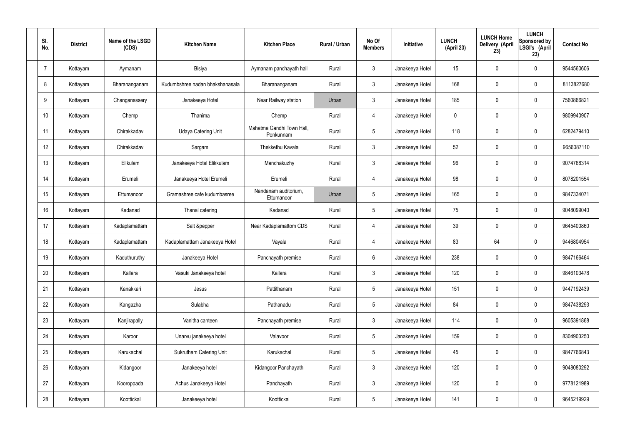| SI.<br>No.     | <b>District</b> | Name of the LSGD<br>(CDS) | <b>Kitchen Name</b>             | <b>Kitchen Place</b>                   | Rural / Urban | No Of<br><b>Members</b> | <b>Initiative</b> | <b>LUNCH</b><br>(April 23) | <b>LUNCH Home</b><br>Delivery (April<br>23) | <b>LUNCH</b><br>Sponsored by<br>LSGI's (April<br>23) | <b>Contact No</b> |
|----------------|-----------------|---------------------------|---------------------------------|----------------------------------------|---------------|-------------------------|-------------------|----------------------------|---------------------------------------------|------------------------------------------------------|-------------------|
| $\overline{7}$ | Kottayam        | Aymanam                   | Bisiya                          | Aymanam panchayath hall                | Rural         | $\mathbf{3}$            | Janakeeya Hotel   | 15                         | $\mathbf 0$                                 | $\mathbf 0$                                          | 9544560606        |
| 8              | Kottayam        | Bharananganam             | Kudumbshree nadan bhakshanasala | Bharananganam                          | Rural         | $\mathbf{3}$            | Janakeeya Hotel   | 168                        | $\mathbf 0$                                 | $\mathbf 0$                                          | 8113827680        |
| 9              | Kottayam        | Changanassery             | Janakeeya Hotel                 | Near Railway station                   | Urban         | $\mathbf{3}$            | Janakeeya Hotel   | 185                        | $\mathbf 0$                                 | $\mathbf 0$                                          | 7560866821        |
| 10             | Kottayam        | Chemp                     | Thanima                         | Chemp                                  | Rural         | $\overline{4}$          | Janakeeya Hotel   | $\mathbf 0$                | 0                                           | $\mathbf 0$                                          | 9809940907        |
| 11             | Kottayam        | Chirakkadav               | <b>Udaya Catering Unit</b>      | Mahatma Gandhi Town Hall,<br>Ponkunnam | Rural         | $5\phantom{.0}$         | Janakeeya Hotel   | 118                        | $\mathbf 0$                                 | $\mathbf 0$                                          | 6282479410        |
| 12             | Kottayam        | Chirakkadav               | Sargam                          | Thekkethu Kavala                       | Rural         | $\mathbf{3}$            | Janakeeya Hotel   | 52                         | 0                                           | $\mathbf 0$                                          | 9656087110        |
| 13             | Kottayam        | Elikulam                  | Janakeeya Hotel Elikkulam       | Manchakuzhy                            | Rural         | $\mathbf{3}$            | Janakeeya Hotel   | 96                         | $\mathbf 0$                                 | $\mathbf 0$                                          | 9074768314        |
| 14             | Kottayam        | Erumeli                   | Janakeeya Hotel Erumeli         | Erumeli                                | Rural         | $\overline{4}$          | Janakeeya Hotel   | 98                         | 0                                           | $\mathbf 0$                                          | 8078201554        |
| 15             | Kottayam        | Ettumanoor                | Gramashree cafe kudumbasree     | Nandanam auditorium,<br>Ettumanoor     | Urban         | $5\phantom{.0}$         | Janakeeya Hotel   | 165                        | $\mathbf 0$                                 | $\mathbf 0$                                          | 9847334071        |
| 16             | Kottayam        | Kadanad                   | Thanal catering                 | Kadanad                                | Rural         | $5\phantom{.0}$         | Janakeeya Hotel   | 75                         | 0                                           | $\mathbf 0$                                          | 9048099040        |
| 17             | Kottayam        | Kadaplamattam             | Salt &pepper                    | Near Kadaplamattom CDS                 | Rural         | 4                       | Janakeeya Hotel   | 39                         | 0                                           | $\mathbf 0$                                          | 9645400860        |
| 18             | Kottayam        | Kadaplamattam             | Kadaplamattam Janakeeya Hotel   | Vayala                                 | Rural         | 4                       | Janakeeya Hotel   | 83                         | 64                                          | $\mathbf 0$                                          | 9446804954        |
| 19             | Kottayam        | Kaduthuruthy              | Janakeeya Hotel                 | Panchayath premise                     | Rural         | $6\phantom{.}6$         | Janakeeya Hotel   | 238                        | 0                                           | $\mathbf 0$                                          | 9847166464        |
| 20             | Kottayam        | Kallara                   | Vasuki Janakeeya hotel          | Kallara                                | Rural         | $\mathbf{3}$            | Janakeeya Hotel   | 120                        | $\mathbf 0$                                 | $\mathbf 0$                                          | 9846103478        |
| 21             | Kottayam        | Kanakkari                 | Jesus                           | Pattithanam                            | Rural         | $5\overline{)}$         | Janakeeya Hotel   | 151                        | 0                                           | $\mathbf 0$                                          | 9447192439        |
| 22             | Kottayam        | Kangazha                  | Sulabha                         | Pathanadu                              | Rural         | $5\overline{)}$         | Janakeeya Hotel   | 84                         | 0                                           | $\mathbf 0$                                          | 9847438293        |
| 23             | Kottayam        | Kanjirapally              | Vanitha canteen                 | Panchayath premise                     | Rural         | $\mathfrak{Z}$          | Janakeeya Hotel   | 114                        | 0                                           | $\mathbf 0$                                          | 9605391868        |
| 24             | Kottayam        | Karoor                    | Unarvu janakeeya hotel          | Valavoor                               | Rural         | $5\phantom{.0}$         | Janakeeya Hotel   | 159                        | 0                                           | $\mathbf 0$                                          | 8304903250        |
| 25             | Kottayam        | Karukachal                | Sukrutham Catering Unit         | Karukachal                             | Rural         | $5\phantom{.0}$         | Janakeeya Hotel   | 45                         | 0                                           | $\mathbf 0$                                          | 9847766843        |
| 26             | Kottayam        | Kidangoor                 | Janakeeya hotel                 | Kidangoor Panchayath                   | Rural         | $\mathfrak{Z}$          | Janakeeya Hotel   | 120                        | 0                                           | $\mathbf 0$                                          | 9048080292        |
| 27             | Kottayam        | Kooroppada                | Achus Janakeeya Hotel           | Panchayath                             | Rural         | $\mathfrak{Z}$          | Janakeeya Hotel   | 120                        | 0                                           | $\mathbf 0$                                          | 9778121989        |
| 28             | Kottayam        | Koottickal                | Janakeeya hotel                 | Koottickal                             | Rural         | $5\,$                   | Janakeeya Hotel   | 141                        | 0                                           | $\mathbf 0$                                          | 9645219929        |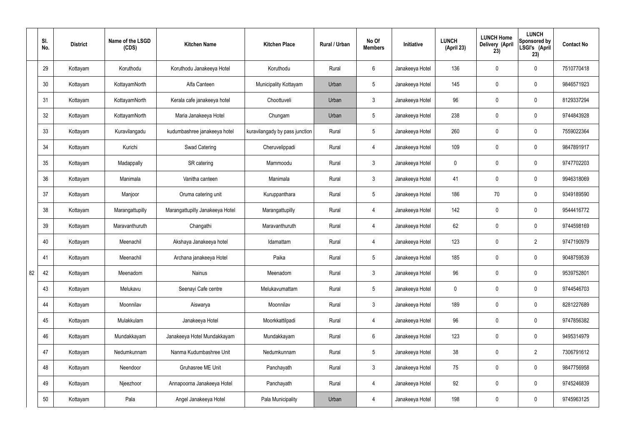|    | SI.<br>No. | <b>District</b> | Name of the LSGD<br>(CDS) | <b>Kitchen Name</b>             | <b>Kitchen Place</b>           | Rural / Urban | No Of<br><b>Members</b> | Initiative      | <b>LUNCH</b><br>(April 23) | <b>LUNCH Home</b><br>Delivery (April<br>23) | <b>LUNCH</b><br>Sponsored by<br>LSGI's (April<br>23) | <b>Contact No</b> |
|----|------------|-----------------|---------------------------|---------------------------------|--------------------------------|---------------|-------------------------|-----------------|----------------------------|---------------------------------------------|------------------------------------------------------|-------------------|
|    | 29         | Kottayam        | Koruthodu                 | Koruthodu Janakeeya Hotel       | Koruthodu                      | Rural         | $6\overline{6}$         | Janakeeya Hotel | 136                        | $\mathbf 0$                                 | $\mathbf 0$                                          | 7510770418        |
|    | 30         | Kottayam        | KottayamNorth             | Alfa Canteen                    | Municipality Kottayam          | Urban         | $5\phantom{.0}$         | Janakeeya Hotel | 145                        | $\mathbf 0$                                 | $\mathbf 0$                                          | 9846571923        |
|    | 31         | Kottayam        | KottayamNorth             | Kerala cafe janakeeya hotel     | Choottuveli                    | Urban         | $\mathbf{3}$            | Janakeeya Hotel | 96                         | $\mathbf 0$                                 | $\mathbf 0$                                          | 8129337294        |
|    | 32         | Kottayam        | KottayamNorth             | Maria Janakeeya Hotel           | Chungam                        | Urban         | $5\phantom{.0}$         | Janakeeya Hotel | 238                        | $\mathbf 0$                                 | $\mathbf 0$                                          | 9744843928        |
|    | 33         | Kottayam        | Kuravilangadu             | kudumbashree janakeeya hotel    | kuravilangady by pass junction | Rural         | $5\phantom{.0}$         | Janakeeya Hotel | 260                        | $\mathbf 0$                                 | $\mathbf 0$                                          | 7559022364        |
|    | 34         | Kottayam        | Kurichi                   | <b>Swad Catering</b>            | Cheruvelippadi                 | Rural         | $\overline{4}$          | Janakeeya Hotel | 109                        | $\mathbf 0$                                 | $\mathbf 0$                                          | 9847891917        |
|    | 35         | Kottayam        | Madappally                | SR catering                     | Mammoodu                       | Rural         | $\mathbf{3}$            | Janakeeya Hotel | $\mathbf 0$                | $\mathbf 0$                                 | $\mathbf 0$                                          | 9747702203        |
|    | 36         | Kottayam        | Manimala                  | Vanitha canteen                 | Manimala                       | Rural         | $\mathbf{3}$            | Janakeeya Hotel | 41                         | $\mathbf 0$                                 | $\mathbf 0$                                          | 9946318069        |
|    | 37         | Kottayam        | Manjoor                   | Oruma catering unit             | Kuruppanthara                  | Rural         | $5\phantom{.0}$         | Janakeeya Hotel | 186                        | 70                                          | $\mathbf 0$                                          | 9349189590        |
|    | 38         | Kottayam        | Marangattupilly           | Marangattupilly Janakeeya Hotel | Marangattupilly                | Rural         | 4                       | Janakeeya Hotel | 142                        | $\mathbf 0$                                 | $\mathbf 0$                                          | 9544416772        |
|    | 39         | Kottayam        | Maravanthuruth            | Changathi                       | Maravanthuruth                 | Rural         | 4                       | Janakeeya Hotel | 62                         | 0                                           | $\mathbf 0$                                          | 9744598169        |
|    | 40         | Kottayam        | Meenachil                 | Akshaya Janakeeya hotel         | Idamattam                      | Rural         | 4                       | Janakeeya Hotel | 123                        | $\mathbf 0$                                 | $\overline{2}$                                       | 9747190979        |
|    | 41         | Kottayam        | Meenachil                 | Archana janakeeya Hotel         | Paika                          | Rural         | $5\overline{)}$         | Janakeeya Hotel | 185                        | $\mathbf 0$                                 | $\mathbf 0$                                          | 9048759539        |
| 82 | 42         | Kottayam        | Meenadom                  | Nainus                          | Meenadom                       | Rural         | $\mathbf{3}$            | Janakeeya Hotel | 96                         | $\pmb{0}$                                   | $\mathbf 0$                                          | 9539752801        |
|    | 43         | Kottayam        | Melukavu                  | Seenayi Cafe centre             | Melukavumattam                 | Rural         | $5\overline{)}$         | Janakeeya Hotel | $\mathbf 0$                | $\pmb{0}$                                   | $\mathbf 0$                                          | 9744546703        |
|    | 44         | Kottayam        | Moonnilav                 | Aiswarya                        | Moonnilav                      | Rural         | 3                       | Janakeeya Hotel | 189                        | 0                                           | $\mathbf 0$                                          | 8281227689        |
|    | 45         | Kottayam        | Mulakkulam                | Janakeeya Hotel                 | Moorkkattilpadi                | Rural         | $\overline{4}$          | Janakeeya Hotel | 96                         | 0                                           | $\mathbf 0$                                          | 9747856382        |
|    | 46         | Kottayam        | Mundakkayam               | Janakeeya Hotel Mundakkayam     | Mundakkayam                    | Rural         | $6\overline{6}$         | Janakeeya Hotel | 123                        | 0                                           | $\mathbf 0$                                          | 9495314979        |
|    | 47         | Kottayam        | Nedumkunnam               | Nanma Kudumbashree Unit         | Nedumkunnam                    | Rural         | $5\phantom{.0}$         | Janakeeya Hotel | 38                         | 0                                           | $\overline{2}$                                       | 7306791612        |
|    | 48         | Kottayam        | Neendoor                  | Gruhasree ME Unit               | Panchayath                     | Rural         | $\mathbf{3}$            | Janakeeya Hotel | 75                         | 0                                           | $\mathbf 0$                                          | 9847756958        |
|    | 49         | Kottayam        | Njeezhoor                 | Annapoorna Janakeeya Hotel      | Panchayath                     | Rural         | $\overline{4}$          | Janakeeya Hotel | 92                         | 0                                           | $\mathbf 0$                                          | 9745246839        |
|    | 50         | Kottayam        | Pala                      | Angel Janakeeya Hotel           | Pala Municipality              | Urban         | 4                       | Janakeeya Hotel | 198                        | 0                                           | $\overline{0}$                                       | 9745963125        |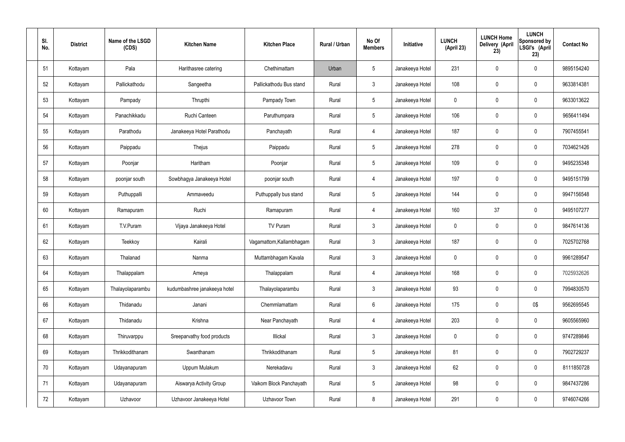| SI.<br>No. |    | <b>District</b> | Name of the LSGD<br>(CDS) | <b>Kitchen Name</b>          | <b>Kitchen Place</b>     | Rural / Urban | No Of<br><b>Members</b> | Initiative      | <b>LUNCH</b><br>(April 23) | <b>LUNCH Home</b><br><b>Delivery (April</b><br>23) | <b>LUNCH</b><br>Sponsored by<br>LSGI's (April<br>23) | <b>Contact No</b> |
|------------|----|-----------------|---------------------------|------------------------------|--------------------------|---------------|-------------------------|-----------------|----------------------------|----------------------------------------------------|------------------------------------------------------|-------------------|
| 51         |    | Kottayam        | Pala                      | Harithasree catering         | Chethimattam             | Urban         | $5\phantom{.0}$         | Janakeeya Hotel | 231                        | $\mathbf 0$                                        | $\mathbf 0$                                          | 9895154240        |
| 52         |    | Kottayam        | Pallickathodu             | Sangeetha                    | Pallickathodu Bus stand  | Rural         | $\mathbf{3}$            | Janakeeya Hotel | 108                        | $\mathbf 0$                                        | $\mathbf 0$                                          | 9633814381        |
| 53         |    | Kottayam        | Pampady                   | Thrupthi                     | Pampady Town             | Rural         | $5\overline{)}$         | Janakeeya Hotel | 0                          | $\mathbf 0$                                        | $\mathbf 0$                                          | 9633013622        |
| 54         |    | Kottayam        | Panachikkadu              | Ruchi Canteen                | Paruthumpara             | Rural         | $5\phantom{.0}$         | Janakeeya Hotel | 106                        | $\mathbf 0$                                        | $\mathbf 0$                                          | 9656411494        |
| 55         |    | Kottayam        | Parathodu                 | Janakeeya Hotel Parathodu    | Panchayath               | Rural         | 4                       | Janakeeya Hotel | 187                        | $\boldsymbol{0}$                                   | $\mathbf 0$                                          | 7907455541        |
| 56         |    | Kottayam        | Paippadu                  | Thejus                       | Paippadu                 | Rural         | $5\overline{)}$         | Janakeeya Hotel | 278                        | $\mathbf 0$                                        | $\pmb{0}$                                            | 7034621426        |
| 57         |    | Kottayam        | Poonjar                   | Haritham                     | Poonjar                  | Rural         | $5\overline{)}$         | Janakeeya Hotel | 109                        | $\boldsymbol{0}$                                   | $\mathbf 0$                                          | 9495235348        |
| 58         |    | Kottayam        | poonjar south             | Sowbhagya Janakeeya Hotel    | poonjar south            | Rural         | $\overline{4}$          | Janakeeya Hotel | 197                        | $\mathbf 0$                                        | $\mathbf 0$                                          | 9495151799        |
| 59         |    | Kottayam        | Puthuppalli               | Ammaveedu                    | Puthuppally bus stand    | Rural         | $5\phantom{.0}$         | Janakeeya Hotel | 144                        | $\mathbf 0$                                        | $\mathbf 0$                                          | 9947156548        |
| 60         |    | Kottayam        | Ramapuram                 | Ruchi                        | Ramapuram                | Rural         | $\overline{4}$          | Janakeeya Hotel | 160                        | 37                                                 | $\mathbf 0$                                          | 9495107277        |
| 61         |    | Kottayam        | T.V.Puram                 | Vijaya Janakeeya Hotel       | TV Puram                 | Rural         | $\mathbf{3}$            | Janakeeya Hotel | $\mathbf 0$                | $\boldsymbol{0}$                                   | $\mathbf 0$                                          | 9847614136        |
| 62         |    | Kottayam        | Teekkoy                   | Kairali                      | Vagamattom, Kallambhagam | Rural         | $\mathbf{3}$            | Janakeeya Hotel | 187                        | 0                                                  | $\mathbf 0$                                          | 7025702768        |
| 63         |    | Kottayam        | Thalanad                  | Nanma                        | Muttambhagam Kavala      | Rural         | $\mathbf{3}$            | Janakeeya Hotel | $\mathbf 0$                | $\mathbf 0$                                        | $\mathbf 0$                                          | 9961289547        |
| 64         |    | Kottayam        | Thalappalam               | Ameya                        | Thalappalam              | Rural         | $\overline{4}$          | Janakeeya Hotel | 168                        | $\mathbf 0$                                        | $\mathbf 0$                                          | 7025932626        |
| 65         |    | Kottayam        | Thalayolaparambu          | kudumbashree janakeeya hotel | Thalayolaparambu         | Rural         | $\mathbf{3}$            | Janakeeya Hotel | 93                         | $\mathbf 0$                                        | $\pmb{0}$                                            | 7994830570        |
|            | 66 | Kottayam        | Thidanadu                 | Janani                       | Chemmlamattam            | Rural         | $6\overline{6}$         | Janakeeya Hotel | 175                        | $\mathbf 0$                                        | 0\$                                                  | 9562695545        |
| 67         |    | Kottayam        | Thidanadu                 | Krishna                      | Near Panchayath          | Rural         | $\overline{4}$          | Janakeeya Hotel | 203                        | $\pmb{0}$                                          | $\mathbf 0$                                          | 9605565960        |
| 68         |    | Kottayam        | Thiruvarppu               | Sreeparvathy food products   | Illickal                 | Rural         | $\mathbf{3}$            | Janakeeya Hotel | $\mathbf 0$                | $\mathbf 0$                                        | $\pmb{0}$                                            | 9747289846        |
| 69         |    | Kottayam        | Thrikkodithanam           | Swanthanam                   | Thrikkodithanam          | Rural         | $5\overline{)}$         | Janakeeya Hotel | 81                         | $\mathbf 0$                                        | $\pmb{0}$                                            | 7902729237        |
| 70         |    | Kottayam        | Udayanapuram              | Uppum Mulakum                | Nerekadavu               | Rural         | $\mathbf{3}$            | Janakeeya Hotel | 62                         | $\mathbf 0$                                        | $\mathbf 0$                                          | 8111850728        |
| 71         |    | Kottayam        | Udayanapuram              | Aiswarya Activity Group      | Vaikom Block Panchayath  | Rural         | $5\phantom{.0}$         | Janakeeya Hotel | 98                         | $\mathbf 0$                                        | $\pmb{0}$                                            | 9847437286        |
|            | 72 | Kottayam        | Uzhavoor                  | Uzhavoor Janakeeya Hotel     | Uzhavoor Town            | Rural         | $8\,$                   | Janakeeya Hotel | 291                        | $\pmb{0}$                                          | $\pmb{0}$                                            | 9746074266        |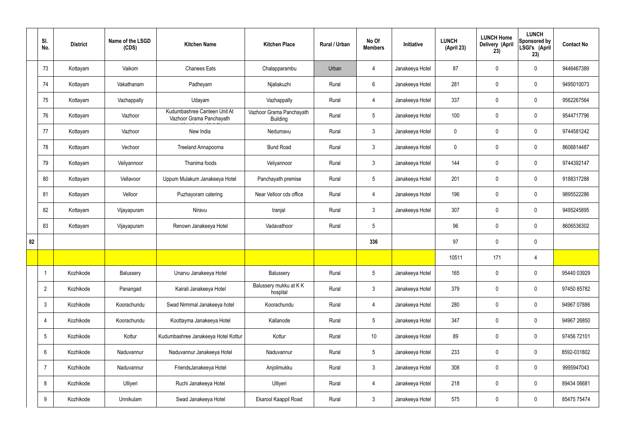|    | SI.<br>No.      | <b>District</b> | Name of the LSGD<br>(CDS) | <b>Kitchen Name</b>                                      | <b>Kitchen Place</b>                        | Rural / Urban | No Of<br><b>Members</b> | Initiative      | <b>LUNCH</b><br>(April 23) | <b>LUNCH Home</b><br><b>Delivery (April</b><br>23) | <b>LUNCH</b><br>Sponsored by<br>LSGI's (April<br>23) | <b>Contact No</b> |
|----|-----------------|-----------------|---------------------------|----------------------------------------------------------|---------------------------------------------|---------------|-------------------------|-----------------|----------------------------|----------------------------------------------------|------------------------------------------------------|-------------------|
|    | 73              | Kottayam        | Vaikom                    | <b>Chanees Eats</b>                                      | Chalapparambu                               | Urban         | 4                       | Janakeeya Hotel | 87                         | $\mathbf 0$                                        | $\mathbf 0$                                          | 9446467389        |
|    | 74              | Kottayam        | Vakathanam                | Padheyam                                                 | Njaliakuzhi                                 | Rural         | $6\overline{6}$         | Janakeeya Hotel | 281                        | $\mathbf 0$                                        | $\mathbf 0$                                          | 9495010073        |
|    | 75              | Kottayam        | Vazhappally               | Udayam                                                   | Vazhappally                                 | Rural         | $\overline{4}$          | Janakeeya Hotel | 337                        | $\mathbf 0$                                        | $\mathbf 0$                                          | 9562267564        |
|    | 76              | Kottayam        | Vazhoor                   | Kudumbashree Canteen Unit At<br>Vazhoor Grama Panchayath | Vazhoor Grama Panchayath<br><b>Building</b> | Rural         | $5\phantom{.0}$         | Janakeeya Hotel | 100                        | $\mathbf 0$                                        | $\mathbf 0$                                          | 9544717796        |
|    | 77              | Kottayam        | Vazhoor                   | New India                                                | Nedumavu                                    | Rural         | $\mathbf{3}$            | Janakeeya Hotel | $\mathbf 0$                | $\mathbf 0$                                        | $\mathbf 0$                                          | 9744581242        |
|    | 78              | Kottayam        | Vechoor                   | Treeland Annapoorna                                      | <b>Bund Road</b>                            | Rural         | $\mathbf{3}$            | Janakeeya Hotel | $\mathbf 0$                | $\mathbf 0$                                        | $\mathbf 0$                                          | 8606814487        |
|    | 79              | Kottayam        | Veliyannoor               | Thanima foods                                            | Veliyannoor                                 | Rural         | $\mathbf{3}$            | Janakeeya Hotel | 144                        | $\mathbf 0$                                        | $\mathbf 0$                                          | 9744392147        |
|    | 80              | Kottayam        | Vellavoor                 | Uppum Mulakum Janakeeya Hotel                            | Panchayath premise                          | Rural         | $5\phantom{.0}$         | Janakeeya Hotel | 201                        | $\mathbf 0$                                        | $\mathbf 0$                                          | 9188317288        |
|    | 81              | Kottayam        | Velloor                   | Puzhayoram catering                                      | Near Velloor cds office                     | Rural         | $\overline{4}$          | Janakeeya Hotel | 196                        | $\mathbf 0$                                        | $\mathbf 0$                                          | 9895522286        |
|    | 82              | Kottayam        | Vijayapuram               | Niravu                                                   | Iranjal                                     | Rural         | $\mathbf{3}$            | Janakeeya Hotel | 307                        | $\mathbf 0$                                        | $\mathbf 0$                                          | 9495245895        |
|    | 83              | Kottayam        | Vijayapuram               | Renown Janakeeya Hotel                                   | Vadavathoor                                 | Rural         | 5                       |                 | 96                         | $\pmb{0}$                                          | $\mathbf 0$                                          | 8606536302        |
| 82 |                 |                 |                           |                                                          |                                             |               | 336                     |                 | 97                         | $\mathbf 0$                                        | $\mathbf 0$                                          |                   |
|    |                 |                 |                           |                                                          |                                             |               |                         |                 | 10511                      | 171                                                | 4                                                    |                   |
|    |                 | Kozhikode       | Balussery                 | Unarvu Janakeeya Hotel                                   | Balussery                                   | Rural         | 5 <sub>5</sub>          | Janakeeya Hotel | 165                        | $\pmb{0}$                                          | $\mathbf 0$                                          | 95440 03929       |
|    | $\overline{2}$  | Kozhikode       | Panangad                  | Kairali Janakeeya Hotel                                  | Balussery mukku at KK<br>hospital           | Rural         | $\mathbf{3}$            | Janakeeya Hotel | 379                        | $\pmb{0}$                                          | $\mathbf 0$                                          | 97450 85782       |
|    | $\mathbf{3}$    | Kozhikode       | Koorachundu               | Swad Nirmmal Janakeeya hotel                             | Koorachundu                                 | Rural         | $\overline{4}$          | Janakeeya Hotel | 280                        | $\pmb{0}$                                          | $\mathbf 0$                                          | 94967 07886       |
|    | 4               | Kozhikode       | Koorachundu               | Koottayma Janakeeya Hotel                                | Kallanode                                   | Rural         | $5\phantom{.0}$         | Janakeeya Hotel | 347                        | $\pmb{0}$                                          | $\mathbf 0$                                          | 94967 26850       |
|    | $5\phantom{.0}$ | Kozhikode       | Kottur                    | Kudumbashree Janakeeya Hotel Kottur                      | Kottur                                      | Rural         | $10$                    | Janakeeya Hotel | 89                         | $\pmb{0}$                                          | $\mathbf 0$                                          | 97456 72101       |
|    | 6               | Kozhikode       | Naduvannur                | Naduvannur Janakeeya Hotel                               | Naduvannur                                  | Rural         | $5\phantom{.0}$         | Janakeeya Hotel | 233                        | $\pmb{0}$                                          | $\mathbf 0$                                          | 8592-031802       |
|    | $\overline{7}$  | Kozhikode       | Naduvannur                | FriendsJanakeeya Hotel                                   | Anjolimukku                                 | Rural         | $\mathbf{3}$            | Janakeeya Hotel | 308                        | $\pmb{0}$                                          | $\mathbf 0$                                          | 9995947043        |
|    | 8               | Kozhikode       | Ulliyeri                  | Ruchi Janakeeya Hotel                                    | Ulliyeri                                    | Rural         | 4                       | Janakeeya Hotel | 218                        | $\pmb{0}$                                          | $\mathbf 0$                                          | 89434 06681       |
|    | 9               | Kozhikode       | Unnikulam                 | Swad Janakeeya Hotel                                     | Ekarool Kaappil Road                        | Rural         | $\mathbf{3}$            | Janakeeya Hotel | 575                        | $\pmb{0}$                                          | $\boldsymbol{0}$                                     | 85475 75474       |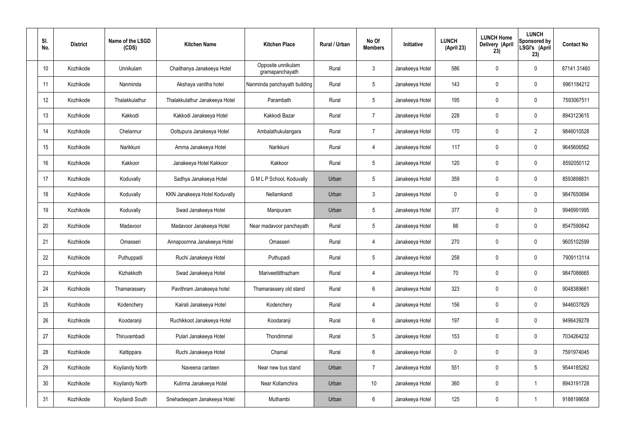| SI.<br>No. | <b>District</b> | Name of the LSGD<br>(CDS) | <b>Kitchen Name</b>            | <b>Kitchen Place</b>                  | Rural / Urban | No Of<br><b>Members</b> | <b>Initiative</b> | <b>LUNCH</b><br>(April 23) | <b>LUNCH Home</b><br>Delivery (April<br>23) | <b>LUNCH</b><br>Sponsored by<br>LSGI's (April<br>23) | <b>Contact No</b> |
|------------|-----------------|---------------------------|--------------------------------|---------------------------------------|---------------|-------------------------|-------------------|----------------------------|---------------------------------------------|------------------------------------------------------|-------------------|
| 10         | Kozhikode       | Unnikulam                 | Chaithanya Janakeeya Hotel     | Opposite unnikulam<br>gramapanchayath | Rural         | $\mathbf{3}$            | Janakeeya Hotel   | 586                        | $\mathbf 0$                                 | $\mathbf 0$                                          | 87141 31460       |
| 11         | Kozhikode       | Nanminda                  | Akshaya vanitha hotel          | Nanminda panchayath building          | Rural         | $5\phantom{.0}$         | Janakeeya Hotel   | 143                        | 0                                           | $\mathbf 0$                                          | 9961184212        |
| 12         | Kozhikode       | Thalakkulathur            | Thalakkulathur Janakeeya Hotel | Parambath                             | Rural         | $5\phantom{.0}$         | Janakeeya Hotel   | 195                        | 0                                           | $\mathbf 0$                                          | 7593067511        |
| 13         | Kozhikode       | Kakkodi                   | Kakkodi Janakeeya Hotel        | Kakkodi Bazar                         | Rural         | $\overline{7}$          | Janakeeya Hotel   | 228                        | 0                                           | $\mathbf 0$                                          | 8943123615        |
| 14         | Kozhikode       | Chelannur                 | Oottupura Janakeeya Hotel      | Ambalathukulangara                    | Rural         | $\overline{7}$          | Janakeeya Hotel   | 170                        | 0                                           | $\overline{2}$                                       | 9846010528        |
| 15         | Kozhikode       | Narikkuni                 | Amma Janakeeya Hotel           | Narikkuni                             | Rural         | 4                       | Janakeeya Hotel   | 117                        | 0                                           | $\mathbf 0$                                          | 9645606562        |
| 16         | Kozhikode       | Kakkoor                   | Janakeeya Hotel Kakkoor        | Kakkoor                               | Rural         | $5\phantom{.0}$         | Janakeeya Hotel   | 120                        | $\mathbf 0$                                 | $\mathbf 0$                                          | 8592050112        |
| 17         | Kozhikode       | Koduvally                 | Sadhya Janakeeya Hotel         | G M L P School, Koduvally             | Urban         | $5\phantom{.0}$         | Janakeeya Hotel   | 359                        | 0                                           | $\mathbf 0$                                          | 8593898831        |
| 18         | Kozhikode       | Koduvally                 | KKN Janakeeya Hotel Koduvally  | Nellamkandi                           | Urban         | $\mathbf{3}$            | Janakeeya Hotel   | $\mathbf 0$                | 0                                           | $\mathbf 0$                                          | 9847650894        |
| 19         | Kozhikode       | Koduvally                 | Swad Janakeeya Hotel           | Manipuram                             | Urban         | $5\phantom{.0}$         | Janakeeya Hotel   | 377                        | 0                                           | $\mathbf 0$                                          | 9946991995        |
| 20         | Kozhikode       | Madavoor                  | Madavoor Janakeeya Hotel       | Near madavoor panchayath              | Rural         | $5\phantom{.0}$         | Janakeeya Hotel   | 86                         | 0                                           | $\mathbf 0$                                          | 8547590842        |
| 21         | Kozhikode       | Omasseri                  | Annapoornna Janakeeya Hotel    | Omasseri                              | Rural         | 4                       | Janakeeya Hotel   | 270                        | 0                                           | $\mathbf 0$                                          | 9605102599        |
| 22         | Kozhikode       | Puthuppadi                | Ruchi Janakeeya Hotel          | Puthupadi                             | Rural         | $5\phantom{.0}$         | Janakeeya Hotel   | 258                        | 0                                           | 0                                                    | 7909113114        |
| 23         | Kozhikode       | Kizhakkoth                | Swad Janakeeya Hotel           | Mariveettilthazham                    | Rural         | $\overline{4}$          | Janakeeya Hotel   | 70                         | $\mathbf 0$                                 | $\mathbf 0$                                          | 9847086665        |
| 24         | Kozhikode       | Thamarassery              | Pavithram Janakeeya hotel      | Thamarassery old stand                | Rural         | $6\overline{6}$         | Janakeeya Hotel   | 323                        | $\mathbf 0$                                 | $\mathbf 0$                                          | 9048389661        |
| 25         | Kozhikode       | Kodenchery                | Kairali Janakeeya Hotel        | Kodenchery                            | Rural         | $\overline{4}$          | Janakeeya Hotel   | 156                        | 0                                           | $\mathbf 0$                                          | 9446037829        |
| 26         | Kozhikode       | Koodaranji                | Ruchikkoot Janakeeya Hotel     | Koodaranji                            | Rural         | $6\overline{6}$         | Janakeeya Hotel   | 197                        | 0                                           | $\mathbf 0$                                          | 9496439278        |
| 27         | Kozhikode       | Thiruvambadi              | Pulari Janakeeya Hotel         | Thondimmal                            | Rural         | $5\phantom{.0}$         | Janakeeya Hotel   | 153                        | 0                                           | $\mathbf 0$                                          | 7034264232        |
| 28         | Kozhikode       | Kattippara                | Ruchi Janakeeya Hotel          | Chamal                                | Rural         | $6\,$                   | Janakeeya Hotel   | $\mathbf 0$                | 0                                           | $\mathbf 0$                                          | 7591974045        |
| 29         | Kozhikode       | Koyilandy North           | Naveena canteen                | Near new bus stand                    | Urban         | $\overline{7}$          | Janakeeya Hotel   | 551                        | 0                                           | $5\phantom{.0}$                                      | 9544185262        |
| 30         | Kozhikode       | Koyilandy North           | Kulirma Janakeeya Hotel        | Near Kollamchira                      | Urban         | 10 <sup>°</sup>         | Janakeeya Hotel   | 360                        | 0                                           | $\mathbf 1$                                          | 8943191728        |
| 31         | Kozhikode       | Koyilandi South           | Snehadeepam Janakeeya Hotel    | Muthambi                              | Urban         | $6\,$                   | Janakeeya Hotel   | 125                        | 0                                           |                                                      | 9188198658        |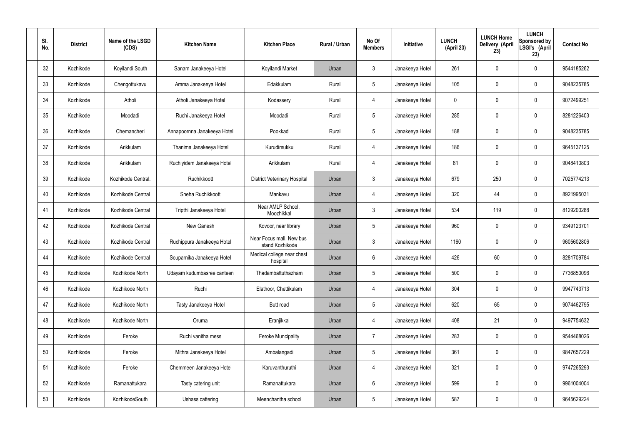| SI.<br>No. | <b>District</b> | Name of the LSGD<br>(CDS) | <b>Kitchen Name</b>         | <b>Kitchen Place</b>                        | <b>Rural / Urban</b> | No Of<br><b>Members</b> | Initiative      | <b>LUNCH</b><br>(April 23) | <b>LUNCH Home</b><br>Delivery (April<br>23) | <b>LUNCH</b><br>Sponsored by<br>LSGI's (April<br>23) | <b>Contact No</b> |
|------------|-----------------|---------------------------|-----------------------------|---------------------------------------------|----------------------|-------------------------|-----------------|----------------------------|---------------------------------------------|------------------------------------------------------|-------------------|
| 32         | Kozhikode       | Koyilandi South           | Sanam Janakeeya Hotel       | Koyilandi Market                            | Urban                | $\mathbf{3}$            | Janakeeya Hotel | 261                        | 0                                           | $\mathbf 0$                                          | 9544185262        |
| 33         | Kozhikode       | Chengottukavu             | Amma Janakeeya Hotel        | Edakkulam                                   | Rural                | $5\phantom{.0}$         | Janakeeya Hotel | 105                        | 0                                           | $\pmb{0}$                                            | 9048235785        |
| 34         | Kozhikode       | Atholi                    | Atholi Janakeeya Hotel      | Kodassery                                   | Rural                | $\overline{4}$          | Janakeeya Hotel | $\mathbf 0$                | 0                                           | $\mathbf 0$                                          | 9072499251        |
| 35         | Kozhikode       | Moodadi                   | Ruchi Janakeeya Hotel       | Moodadi                                     | Rural                | $5\phantom{.0}$         | Janakeeya Hotel | 285                        | 0                                           | $\mathbf 0$                                          | 8281226403        |
| 36         | Kozhikode       | Chemancheri               | Annapoornna Janakeeya Hotel | Pookkad                                     | Rural                | $5\phantom{.0}$         | Janakeeya Hotel | 188                        | 0                                           | $\mathbf 0$                                          | 9048235785        |
| 37         | Kozhikode       | Arikkulam                 | Thanima Janakeeya Hotel     | Kurudimukku                                 | Rural                | $\overline{4}$          | Janakeeya Hotel | 186                        | 0                                           | $\pmb{0}$                                            | 9645137125        |
| 38         | Kozhikode       | Arikkulam                 | Ruchiyidam Janakeeya Hotel  | Arikkulam                                   | Rural                | $\overline{4}$          | Janakeeya Hotel | 81                         | 0                                           | $\mathbf 0$                                          | 9048410803        |
| 39         | Kozhikode       | Kozhikode Central.        | Ruchikkoott                 | <b>District Veterinary Hospital</b>         | Urban                | $\mathbf{3}$            | Janakeeya Hotel | 679                        | 250                                         | $\mathbf 0$                                          | 7025774213        |
| 40         | Kozhikode       | Kozhikode Central         | Sneha Ruchikkoott           | Mankavu                                     | Urban                | $\overline{4}$          | Janakeeya Hotel | 320                        | 44                                          | $\mathbf 0$                                          | 8921995031        |
| 41         | Kozhikode       | Kozhikode Central         | Tripthi Janakeeya Hotel     | Near AMLP School,<br>Moozhikkal             | Urban                | $\mathbf{3}$            | Janakeeya Hotel | 534                        | 119                                         | $\mathbf 0$                                          | 8129200288        |
| 42         | Kozhikode       | Kozhikode Central         | New Ganesh                  | Kovoor, near library                        | Urban                | $5\phantom{.0}$         | Janakeeya Hotel | 960                        | 0                                           | $\boldsymbol{0}$                                     | 9349123701        |
| 43         | Kozhikode       | Kozhikode Central         | Ruchippura Janakeeya Hotel  | Near Focus mall, New bus<br>stand Kozhikode | Urban                | $\mathbf{3}$            | Janakeeya Hotel | 1160                       | 0                                           | $\boldsymbol{0}$                                     | 9605602806        |
| 44         | Kozhikode       | Kozhikode Central         | Souparnika Janakeeya Hotel  | Medical college near chest<br>hospital      | Urban                | $6\phantom{.}$          | Janakeeya Hotel | 426                        | 60                                          | 0                                                    | 8281709784        |
| 45         | Kozhikode       | Kozhikode North           | Udayam kudumbasree canteen  | Thadambattuthazham                          | Urban                | $5\phantom{.0}$         | Janakeeya Hotel | 500                        | $\mathbf 0$                                 | $\mathbf 0$                                          | 7736850096        |
| 46         | Kozhikode       | Kozhikode North           | Ruchi                       | Elathoor, Chettikulam                       | Urban                | $\overline{4}$          | Janakeeya Hotel | 304                        | $\mathbf 0$                                 | $\mathbf 0$                                          | 9947743713        |
| 47         | Kozhikode       | Kozhikode North           | Tasty Janakeeya Hotel       | Butt road                                   | Urban                | $5\phantom{.0}$         | Janakeeya Hotel | 620                        | 65                                          | $\mathbf 0$                                          | 9074462795        |
| 48         | Kozhikode       | Kozhikode North           | Oruma                       | Eranjikkal                                  | Urban                | $\overline{4}$          | Janakeeya Hotel | 408                        | 21                                          | $\mathbf 0$                                          | 9497754632        |
| 49         | Kozhikode       | Feroke                    | Ruchi vanitha mess          | <b>Feroke Muncipality</b>                   | Urban                | $\overline{7}$          | Janakeeya Hotel | 283                        | 0                                           | $\mathbf 0$                                          | 9544468026        |
| 50         | Kozhikode       | Feroke                    | Mithra Janakeeya Hotel      | Ambalangadi                                 | Urban                | $5\phantom{.0}$         | Janakeeya Hotel | 361                        | 0                                           | $\mathbf 0$                                          | 9847657229        |
| 51         | Kozhikode       | Feroke                    | Chemmeen Janakeeya Hotel    | Karuvanthuruthi                             | Urban                | $\overline{4}$          | Janakeeya Hotel | 321                        | 0                                           | $\mathbf 0$                                          | 9747265293        |
| 52         | Kozhikode       | Ramanattukara             | Tasty catering unit         | Ramanattukara                               | Urban                | $6\,$                   | Janakeeya Hotel | 599                        | 0                                           | $\mathbf 0$                                          | 9961004004        |
| 53         | Kozhikode       | KozhikodeSouth            | Ushass cattering            | Meenchantha school                          | Urban                | $5\,$                   | Janakeeya Hotel | 587                        | $\pmb{0}$                                   | $\boldsymbol{0}$                                     | 9645629224        |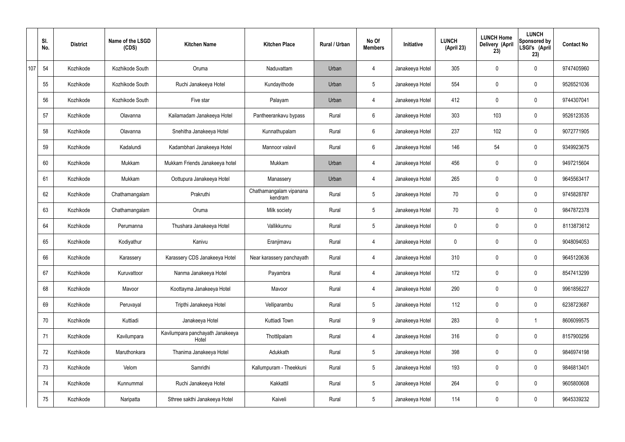|     | SI.<br>No. | <b>District</b> | Name of the LSGD<br>(CDS) | <b>Kitchen Name</b>                       | <b>Kitchen Place</b>               | <b>Rural / Urban</b> | No Of<br><b>Members</b> | Initiative      | <b>LUNCH</b><br>(April 23) | <b>LUNCH Home</b><br>Delivery (April<br>23) | <b>LUNCH</b><br>Sponsored by<br>LSGI's (April<br>23) | <b>Contact No</b> |
|-----|------------|-----------------|---------------------------|-------------------------------------------|------------------------------------|----------------------|-------------------------|-----------------|----------------------------|---------------------------------------------|------------------------------------------------------|-------------------|
| 107 | 54         | Kozhikode       | Kozhikode South           | Oruma                                     | Naduvattam                         | Urban                | 4                       | Janakeeya Hotel | 305                        | $\mathbf 0$                                 | $\mathbf 0$                                          | 9747405960        |
|     | 55         | Kozhikode       | Kozhikode South           | Ruchi Janakeeya Hotel                     | Kundayithode                       | Urban                | $5\phantom{.0}$         | Janakeeya Hotel | 554                        | $\mathbf 0$                                 | $\mathbf 0$                                          | 9526521036        |
|     | 56         | Kozhikode       | Kozhikode South           | Five star                                 | Palayam                            | Urban                | $\overline{4}$          | Janakeeya Hotel | 412                        | $\mathbf 0$                                 | $\mathbf 0$                                          | 9744307041        |
|     | 57         | Kozhikode       | Olavanna                  | Kailamadam Janakeeya Hotel                | Pantheerankavu bypass              | Rural                | $6\phantom{.}6$         | Janakeeya Hotel | 303                        | 103                                         | $\mathbf 0$                                          | 9526123535        |
|     | 58         | Kozhikode       | Olavanna                  | Snehitha Janakeeya Hotel                  | Kunnathupalam                      | Rural                | $6\overline{6}$         | Janakeeya Hotel | 237                        | 102                                         | $\mathbf 0$                                          | 9072771905        |
|     | 59         | Kozhikode       | Kadalundi                 | Kadambhari Janakeeya Hotel                | Mannoor valavil                    | Rural                | $6\phantom{.}6$         | Janakeeya Hotel | 146                        | 54                                          | $\mathbf 0$                                          | 9349923675        |
|     | 60         | Kozhikode       | Mukkam                    | Mukkam Friends Janakeeya hotel            | Mukkam                             | Urban                | $\overline{4}$          | Janakeeya Hotel | 456                        | $\mathbf 0$                                 | $\mathbf 0$                                          | 9497215604        |
|     | 61         | Kozhikode       | Mukkam                    | Oottupura Janakeeya Hotel                 | Manassery                          | Urban                | $\overline{4}$          | Janakeeya Hotel | 265                        | $\mathbf 0$                                 | $\mathbf 0$                                          | 9645563417        |
|     | 62         | Kozhikode       | Chathamangalam            | Prakruthi                                 | Chathamangalam vipanana<br>kendram | Rural                | $5\overline{)}$         | Janakeeya Hotel | 70                         | $\mathbf 0$                                 | $\mathbf 0$                                          | 9745828787        |
|     | 63         | Kozhikode       | Chathamangalam            | Oruma                                     | Milk society                       | Rural                | $5\phantom{.0}$         | Janakeeya Hotel | 70                         | 0                                           | $\mathbf 0$                                          | 9847872378        |
|     | 64         | Kozhikode       | Perumanna                 | Thushara Janakeeya Hotel                  | Vallikkunnu                        | Rural                | $5\phantom{.0}$         | Janakeeya Hotel | 0                          | 0                                           | $\mathbf 0$                                          | 8113873612        |
|     | 65         | Kozhikode       | Kodiyathur                | Kanivu                                    | Eranjimavu                         | Rural                | 4                       | Janakeeya Hotel | 0                          | 0                                           | $\mathbf 0$                                          | 9048094053        |
|     | 66         | Kozhikode       | Karassery                 | Karassery CDS Janakeeya Hotel             | Near karassery panchayath          | Rural                | 4                       | Janakeeya Hotel | 310                        | 0                                           | $\mathbf 0$                                          | 9645120636        |
|     | 67         | Kozhikode       | Kuruvattoor               | Nanma Janakeeya Hotel                     | Payambra                           | Rural                | $\overline{4}$          | Janakeeya Hotel | 172                        | $\mathbf 0$                                 | $\mathbf 0$                                          | 8547413299        |
|     | 68         | Kozhikode       | Mavoor                    | Koottayma Janakeeya Hotel                 | Mavoor                             | Rural                | $\overline{4}$          | Janakeeya Hotel | 290                        | $\mathbf 0$                                 | $\mathbf 0$                                          | 9961856227        |
|     | 69         | Kozhikode       | Peruvayal                 | Tripthi Janakeeya Hotel                   | Velliparambu                       | Rural                | $5\overline{)}$         | Janakeeya Hotel | 112                        | 0                                           | $\mathbf 0$                                          | 6238723687        |
|     | 70         | Kozhikode       | Kuttiadi                  | Janakeeya Hotel                           | Kuttiadi Town                      | Rural                | 9                       | Janakeeya Hotel | 283                        | 0                                           | $\mathbf 1$                                          | 8606099575        |
|     | 71         | Kozhikode       | Kavilumpara               | Kavilumpara panchayath Janakeeya<br>Hotel | Thottilpalam                       | Rural                | $\overline{4}$          | Janakeeya Hotel | 316                        | 0                                           | $\mathbf 0$                                          | 8157900256        |
|     | 72         | Kozhikode       | Maruthonkara              | Thanima Janakeeya Hotel                   | Adukkath                           | Rural                | $5\overline{)}$         | Janakeeya Hotel | 398                        | 0                                           | $\mathbf 0$                                          | 9846974198        |
|     | 73         | Kozhikode       | Velom                     | Samridhi                                  | Kallumpuram - Theekkuni            | Rural                | $5\overline{)}$         | Janakeeya Hotel | 193                        | 0                                           | $\mathbf 0$                                          | 9846813401        |
|     | 74         | Kozhikode       | Kunnummal                 | Ruchi Janakeeya Hotel                     | Kakkattil                          | Rural                | $5\phantom{.0}$         | Janakeeya Hotel | 264                        | 0                                           | $\mathbf 0$                                          | 9605800608        |
|     | 75         | Kozhikode       | Naripatta                 | Sthree sakthi Janakeeya Hotel             | Kaiveli                            | Rural                | $5\phantom{.0}$         | Janakeeya Hotel | 114                        | 0                                           | $\overline{0}$                                       | 9645339232        |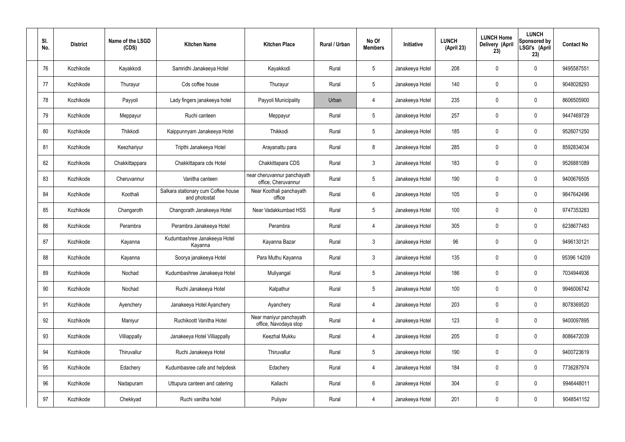| SI.<br>No. | <b>District</b> | Name of the LSGD<br>(CDS) | <b>Kitchen Name</b>                                  | <b>Kitchen Place</b>                               | Rural / Urban | No Of<br><b>Members</b> | Initiative      | <b>LUNCH</b><br>(April 23) | <b>LUNCH Home</b><br>Delivery (April<br>23) | <b>LUNCH</b><br>Sponsored by<br>LSGI's (April<br>23) | <b>Contact No</b> |
|------------|-----------------|---------------------------|------------------------------------------------------|----------------------------------------------------|---------------|-------------------------|-----------------|----------------------------|---------------------------------------------|------------------------------------------------------|-------------------|
| 76         | Kozhikode       | Kayakkodi                 | Samridhi Janakeeya Hotel                             | Kayakkodi                                          | Rural         | $5\phantom{.0}$         | Janakeeya Hotel | 208                        | $\mathbf 0$                                 | $\mathbf 0$                                          | 9495587551        |
| 77         | Kozhikode       | Thurayur                  | Cds coffee house                                     | Thurayur                                           | Rural         | $5\overline{)}$         | Janakeeya Hotel | 140                        | 0                                           | $\mathbf 0$                                          | 9048028293        |
| 78         | Kozhikode       | Payyoli                   | Lady fingers janakeeya hotel                         | Payyoli Municipality                               | Urban         | 4                       | Janakeeya Hotel | 235                        | 0                                           | $\mathbf 0$                                          | 8606505900        |
| 79         | Kozhikode       | Meppayur                  | Ruchi canteen                                        | Meppayur                                           | Rural         | $5\phantom{.0}$         | Janakeeya Hotel | 257                        | 0                                           | $\mathbf 0$                                          | 9447469729        |
| 80         | Kozhikode       | Thikkodi                  | Kaippunnyam Janakeeya Hotel                          | Thikkodi                                           | Rural         | $5\phantom{.0}$         | Janakeeya Hotel | 185                        | 0                                           | $\mathbf 0$                                          | 9526071250        |
| 81         | Kozhikode       | Keezhariyur               | Tripthi Janakeeya Hotel                              | Arayanattu para                                    | Rural         | 8                       | Janakeeya Hotel | 285                        | 0                                           | $\mathbf 0$                                          | 8592834034        |
| 82         | Kozhikode       | Chakkittappara            | Chakkittapara cds Hotel                              | Chakkittapara CDS                                  | Rural         | $\mathbf{3}$            | Janakeeya Hotel | 183                        | 0                                           | $\mathbf 0$                                          | 9526881089        |
| 83         | Kozhikode       | Cheruvannur               | Vanitha canteen                                      | near cheruvannur panchayath<br>office, Cheruvannur | Rural         | $5\,$                   | Janakeeya Hotel | 190                        | 0                                           | $\mathbf 0$                                          | 9400676505        |
| 84         | Kozhikode       | Koothali                  | Salkara stationary cum Coffee house<br>and photostat | Near Koothali panchayath<br>office                 | Rural         | $6\,$                   | Janakeeya Hotel | 105                        | 0                                           | $\mathbf 0$                                          | 9847642496        |
| 85         | Kozhikode       | Changaroth                | Changorath Janakeeya Hotel                           | Near Vadakkumbad HSS                               | Rural         | $5\overline{)}$         | Janakeeya Hotel | 100                        | 0                                           | $\mathbf 0$                                          | 9747353283        |
| 86         | Kozhikode       | Perambra                  | Perambra Janakeeya Hotel                             | Perambra                                           | Rural         | 4                       | Janakeeya Hotel | 305                        | $\mathbf 0$                                 | $\mathbf 0$                                          | 6238677483        |
| 87         | Kozhikode       | Kayanna                   | Kudumbashree Janakeeya Hotel<br>Kayanna              | Kayanna Bazar                                      | Rural         | $\mathbf{3}$            | Janakeeya Hotel | 96                         | 0                                           | $\mathbf 0$                                          | 9496130121        |
| 88         | Kozhikode       | Kayanna                   | Soorya janakeeya Hotel                               | Para Muthu Kayanna                                 | Rural         | $\mathbf{3}$            | Janakeeya Hotel | 135                        | $\mathbf 0$                                 | $\mathbf 0$                                          | 95396 14209       |
| 89         | Kozhikode       | Nochad                    | Kudumbashree Janakeeya Hotel                         | Muliyangal                                         | Rural         | $5\,$                   | Janakeeya Hotel | 186                        | $\mathsf{0}$                                | $\mathbf 0$                                          | 7034944936        |
| 90         | Kozhikode       | Nochad                    | Ruchi Janakeeya Hotel                                | Kalpathur                                          | Rural         | $5\phantom{.0}$         | Janakeeya Hotel | 100                        | 0                                           | $\mathbf 0$                                          | 9946006742        |
| 91         | Kozhikode       | Ayenchery                 | Janakeeya Hotel Ayanchery                            | Ayanchery                                          | Rural         | $\overline{4}$          | Janakeeya Hotel | 203                        | 0                                           | $\mathbf 0$                                          | 8078369520        |
| 92         | Kozhikode       | Maniyur                   | Ruchikoott Vanitha Hotel                             | Near maniyur panchayath<br>office, Navodaya stop   | Rural         | $\overline{4}$          | Janakeeya Hotel | 123                        | 0                                           | $\mathbf 0$                                          | 9400097895        |
| 93         | Kozhikode       | Villiappally              | Janakeeya Hotel Villiappally                         | Keezhal Mukku                                      | Rural         | $\overline{4}$          | Janakeeya Hotel | 205                        | 0                                           | $\mathbf 0$                                          | 8086472039        |
| 94         | Kozhikode       | Thiruvallur               | Ruchi Janakeeya Hotel                                | Thiruvallur                                        | Rural         | $5\phantom{.0}$         | Janakeeya Hotel | 190                        | 0                                           | $\mathbf 0$                                          | 9400723619        |
| 95         | Kozhikode       | Edachery                  | Kudumbasree cafe and helpdesk                        | Edachery                                           | Rural         | $\overline{4}$          | Janakeeya Hotel | 184                        | 0                                           | $\mathbf 0$                                          | 7736287974        |
| 96         | Kozhikode       | Nadapuram                 | Uttupura canteen and catering                        | Kallachi                                           | Rural         | $6\,$                   | Janakeeya Hotel | 304                        | 0                                           | $\mathbf 0$                                          | 9946448011        |
| 97         | Kozhikode       | Chekkyad                  | Ruchi vanitha hotel                                  | Puliyav                                            | Rural         | 4                       | Janakeeya Hotel | 201                        | 0                                           | $\pmb{0}$                                            | 9048541152        |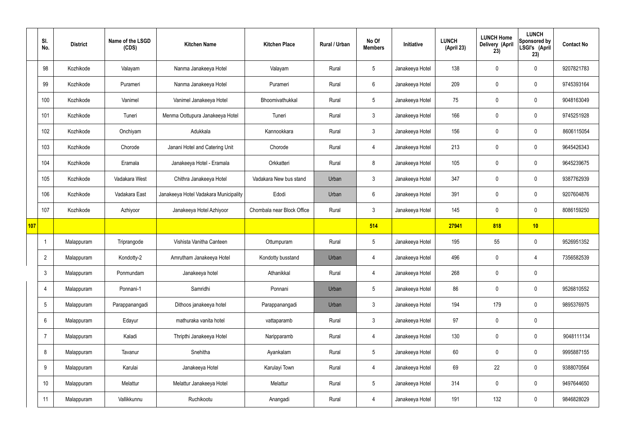|     | SI.<br>No.      | <b>District</b> | Name of the LSGD<br>(CDS) | <b>Kitchen Name</b>                   | <b>Kitchen Place</b>       | <b>Rural / Urban</b> | No Of<br><b>Members</b> | Initiative      | <b>LUNCH</b><br>(April 23) | <b>LUNCH Home</b><br><b>Delivery (April</b><br>23) | <b>LUNCH</b><br>Sponsored by<br>LSGI's (April<br>23) | <b>Contact No</b> |
|-----|-----------------|-----------------|---------------------------|---------------------------------------|----------------------------|----------------------|-------------------------|-----------------|----------------------------|----------------------------------------------------|------------------------------------------------------|-------------------|
|     | 98              | Kozhikode       | Valayam                   | Nanma Janakeeya Hotel                 | Valayam                    | Rural                | $5\phantom{.0}$         | Janakeeya Hotel | 138                        | $\mathbf 0$                                        | $\mathbf 0$                                          | 9207821783        |
|     | 99              | Kozhikode       | Purameri                  | Nanma Janakeeya Hotel                 | Purameri                   | Rural                | $6\phantom{.}6$         | Janakeeya Hotel | 209                        | $\mathbf 0$                                        | $\mathbf 0$                                          | 9745393164        |
|     | 100             | Kozhikode       | Vanimel                   | Vanimel Janakeeya Hotel               | Bhoomivathukkal            | Rural                | $5\phantom{.0}$         | Janakeeya Hotel | 75                         | $\mathbf 0$                                        | $\mathbf 0$                                          | 9048163049        |
|     | 101             | Kozhikode       | Tuneri                    | Menma Oottupura Janakeeya Hotel       | Tuneri                     | Rural                | $\mathbf{3}$            | Janakeeya Hotel | 166                        | $\mathbf 0$                                        | $\mathbf 0$                                          | 9745251928        |
|     | 102             | Kozhikode       | Onchiyam                  | Adukkala                              | Kannookkara                | Rural                | $\mathbf{3}$            | Janakeeya Hotel | 156                        | $\mathbf 0$                                        | $\mathbf 0$                                          | 8606115054        |
|     | 103             | Kozhikode       | Chorode                   | Janani Hotel and Catering Unit        | Chorode                    | Rural                | 4                       | Janakeeya Hotel | 213                        | $\mathbf 0$                                        | $\mathbf 0$                                          | 9645426343        |
|     | 104             | Kozhikode       | Eramala                   | Janakeeya Hotel - Eramala             | Orkkatteri                 | Rural                | 8                       | Janakeeya Hotel | 105                        | $\mathbf 0$                                        | $\mathbf 0$                                          | 9645239675        |
|     | 105             | Kozhikode       | Vadakara West             | Chithra Janakeeya Hotel               | Vadakara New bus stand     | Urban                | $\mathbf{3}$            | Janakeeya Hotel | 347                        | $\mathbf 0$                                        | $\mathbf 0$                                          | 9387762939        |
|     | 106             | Kozhikode       | Vadakara East             | Janakeeya Hotel Vadakara Municipality | Edodi                      | Urban                | $6\phantom{.}6$         | Janakeeya Hotel | 391                        | $\mathbf 0$                                        | $\mathbf 0$                                          | 9207604876        |
|     | 107             | Kozhikode       | Azhiyoor                  | Janakeeya Hotel Azhiyoor              | Chombala near Block Office | Rural                | 3                       | Janakeeya Hotel | 145                        | $\mathbf 0$                                        | $\mathbf 0$                                          | 8086159250        |
| 107 |                 |                 |                           |                                       |                            |                      | 514                     |                 | 27941                      | 818                                                | 10                                                   |                   |
|     | -1              | Malappuram      | Triprangode               | Vishista Vanitha Canteen              | Ottumpuram                 | Rural                | $5\phantom{.0}$         | Janakeeya Hotel | 195                        | 55                                                 | $\mathbf 0$                                          | 9526951352        |
|     | $\overline{2}$  | Malappuram      | Kondotty-2                | Amrutham Janakeeya Hotel              | Kondotty busstand          | Urban                | 4                       | Janakeeya Hotel | 496                        | $\mathbf 0$                                        | 4                                                    | 7356582539        |
|     | $3\phantom{.0}$ | Malappuram      | Ponmundam                 | Janakeeya hotel                       | Athanikkal                 | Rural                | $\overline{4}$          | Janakeeya Hotel | 268                        | $\pmb{0}$                                          | $\mathbf 0$                                          |                   |
|     | $\overline{4}$  | Malappuram      | Ponnani-1                 | Samridhi                              | Ponnani                    | Urban                | $5\phantom{.0}$         | Janakeeya Hotel | 86                         | $\pmb{0}$                                          | $\mathbf 0$                                          | 9526810552        |
|     | 5               | Malappuram      | Parappanangadi            | Dithoos janakeeya hotel               | Parappanangadi             | Urban                | 3 <sup>1</sup>          | Janakeeya Hotel | 194                        | 179                                                | $\mathbf 0$                                          | 9895376975        |
|     | 6               | Malappuram      | Edayur                    | mathuraka vanita hotel                | vattaparamb                | Rural                | $\mathbf{3}$            | Janakeeya Hotel | 97                         | $\pmb{0}$                                          | $\mathbf 0$                                          |                   |
|     | $\overline{7}$  | Malappuram      | Kaladi                    | Thripthi Janakeeya Hotel              | Naripparamb                | Rural                | $\overline{4}$          | Janakeeya Hotel | 130                        | $\pmb{0}$                                          | $\mathbf 0$                                          | 9048111134        |
|     | 8               | Malappuram      | Tavanur                   | Snehitha                              | Ayankalam                  | Rural                | $5\overline{)}$         | Janakeeya Hotel | 60                         | $\pmb{0}$                                          | $\mathbf 0$                                          | 9995887155        |
|     | 9               | Malappuram      | Karulai                   | Janakeeya Hotel                       | Karulayi Town              | Rural                | $\overline{4}$          | Janakeeya Hotel | 69                         | 22                                                 | $\mathbf 0$                                          | 9388070564        |
|     | 10              | Malappuram      | Melattur                  | Melattur Janakeeya Hotel              | Melattur                   | Rural                | 5 <sub>5</sub>          | Janakeeya Hotel | 314                        | $\pmb{0}$                                          | $\mathbf 0$                                          | 9497644650        |
|     | 11              | Malappuram      | Vallikkunnu               | Ruchikootu                            | Anangadi                   | Rural                | 4                       | Janakeeya Hotel | 191                        | 132                                                | $\boldsymbol{0}$                                     | 9846828029        |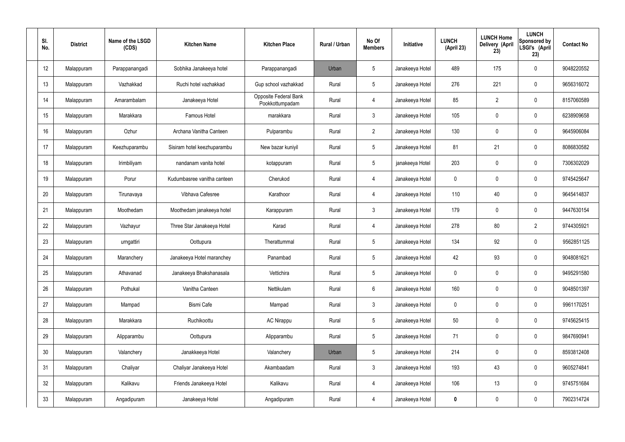| SI.<br>No.      | <b>District</b> | Name of the LSGD<br>(CDS) | <b>Kitchen Name</b>         | <b>Kitchen Place</b>                     | Rural / Urban | No Of<br><b>Members</b> | Initiative      | <b>LUNCH</b><br>(April 23) | <b>LUNCH Home</b><br>Delivery (April<br>23) | <b>LUNCH</b><br>Sponsored by<br>LSGI's (April<br>23) | <b>Contact No</b> |
|-----------------|-----------------|---------------------------|-----------------------------|------------------------------------------|---------------|-------------------------|-----------------|----------------------------|---------------------------------------------|------------------------------------------------------|-------------------|
| 12              | Malappuram      | Parappanangadi            | Sobhika Janakeeya hotel     | Parappanangadi                           | Urban         | $5\phantom{.0}$         | Janakeeya Hotel | 489                        | 175                                         | $\mathbf 0$                                          | 9048220552        |
| 13              | Malappuram      | Vazhakkad                 | Ruchi hotel vazhakkad       | Gup school vazhakkad                     | Rural         | $5\phantom{.0}$         | Janakeeya Hotel | 276                        | 221                                         | $\mathbf 0$                                          | 9656316072        |
| 14              | Malappuram      | Amarambalam               | Janakeeya Hotel             | Opposite Federal Bank<br>Pookkottumpadam | Rural         | $\overline{4}$          | Janakeeya Hotel | 85                         | $\overline{2}$                              | $\mathbf 0$                                          | 8157060589        |
| 15              | Malappuram      | Marakkara                 | Famous Hotel                | marakkara                                | Rural         | $\mathbf{3}$            | Janakeeya Hotel | 105                        | 0                                           | $\mathbf 0$                                          | 6238909658        |
| 16              | Malappuram      | Ozhur                     | Archana Vanitha Canteen     | Pulparambu                               | Rural         | $2^{\circ}$             | Janakeeya Hotel | 130                        | 0                                           | $\mathbf 0$                                          | 9645906084        |
| 17              | Malappuram      | Keezhuparambu             | Sisiram hotel keezhuparambu | New bazar kuniyil                        | Rural         | $5\phantom{.0}$         | Janakeeya Hotel | 81                         | 21                                          | $\mathbf 0$                                          | 8086830582        |
| 18              | Malappuram      | Irimbiliyam               | nandanam vanita hotel       | kotappuram                               | Rural         | $5\phantom{.0}$         | janakeeya Hotel | 203                        | 0                                           | $\mathbf 0$                                          | 7306302029        |
| 19              | Malappuram      | Porur                     | Kudumbasree vanitha canteen | Cherukod                                 | Rural         | $\overline{4}$          | Janakeeya Hotel | $\mathbf 0$                | 0                                           | $\mathbf 0$                                          | 9745425647        |
| 20              | Malappuram      | Tirunavaya                | Vibhava Cafesree            | Karathoor                                | Rural         | $\overline{4}$          | Janakeeya Hotel | 110                        | 40                                          | $\mathbf 0$                                          | 9645414837        |
| 21              | Malappuram      | Moothedam                 | Moothedam janakeeya hotel   | Karappuram                               | Rural         | $\mathfrak{Z}$          | Janakeeya Hotel | 179                        | 0                                           | $\mathbf 0$                                          | 9447630154        |
| 22              | Malappuram      | Vazhayur                  | Three Star Janakeeya Hotel  | Karad                                    | Rural         | $\overline{4}$          | Janakeeya Hotel | 278                        | 80                                          | $\overline{2}$                                       | 9744305921        |
| 23              | Malappuram      | urngattiri                | Oottupura                   | Therattummal                             | Rural         | $5\phantom{.0}$         | Janakeeya Hotel | 134                        | 92                                          | $\boldsymbol{0}$                                     | 9562851125        |
| 24              | Malappuram      | Maranchery                | Janakeeya Hotel maranchey   | Panambad                                 | Rural         | $5\phantom{.0}$         | Janakeeya Hotel | 42                         | 93                                          | 0                                                    | 9048081621        |
| 25              | Malappuram      | Athavanad                 | Janakeeya Bhakshanasala     | Vettichira                               | Rural         | $5\phantom{.0}$         | Janakeeya Hotel | $\mathbf 0$                | $\mathbf 0$                                 | $\mathbf 0$                                          | 9495291580        |
| 26              | Malappuram      | Pothukal                  | Vanitha Canteen             | Nettikulam                               | Rural         | $6\,$                   | Janakeeya Hotel | 160                        | $\mathbf 0$                                 | $\mathbf 0$                                          | 9048501397        |
| 27              | Malappuram      | Mampad                    | Bismi Cafe                  | Mampad                                   | Rural         | $\mathbf{3}$            | Janakeeya Hotel | $\mathbf 0$                | $\mathbf 0$                                 | $\mathbf 0$                                          | 9961170251        |
| 28              | Malappuram      | Marakkara                 | Ruchikoottu                 | <b>AC Nirappu</b>                        | Rural         | $5\phantom{.0}$         | Janakeeya Hotel | 50                         | $\mathbf 0$                                 | $\mathbf 0$                                          | 9745625415        |
| 29              | Malappuram      | Alipparambu               | Oottupura                   | Alipparambu                              | Rural         | $5\phantom{.0}$         | Janakeeya Hotel | 71                         | $\mathbf 0$                                 | $\mathbf 0$                                          | 9847690941        |
| 30 <sub>2</sub> | Malappuram      | Valanchery                | Janakkeeya Hotel            | Valanchery                               | Urban         | $5\phantom{.0}$         | Janakeeya Hotel | 214                        | $\mathbf 0$                                 | $\mathbf 0$                                          | 8593812408        |
| 31              | Malappuram      | Chaliyar                  | Chaliyar Janakeeya Hotel    | Akambaadam                               | Rural         | $\mathbf{3}$            | Janakeeya Hotel | 193                        | 43                                          | $\mathbf 0$                                          | 9605274841        |
| 32              | Malappuram      | Kalikavu                  | Friends Janakeeya Hotel     | Kalikavu                                 | Rural         | $\overline{4}$          | Janakeeya Hotel | 106                        | 13                                          | $\mathbf 0$                                          | 9745751684        |
| 33              | Malappuram      | Angadipuram               | Janakeeya Hotel             | Angadipuram                              | Rural         | 4                       | Janakeeya Hotel | 0                          | $\pmb{0}$                                   | $\boldsymbol{0}$                                     | 7902314724        |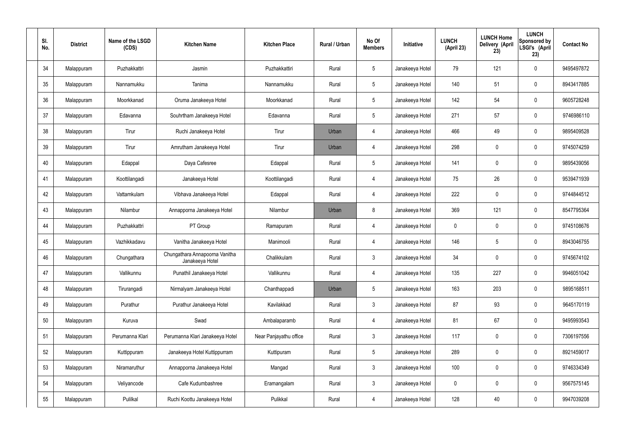| SI.<br>No. | <b>District</b> | Name of the LSGD<br>(CDS) | <b>Kitchen Name</b>                               | <b>Kitchen Place</b>   | Rural / Urban | No Of<br><b>Members</b> | Initiative      | <b>LUNCH</b><br>(April 23) | <b>LUNCH Home</b><br>Delivery (April<br>23) | <b>LUNCH</b><br>Sponsored by<br>LSGI's (April<br>23) | <b>Contact No</b> |
|------------|-----------------|---------------------------|---------------------------------------------------|------------------------|---------------|-------------------------|-----------------|----------------------------|---------------------------------------------|------------------------------------------------------|-------------------|
| 34         | Malappuram      | Puzhakkattri              | Jasmin                                            | Puzhakkattiri          | Rural         | $5\phantom{.0}$         | Janakeeya Hotel | 79                         | 121                                         | $\mathbf 0$                                          | 9495497872        |
| 35         | Malappuram      | Nannamukku                | Tanima                                            | Nannamukku             | Rural         | $5\phantom{.0}$         | Janakeeya Hotel | 140                        | 51                                          | $\mathbf 0$                                          | 8943417885        |
| 36         | Malappuram      | Moorkkanad                | Oruma Janakeeya Hotel                             | Moorkkanad             | Rural         | $5\phantom{.0}$         | Janakeeya Hotel | 142                        | 54                                          | $\mathbf 0$                                          | 9605728248        |
| 37         | Malappuram      | Edavanna                  | Souhrtham Janakeeya Hotel                         | Edavanna               | Rural         | $5\phantom{.0}$         | Janakeeya Hotel | 271                        | 57                                          | $\mathbf 0$                                          | 9746986110        |
| 38         | Malappuram      | Tirur                     | Ruchi Janakeeya Hotel                             | Tirur                  | Urban         | $\overline{4}$          | Janakeeya Hotel | 466                        | 49                                          | $\mathbf 0$                                          | 9895409528        |
| 39         | Malappuram      | Tirur                     | Amrutham Janakeeya Hotel                          | Tirur                  | Urban         | $\overline{4}$          | Janakeeya Hotel | 298                        | 0                                           | $\mathbf 0$                                          | 9745074259        |
| 40         | Malappuram      | Edappal                   | Daya Cafesree                                     | Edappal                | Rural         | $5\phantom{.0}$         | Janakeeya Hotel | 141                        | 0                                           | $\mathbf 0$                                          | 9895439056        |
| 41         | Malappuram      | Koottilangadi             | Janakeeya Hotel                                   | Koottilangadi          | Rural         | $\overline{4}$          | Janakeeya Hotel | 75                         | 26                                          | $\pmb{0}$                                            | 9539471939        |
| 42         | Malappuram      | Vattamkulam               | Vibhava Janakeeya Hotel                           | Edappal                | Rural         | $\overline{4}$          | Janakeeya Hotel | 222                        | 0                                           | $\mathbf 0$                                          | 9744844512        |
| 43         | Malappuram      | Nilambur                  | Annapporna Janakeeya Hotel                        | Nilambur               | Urban         | 8                       | Janakeeya Hotel | 369                        | 121                                         | $\mathbf 0$                                          | 8547795364        |
| 44         | Malappuram      | Puzhakkattri              | PT Group                                          | Ramapuram              | Rural         | $\overline{4}$          | Janakeeya Hotel | $\mathbf 0$                | 0                                           | $\boldsymbol{0}$                                     | 9745108676        |
| 45         | Malappuram      | Vazhikkadavu              | Vanitha Janakeeya Hotel                           | Manimooli              | Rural         | 4                       | Janakeeya Hotel | 146                        | 5                                           | $\boldsymbol{0}$                                     | 8943046755        |
| 46         | Malappuram      | Chungathara               | Chungathara Annapoorna Vanitha<br>Janakeeya Hotel | Chalikkulam            | Rural         | $\mathfrak{Z}$          | Janakeeya Hotel | 34                         | 0                                           | 0                                                    | 9745674102        |
| 47         | Malappuram      | Vallikunnu                | Punathil Janakeeya Hotel                          | Vallikunnu             | Rural         | $\overline{4}$          | Janakeeya Hotel | 135                        | 227                                         | $\mathbf 0$                                          | 9946051042        |
| 48         | Malappuram      | Tirurangadi               | Nirmalyam Janakeeya Hotel                         | Chanthappadi           | Urban         | $5\phantom{.0}$         | Janakeeya Hotel | 163                        | 203                                         | $\mathbf 0$                                          | 9895168511        |
| 49         | Malappuram      | Purathur                  | Purathur Janakeeya Hotel                          | Kavilakkad             | Rural         | 3 <sup>1</sup>          | Janakeeya Hotel | 87                         | 93                                          | $\mathbf 0$                                          | 9645170119        |
| 50         | Malappuram      | Kuruva                    | Swad                                              | Ambalaparamb           | Rural         | $\overline{4}$          | Janakeeya Hotel | 81                         | 67                                          | $\mathbf 0$                                          | 9495993543        |
| 51         | Malappuram      | Perumanna Klari           | Perumanna Klari Janakeeya Hotel                   | Near Panjayathu office | Rural         | $\mathbf{3}$            | Janakeeya Hotel | 117                        | 0                                           | $\mathbf 0$                                          | 7306197556        |
| 52         | Malappuram      | Kuttippuram               | Janakeeya Hotel Kuttippurram                      | Kuttipuram             | Rural         | $5\phantom{.0}$         | Janakeeya Hotel | 289                        | 0                                           | $\mathbf 0$                                          | 8921459017        |
| 53         | Malappuram      | Niramaruthur              | Annapporna Janakeeya Hotel                        | Mangad                 | Rural         | $\mathbf{3}$            | Janakeeya Hotel | 100                        | 0                                           | $\mathbf 0$                                          | 9746334349        |
| 54         | Malappuram      | Veliyancode               | Cafe Kudumbashree                                 | Eramangalam            | Rural         | $\mathfrak{Z}$          | Janakeeya Hotel | $\pmb{0}$                  | $\pmb{0}$                                   | $\pmb{0}$                                            | 9567575145        |
| 55         | Malappuram      | Pulilkal                  | Ruchi Koottu Janakeeya Hotel                      | Pulikkal               | Rural         | 4                       | Janakeeya Hotel | 128                        | 40                                          | $\pmb{0}$                                            | 9947039208        |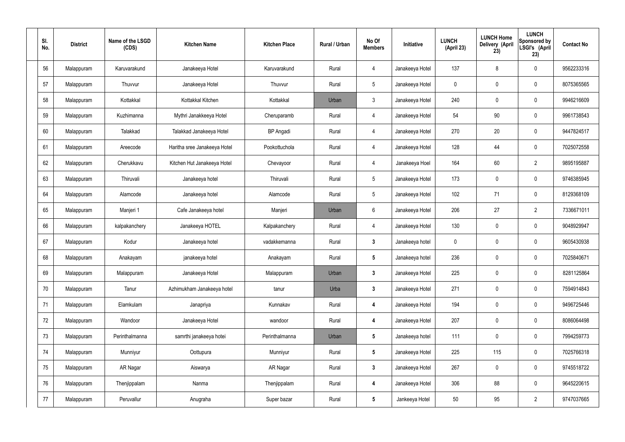| SI.<br>No. | <b>District</b> | Name of the LSGD<br>(CDS) | <b>Kitchen Name</b>          | <b>Kitchen Place</b> | Rural / Urban | No Of<br><b>Members</b> | Initiative      | <b>LUNCH</b><br>(April 23) | <b>LUNCH Home</b><br>Delivery (April<br>23) | <b>LUNCH</b><br>Sponsored by<br>LSGI's (April<br>23) | <b>Contact No</b> |
|------------|-----------------|---------------------------|------------------------------|----------------------|---------------|-------------------------|-----------------|----------------------------|---------------------------------------------|------------------------------------------------------|-------------------|
| 56         | Malappuram      | Karuvarakund              | Janakeeya Hotel              | Karuvarakund         | Rural         | 4                       | Janakeeya Hotel | 137                        | 8                                           | $\mathbf 0$                                          | 9562233316        |
| 57         | Malappuram      | Thuvvur                   | Janakeeya Hotel              | Thuvvur              | Rural         | $5\phantom{.0}$         | Janakeeya Hotel | $\mathbf 0$                | $\mathbf 0$                                 | $\mathbf 0$                                          | 8075365565        |
| 58         | Malappuram      | Kottakkal                 | Kottakkal Kitchen            | Kottakkal            | Urban         | $\mathbf{3}$            | Janakeeya Hotel | 240                        | $\mathbf 0$                                 | $\mathbf 0$                                          | 9946216609        |
| 59         | Malappuram      | Kuzhimanna                | Mythri Janakkeeya Hotel      | Cheruparamb          | Rural         | $\overline{4}$          | Janakeeya Hotel | 54                         | 90                                          | $\mathbf 0$                                          | 9961738543        |
| 60         | Malappuram      | Talakkad                  | Talakkad Janakeeya Hotel     | <b>BP</b> Angadi     | Rural         | $\overline{4}$          | Janakeeya Hotel | 270                        | 20                                          | $\mathbf 0$                                          | 9447824517        |
| 61         | Malappuram      | Areecode                  | Haritha sree Janakeeya Hotel | Pookottuchola        | Rural         | $\overline{4}$          | Janakeeya Hotel | 128                        | 44                                          | $\mathbf 0$                                          | 7025072558        |
| 62         | Malappuram      | Cherukkavu                | Kitchen Hut Janakeeya Hotel  | Chevayoor            | Rural         | $\overline{4}$          | Janakeeya Hoel  | 164                        | 60                                          | $\overline{2}$                                       | 9895195887        |
| 63         | Malappuram      | Thiruvali                 | Janakeeya hotel              | Thiruvali            | Rural         | $5\overline{)}$         | Janakeeya Hotel | 173                        | $\mathbf 0$                                 | $\mathbf 0$                                          | 9746385945        |
| 64         | Malappuram      | Alamcode                  | Janakeeya hotel              | Alamcode             | Rural         | $5\phantom{.0}$         | Janakeeya Hotel | 102                        | 71                                          | $\mathbf 0$                                          | 8129368109        |
| 65         | Malappuram      | Manjeri 1                 | Cafe Janakeeya hotel         | Manjeri              | Urban         | 6                       | Janakeeya Hotel | 206                        | 27                                          | $\overline{2}$                                       | 7336671011        |
| 66         | Malappuram      | kalpakanchery             | Janakeeya HOTEL              | Kalpakanchery        | Rural         | $\overline{4}$          | Janakeeya Hotel | 130                        | 0                                           | $\mathbf 0$                                          | 9048929947        |
| 67         | Malappuram      | Kodur                     | Janakeeya hotel              | vadakkemanna         | Rural         | $\mathbf{3}$            | Janakeeya hotel | $\mathbf 0$                | 0                                           | $\mathbf 0$                                          | 9605430938        |
| 68         | Malappuram      | Anakayam                  | janakeeya hotel              | Anakayam             | Rural         | $5\phantom{.0}$         | Janakeeya hotel | 236                        | $\mathbf 0$                                 | $\boldsymbol{0}$                                     | 7025840671        |
| 69         | Malappuram      | Malappuram                | Janakeeya Hotel              | Malappuram           | Urban         | $\mathbf{3}$            | Janakeeya Hotel | 225                        | $\mathsf{0}$                                | $\mathbf 0$                                          | 8281125864        |
| 70         | Malappuram      | Tanur                     | Azhimukham Janakeeya hotel   | tanur                | Urba          | $3\phantom{a}$          | Janakeeya Hotel | 271                        | $\mathsf{0}$                                | $\mathbf 0$                                          | 7594914843        |
| 71         | Malappuram      | Elamkulam                 | Janapriya                    | Kunnakav             | Rural         | $\overline{\mathbf{4}}$ | Janakeeya Hotel | 194                        | 0                                           | $\mathbf 0$                                          | 9496725446        |
| 72         | Malappuram      | Wandoor                   | Janakeeya Hotel              | wandoor              | Rural         | 4                       | Janakeeya Hotel | 207                        | 0                                           | $\mathbf 0$                                          | 8086064498        |
| 73         | Malappuram      | Perinthalmanna            | samrthi janakeeya hotei      | Perinthalmanna       | Urban         | $5\phantom{.0}$         | Janakeeya hotel | 111                        | 0                                           | $\mathbf 0$                                          | 7994259773        |
| 74         | Malappuram      | Munniyur                  | Oottupura                    | Munniyur             | Rural         | $5\phantom{.0}$         | Janakeeya Hotel | 225                        | 115                                         | $\pmb{0}$                                            | 7025766318        |
| 75         | Malappuram      | AR Nagar                  | Aiswarya                     | AR Nagar             | Rural         | $3\phantom{a}$          | Janakeeya Hotel | 267                        | 0                                           | $\mathbf 0$                                          | 9745518722        |
| 76         | Malappuram      | Thenjippalam              | Nanma                        | Thenjippalam         | Rural         | $\overline{\mathbf{4}}$ | Janakeeya Hotel | 306                        | 88                                          | $\mathbf 0$                                          | 9645220615        |
| 77         | Malappuram      | Peruvallur                | Anugraha                     | Super bazar          | Rural         | $5\phantom{.0}$         | Jankeeya Hotel  | 50                         | 95                                          | $\overline{2}$                                       | 9747037665        |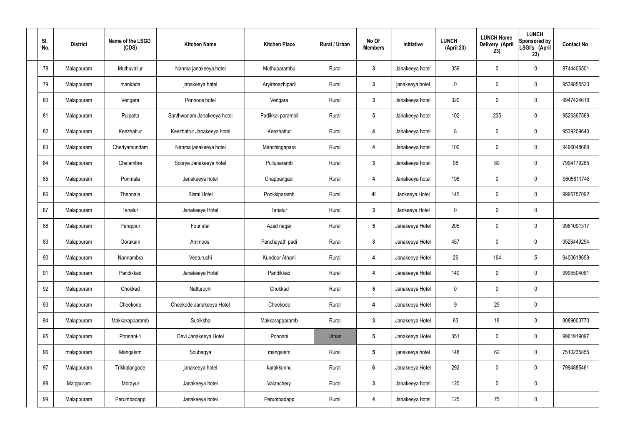| SI.<br>No. | <b>District</b> | Name of the LSGD<br>(CDS) | <b>Kitchen Name</b>        | <b>Kitchen Place</b> | Rural / Urban | No Of<br><b>Members</b> | Initiative      | <b>LUNCH</b><br>(April 23) | <b>LUNCH Home</b><br>Delivery (April<br>23) | <b>LUNCH</b><br>Sponsored by<br>LSGI's (April<br>23) | <b>Contact No</b> |
|------------|-----------------|---------------------------|----------------------------|----------------------|---------------|-------------------------|-----------------|----------------------------|---------------------------------------------|------------------------------------------------------|-------------------|
| 78         | Malappuram      | Muthuvallur               | Nanma janakeeya hotel      | Muthuparambu         | Rural         | $\boldsymbol{3}$        | Janakeeya hotel | 359                        | $\pmb{0}$                                   | $\pmb{0}$                                            | 9744406501        |
| 79         | Malappuram      | mankada                   | janakeeya hatel            | Aryiranazhipadi      | Rural         | $\mathbf{3}$            | janakeeya hotel | 0                          | $\pmb{0}$                                   | $\pmb{0}$                                            | 9539855520        |
| 80         | Malappuram      | Vengara                   | Ponnoos hotel              | Vengara              | Rural         | $\overline{3}$          | Janakeeya hotel | 320                        | $\mathbf 0$                                 | $\pmb{0}$                                            | 9947424618        |
| 81         | Malappuram      | Pulpatta                  | Santhwanam Janakeeya hotel | Padikkal parambil    | Rural         | $5\phantom{.0}$         | Janakeeya hotel | 102                        | 235                                         | $\pmb{0}$                                            | 9526367569        |
| 82         | Malappuram      | Keezhattur                | Keezhattur Janakeeya hotel | Keezhattur           | Rural         | $\overline{4}$          | Janakeeya hotel | 8                          | 0                                           | $\pmb{0}$                                            | 9539209640        |
| 83         | Malappuram      | Cheriyamundam             | Nanma janakeeya hotel      | Manchingapara        | Rural         | $\overline{4}$          | Janakeeya hotel | 100                        | $\pmb{0}$                                   | $\pmb{0}$                                            | 9496048689        |
| 84         | Malappuram      | Chelambre                 | Soorya Janakeeya hotel     | Pulluparamb          | Rural         | $\overline{\mathbf{3}}$ | Janakeeya hotel | 98                         | 89                                          | $\pmb{0}$                                            | 7994179285        |
| 85         | Malappuram      | Ponmala                   | Janakeeya hotel            | Chappangadi          | Rural         | $\overline{4}$          | Janakeeya hotel | 198                        | $\mathbf 0$                                 | $\mathbf 0$                                          | 9605811748        |
| 86         | Malappuram      | Thennala                  | <b>Bismi Hotel</b>         | Pookkiparamb         | Rural         | 4!                      | Jankeeya Hotel  | 145                        | $\mathbf 0$                                 | $\pmb{0}$                                            | 9995757092        |
| 87         | Malappuram      | Tanalur                   | Janakeeya Hotel            | Tanalur              | Rural         | $\mathbf{3}$            | Jankeeya Hotel  | 0                          | $\pmb{0}$                                   | $\pmb{0}$                                            |                   |
| 88         | Malappuram      | Parappur                  | Four star                  | Azad nagar           | Rural         | $5\phantom{.0}$         | Janakeeya Hotel | 205                        | $\mathbf 0$                                 | $\pmb{0}$                                            | 9961091317        |
| 89         | Malappuram      | Oorakam                   | Ammoos                     | Panchayath padi      | Rural         | $\mathbf{3}$            | Janakeeya Hotel | 457                        | $\pmb{0}$                                   | $\pmb{0}$                                            | 9526449294        |
| 90         | Malappuram      | Nannambra                 | Veeturuchi                 | Kundoor Athani       | Rural         | 4                       | Janakeeya Hotel | 26                         | 164                                         | 5                                                    | 9400618659        |
| 91         | Malappuram      | Pandikkad                 | Janakeeya Hotel            | Pandikkad            | Rural         | $\overline{\mathbf{4}}$ | Janakeeya Hotel | 140                        | $\mathbf 0$                                 | $\mathbf 0$                                          | 9995504081        |
| 92         | Malappuram      | Chokkad                   | Natturuchi                 | Chokkad              | Rural         | $5\phantom{.0}$         | Janakeeya Hotel | $\mathbf 0$                | $\mathbf 0$                                 | $\mathbf 0$                                          |                   |
| 93         | Malappuram      | Cheekode                  | Cheekode Janakeeya Hotel   | Cheekode             | Rural         | $\overline{\mathbf{4}}$ | Janakeeya Hotel | 9                          | 29                                          | $\pmb{0}$                                            |                   |
| 94         | Malappuram      | Makkarapparamb            | Subiksha                   | Makkarapparamb       | Rural         | $3\phantom{a}$          | Janakeeya Hotel | 63                         | 18                                          | $\pmb{0}$                                            | 8089003770        |
| 95         | Malappuram      | Ponnani-1                 | Devi Janakeeya Hotel       | Ponnani              | Urban         | $5\phantom{.0}$         | Janakeeya Hotel | 351                        | $\overline{0}$                              | $\mathbf 0$                                          | 9961919097        |
| 96         | malappuram      | Mangalam                  | Soubagya                   | mangalam             | Rural         | $5\phantom{.0}$         | janakeeya hotel | 148                        | 62                                          | $\pmb{0}$                                            | 7510235855        |
| 97         | Malappuram      | Trikkalangode             | janakeeya hotel            | karakkunnu           | Rural         | $6\phantom{.}6$         | Janakeeya Hotel | 292                        | $\mathbf 0$                                 | $\mathbf 0$                                          | 7994885461        |
| 98         | Malppuram       | Morayur                   | Janakeeya hotel            | Valanchery           | Rural         | $\mathbf{3}$            | Janakeeya hotel | 120                        | $\mathbf 0$                                 | $\mathbf 0$                                          |                   |
| 99         | Malappuram      | Perumbadapp               | Janakeeya hotel            | Perumbadapp          | Rural         | $\overline{\mathbf{4}}$ | Janakeeya hotel | 125                        | 75                                          | $\pmb{0}$                                            |                   |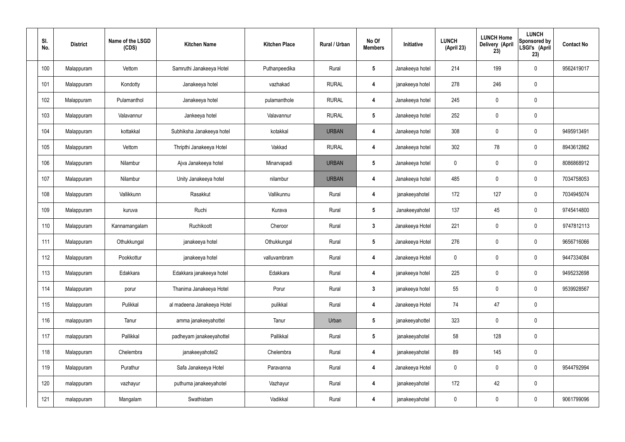| SI.<br>No. | <b>District</b> | Name of the LSGD<br>(CDS) | <b>Kitchen Name</b>        | <b>Kitchen Place</b> | Rural / Urban | No Of<br><b>Members</b> | Initiative      | <b>LUNCH</b><br>(April 23) | <b>LUNCH Home</b><br><b>Delivery (April</b><br>23) | <b>LUNCH</b><br>Sponsored by<br>LSGI's (April<br>23) | <b>Contact No</b> |
|------------|-----------------|---------------------------|----------------------------|----------------------|---------------|-------------------------|-----------------|----------------------------|----------------------------------------------------|------------------------------------------------------|-------------------|
| 100        | Malappuram      | Vettom                    | Samruthi Janakeeya Hotel   | Puthanpeedika        | Rural         | $\sqrt{5}$              | Janakeeya hotel | 214                        | 199                                                | 0                                                    | 9562419017        |
| 101        | Malappuram      | Kondotty                  | Janakeeya hotel            | vazhakad             | <b>RURAL</b>  | 4                       | janakeeya hotel | 278                        | 246                                                | 0                                                    |                   |
| 102        | Malappuram      | Pulamanthol               | Janakeeya hotel            | pulamanthole         | <b>RURAL</b>  | 4                       | Janakeeya hotel | 245                        | $\boldsymbol{0}$                                   | 0                                                    |                   |
| 103        | Malappuram      | Valavannur                | Jankeeya hotel             | Valavannur           | <b>RURAL</b>  | $\sqrt{5}$              | Janakeeya hotel | 252                        | $\mathbf 0$                                        | 0                                                    |                   |
| 104        | Malappuram      | kottakkal                 | Subhiksha Janakeeya hotel  | kotakkal             | <b>URBAN</b>  | 4                       | Janakeeya hotel | 308                        | $\mathbf 0$                                        | 0                                                    | 9495913491        |
| 105        | Malappuram      | Vettom                    | Thripthi Janakeeya Hotel   | Vakkad               | <b>RURAL</b>  | $\overline{4}$          | Janakeeya hotel | 302                        | 78                                                 | 0                                                    | 8943612862        |
| 106        | Malappuram      | Nilambur                  | Ajva Janakeeya hotel       | Minarvapadi          | <b>URBAN</b>  | 5                       | Janakeeya hotel | $\mathbf 0$                | $\boldsymbol{0}$                                   | 0                                                    | 8086868912        |
| 107        | Malappuram      | Nilambur                  | Unity Janakeeya hotel      | nilambur             | <b>URBAN</b>  | $\overline{4}$          | Janakeeya hotel | 485                        | $\mathbf 0$                                        | 0                                                    | 7034758053        |
| 108        | Malappuram      | Vallikkunn                | Rasakkut                   | Vallikunnu           | Rural         | 4                       | janakeeyahotel  | 172                        | 127                                                | 0                                                    | 7034945074        |
| 109        | Malappuram      | kuruva                    | Ruchi                      | Kurava               | Rural         | $\sqrt{5}$              | Janakeeyahotel  | 137                        | 45                                                 | 0                                                    | 9745414800        |
| 110        | Malappuram      | Kannamangalam             | Ruchikoott                 | Cheroor              | Rural         | $\mathbf{3}$            | Janakeeya Hotel | 221                        | $\boldsymbol{0}$                                   | 0                                                    | 9747812113        |
| 111        | Malappuram      | Othukkungal               | janakeeya hotel            | Othukkungal          | Rural         | $\sqrt{5}$              | Janakeeya Hotel | 276                        | 0                                                  | 0                                                    | 9656716066        |
| 112        | Malappuram      | Pookkottur                | janakeeya hotel            | valluvambram         | Rural         | 4                       | Janakeeya Hotel | 0                          | $\mathbf 0$                                        | 0                                                    | 9447334084        |
| 113        | Malappuram      | Edakkara                  | Edakkara janakeeya hotel   | Edakkara             | Rural         | $\overline{4}$          | janakeeya hotel | 225                        | $\pmb{0}$                                          | 0                                                    | 9495232698        |
| 114        | Malappuram      | porur                     | Thanima Janakeeya Hotel    | Porur                | Rural         | $\mathbf{3}$            | janakeeya hotel | 55                         | $\pmb{0}$                                          | $\mathbf 0$                                          | 9539928567        |
| 115        | Malappuram      | Pulikkal                  | al madeena Janakeeya Hotel | pulikkal             | Rural         | $\overline{\mathbf{4}}$ | Janakeeya Hotel | 74                         | 47                                                 | 0                                                    |                   |
| 116        | malappuram      | Tanur                     | amma janakeeyahottel       | Tanur                | Urban         | $5\phantom{.0}$         | janakeeyahottel | 323                        | $\mathbf 0$                                        | 0                                                    |                   |
| 117        | malappuram      | Pallikkal                 | padheyam janakeeyahottel   | Pallikkal            | Rural         | $5\phantom{.0}$         | janakeeyahotel  | 58                         | 128                                                | 0                                                    |                   |
| 118        | Malappuram      | Chelembra                 | janakeeyahotel2            | Chelembra            | Rural         | $\boldsymbol{4}$        | janakeeyahotel  | 89                         | 145                                                | 0                                                    |                   |
| 119        | Malappuram      | Purathur                  | Safa Janakeeya Hotel       | Paravanna            | Rural         | $\boldsymbol{4}$        | Janakeeya Hotel | $\mathbf 0$                | $\pmb{0}$                                          | 0                                                    | 9544792994        |
| 120        | malappuram      | vazhayur                  | puthuma janakeeyahotel     | Vazhayur             | Rural         | $\boldsymbol{4}$        | janakeeyahotel  | 172                        | 42                                                 | 0                                                    |                   |
| 121        | malappuram      | Mangalam                  | Swathistam                 | Vadikkal             | Rural         | 4                       | janakeeyahotel  | $\overline{0}$             | $\pmb{0}$                                          | 0                                                    | 9061799096        |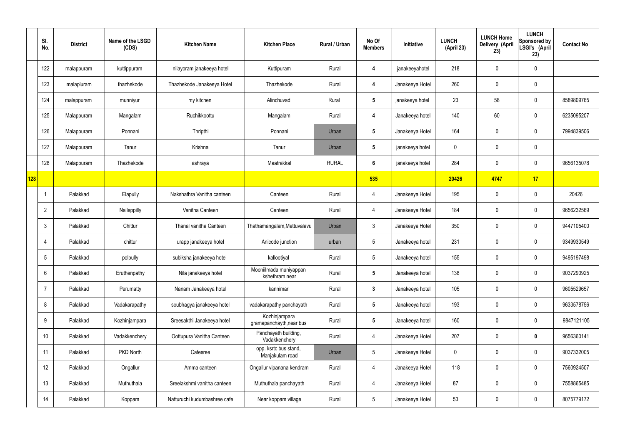|     | SI.<br>No.     | <b>District</b> | Name of the LSGD<br>(CDS) | <b>Kitchen Name</b>          | <b>Kitchen Place</b>                      | Rural / Urban | No Of<br><b>Members</b> | Initiative      | <b>LUNCH</b><br>(April 23) | <b>LUNCH Home</b><br>Delivery (April<br>23) | <b>LUNCH</b><br>Sponsored by<br>LSGI's (April<br>23) | <b>Contact No</b> |
|-----|----------------|-----------------|---------------------------|------------------------------|-------------------------------------------|---------------|-------------------------|-----------------|----------------------------|---------------------------------------------|------------------------------------------------------|-------------------|
|     | 122            | malappuram      | kuttippuram               | nilayoram janakeeya hotel    | Kuttipuram                                | Rural         | 4                       | janakeeyahotel  | 218                        | 0                                           | $\mathbf 0$                                          |                   |
|     | 123            | malapluram      | thazhekode                | Thazhekode Janakeeya Hotel   | Thazhekode                                | Rural         | 4                       | Janakeeya Hotel | 260                        | 0                                           | $\mathbf 0$                                          |                   |
|     | 124            | malappuram      | munniyur                  | my kitchen                   | Alinchuvad                                | Rural         | $5\overline{)}$         | janakeeya hotel | 23                         | 58                                          | $\mathbf 0$                                          | 8589809765        |
|     | 125            | Malappuram      | Mangalam                  | Ruchikkoottu                 | Mangalam                                  | Rural         | 4                       | Janakeeya hotel | 140                        | 60                                          | $\mathbf 0$                                          | 6235095207        |
|     | 126            | Malappuram      | Ponnani                   | Thripthi                     | Ponnani                                   | Urban         | $5\overline{)}$         | Janakeeya Hotel | 164                        | $\mathbf 0$                                 | $\mathbf 0$                                          | 7994839506        |
|     | 127            | Malappuram      | Tanur                     | Krishna                      | Tanur                                     | Urban         | $5\phantom{.0}$         | janakeeya hotel | 0                          | $\mathbf 0$                                 | $\mathbf 0$                                          |                   |
|     | 128            | Malappuram      | Thazhekode                | ashraya                      | Maatrakkal                                | <b>RURAL</b>  | $6\phantom{.}$          | janakeeya hotel | 284                        | $\mathbf 0$                                 | $\mathbf 0$                                          | 9656135078        |
| 128 |                |                 |                           |                              |                                           |               | 535                     |                 | 20426                      | 4747                                        | 17                                                   |                   |
|     |                | Palakkad        | Elapully                  | Nakshathra Vanitha canteen   | Canteen                                   | Rural         | 4                       | Janakeeya Hotel | 195                        | 0                                           | $\mathbf 0$                                          | 20426             |
|     | $\overline{2}$ | Palakkad        | Nalleppilly               | Vanitha Canteen              | Canteen                                   | Rural         | 4                       | Janakeeya Hotel | 184                        | $\mathbf 0$                                 | $\mathbf 0$                                          | 9656232569        |
|     | $\mathbf{3}$   | Palakkad        | Chittur                   | Thanal vanitha Canteen       | Thathamangalam, Mettuvalavu               | Urban         | $\mathbf{3}$            | Janakeeya Hotel | 350                        | 0                                           | $\mathbf 0$                                          | 9447105400        |
|     | 4              | Palakkad        | chittur                   | urapp janakeeya hotel        | Anicode junction                          | urban         | $5\phantom{.0}$         | Janakeeya hotel | 231                        | $\mathbf 0$                                 | $\mathbf 0$                                          | 9349930549        |
|     | 5              | Palakkad        | polpully                  | subiksha janakeeya hotel     | kallootiyal                               | Rural         | $5\phantom{.0}$         | Janakeeya hotel | 155                        | 0                                           | $\mathbf 0$                                          | 9495197498        |
|     | 6              | Palakkad        | Eruthenpathy              | Nila janakeeya hotel         | Mooniilmada muniyappan<br>kshethram near  | Rural         | $5\overline{)}$         | Janakeeya hotel | 138                        | $\mathbf 0$                                 | $\mathbf 0$                                          | 9037290925        |
|     | $\overline{7}$ | Palakkad        | Perumatty                 | Nanam Janakeeya hotel        | kannimari                                 | Rural         | $\mathbf{3}$            | Janakeeya hotel | 105                        | $\mathbf 0$                                 | $\mathbf 0$                                          | 9605529657        |
|     | 8              | Palakkad        | Vadakarapathy             | soubhagya janakeeya hotel    | vadakarapathy panchayath                  | Rural         | $5\phantom{.0}$         | Janakeeya hotel | 193                        | $\mathbf 0$                                 | $\mathbf 0$                                          | 9633578756        |
|     | 9              | Palakkad        | Kozhinjampara             | Sreesakthi Janakeeya hotel   | Kozhinjampara<br>gramapanchayth, near bus | Rural         | $5\phantom{.0}$         | Janakeeya hotel | 160                        | $\mathbf 0$                                 | $\mathbf 0$                                          | 9847121105        |
|     | 10             | Palakkad        | Vadakkenchery             | Oottupura Vanitha Canteen    | Panchayath building,<br>Vadakkenchery     | Rural         | $\overline{4}$          | Janakeeya Hotel | 207                        | 0                                           | $\bf{0}$                                             | 9656360141        |
|     | 11             | Palakkad        | PKD North                 | Cafesree                     | opp. ksrtc bus stand,<br>Manjakulam road  | Urban         | $5\phantom{.0}$         | Janakeeya Hotel | 0                          | 0                                           | $\mathbf 0$                                          | 9037332005        |
|     | 12             | Palakkad        | Ongallur                  | Amma canteen                 | Ongallur vipanana kendram                 | Rural         | $\overline{4}$          | Janakeeya Hotel | 118                        | 0                                           | $\mathbf 0$                                          | 7560924507        |
|     | 13             | Palakkad        | Muthuthala                | Sreelakshmi vanitha canteen  | Muthuthala panchayath                     | Rural         | 4                       | Janakeeya Hotel | 87                         | $\mathbf 0$                                 | $\mathbf 0$                                          | 7558865485        |
|     | 14             | Palakkad        | Koppam                    | Natturuchi kudumbashree cafe | Near koppam village                       | Rural         | $5\phantom{.0}$         | Janakeeya Hotel | 53                         | 0                                           | $\overline{0}$                                       | 8075779172        |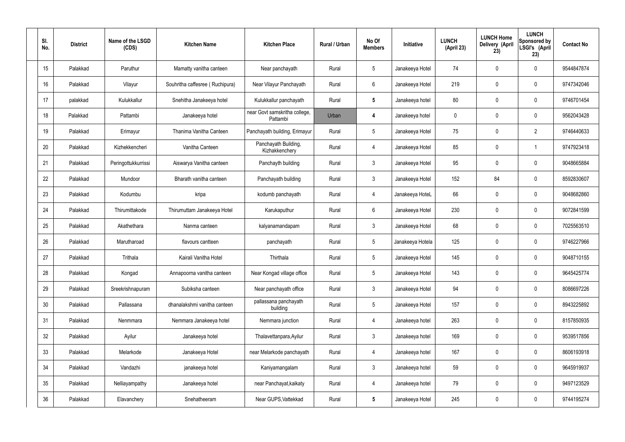| SI.<br>No. | <b>District</b> | Name of the LSGD<br>(CDS) | <b>Kitchen Name</b>             | <b>Kitchen Place</b>                      | Rural / Urban | No Of<br><b>Members</b> | Initiative       | <b>LUNCH</b><br>(April 23) | <b>LUNCH Home</b><br>Delivery (April<br>23) | <b>LUNCH</b><br>Sponsored by<br>LSGI's (April<br>23) | <b>Contact No</b> |
|------------|-----------------|---------------------------|---------------------------------|-------------------------------------------|---------------|-------------------------|------------------|----------------------------|---------------------------------------------|------------------------------------------------------|-------------------|
| 15         | Palakkad        | Paruthur                  | Mamatty vanitha canteen         | Near panchayath                           | Rural         | 5                       | Janakeeya Hotel  | 74                         | 0                                           | $\mathbf 0$                                          | 9544847874        |
| 16         | Palakkad        | Vilayur                   | Souhritha caffesree (Ruchipura) | Near Vilayur Panchayath                   | Rural         | 6                       | Janakeeya Hotel  | 219                        | 0                                           | $\mathbf 0$                                          | 9747342046        |
| 17         | palakkad        | Kulukkallur               | Snehitha Janakeeya hotel        | Kulukkallur panchayath                    | Rural         | $5\phantom{.0}$         | Janakeeya hotel  | 80                         | 0                                           | $\mathbf 0$                                          | 9746701454        |
| 18         | Palakkad        | Pattambi                  | Janakeeya hotel                 | near Govt samskritha college,<br>Pattambi | Urban         | 4                       | Janakeeya hotel  | $\mathbf 0$                | 0                                           | $\mathbf 0$                                          | 9562043428        |
| 19         | Palakkad        | Erimayur                  | Thanima Vanitha Canteen         | Panchayath building, Erimayur             | Rural         | $5\overline{)}$         | Janakeeya Hotel  | 75                         | 0                                           | $\overline{2}$                                       | 9746440633        |
| 20         | Palakkad        | Kizhekkencheri            | Vanitha Canteen                 | Panchayath Building,<br>Kizhakkenchery    | Rural         | 4                       | Janakeeya Hotel  | 85                         | 0                                           | -1                                                   | 9747923418        |
| 21         | Palakkad        | Peringottukkurrissi       | Aiswarya Vanitha canteen        | Panchayth building                        | Rural         | $\mathbf{3}$            | Janakeeya Hotel  | 95                         | 0                                           | $\mathbf 0$                                          | 9048665884        |
| 22         | Palakkad        | Mundoor                   | Bharath vanitha canteen         | Panchayath building                       | Rural         | $\mathbf{3}$            | Janakeeya Hotel  | 152                        | 84                                          | $\mathbf 0$                                          | 8592830607        |
| 23         | Palakkad        | Kodumbu                   | kripa                           | kodumb panchayath                         | Rural         | 4                       | Janakeeya HoteL  | 66                         | 0                                           | $\mathbf 0$                                          | 9048682860        |
| 24         | Palakkad        | Thirumittakode            | Thirumuttam Janakeeya Hotel     | Karukaputhur                              | Rural         | 6                       | Janakeeya Hotel  | 230                        | 0                                           | $\mathbf 0$                                          | 9072841599        |
| 25         | Palakkad        | Akathethara               | Nanma canteen                   | kalyanamandapam                           | Rural         | $\mathbf{3}$            | Janakeeya Hotel  | 68                         | 0                                           | $\boldsymbol{0}$                                     | 7025563510        |
| 26         | Palakkad        | Marutharoad               | flavours cantteen               | panchayath                                | Rural         | $5\phantom{.0}$         | Janakeeya Hotela | 125                        | 0                                           | $\boldsymbol{0}$                                     | 9746227966        |
| 27         | Palakkad        | Trithala                  | Kairali Vanitha Hotel           | Thirthala                                 | Rural         | $5\phantom{.0}$         | Janakeeya Hotel  | 145                        | 0                                           | 0                                                    | 9048710155        |
| 28         | Palakkad        | Kongad                    | Annapoorna vanitha canteen      | Near Kongad village office                | Rural         | $5\phantom{.0}$         | Janakeeya Hotel  | 143                        | $\mathbf 0$                                 | $\mathbf 0$                                          | 9645425774        |
| 29         | Palakkad        | Sreekrishnapuram          | Subiksha canteen                | Near panchayath office                    | Rural         | $3\phantom{a}$          | Janakeeya Hotel  | 94                         | $\mathbf 0$                                 | $\mathbf 0$                                          | 8086697226        |
| 30         | Palakkad        | Pallassana                | dhanalakshmi vanitha canteen    | pallassana panchayath<br>building         | Rural         | $5\phantom{.0}$         | Janakeeya Hotel  | 157                        | $\mathbf 0$                                 | $\mathbf 0$                                          | 8943225892        |
| 31         | Palakkad        | Nenmmara                  | Nemmara Janakeeya hotel         | Nemmara junction                          | Rural         | $\overline{4}$          | Janakeeya hotel  | 263                        | $\mathbf 0$                                 | $\mathbf 0$                                          | 8157850935        |
| 32         | Palakkad        | Ayilur                    | Janakeeya hotel                 | Thalavettanpara, Ayilur                   | Rural         | $\mathbf{3}$            | Janakeeya hotel  | 169                        | 0                                           | $\mathbf 0$                                          | 9539517856        |
| 33         | Palakkad        | Melarkode                 | Janakeeya Hotel                 | near Melarkode panchayath                 | Rural         | 4                       | Janakeeya hotel  | 167                        | 0                                           | $\mathbf 0$                                          | 8606193918        |
| 34         | Palakkad        | Vandazhi                  | janakeeya hotel                 | Kaniyamangalam                            | Rural         | $\mathbf{3}$            | Janakeeya hotel  | 59                         | 0                                           | $\mathbf 0$                                          | 9645919937        |
| 35         | Palakkad        | Nelliayampathy            | Janakeeya hotel                 | near Panchayat, kaikaty                   | Rural         | $\overline{4}$          | Janakeeya hotel  | 79                         | $\mathbf 0$                                 | $\mathbf 0$                                          | 9497123529        |
| 36         | Palakkad        | Elavanchery               | Snehatheeram                    | Near GUPS, Vattekkad                      | Rural         | $5\phantom{.0}$         | Janakeeya Hotel  | 245                        | 0                                           | $\boldsymbol{0}$                                     | 9744195274        |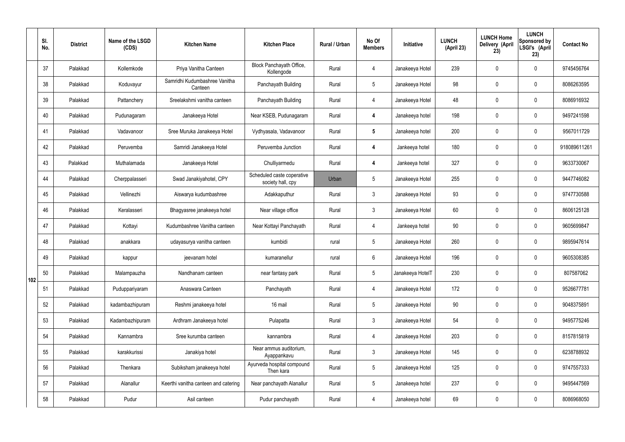|     | SI.<br>No. | <b>District</b> | Name of the LSGD<br>(CDS) | <b>Kitchen Name</b>                      | <b>Kitchen Place</b>                            | <b>Rural / Urban</b> | No Of<br><b>Members</b> | Initiative       | <b>LUNCH</b><br>(April 23) | <b>LUNCH Home</b><br>Delivery (April<br>23) | <b>LUNCH</b><br>Sponsored by<br>LSGI's (April<br>23) | <b>Contact No</b> |
|-----|------------|-----------------|---------------------------|------------------------------------------|-------------------------------------------------|----------------------|-------------------------|------------------|----------------------------|---------------------------------------------|------------------------------------------------------|-------------------|
|     | 37         | Palakkad        | Kollemkode                | Priya Vanitha Canteen                    | Block Panchayath Office,<br>Kollengode          | Rural                | 4                       | Janakeeya Hotel  | 239                        | $\mathbf 0$                                 | $\mathbf 0$                                          | 9745456764        |
|     | 38         | Palakkad        | Koduvayur                 | Samridhi Kudumbashree Vanitha<br>Canteen | Panchayath Building                             | Rural                | $5\overline{)}$         | Janakeeya Hotel  | 98                         | $\mathbf 0$                                 | $\mathbf 0$                                          | 8086263595        |
|     | 39         | Palakkad        | Pattanchery               | Sreelakshmi vanitha canteen              | Panchayath Building                             | Rural                | $\overline{4}$          | Janakeeya Hotel  | 48                         | $\mathbf 0$                                 | $\mathbf 0$                                          | 8086916932        |
|     | 40         | Palakkad        | Pudunagaram               | Janakeeya Hotel                          | Near KSEB, Pudunagaram                          | Rural                | $\boldsymbol{4}$        | Janakeeya hotel  | 198                        | $\mathbf 0$                                 | $\mathbf 0$                                          | 9497241598        |
|     | 41         | Palakkad        | Vadavanoor                | Sree Muruka Janakeeya Hotel              | Vydhyasala, Vadavanoor                          | Rural                | $5\phantom{.0}$         | Janakeeya hotel  | 200                        | $\mathbf 0$                                 | $\mathbf 0$                                          | 9567011729        |
|     | 42         | Palakkad        | Peruvemba                 | Samridi Janakeeya Hotel                  | Peruvemba Junction                              | Rural                | $\boldsymbol{4}$        | Jankeeya hotel   | 180                        | $\mathbf 0$                                 | $\mathbf 0$                                          | 918089611261      |
|     | 43         | Palakkad        | Muthalamada               | Janakeeya Hotel                          | Chulliyarmedu                                   | Rural                | $\boldsymbol{4}$        | Jankeeya hotel   | 327                        | $\mathbf 0$                                 | $\mathbf 0$                                          | 9633730067        |
|     | 44         | Palakkad        | Cherppalasseri            | Swad Janakiyahotel, CPY                  | Scheduled caste coperative<br>society hall, cpy | Urban                | $5\overline{)}$         | Janakeeya Hotel  | 255                        | $\mathbf 0$                                 | $\mathbf 0$                                          | 9447746082        |
|     | 45         | Palakkad        | Vellinezhi                | Aiswarya kudumbashree                    | Adakkaputhur                                    | Rural                | $\mathbf{3}$            | Janakeeya Hotel  | 93                         | $\mathbf 0$                                 | $\mathbf 0$                                          | 9747730588        |
|     | 46         | Palakkad        | Keralasseri               | Bhagyasree janakeeya hotel               | Near village office                             | Rural                | $\mathbf{3}$            | Janakeeya Hotel  | 60                         | $\mathbf 0$                                 | $\mathbf 0$                                          | 8606125128        |
|     | 47         | Palakkad        | Kottayi                   | Kudumbashree Vanitha canteen             | Near Kottayi Panchayath                         | Rural                | 4                       | Jankeeya hotel   | 90                         | $\mathbf 0$                                 | $\mathbf 0$                                          | 9605699847        |
|     | 48         | Palakkad        | anakkara                  | udayasurya vanitha canteen               | kumbidi                                         | rural                | $5\phantom{.0}$         | Janakeeya Hotel  | 260                        | $\mathbf 0$                                 | $\mathbf 0$                                          | 9895947614        |
|     | 49         | Palakkad        | kappur                    | jeevanam hotel                           | kumaranellur                                    | rural                | 6                       | Janakeeya Hotel  | 196                        | 0                                           | $\mathbf 0$                                          | 9605308385        |
| 102 | 50         | Palakkad        | Malampauzha               | Nandhanam canteen                        | near fantasy park                               | Rural                | $5\overline{)}$         | Janakeeya HotelT | 230                        | $\mathbf 0$                                 | $\mathbf 0$                                          | 807587062         |
|     | 51         | Palakkad        | Puduppariyaram            | Anaswara Canteen                         | Panchayath                                      | Rural                | $\overline{4}$          | Janakeeya Hotel  | 172                        | $\mathbf 0$                                 | $\mathbf 0$                                          | 9526677781        |
|     | 52         | Palakkad        | kadambazhipuram           | Reshmi janakeeya hotel                   | 16 mail                                         | Rural                | $5\phantom{.0}$         | Janakeeya Hotel  | $90\,$                     | $\mathbf 0$                                 | $\mathbf 0$                                          | 9048375891        |
|     | 53         | Palakkad        | Kadambazhipuram           | Ardhram Janakeeya hotel                  | Pulapatta                                       | Rural                | $\mathbf{3}$            | Janakeeya Hotel  | 54                         | $\mathbf 0$                                 | $\mathbf 0$                                          | 9495775246        |
|     | 54         | Palakkad        | Kannambra                 | Sree kurumba canteen                     | kannambra                                       | Rural                | $\overline{4}$          | Janakeeya Hotel  | 203                        | $\mathbf 0$                                 | $\mathbf 0$                                          | 8157815819        |
|     | 55         | Palakkad        | karakkurissi              | Janakiya hotel                           | Near ammus auditorium,<br>Ayappankavu           | Rural                | $\mathbf{3}$            | Janakeeya Hotel  | 145                        | $\mathbf 0$                                 | $\mathbf 0$                                          | 6238788932        |
|     | 56         | Palakkad        | Thenkara                  | Subiksham janakeeya hotel                | Ayurveda hospital compound<br>Then kara         | Rural                | 5 <sub>5</sub>          | Janakeeya Hotel  | 125                        | $\mathbf 0$                                 | $\mathbf 0$                                          | 9747557333        |
|     | 57         | Palakkad        | Alanallur                 | Keerthi vanitha canteen and catering     | Near panchayath Alanallur                       | Rural                | $5\phantom{.0}$         | Janakeeya hotel  | 237                        | $\mathbf 0$                                 | $\mathbf 0$                                          | 9495447569        |
|     | 58         | Palakkad        | Pudur                     | Asil canteen                             | Pudur panchayath                                | Rural                | 4                       | Janakeeya hotel  | 69                         | $\pmb{0}$                                   | $\boldsymbol{0}$                                     | 8086968050        |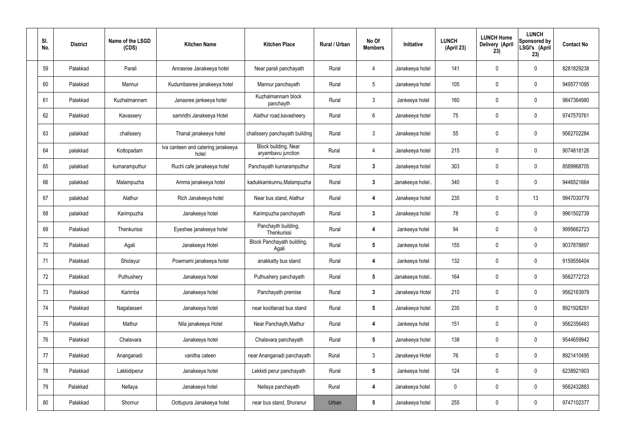| SI.<br>No. | <b>District</b> | Name of the LSGD<br>(CDS) | <b>Kitchen Name</b>                         | <b>Kitchen Place</b>                       | Rural / Urban | No Of<br><b>Members</b> | <b>Initiative</b> | <b>LUNCH</b><br>(April 23) | <b>LUNCH Home</b><br>Delivery (April<br>23) | <b>LUNCH</b><br>Sponsored by<br>LSGI's (April<br>23) | <b>Contact No</b> |
|------------|-----------------|---------------------------|---------------------------------------------|--------------------------------------------|---------------|-------------------------|-------------------|----------------------------|---------------------------------------------|------------------------------------------------------|-------------------|
| 59         | Palakkad        | Parali                    | Annasree Janakeeya hotel                    | Near parali panchayath                     | Rural         | 4                       | Janakeeya hotel   | 141                        | 0                                           | $\mathbf 0$                                          | 8281829238        |
| 60         | Palakkad        | Mannur                    | Kudumbasree janakeeya hotel                 | Mannur panchayath                          | Rural         | $5\phantom{.0}$         | Janakeeya hotel   | 105                        | 0                                           | $\mathbf 0$                                          | 9495771095        |
| 61         | Palakkad        | Kuzhalmannam              | Janasree jankeeya hotel                     | Kuzhalmannam block<br>panchayth            | Rural         | $\mathbf{3}$            | Jankeeya hotel    | 160                        | 0                                           | $\mathbf 0$                                          | 9847364980        |
| 62         | Palakkad        | Kavassery                 | samridhi Janakeeya Hotel                    | Alathur road, kavasheery                   | Rural         | $6\phantom{.}6$         | Janakeeya hotel   | 75                         | $\mathbf 0$                                 | $\mathbf 0$                                          | 9747570761        |
| 63         | palakkad        | chalissery                | Thanal janakeeya hotel                      | chalissery panchayath building             | Rural         | $\mathfrak{Z}$          | Janakeeya hotel   | 55                         | $\boldsymbol{0}$                            | $\boldsymbol{0}$                                     | 9562702284        |
| 64         | palakkad        | Kottopadam                | Iva canteen and catering janakeeya<br>hotel | Block building, Near<br>aryambavu junction | Rural         | 4                       | Janakeeya hotel   | 215                        | 0                                           | $\mathbf 0$                                          | 9074818126        |
| 65         | palakkad        | kumaramputhur             | Ruchi cafe janakeeya hotel                  | Panchayath kumaramputhur                   | Rural         | $\mathbf{3}$            | Janakeeya hotel   | 303                        | $\mathbf 0$                                 | $\mathbf 0$                                          | 8589968705        |
| 66         | palakkad        | Malampuzha                | Amma janakeeya hotel                        | kadukkamkunnu, Malampuzha                  | Rural         | $\mathbf{3}$            | Janakeeya hotel.  | 340                        | 0                                           | $\mathbf 0$                                          | 9446521664        |
| 67         | palakkad        | Alathur                   | Rich Janakeeya hotel                        | Near bus stand, Alathur                    | Rural         | 4                       | Janakeeya hotel   | 235                        | 0                                           | 13                                                   | 9947030779        |
| 68         | palakkad        | Karimpuzha                | Janakeeya hotel                             | Karimpuzha panchayath                      | Rural         | $\mathbf{3}$            | Janakeeya hotel   | 78                         | 0                                           | $\mathbf 0$                                          | 9961502739        |
| 69         | Palakkad        | Thenkurissi               | Eyeshee janakeeya hotel                     | Panchayth building,<br>Thenkurissi         | Rural         | 4                       | Jankeeya hotel    | 94                         | $\mathbf 0$                                 | $\mathbf 0$                                          | 9995662723        |
| 70         | Palakkad        | Agali                     | Janakeeya Hotel                             | Block Panchayath building,<br>Agali        | Rural         | $5\phantom{.0}$         | Jankeeya hotel    | 155                        | 0                                           | $\mathbf 0$                                          | 9037878897        |
| 71         | Palakkad        | Sholayur                  | Powrnami janakeeya hotel                    | anakkatty bus stand                        | Rural         | 4                       | Jankeeya hotel    | 132                        | 0                                           | $\mathbf{0}$                                         | 9159556404        |
| 72         | Palakkad        | Puthushery                | Janakeeya hotel                             | Puthushery panchayath                      | Rural         | $5\phantom{.0}$         | Janakeeya hotel   | 164                        | 0                                           | $\mathbf 0$                                          | 9562772723        |
| 73         | Palakkad        | Karimba                   | Janakeeya hotel                             | Panchayath premise                         | Rural         | $3\phantom{a}$          | Janakeeya Hotel   | 210                        | 0                                           | $\mathbf 0$                                          | 9562163979        |
| 74         | Palakkad        | Nagalasseri               | Janakeeya hotel                             | near koottanad bus stand                   | Rural         | $5\phantom{.0}$         | Janakeeya hotel   | 235                        | 0                                           | $\mathbf 0$                                          | 8921928291        |
| 75         | Palakkad        | Mathur                    | Nila janakeeya Hotel                        | Near Panchayth, Mathur                     | Rural         | 4                       | Jankeeya hotel    | 151                        | 0                                           | $\mathbf 0$                                          | 9562356483        |
| 76         | Palakkad        | Chalavara                 | Janakeeya hotel                             | Chalavara panchayath                       | Rural         | $5\phantom{.0}$         | Janakeeya hotel   | 138                        | 0                                           | $\boldsymbol{0}$                                     | 9544659942        |
| 77         | Palakkad        | Ananganadi                | vanitha cateen                              | near Ananganadi panchayath                 | Rural         | $\mathbf{3}$            | Janakeeya Hotel   | 76                         | 0                                           | $\boldsymbol{0}$                                     | 8921410495        |
| 78         | Palakkad        | Lakkidiperur              | Janakeeya hotel                             | Lekkidi perur panchayath                   | Rural         | $5\phantom{.0}$         | Jankeeya hotel    | 124                        | 0                                           | $\boldsymbol{0}$                                     | 6238921903        |
| 79         | Palakkad        | Nellaya                   | Janakeeya hotel                             | Nellaya panchayath                         | Rural         | 4                       | Janakeeya hotel   | 0                          | 0                                           | $\boldsymbol{0}$                                     | 9562432883        |
| 80         | Palakkad        | Shornur                   | Oottupura Janakeeya hotel                   | near bus stand, Shoranur                   | Urban         | $5\phantom{.0}$         | Janakeeya hotel   | 255                        | 0                                           | $\overline{0}$                                       | 9747102377        |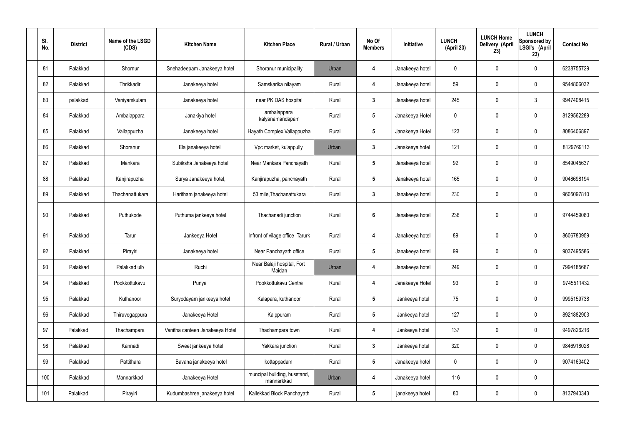| SI.<br>No. | <b>District</b> | Name of the LSGD<br>(CDS) | <b>Kitchen Name</b>             | <b>Kitchen Place</b>                       | Rural / Urban | No Of<br><b>Members</b> | Initiative      | <b>LUNCH</b><br>(April 23) | <b>LUNCH Home</b><br>Delivery (April<br>23) | <b>LUNCH</b><br>Sponsored by<br>LSGI's (April<br>23) | <b>Contact No</b> |
|------------|-----------------|---------------------------|---------------------------------|--------------------------------------------|---------------|-------------------------|-----------------|----------------------------|---------------------------------------------|------------------------------------------------------|-------------------|
| 81         | Palakkad        | Shornur                   | Snehadeepam Janakeeya hotel     | Shoranur municipality                      | Urban         | 4                       | Janakeeya hotel | $\mathbf 0$                | $\mathbf 0$                                 | $\mathbf 0$                                          | 6238755729        |
| 82         | Palakkad        | Thrikkadiri               | Janakeeya hotel                 | Samskarika nilayam                         | Rural         | 4                       | Janakeeya hotel | 59                         | $\mathbf 0$                                 | $\mathbf 0$                                          | 9544806032        |
| 83         | palakkad        | Vaniyamkulam              | Janakeeya hotel                 | near PK DAS hospital                       | Rural         | $\mathbf{3}$            | Janakeeya hotel | 245                        | 0                                           | $\mathfrak{Z}$                                       | 9947408415        |
| 84         | Palakkad        | Ambalappara               | Janakiya hotel                  | ambalappara<br>kalyanamandapam             | Rural         | $5\phantom{.0}$         | Janakeeya Hotel | $\mathbf 0$                | $\mathbf 0$                                 | $\mathbf 0$                                          | 8129562289        |
| 85         | Palakkad        | Vallappuzha               | Janakeeya hotel                 | Hayath Complex, Vallappuzha                | Rural         | $5\phantom{.0}$         | Janakeeya Hotel | 123                        | 0                                           | $\mathbf 0$                                          | 8086406897        |
| 86         | Palakkad        | Shoranur                  | Ela janakeeya hotel             | Vpc market, kulappully                     | Urban         | $\mathbf{3}$            | Janakeeya hotel | 121                        | $\mathbf 0$                                 | $\mathbf 0$                                          | 8129769113        |
| 87         | Palakkad        | Mankara                   | Subiksha Janakeeya hotel        | Near Mankara Panchayath                    | Rural         | $5\phantom{.0}$         | Janakeeya hotel | 92                         | $\mathbf 0$                                 | $\mathbf 0$                                          | 8549045637        |
| 88         | Palakkad        | Kanjirapuzha              | Surya Janakeeya hotel,          | Kanjirapuzha, panchayath                   | Rural         | $5\phantom{.0}$         | Janakeeya hotel | 165                        | $\mathbf 0$                                 | $\mathbf 0$                                          | 9048698194        |
| 89         | Palakkad        | Thachanattukara           | Haritham janakeeya hotel        | 53 mile, Thachanattukara                   | Rural         | $3\phantom{a}$          | Janakeeya hotel | 230                        | 0                                           | $\mathbf 0$                                          | 9605097810        |
| 90         | Palakkad        | Puthukode                 | Puthuma jankeeya hotel          | Thachanadi junction                        | Rural         | $6\phantom{.}6$         | Janakeeya hotel | 236                        | $\mathbf 0$                                 | $\mathbf 0$                                          | 9744459080        |
| 91         | Palakkad        | Tarur                     | Jankeeya Hotel                  | Infront of vilage office, Tarurk           | Rural         | 4                       | Janakeeya hotel | 89                         | $\mathbf 0$                                 | $\mathbf 0$                                          | 8606780959        |
| 92         | Palakkad        | Pirayiri                  | Janakeeya hotel                 | Near Panchayath office                     | Rural         | $5\phantom{.0}$         | Janakeeya hotel | 99                         | 0                                           | $\boldsymbol{0}$                                     | 9037495586        |
| 93         | Palakkad        | Palakkad ulb              | Ruchi                           | Near Balaji hospital, Fort<br>Maidan       | Urban         | 4                       | Janakeeya hotel | 249                        | $\pmb{0}$                                   | $\mathbf 0$                                          | 7994185687        |
| 94         | Palakkad        | Pookkottukavu             | Punya                           | Pookkottukavu Centre                       | Rural         | 4                       | Janakeeya Hotel | 93                         | $\pmb{0}$                                   | $\mathbf 0$                                          | 9745511432        |
| 95         | Palakkad        | Kuthanoor                 | Suryodayam jankeeya hotel       | Kalapara, kuthanoor                        | Rural         | $5\phantom{.0}$         | Jankeeya hotel  | 75                         | $\pmb{0}$                                   | $\mathbf 0$                                          | 9995159738        |
| 96         | Palakkad        | Thiruvegappura            | Janakeeya Hotel                 | Kaippuram                                  | Rural         | $5\phantom{.0}$         | Jankeeya hotel  | 127                        | $\pmb{0}$                                   | $\mathbf 0$                                          | 8921882903        |
| 97         | Palakkad        | Thachampara               | Vanitha canteen Janakeeya Hotel | Thachampara town                           | Rural         | $\boldsymbol{4}$        | Jankeeya hotel  | 137                        | $\pmb{0}$                                   | $\mathbf 0$                                          | 9497826216        |
| 98         | Palakkad        | Kannadi                   | Sweet jankeeya hotel            | Yakkara junction                           | Rural         | $3\phantom{a}$          | Jankeeya hotel  | 320                        | $\pmb{0}$                                   | $\boldsymbol{0}$                                     | 9846918028        |
| 99         | Palakkad        | Pattithara                | Bavana janakeeya hotel          | kottappadam                                | Rural         | $5\phantom{.0}$         | Janakeeya hotel | $\pmb{0}$                  | $\pmb{0}$                                   | $\mathbf 0$                                          | 9074163402        |
| 100        | Palakkad        | Mannarkkad                | Janakeeya Hotel                 | muncipal building, busstand,<br>mannarkkad | Urban         | 4                       | Janakeeya hotel | 116                        | $\pmb{0}$                                   | $\mathbf 0$                                          |                   |
| 101        | Palakkad        | Pirayiri                  | Kudumbashree janakeeya hotel    | Kallekkad Block Panchayath                 | Rural         | $5\phantom{.0}$         | janakeeya hotel | 80                         | $\pmb{0}$                                   | $\boldsymbol{0}$                                     | 8137940343        |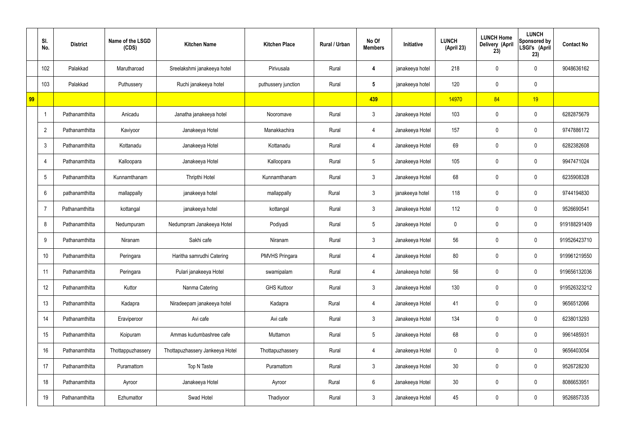|    | SI.<br>No.      | <b>District</b> | Name of the LSGD<br>(CDS) | <b>Kitchen Name</b>             | <b>Kitchen Place</b>  | Rural / Urban | No Of<br><b>Members</b> | Initiative      | <b>LUNCH</b><br>(April 23) | <b>LUNCH Home</b><br>Delivery (April<br>23) | <b>LUNCH</b><br>Sponsored by<br>LSGI's (April<br>23) | <b>Contact No</b> |
|----|-----------------|-----------------|---------------------------|---------------------------------|-----------------------|---------------|-------------------------|-----------------|----------------------------|---------------------------------------------|------------------------------------------------------|-------------------|
|    | 102             | Palakkad        | Marutharoad               | Sreelakshmi janakeeya hotel     | Pirivusala            | Rural         | 4                       | janakeeya hotel | 218                        | 0                                           | $\mathbf 0$                                          | 9048636162        |
|    | 103             | Palakkad        | Puthussery                | Ruchi janakeeya hotel           | puthussery junction   | Rural         | $5\overline{)}$         | janakeeya hotel | 120                        | $\mathbf 0$                                 | $\mathbf 0$                                          |                   |
| 99 |                 |                 |                           |                                 |                       |               | 439                     |                 | 14970                      | 84                                          | 19                                                   |                   |
|    |                 | Pathanamthitta  | Anicadu                   | Janatha janakeeya hotel         | Nooromave             | Rural         | $\mathbf{3}$            | Janakeeya Hotel | 103                        | $\mathbf 0$                                 | $\mathbf 0$                                          | 6282875679        |
|    | $\overline{2}$  | Pathanamthitta  | Kaviyoor                  | Janakeeya Hotel                 | Manakkachira          | Rural         | 4                       | Janakeeya Hotel | 157                        | 0                                           | $\mathbf 0$                                          | 9747886172        |
|    | $\mathbf{3}$    | Pathanamthitta  | Kottanadu                 | Janakeeya Hotel                 | Kottanadu             | Rural         | 4                       | Janakeeya Hotel | 69                         | 0                                           | $\overline{0}$                                       | 6282382608        |
|    | $\overline{4}$  | Pathanamthitta  | Kalloopara                | Janakeeya Hotel                 | Kalloopara            | Rural         | $5\overline{)}$         | Janakeeya Hotel | 105                        | 0                                           | $\mathbf 0$                                          | 9947471024        |
|    | $5\phantom{.0}$ | Pathanamthitta  | Kunnamthanam              | Thripthi Hotel                  | Kunnamthanam          | Rural         | $\mathbf{3}$            | Janakeeya Hotel | 68                         | $\mathbf 0$                                 | $\mathbf 0$                                          | 6235908328        |
|    | 6               | pathanamthitta  | mallappally               | janakeeya hotel                 | mallappally           | Rural         | $\mathbf{3}$            | janakeeya hotel | 118                        | 0                                           | $\mathbf 0$                                          | 9744194830        |
|    | 7               | Pathanamthitta  | kottangal                 | janakeeya hotel                 | kottangal             | Rural         | $\mathbf{3}$            | Janakeeya Hotel | 112                        | $\mathbf 0$                                 | $\mathbf 0$                                          | 9526690541        |
|    | 8               | Pathanamthitta  | Nedumpuram                | Nedumpram Janakeeya Hotel       | Podiyadi              | Rural         | $5\overline{)}$         | Janakeeya Hotel | 0                          | 0                                           | $\mathbf 0$                                          | 919188291409      |
|    | 9               | Pathanamthitta  | Niranam                   | Sakhi cafe                      | Niranam               | Rural         | $\mathbf{3}$            | Janakeeya Hotel | 56                         | 0                                           | $\mathbf 0$                                          | 919526423710      |
|    | 10              | Pathanamthitta  | Peringara                 | Haritha samrudhi Catering       | <b>PMVHS Pringara</b> | Rural         | 4                       | Janakeeya Hotel | 80                         | 0                                           | $\mathbf 0$                                          | 919961219550      |
|    | 11              | Pathanamthitta  | Peringara                 | Pulari janakeeya Hotel          | swamipalam            | Rural         | $\overline{4}$          | Janakeeya hotel | 56                         | $\mathbf 0$                                 | $\mathbf 0$                                          | 919656132036      |
|    | 12              | Pathanamthitta  | Kuttor                    | Nanma Catering                  | <b>GHS Kuttoor</b>    | Rural         | 3 <sup>1</sup>          | Janakeeya Hotel | 130                        | 0                                           | $\mathbf 0$                                          | 919526323212      |
|    | 13              | Pathanamthitta  | Kadapra                   | Niradeepam janakeeya hotel      | Kadapra               | Rural         | 4                       | Janakeeya Hotel | 41                         | 0                                           | $\mathbf 0$                                          | 9656512066        |
|    | 14              | Pathanamthitta  | Eraviperoor               | Avi cafe                        | Avi cafe              | Rural         | $\mathbf{3}$            | Janakeeya Hotel | 134                        | 0                                           | $\mathbf 0$                                          | 6238013293        |
|    | 15              | Pathanamthitta  | Koipuram                  | Ammas kudumbashree cafe         | Muttamon              | Rural         | $5\overline{)}$         | Janakeeya Hotel | 68                         | 0                                           | $\mathbf 0$                                          | 9961485931        |
|    | 16              | Pathanamthitta  | Thottappuzhassery         | Thottapuzhassery Jankeeya Hotel | Thottapuzhassery      | Rural         | 4                       | Janakeeya Hotel | $\mathbf 0$                | 0                                           | $\mathbf 0$                                          | 9656403054        |
|    | 17              | Pathanamthitta  | Puramattom                | Top N Taste                     | Puramattom            | Rural         | $\mathbf{3}$            | Janakeeya Hotel | 30 <sub>o</sub>            | 0                                           | $\mathbf 0$                                          | 9526728230        |
|    | 18              | Pathanamthitta  | Ayroor                    | Janakeeya Hotel                 | Ayroor                | Rural         | $6\phantom{.}6$         | Janakeeya Hotel | 30 <sub>o</sub>            | 0                                           | $\mathbf 0$                                          | 8086653951        |
|    | 19              | Pathanamthitta  | Ezhumattor                | Swad Hotel                      | Thadiyoor             | Rural         | $\mathfrak{Z}$          | Janakeeya Hotel | 45                         | 0                                           | $\overline{0}$                                       | 9526857335        |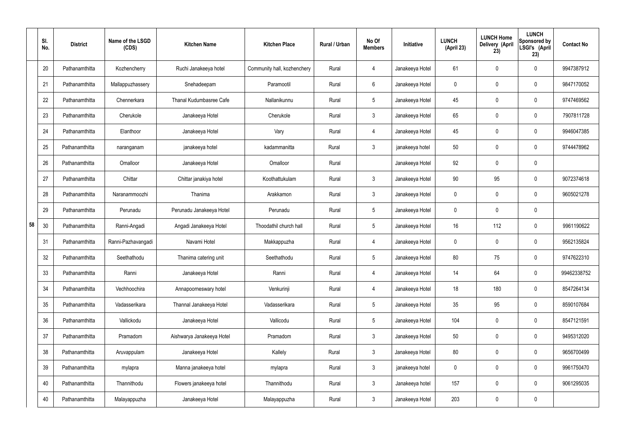|    | SI.<br>No. | <b>District</b> | Name of the LSGD<br>(CDS) | <b>Kitchen Name</b>       | <b>Kitchen Place</b>        | Rural / Urban | No Of<br><b>Members</b> | Initiative      | <b>LUNCH</b><br>(April 23) | <b>LUNCH Home</b><br>Delivery (April<br>23) | <b>LUNCH</b><br>Sponsored by<br>LSGI's (April<br>23) | <b>Contact No</b> |
|----|------------|-----------------|---------------------------|---------------------------|-----------------------------|---------------|-------------------------|-----------------|----------------------------|---------------------------------------------|------------------------------------------------------|-------------------|
|    | 20         | Pathanamthitta  | Kozhencherry              | Ruchi Janakeeya hotel     | Community hall, kozhenchery | Rural         | 4                       | Janakeeya Hotel | 61                         | 0                                           | $\mathbf 0$                                          | 9947387912        |
|    | 21         | Pathanamthitta  | Mallappuzhassery          | Snehadeepam               | Paramootil                  | Rural         | $6\phantom{.}6$         | Janakeeya Hotel | $\mathbf 0$                | 0                                           | $\boldsymbol{0}$                                     | 9847170052        |
|    | 22         | Pathanamthitta  | Chennerkara               | Thanal Kudumbasree Cafe   | Nallanikunnu                | Rural         | $5\phantom{.0}$         | Janakeeya Hotel | 45                         | 0                                           | $\boldsymbol{0}$                                     | 9747469562        |
|    | 23         | Pathanamthitta  | Cherukole                 | Janakeeya Hotel           | Cherukole                   | Rural         | $\mathbf{3}$            | Janakeeya Hotel | 65                         | 0                                           | $\boldsymbol{0}$                                     | 7907811728        |
|    | 24         | Pathanamthitta  | Elanthoor                 | Janakeeya Hotel           | Vary                        | Rural         | 4                       | Janakeeya Hotel | 45                         | 0                                           | $\boldsymbol{0}$                                     | 9946047385        |
|    | 25         | Pathanamthitta  | naranganam                | janakeeya hotel           | kadammanitta                | Rural         | $\mathbf{3}$            | janakeeya hotel | 50                         | 0                                           | $\mathbf 0$                                          | 9744478962        |
|    | 26         | Pathanamthitta  | Omalloor                  | Janakeeya Hotel           | Omalloor                    | Rural         |                         | Janakeeya Hotel | 92                         | 0                                           | $\mathbf 0$                                          |                   |
|    | 27         | Pathanamthitta  | Chittar                   | Chittar janakiya hotel    | Koothattukulam              | Rural         | $\mathbf{3}$            | Janakeeya Hotel | 90                         | 95                                          | $\mathbf 0$                                          | 9072374618        |
|    | 28         | Pathanamthitta  | Naranammoozhi             | Thanima                   | Arakkamon                   | Rural         | $\mathbf{3}$            | Janakeeya Hotel | $\mathbf 0$                | $\boldsymbol{0}$                            | $\mathbf 0$                                          | 9605021278        |
|    | 29         | Pathanamthitta  | Perunadu                  | Perunadu Janakeeya Hotel  | Perunadu                    | Rural         | $5\phantom{.0}$         | Janakeeya Hotel | $\mathbf 0$                | 0                                           | $\mathbf 0$                                          |                   |
| 58 | 30         | Pathanamthitta  | Ranni-Angadi              | Angadi Janakeeya Hotel    | Thoodathil church hall      | Rural         | $5\phantom{.0}$         | Janakeeya Hotel | 16 <sup>°</sup>            | 112                                         | $\mathbf 0$                                          | 9961190622        |
|    | 31         | Pathanamthitta  | Ranni-Pazhavangadi        | Navami Hotel              | Makkappuzha                 | Rural         | 4                       | Janakeeya Hotel | $\mathbf 0$                | 0                                           | $\mathbf 0$                                          | 9562135824        |
|    | 32         | Pathanamthitta  | Seethathodu               | Thanima catering unit     | Seethathodu                 | Rural         | $5\phantom{.0}$         | Janakeeya Hotel | 80                         | 75                                          | 0                                                    | 9747622310        |
|    | 33         | Pathanamthitta  | Ranni                     | Janakeeya Hotel           | Ranni                       | Rural         | $\overline{4}$          | Janakeeya Hotel | 14                         | 64                                          | $\mathbf 0$                                          | 99462338752       |
|    | 34         | Pathanamthitta  | Vechhoochira              | Annapoorneswary hotel     | Venkurinji                  | Rural         | $\overline{4}$          | Janakeeya Hotel | 18                         | 180                                         | $\mathbf 0$                                          | 8547264134        |
|    | 35         | Pathanamthitta  | Vadasserikara             | Thannal Janakeeya Hotel   | Vadasserikara               | Rural         | $5\phantom{.0}$         | Janakeeya Hotel | 35                         | 95                                          | $\mathbf 0$                                          | 8590107684        |
|    | 36         | Pathanamthitta  | Vallickodu                | Janakeeya Hotel           | Vallicodu                   | Rural         | $5\phantom{.0}$         | Janakeeya Hotel | 104                        | 0                                           | $\mathbf 0$                                          | 8547121591        |
|    | 37         | Pathanamthitta  | Pramadom                  | Aishwarya Janakeeya Hotel | Pramadom                    | Rural         | $\mathbf{3}$            | Janakeeya Hotel | 50                         | 0                                           | $\mathbf 0$                                          | 9495312020        |
|    | 38         | Pathanamthitta  | Aruvappulam               | Janakeeya Hotel           | Kallely                     | Rural         | $\mathbf{3}$            | Janakeeya Hotel | 80                         | 0                                           | $\mathbf 0$                                          | 9656700499        |
|    | 39         | Pathanamthitta  | mylapra                   | Manna janakeeya hotel     | mylapra                     | Rural         | $\mathbf{3}$            | janakeeya hotel | 0                          | 0                                           | $\mathbf 0$                                          | 9961750470        |
|    | 40         | Pathanamthitta  | Thannithodu               | Flowers janakeeya hotel   | Thannithodu                 | Rural         | $\mathfrak{Z}$          | Janakeeya hotel | 157                        | 0                                           | $\mathbf 0$                                          | 9061295035        |
|    | 40         | Pathanamthitta  | Malayappuzha              | Janakeeya Hotel           | Malayappuzha                | Rural         | $\mathfrak{Z}$          | Janakeeya Hotel | 203                        | 0                                           | $\pmb{0}$                                            |                   |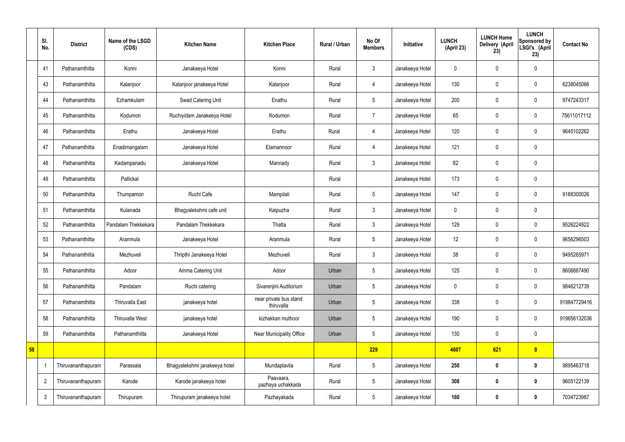|    | SI.<br>No.     | <b>District</b>    | Name of the LSGD<br>(CDS) | <b>Kitchen Name</b>           | <b>Kitchen Place</b>                 | Rural / Urban | No Of<br><b>Members</b> | Initiative      | <b>LUNCH</b><br>(April 23) | <b>LUNCH Home</b><br>Delivery (April<br>23) | <b>LUNCH</b><br>Sponsored by<br>LSGI's (April<br>23) | <b>Contact No</b> |
|----|----------------|--------------------|---------------------------|-------------------------------|--------------------------------------|---------------|-------------------------|-----------------|----------------------------|---------------------------------------------|------------------------------------------------------|-------------------|
|    | 41             | Pathanamthitta     | Konni                     | Janakeeya Hotel               | Konni                                | Rural         | 3                       | Janakeeya Hotel | $\mathbf 0$                | $\mathbf 0$                                 | $\mathbf 0$                                          |                   |
|    | 43             | Pathanamthitta     | Kalanjoor                 | Kalanjoor janakeeya Hotel     | Kalanjoor                            | Rural         | $\overline{4}$          | Janakeeya Hotel | 130                        | $\mathbf 0$                                 | $\mathbf 0$                                          | 6238045066        |
|    | 44             | Pathanamthitta     | Ezhamkulam                | Swad Catering Unit            | Enathu                               | Rural         | $5\overline{)}$         | Janakeeya Hotel | 200                        | $\mathbf 0$                                 | $\mathbf 0$                                          | 9747243317        |
|    | 45             | Pathanamthitta     | Kodumon                   | Ruchiyidam Janakeeya Hotel    | Kodumon                              | Rural         | $\overline{7}$          | Janakeeya Hotel | 65                         | $\mathbf 0$                                 | $\mathbf 0$                                          | 75611017112       |
|    | 46             | Pathanamthitta     | Erathu                    | Janakeeya Hotel               | Erathu                               | Rural         | 4                       | Janakeeya Hotel | 120                        | $\mathbf 0$                                 | $\mathbf 0$                                          | 9645102262        |
|    | 47             | Pathanamthitta     | Enadimangalam             | Janakeeya Hotel               | Elamannoor                           | Rural         | $\overline{4}$          | Janakeeya Hotel | 121                        | $\mathbf 0$                                 | $\mathbf 0$                                          |                   |
|    | 48             | Pathanamthitta     | Kadampanadu               | Janakeeya Hotel               | Mannady                              | Rural         | 3                       | Janakeeya Hotel | 82                         | $\pmb{0}$                                   | $\mathbf 0$                                          |                   |
|    | 49             | Pathanamthitta     | Pallickal                 |                               |                                      | Rural         |                         | Janakeeya Hotel | 173                        | $\mathbf 0$                                 | $\mathbf 0$                                          |                   |
|    | 50             | Pathanamthitta     | Thumpamon                 | Ruchi Cafe                    | Mampilali                            | Rural         | $5\phantom{.0}$         | Janakeeya Hotel | 147                        | $\mathbf 0$                                 | $\mathbf 0$                                          | 9188300026        |
|    | 51             | Pathanamthitta     | Kulanada                  | Bhagyalekshmi cafe unit       | Kaipuzha                             | Rural         | 3                       | Janakeeya Hotel | $\mathbf 0$                | $\mathbf 0$                                 | $\mathbf 0$                                          |                   |
|    | 52             | Pathanamthitta     | Pandalam Thekkekara       | Pandalam Thekkekara           | Thatta                               | Rural         | 3                       | Janakeeya Hotel | 129                        | $\mathbf 0$                                 | $\mathbf 0$                                          | 9526224922        |
|    | 53             | Pathanamthitta     | Aranmula                  | Janakeeya Hotel               | Aranmula                             | Rural         | 5 <sub>5</sub>          | Janakeeya Hotel | 12                         | $\pmb{0}$                                   | $\mathbf 0$                                          | 9656296503        |
|    | 54             | Pathanamthitta     | Mezhuveli                 | Thripthi Janakeeya Hotel      | Mezhuveli                            | Rural         | 3                       | Janakeeya Hotel | 38                         | $\mathbf 0$                                 | $\mathbf 0$                                          | 9495265971        |
|    | 55             | Pathanamthitta     | Adoor                     | Amma Catering Unit            | Adoor                                | Urban         | $5\phantom{.0}$         | Janakeeya Hotel | 125                        | $\pmb{0}$                                   | $\mathbf 0$                                          | 8606887490        |
|    | 56             | Pathanamthitta     | Pandalam                  | Ruchi catering                | Sivarenjini Auditorium               | Urban         | 5 <sub>5</sub>          | Janakeeya Hotel | $\pmb{0}$                  | $\pmb{0}$                                   | $\mathbf 0$                                          | 9846212739        |
|    | 57             | Pathanamthitta     | Thiruvalla East           | janakeeya hotel               | near private bus stand<br>thiruvalla | Urban         | $5\phantom{.0}$         | Janakeeya Hotel | 338                        | $\pmb{0}$                                   | $\pmb{0}$                                            | 919847729416      |
|    | 58             | Pathanamthitta     | <b>Thiruvalla West</b>    | janakeeya hotel               | kizhakkan muthoor                    | Urban         | $5\phantom{.0}$         | Janakeeya Hotel | 190                        | $\mathbf 0$                                 | $\mathbf 0$                                          | 919656132036      |
|    | 59             | Pathanamthitta     | Pathanamthitta            | Janakeeya Hotel               | Near Municipality Office             | Urban         | $5\phantom{.0}$         | Janakeeya Hotel | 130                        | $\mathbf 0$                                 | $\mathbf 0$                                          |                   |
| 58 |                |                    |                           |                               |                                      |               | 229                     |                 | 4607                       | 621                                         | $\bullet$                                            |                   |
|    |                | Thiruvananthapuram | Parassala                 | Bhagyalekshmi janakeeya hotel | Mundaplavila                         | Rural         | $5\phantom{.0}$         | Janakeeya Hotel | 250                        | $\boldsymbol{0}$                            | $\bf{0}$                                             | 9895463718        |
|    | $\overline{2}$ | Thiruvananthapuram | Karode                    | Karode janakeeya hotel        | Paavaara,<br>pazhaya uchakkada       | Rural         | $5\phantom{.0}$         | Janakeeya Hotel | 308                        | $\boldsymbol{0}$                            | $\bf{0}$                                             | 9605122139        |
|    | $\mathfrak{Z}$ | Thiruvananthapuram | Thirupuram                | Thirupuram janakeeya hotel    | Pazhayakada                          | Rural         | $5\phantom{.0}$         | Janakeeya Hotel | 160                        | $\bm{0}$                                    | $\bf{0}$                                             | 7034723987        |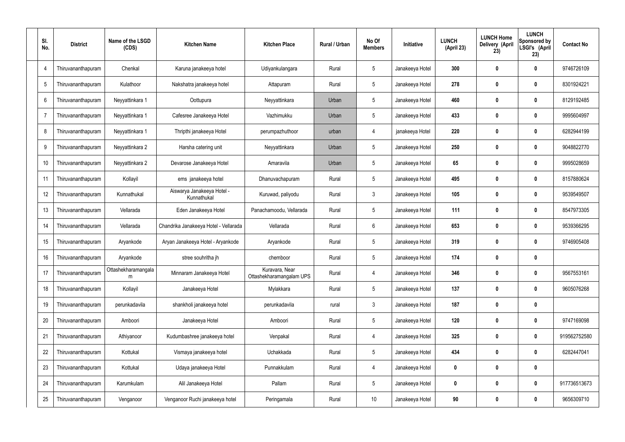| SI.<br>No. | <b>District</b>    | Name of the LSGD<br>(CDS) | <b>Kitchen Name</b>                       | <b>Kitchen Place</b>                       | Rural / Urban | No Of<br><b>Members</b> | Initiative      | <b>LUNCH</b><br>(April 23) | <b>LUNCH Home</b><br>Delivery (April<br>23) | <b>LUNCH</b><br>Sponsored by<br>LSGI's (April<br>23) | <b>Contact No</b> |
|------------|--------------------|---------------------------|-------------------------------------------|--------------------------------------------|---------------|-------------------------|-----------------|----------------------------|---------------------------------------------|------------------------------------------------------|-------------------|
| 4          | Thiruvananthapuram | Chenkal                   | Karuna janakeeya hotel                    | Udiyankulangara                            | Rural         | $5\phantom{.0}$         | Janakeeya Hotel | 300                        | 0                                           | 0                                                    | 9746726109        |
| -5         | Thiruvananthapuram | Kulathoor                 | Nakshatra janakeeya hotel                 | Attapuram                                  | Rural         | $5\phantom{.0}$         | Janakeeya Hotel | 278                        | 0                                           | $\bm{0}$                                             | 8301924221        |
| 6          | Thiruvananthapuram | Neyyattinkara 1           | Oottupura                                 | Neyyattinkara                              | Urban         | $5\phantom{.0}$         | Janakeeya Hotel | 460                        | 0                                           | $\bf{0}$                                             | 8129192485        |
| 7          | Thiruvananthapuram | Neyyattinkara 1           | Cafesree Janakeeya Hotel                  | Vazhimukku                                 | Urban         | $5\phantom{.0}$         | Janakeeya Hotel | 433                        | 0                                           | $\bm{0}$                                             | 9995604997        |
| 8          | Thiruvananthapuram | Neyyattinkara 1           | Thripthi janakeeya Hotel                  | perumpazhuthoor                            | urban         | $\overline{4}$          | janakeeya Hotel | 220                        | $\boldsymbol{0}$                            | $\bf{0}$                                             | 6282944199        |
| 9          | Thiruvananthapuram | Neyyattinkara 2           | Harsha catering unit                      | Neyyattinkara                              | Urban         | $5\phantom{.0}$         | Janakeeya Hotel | 250                        | 0                                           | $\bm{0}$                                             | 9048822770        |
| 10         | Thiruvananthapuram | Neyyattinkara 2           | Devarose Janakeeya Hotel                  | Amaravila                                  | Urban         | $5\phantom{.0}$         | Janakeeya Hotel | 65                         | $\boldsymbol{0}$                            | $\bf{0}$                                             | 9995028659        |
| 11         | Thiruvananthapuram | Kollayil                  | ems janakeeya hotel                       | Dhanuvachapuram                            | Rural         | $5\phantom{.0}$         | Janakeeya Hotel | 495                        | 0                                           | $\bm{0}$                                             | 8157880624        |
| 12         | Thiruvananthapuram | Kunnathukal               | Aiswarya Janakeeya Hotel -<br>Kunnathukal | Kuruwad, paliyodu                          | Rural         | $\mathbf{3}$            | Janakeeya Hotel | 105                        | $\boldsymbol{0}$                            | $\bf{0}$                                             | 9539549507        |
| 13         | Thiruvananthapuram | Vellarada                 | Eden Janakeeya Hotel                      | Panachamoodu, Vellarada                    | Rural         | $5\phantom{.0}$         | Janakeeya Hotel | 111                        | 0                                           | $\bf{0}$                                             | 8547973305        |
| 14         | Thiruvananthapuram | Vellarada                 | Chandrika Janakeeya Hotel - Vellarada     | Vellarada                                  | Rural         | $6\phantom{.}$          | Janakeeya Hotel | 653                        | 0                                           | $\bf{0}$                                             | 9539366295        |
| 15         | Thiruvananthapuram | Aryankode                 | Aryan Janakeeya Hotel - Aryankode         | Aryankode                                  | Rural         | $5\phantom{.0}$         | Janakeeya Hotel | 319                        | 0                                           | $\bf{0}$                                             | 9746905408        |
| 16         | Thiruvananthapuram | Aryankode                 | stree souhritha jh                        | chemboor                                   | Rural         | $5\phantom{.0}$         | Janakeeya Hotel | 174                        | 0                                           | 0                                                    |                   |
| 17         | Thiruvananthapuram | Ottashekharamangala<br>m  | Minnaram Janakeeya Hotel                  | Kuravara, Near<br>Ottashekharamangalam UPS | Rural         | $\overline{4}$          | Janakeeya Hotel | 346                        | 0                                           | $\mathbf 0$                                          | 9567553161        |
| 18         | Thiruvananthapuram | Kollayil                  | Janakeeya Hotel                           | Mylakkara                                  | Rural         | $5\phantom{.0}$         | Janakeeya Hotel | 137                        | 0                                           | $\mathbf 0$                                          | 9605076268        |
| 19         | Thiruvananthapuram | perunkadavila             | shankholi janakeeya hotel                 | perunkadavila                              | rural         | $\mathfrak{Z}$          | Janakeeya Hotel | 187                        | 0                                           | $\pmb{0}$                                            |                   |
| 20         | Thiruvananthapuram | Amboori                   | Janakeeya Hotel                           | Amboori                                    | Rural         | $5\phantom{.0}$         | Janakeeya Hotel | 120                        | 0                                           | $\pmb{0}$                                            | 9747169098        |
| 21         | Thiruvananthapuram | Athiyanoor                | Kudumbashree janakeeya hotel              | Venpakal                                   | Rural         | 4                       | Janakeeya Hotel | 325                        | 0                                           | $\pmb{0}$                                            | 919562752580      |
| 22         | Thiruvananthapuram | Kottukal                  | Vismaya janakeeya hotel                   | Uchakkada                                  | Rural         | $5\phantom{.0}$         | Janakeeya Hotel | 434                        | 0                                           | $\mathbf 0$                                          | 6282447041        |
| 23         | Thiruvananthapuram | Kottukal                  | Udaya janakeeya Hotel                     | Punnakkulam                                | Rural         | 4                       | Janakeeya Hotel | 0                          | 0                                           | $\pmb{0}$                                            |                   |
| 24         | Thiruvananthapuram | Karumkulam                | Alil Janakeeya Hotel                      | Pallam                                     | Rural         | $5\phantom{.0}$         | Janakeeya Hotel | 0                          | $\boldsymbol{0}$                            | $\mathbf 0$                                          | 917736513673      |
| 25         | Thiruvananthapuram | Venganoor                 | Venganoor Ruchi janakeeya hotel           | Peringamala                                | Rural         | $10$                    | Janakeeya Hotel | 90                         | 0                                           | $\pmb{0}$                                            | 9656309710        |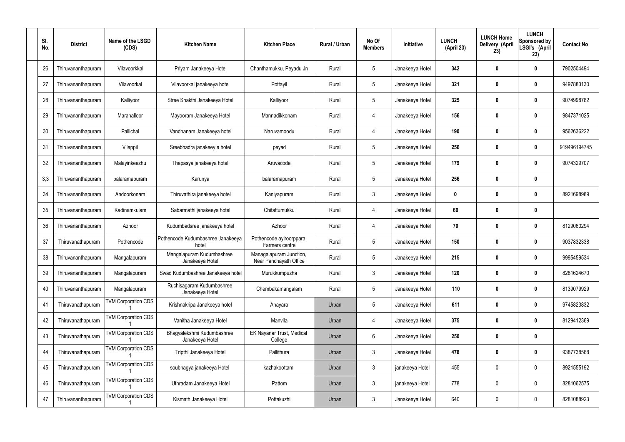| SI.<br>No. | <b>District</b>    | Name of the LSGD<br>(CDS)  | <b>Kitchen Name</b>                           | <b>Kitchen Place</b>                              | Rural / Urban | No Of<br><b>Members</b> | Initiative      | <b>LUNCH</b><br>(April 23) | <b>LUNCH Home</b><br>Delivery (April<br>23) | <b>LUNCH</b><br>Sponsored by<br>LSGI's (April<br>23) | <b>Contact No</b> |
|------------|--------------------|----------------------------|-----------------------------------------------|---------------------------------------------------|---------------|-------------------------|-----------------|----------------------------|---------------------------------------------|------------------------------------------------------|-------------------|
| 26         | Thiruvananthapuram | Vilavoorkkal               | Priyam Janakeeya Hotel                        | Chanthamukku, Peyadu Jn                           | Rural         | $\sqrt{5}$              | Janakeeya Hotel | 342                        | 0                                           | $\mathbf 0$                                          | 7902504494        |
| 27         | Thiruvananthapuram | Vilavoorkal                | Vilavoorkal janakeeya hotel                   | Pottayil                                          | Rural         | $5\phantom{.0}$         | Janakeeya Hotel | 321                        | 0                                           | $\boldsymbol{0}$                                     | 9497883130        |
| 28         | Thiruvananthapuram | Kalliyoor                  | Stree Shakthi Janakeeya Hotel                 | Kalliyoor                                         | Rural         | $\sqrt{5}$              | Janakeeya Hotel | 325                        | 0                                           | $\mathbf 0$                                          | 9074998782        |
| 29         | Thiruvananthapuram | Maranalloor                | Mayooram Janakeeya Hotel                      | Mannadikkonam                                     | Rural         | $\overline{4}$          | Janakeeya Hotel | 156                        | 0                                           | $\boldsymbol{0}$                                     | 9847371025        |
| 30         | Thiruvananthapuram | Pallichal                  | Vandhanam Janakeeya hotel                     | Naruvamoodu                                       | Rural         | $\overline{4}$          | Janakeeya Hotel | 190                        | 0                                           | $\boldsymbol{0}$                                     | 9562636222        |
| 31         | Thiruvananthapuram | Vilappil                   | Sreebhadra janakeey a hotel                   | peyad                                             | Rural         | $\sqrt{5}$              | Janakeeya Hotel | 256                        | 0                                           | $\boldsymbol{0}$                                     | 919496194745      |
| 32         | Thiruvananthapuram | Malayinkeezhu              | Thapasya janakeeya hotel                      | Aruvacode                                         | Rural         | $\sqrt{5}$              | Janakeeya Hotel | 179                        | 0                                           | 0                                                    | 9074329707        |
| 3,3        | Thiruvananthapuram | balaramapuram              | Karunya                                       | balaramapuram                                     | Rural         | $\sqrt{5}$              | Janakeeya Hotel | 256                        | 0                                           | $\boldsymbol{0}$                                     |                   |
| 34         | Thiruvananthapuram | Andoorkonam                | Thiruvathira janakeeya hotel                  | Kaniyapuram                                       | Rural         | $\mathbf{3}$            | Janakeeya Hotel | 0                          | 0                                           | $\boldsymbol{0}$                                     | 8921698989        |
| 35         | Thiruvananthapuram | Kadinamkulam               | Sabarmathi janakeeya hotel                    | Chitattumukku                                     | Rural         | $\overline{4}$          | Janakeeya Hotel | 60                         | 0                                           | $\mathbf 0$                                          |                   |
| 36         | Thiruvananthapuram | Azhoor                     | Kudumbadsree janakeeya hotel                  | Azhoor                                            | Rural         | $\overline{4}$          | Janakeeya Hotel | 70                         | 0                                           | 0                                                    | 8129060294        |
| 37         | Thiruvanathapuram  | Pothencode                 | Pothencode Kudumbashree Janakeeya<br>hotel    | Pothencode ayiroorppara<br>Farmers centre         | Rural         | $\sqrt{5}$              | Janakeeya Hotel | 150                        | 0                                           | 0                                                    | 9037832338        |
| 38         | Thiruvananthapuram | Mangalapuram               | Mangalapuram Kudumbashree<br>Janakeeya Hotel  | Managalapuram Junction,<br>Near Panchayath Office | Rural         | 5                       | Janakeeya Hotel | 215                        | 0                                           | 0                                                    | 9995459534        |
| 39         | Thiruvananthapuram | Mangalapuram               | Swad Kudumbashree Janakeeya hotel             | Murukkumpuzha                                     | Rural         | $\mathfrak{Z}$          | Janakeeya Hotel | 120                        | 0                                           | $\pmb{0}$                                            | 8281624670        |
| 40         | Thiruvananthapuram | Mangalapuram               | Ruchisagaram Kudumbashree<br>Janakeeya Hotel  | Chembakamangalam                                  | Rural         | $5\,$                   | Janakeeya Hotel | 110                        | $\boldsymbol{0}$                            | $\mathbf 0$                                          | 8139079929        |
| 41         | Thiruvanathapuram  | <b>TVM Corporation CDS</b> | Krishnakripa Janakeeya hotel                  | Anayara                                           | Urban         | $\sqrt{5}$              | Janakeeya Hotel | 611                        | $\boldsymbol{0}$                            | $\mathbf 0$                                          | 9745823832        |
| 42         | Thiruvanathapuram  | <b>TVM Corporation CDS</b> | Vanitha Janakeeya Hotel                       | Manvila                                           | Urban         | $\overline{4}$          | Janakeeya Hotel | 375                        | $\boldsymbol{0}$                            | $\mathbf 0$                                          | 8129412369        |
| 43         | Thiruvanathapuram  | <b>TVM Corporation CDS</b> | Bhagyalekshmi Kudumbashree<br>Janakeeya Hotel | EK Nayanar Trust, Medical<br>College              | Urban         | $6\,$                   | Janakeeya Hotel | 250                        | $\boldsymbol{0}$                            | $\pmb{0}$                                            |                   |
| 44         | Thiruvanathapuram  | <b>TVM Corporation CDS</b> | Tripthi Janakeeya Hotel                       | Pallithura                                        | Urban         | $\mathfrak{Z}$          | Janakeeya Hotel | 478                        | $\boldsymbol{0}$                            | $\mathbf 0$                                          | 9387738568        |
| 45         | Thiruvanathapuram  | <b>TVM Corporation CDS</b> | soubhagya janakeeya Hotel                     | kazhakoottam                                      | Urban         | $\mathbf{3}$            | janakeeya Hotel | 455                        | $\boldsymbol{0}$                            | $\pmb{0}$                                            | 8921555192        |
| 46         | Thiruvanathapuram  | <b>TVM Corporation CDS</b> | Uthradam Janakeeya Hotel                      | Pattom                                            | Urban         | $\mathfrak{Z}$          | janakeeya Hotel | 778                        | $\boldsymbol{0}$                            | $\mathbf 0$                                          | 8281062575        |
| 47         | Thiruvananthapuram | <b>TVM Corporation CDS</b> | Kismath Janakeeya Hotel                       | Pottakuzhi                                        | Urban         | $\mathfrak{Z}$          | Janakeeya Hotel | 640                        | 0                                           | $\boldsymbol{0}$                                     | 8281088923        |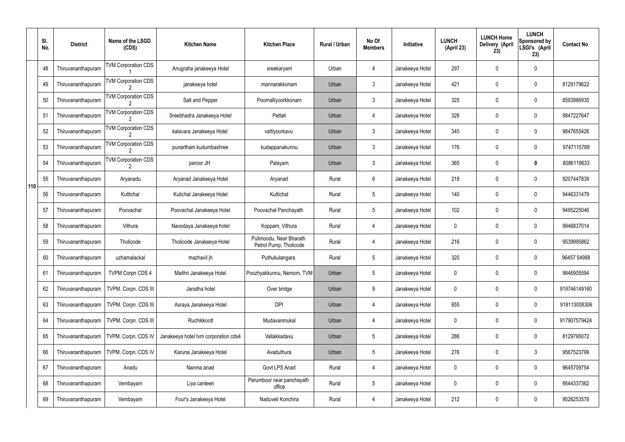|     | SI.<br>No. | <b>District</b>    | Name of the LSGD<br>(CDS)                    | <b>Kitchen Name</b>                  | <b>Kitchen Place</b>                              | Rural / Urban | No Of<br><b>Members</b> | Initiative      | <b>LUNCH</b><br>(April 23) | <b>LUNCH Home</b><br>Delivery (April<br>23) | <b>LUNCH</b><br>Sponsored by<br>LSGI's (April<br>23) | <b>Contact No</b> |
|-----|------------|--------------------|----------------------------------------------|--------------------------------------|---------------------------------------------------|---------------|-------------------------|-----------------|----------------------------|---------------------------------------------|------------------------------------------------------|-------------------|
|     | 48         | Thiruvananthapuram | <b>TVM Corporation CDS</b>                   | Anugraha janakeeya Hotel             | sreekaryam                                        | Urban         | 4                       | Janakeeya Hotel | 297                        | 0                                           | $\mathbf 0$                                          |                   |
|     | 49         | Thiruvananthapuram | <b>TVM Corporation CDS</b>                   | janakeeya hotel                      | mannarakkonam                                     | Urban         | $\mathbf{3}$            | Janakeeya Hotel | 421                        | 0                                           | $\pmb{0}$                                            | 8129179622        |
|     | 50         | Thiruvananthapuram | <b>TVM Corporation CDS</b>                   | Salt and Pepper                      | Poomalliyoorkkonam                                | Urban         | $\mathbf{3}$            | Janakeeya Hotel | 325                        | 0                                           | $\mathbf 0$                                          | 8593986935        |
|     | 51         | Thiruvananthapuram | <b>TVM Corporation CDS</b>                   | Sreebhadra Janakeeya Hotel           | Pettah                                            | Urban         | 4                       | Janakeeya Hotel | 326                        | 0                                           | $\pmb{0}$                                            | 9847227647        |
|     | 52         | Thiruvananthapuram | <b>TVM Corporation CDS</b>                   | kalavara Janakeeya Hotel             | vattiyoorkavu                                     | Urban         | $\mathbf{3}$            | Janakeeya Hotel | 345                        | 0                                           | $\mathbf 0$                                          | 9847655426        |
|     | 53         | Thiruvananthapuram | <b>TVM Corporation CDS</b>                   | punartham kudumbashree               | kudappanakunnu                                    | Urban         | $\mathfrak{Z}$          | Janakeeya Hotel | 176                        | 0                                           | $\pmb{0}$                                            | 9747115789        |
|     | 54         | Thiruvananthapuram | <b>TVM Corporation CDS</b><br>$\overline{2}$ | peroor JH                            | Palayam                                           | Urban         | $\mathbf{3}$            | Janakeeya Hotel | 365                        | 0                                           | 0                                                    | 8086119633        |
| 110 | 55         | Thiruvananthapuram | Aryanadu                                     | Aryanad Janakeeya Hotel              | Aryanad                                           | Rural         | 6                       | Janakeeya Hotel | 218                        | 0                                           | $\pmb{0}$                                            | 9207447839        |
|     | 56         | Thiruvananthapuram | Kuttichal                                    | Kutichal Janakeeya Hotel             | Kuttichal                                         | Rural         | $5\phantom{.0}$         | Janakeeya Hotel | 140                        | 0                                           | $\mathbf 0$                                          | 9446331479        |
|     | 57         | Thiruvananthapuram | Poovachal                                    | Poovachal Janakeeya Hotel            | Poovachal Panchayath                              | Rural         | $5\phantom{.0}$         | Janakeeya Hotel | 102                        | 0                                           | $\boldsymbol{0}$                                     | 9495225046        |
|     | 58         | Thiruvananthapuram | Vithura                                      | Navodaya Janakeeya hotel             | Koppam, Vithura                                   | Rural         | 4                       | Janakeeya Hotel | 0                          | 0                                           | $\mathbf 0$                                          | 9946837014        |
|     | 59         | Thiruvananthapuram | Tholicode                                    | Tholicode Janakeeya Hotel            | Pulimoodu, Near Bharath<br>Petrol Pump, Tholicode | Rural         | 4                       | Janakeeya Hotel | 216                        | 0                                           | $\mathbf 0$                                          | 9539995862        |
|     | 60         | Thiruvananthapuram | uzhamalackal                                 | mazhavil jh                          | Puthukulangara                                    | Rural         | $5\overline{)}$         | Janakeeya Hotel | 320                        | 0                                           | $\mathbf 0$                                          | 96457 54988       |
|     | 61         | Thiruvananthapuram | <b>TVPM Corpn CDS 4</b>                      | Maithri Janakeeya Hotel              | Poozhyakkunnu, Nemom, TVM                         | Urban         | 5                       | Janakeeya Hotel | 0                          | 0                                           | $\mathbf 0$                                          | 9846905594        |
|     | 62         | Thiruvananthapuram | TVPM. Corpn. CDS III                         | Janatha hotel                        | Over bridge                                       | Urban         | 9                       | Janakeeya Hotel | 0                          | 0                                           | $\pmb{0}$                                            | 919746149160      |
|     | 63         | Thiruvananthapuram | TVPM. Corpn. CDS III                         | Asraya Janakeeya Hotel               | <b>DPI</b>                                        | Urban         | 4                       | Janakeeya Hotel | 655                        | 0                                           | $\pmb{0}$                                            | 918113008306      |
|     | 64         | Thiruvananthapuram | TVPM. Corpn. CDS III                         | Ruchikkoott                          | Mudavanmukal                                      | Urban         | 4                       | Janakeeya Hotel | 0                          | 0                                           | $\pmb{0}$                                            | 917907579424      |
|     | 65         | Thiruvananthapuram | TVPM. Corpn. CDS IV                          | Janakeeya hotel tvm corporation cds4 | Vallakkadavu                                      | Urban         | 5                       | Janakeeya Hotel | 286                        | 0                                           | $\pmb{0}$                                            | 8129795072        |
|     | 66         | Thiruvananthapuram | TVPM. Corpn. CDS IV                          | Karuna Janakeeya Hotel               | Avaduthura                                        | Urban         | 5                       | Janakeeya Hotel | 276                        | 0                                           | $\mathfrak{Z}$                                       | 9567523799        |
|     | 67         | Thiruvananthapuram | Anadu                                        | Nanma anad                           | Govt LPS Anad                                     | Rural         | 4                       | Janakeeya Hotel | 0                          | 0                                           | $\pmb{0}$                                            | 9645709754        |
|     | 68         | Thiruvananthapuram | Vembayam                                     | Liya canteen                         | Perumboor near panchayath<br>office               | Rural         | 5                       | Janakeeya Hotel | 0                          | 0                                           | $\pmb{0}$                                            | 9544337362        |
|     | 69         | Thiruvananthapuram | Vembayam                                     | Four's Janakeeya Hotel               | Naduveli Konchira                                 | Rural         | 4                       | Janakeeya Hotel | 212                        | 0                                           | $\pmb{0}$                                            | 9526253578        |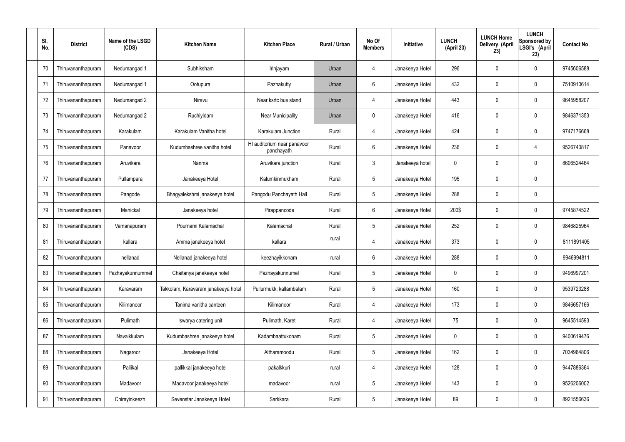| SI.<br>No. | <b>District</b>    | Name of the LSGD<br>(CDS) | <b>Kitchen Name</b>                 | <b>Kitchen Place</b>                      | Rural / Urban | No Of<br><b>Members</b> | Initiative      | <b>LUNCH</b><br>(April 23) | <b>LUNCH Home</b><br>Delivery (April<br>23) | <b>LUNCH</b><br>Sponsored by<br>LSGI's (April<br>23) | <b>Contact No</b> |
|------------|--------------------|---------------------------|-------------------------------------|-------------------------------------------|---------------|-------------------------|-----------------|----------------------------|---------------------------------------------|------------------------------------------------------|-------------------|
| 70         | Thiruvananthapuram | Nedumangad 1              | Subhiksham                          | Irinjayam                                 | Urban         | 4                       | Janakeeya Hotel | 296                        | 0                                           | 0                                                    | 9745606588        |
| 71         | Thiruvananthapuram | Nedumangad 1              | Ootupura                            | Pazhakutty                                | Urban         | 6                       | Janakeeya Hotel | 432                        | 0                                           | $\mathbf 0$                                          | 7510910614        |
| 72         | Thiruvananthapuram | Nedumangad 2              | Niravu                              | Near ksrtc bus stand                      | Urban         | $\overline{4}$          | Janakeeya Hotel | 443                        | 0                                           | $\mathbf 0$                                          | 9645958207        |
| 73         | Thiruvananthapuram | Nedumangad 2              | Ruchiyidam                          | Near Municipality                         | Urban         | $\mathbf 0$             | Janakeeya Hotel | 416                        | 0                                           | $\mathbf 0$                                          | 9846371353        |
| 74         | Thiruvananthapuram | Karakulam                 | Karakulam Vanitha hotel             | Karakulam Junction                        | Rural         | $\overline{4}$          | Janakeeya Hotel | 424                        | 0                                           | $\mathbf 0$                                          | 9747176668        |
| 75         | Thiruvananthapuram | Panavoor                  | Kudumbashree vanitha hotel          | HI auditorium near panavoor<br>panchayath | Rural         | $6\phantom{.}$          | Janakeeya Hotel | 236                        | 0                                           | 4                                                    | 9526740817        |
| 76         | Thiruvananthapuram | Aruvikara                 | Nanma                               | Aruvikara junction                        | Rural         | $\mathbf{3}$            | Janakeeya hotel | 0                          | 0                                           | $\mathbf 0$                                          | 8606524464        |
| 77         | Thiruvananthapuram | Pullampara                | Janakeeya Hotel                     | Kalumkinmukham                            | Rural         | $5\phantom{.0}$         | Janakeeya Hotel | 195                        | 0                                           | $\mathbf 0$                                          |                   |
| 78         | Thiruvananthapuram | Pangode                   | Bhagyalekshmi janakeeya hotel       | Pangodu Panchayath Hall                   | Rural         | $5\phantom{.0}$         | Janakeeya Hotel | 288                        | 0                                           | $\mathbf 0$                                          |                   |
| 79         | Thiruvananthapuram | Manickal                  | Janakeeya hotel                     | Pirappancode                              | Rural         | $6\phantom{.}$          | Janakeeya Hotel | 200\$                      | 0                                           | $\boldsymbol{0}$                                     | 9745874522        |
| 80         | Thiruvananthapuram | Vamanapuram               | Pournami Kalamachal                 | Kalamachal                                | Rural         | $5\phantom{.0}$         | Janakeeya Hotel | 252                        | 0                                           | $\boldsymbol{0}$                                     | 9846825964        |
| 81         | Thiruvananthapuram | kallara                   | Amma janakeeya hotel                | kallara                                   | rural         | 4                       | Janakeeya Hotel | 373                        | 0                                           | $\boldsymbol{0}$                                     | 8111891405        |
| 82         | Thiruvananthapuram | nellanad                  | Nellanad janakeeya hotel            | keezhayikkonam                            | rural         | 6                       | Janakeeya Hotel | 288                        | 0                                           | 0                                                    | 9946994811        |
| 83         | Thiruvananthapuram | Pazhayakunnummel          | Chaitanya janakeeya hotel           | Pazhayakunnumel                           | Rural         | $5\phantom{.0}$         | Janakeeya Hotel | 0                          | 0                                           | $\mathbf 0$                                          | 9496997201        |
| 84         | Thiruvananthapuram | Karavaram                 | Takkolam, Karavaram janakeeya hotel | Pullurmukk, kallambalam                   | Rural         | $5\phantom{.0}$         | Janakeeya Hotel | 160                        | $\mathbf 0$                                 | $\mathbf 0$                                          | 9539723288        |
| 85         | Thiruvananthapuram | Kilimanoor                | Tanima vanitha canteen              | Kilimanoor                                | Rural         | $\overline{4}$          | Janakeeya Hotel | 173                        | 0                                           | $\mathbf 0$                                          | 9846657166        |
| 86         | Thiruvananthapuram | Pulimath                  | Iswarya catering unit               | Pulimath, Karet                           | Rural         | $\overline{4}$          | Janakeeya Hotel | 75                         | $\mathbf 0$                                 | $\mathbf 0$                                          | 9645514593        |
| 87         | Thiruvananthapuram | Navaikkulam               | Kudumbashree janakeeya hotel        | Kadambaattukonam                          | Rural         | $5\phantom{.0}$         | Janakeeya Hotel | $\mathbf 0$                | 0                                           | $\mathbf 0$                                          | 9400619476        |
| 88         | Thiruvananthapuram | Nagaroor                  | Janakeeya Hotel                     | Altharamoodu                              | Rural         | $5\phantom{.0}$         | Janakeeya Hotel | 162                        | 0                                           | $\mathbf 0$                                          | 7034964806        |
| 89         | Thiruvananthapuram | Pallikal                  | pallikkal janakeeya hotel           | pakalkkuri                                | rural         | 4                       | Janakeeya Hotel | 128                        | 0                                           | $\mathbf 0$                                          | 9447886364        |
| 90         | Thiruvananthapuram | Madavoor                  | Madavoor janakeeya hotel            | madavoor                                  | rural         | $5\phantom{.0}$         | Janakeeya Hotel | 143                        | $\boldsymbol{0}$                            | $\pmb{0}$                                            | 9526206002        |
| 91         | Thiruvananthapuram | Chirayinkeezh             | Sevenstar Janakeeya Hotel           | Sarkkara                                  | Rural         | $5\,$                   | Janakeeya Hotel | 89                         | 0                                           | $\boldsymbol{0}$                                     | 8921556636        |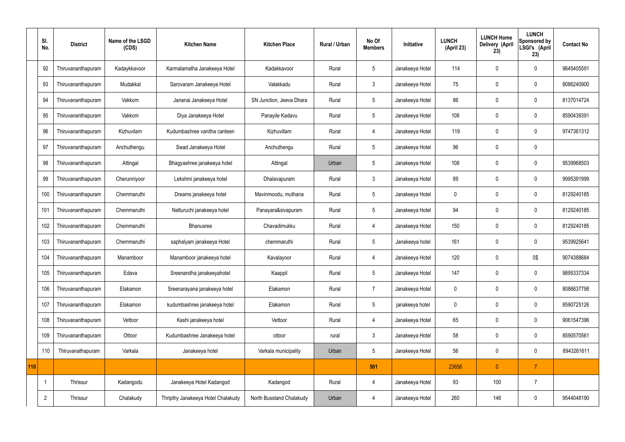|     | SI.<br>No.     | <b>District</b>    | Name of the LSGD<br>(CDS) | <b>Kitchen Name</b>                | <b>Kitchen Place</b>     | Rural / Urban | No Of<br><b>Members</b> | Initiative      | <b>LUNCH</b><br>(April 23) | <b>LUNCH Home</b><br>Delivery (April<br>23) | <b>LUNCH</b><br>Sponsored by<br>LSGI's (April<br>23) | <b>Contact No</b> |
|-----|----------------|--------------------|---------------------------|------------------------------------|--------------------------|---------------|-------------------------|-----------------|----------------------------|---------------------------------------------|------------------------------------------------------|-------------------|
|     | 92             | Thiruvananthapuram | Kadaykkavoor              | Karmalamatha Janakeeya Hotel       | Kadakkavoor              | Rural         | 5                       | Janakeeya Hotel | 114                        | 0                                           | $\mathbf 0$                                          | 9645405591        |
|     | 93             | Thiruvananthapuram | Mudakkal                  | Sarovaram Janakeeya Hotel          | Valakkadu                | Rural         | $\mathbf{3}$            | Janakeeya Hotel | 75                         | $\mathbf 0$                                 | $\mathbf 0$                                          | 8086240900        |
|     | 94             | Thiruvananthapuram | Vakkom                    | Jananai Janakeeya Hotel            | SN Junction, Jeeva Dhara | Rural         | $5\overline{)}$         | Janakeeya Hotel | 86                         | $\mathbf 0$                                 | $\mathbf 0$                                          | 8137014724        |
|     | 95             | Thiruvananthapuram | Vakkom                    | Diya Janakeeya Hotel               | Panayile Kadavu          | Rural         | $5\overline{)}$         | Janakeeya Hotel | 108                        | $\mathbf 0$                                 | $\mathbf 0$                                          | 8590439391        |
|     | 96             | Thiruvananthapuram | Kizhuvilam                | Kudumbashree vanitha canteen       | Kizhuvillam              | Rural         | $\overline{4}$          | Janakeeya Hotel | 119                        | $\mathbf 0$                                 | $\mathbf 0$                                          | 9747361312        |
|     | 97             | Thiruvananthapuram | Anchuthengu               | Swad Janakeeya Hotel               | Anchuthengu              | Rural         | $5\phantom{.0}$         | Janakeeya Hotel | 96                         | $\mathbf 0$                                 | $\mathbf 0$                                          |                   |
|     | 98             | Thiruvananthapuram | Attingal                  | Bhagyashree janakeeya hotel        | Attingal                 | Urban         | $5\phantom{.0}$         | Janakeeya Hotel | 108                        | $\mathbf 0$                                 | $\mathbf 0$                                          | 9539968503        |
|     | 99             | Thiruvananthapuram | Cherunniyoor              | Lekshmi janakeeya hotel            | Dhalavapuram             | Rural         | $\mathbf{3}$            | Janakeeya Hotel | 89                         | $\mathbf 0$                                 | $\mathbf 0$                                          | 9995391999        |
|     | 100            | Thiruvananthapuram | Chemmaruthi               | Dreams janakeeya hotel             | Mavinmoodu, muthana      | Rural         | 5                       | Janakeeya Hotel | $\mathbf 0$                | $\mathbf 0$                                 | $\mathbf 0$                                          | 8129240185        |
|     | 101            | Thiruvananthapuram | Chemmaruthi               | Natturuchi janakeeya hotel         | Panayara&sivapuram       | Rural         | $5\overline{)}$         | Janakeeya Hotel | 94                         | $\mathbf 0$                                 | $\mathbf 0$                                          | 8129240185        |
|     | 102            | Thiruvananthapuram | Chemmaruthi               | Bhanusree                          | Chavadimukku             | Rural         | 4                       | Janakeeya Hotel | 150                        | $\mathbf 0$                                 | $\mathbf 0$                                          | 8129240185        |
|     | 103            | Thiruvananthapuram | Chemmaruthi               | saphalyam janakeeya Hotel          | chemmaruthi              | Rural         | 5                       | Janakeeya hotel | 161                        | $\mathbf 0$                                 | $\mathbf 0$                                          | 9539925641        |
|     | 104            | Thiruvananthapuram | Manamboor                 | Manamboor janakeeya hotel          | Kavalayoor               | Rural         | 4                       | Janakeeya Hotel | 120                        | 0                                           | 0\$                                                  | 9074388684        |
|     | 105            | Thiruvananthapuram | Edava                     | Sreenandha janakeeyahotel          | Kaappil                  | Rural         | $5\phantom{.0}$         | Janakeeya Hotel | 147                        | $\mathbf 0$                                 | $\mathbf 0$                                          | 9895337334        |
|     | 106            | Thiruvananthapuram | Elakamon                  | Sreenarayana janakeeya hotel       | Elakamon                 | Rural         | $\overline{7}$          | Janakeeya Hotel | $\pmb{0}$                  | $\mathbf 0$                                 | $\mathbf 0$                                          | 8086637798        |
|     | 107            | Thiruvananthapuram | Elakamon                  | kudumbashree janakeeya hotel       | Elakamon                 | Rural         | $5\phantom{.0}$         | janakeeya hotel | $\pmb{0}$                  | $\mathbf 0$                                 | $\mathbf 0$                                          | 8590725126        |
|     | 108            | Thiruvananthapuram | Vettoor                   | Kashi janakeeya hotel              | Vettoor                  | Rural         | $\overline{4}$          | Janakeeya Hotel | 65                         | $\mathbf 0$                                 | $\mathbf 0$                                          | 9061547396        |
|     | 109            | Thiruvananthapuram | Ottoor                    | Kudumbashree Janakeeya hotel       | ottoor                   | rural         | $\mathbf{3}$            | Janakeeya Hotel | 58                         | $\pmb{0}$                                   | $\mathbf 0$                                          | 8590570561        |
|     | 110            | Thiruvanathapuram  | Varkala                   | Janakeeya hotel                    | Varkala municipality     | Urban         | $5\phantom{.0}$         | Janakeeya Hotel | 56                         | $\pmb{0}$                                   | $\mathbf 0$                                          | 8943261611        |
| 110 |                |                    |                           |                                    |                          |               | 501                     |                 | 23656                      | $\mathbf{0}$                                | $\overline{7}$                                       |                   |
|     | -1             | Thrissur           | Kadangodu                 | Janakeeya Hotel Kadangod           | Kadangod                 | Rural         | 4                       | Janakeeya Hotel | 93                         | 100                                         | $\overline{7}$                                       |                   |
|     | $\overline{2}$ | Thrissur           | Chalakudy                 | Thripthy Janakeeya Hotel Chalakudy | North Busstand Chalakudy | Urban         | 4                       | Janakeeya Hotel | 260                        | 146                                         | $\mathbf 0$                                          | 9544048190        |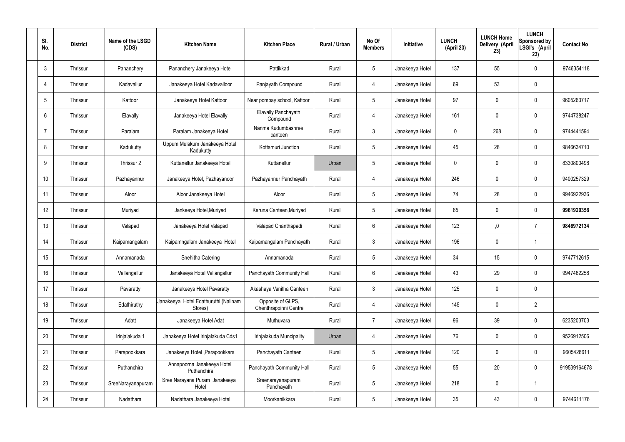| SI.<br>No.     | <b>District</b> | Name of the LSGD<br>(CDS) | <b>Kitchen Name</b>                             | <b>Kitchen Place</b>                       | <b>Rural / Urban</b> | No Of<br><b>Members</b> | Initiative      | <b>LUNCH</b><br>(April 23) | <b>LUNCH Home</b><br>Delivery (April<br>23) | <b>LUNCH</b><br>Sponsored by<br>LSGI's (April<br>23) | <b>Contact No</b> |
|----------------|-----------------|---------------------------|-------------------------------------------------|--------------------------------------------|----------------------|-------------------------|-----------------|----------------------------|---------------------------------------------|------------------------------------------------------|-------------------|
| 3              | Thrissur        | Pananchery                | Pananchery Janakeeya Hotel                      | Pattikkad                                  | Rural                | $5\overline{)}$         | Janakeeya Hotel | 137                        | 55                                          | $\mathbf 0$                                          | 9746354118        |
| 4              | Thrissur        | Kadavallur                | Janakeeya Hotel Kadavalloor                     | Panjayath Compound                         | Rural                | $\overline{4}$          | Janakeeya Hotel | 69                         | 53                                          | $\mathbf 0$                                          |                   |
| 5              | Thrissur        | Kattoor                   | Janakeeya Hotel Kattoor                         | Near pompay school, Kattoor                | Rural                | $5\phantom{.0}$         | Janakeeya Hotel | 97                         | 0                                           | $\mathbf 0$                                          | 9605263717        |
| 6              | Thrissur        | Elavally                  | Janakeeya Hotel Elavally                        | Elavally Panchayath<br>Compound            | Rural                | $\overline{4}$          | Janakeeya Hotel | 161                        | 0                                           | $\mathbf 0$                                          | 9744738247        |
| $\overline{7}$ | Thrissur        | Paralam                   | Paralam Janakeeya Hotel                         | Nanma Kudumbashree<br>canteen              | Rural                | $\mathbf{3}$            | Janakeeya Hotel | $\mathbf 0$                | 268                                         | $\mathbf 0$                                          | 9744441594        |
| 8              | Thrissur        | Kadukutty                 | Uppum Mulakum Janakeeya Hotel<br>Kadukutty      | Kottamuri Junction                         | Rural                | $5\overline{)}$         | Janakeeya Hotel | 45                         | 28                                          | $\mathbf 0$                                          | 9846634710        |
| 9              | Thrissur        | Thrissur 2                | Kuttanellur Janakeeya Hotel                     | Kuttanellur                                | Urban                | $5\overline{)}$         | Janakeeya Hotel | $\mathbf 0$                | 0                                           | $\mathbf 0$                                          | 8330800498        |
| 10             | Thrissur        | Pazhayannur               | Janakeeya Hotel, Pazhayanoor                    | Pazhayannur Panchayath                     | Rural                | $\overline{4}$          | Janakeeya Hotel | 246                        | $\mathbf 0$                                 | $\mathbf 0$                                          | 9400257329        |
| 11             | Thrissur        | Aloor                     | Aloor Janakeeya Hotel                           | Aloor                                      | Rural                | $5\overline{)}$         | Janakeeya Hotel | 74                         | 28                                          | $\mathbf 0$                                          | 9946922936        |
| 12             | Thrissur        | Muriyad                   | Jankeeya Hotel, Muriyad                         | Karuna Canteen, Muriyad                    | Rural                | $5\overline{)}$         | Janakeeya Hotel | 65                         | $\mathbf 0$                                 | $\mathbf 0$                                          | 9961920358        |
| 13             | Thrissur        | Valapad                   | Janakeeya Hotel Valapad                         | Valapad Chanthapadi                        | Rural                | $6\overline{6}$         | Janakeeya Hotel | 123                        | 0,                                          | $\overline{7}$                                       | 9846972134        |
| 14             | Thrissur        | Kaipamangalam             | Kaipamngalam Janakeeya Hotel                    | Kaipamangalam Panchayath                   | Rural                | $\mathbf{3}$            | Janakeeya Hotel | 196                        | $\mathbf 0$                                 | $\overline{1}$                                       |                   |
| 15             | Thrissur        | Annamanada                | Snehitha Catering                               | Annamanada                                 | Rural                | 5                       | Janakeeya Hotel | 34                         | 15                                          | $\mathbf 0$                                          | 9747712615        |
| 16             | Thrissur        | Vellangallur              | Janakeeya Hotel Vellangallur                    | Panchayath Community Hall                  | Rural                | $6\overline{6}$         | Janakeeya Hotel | 43                         | 29                                          | $\mathbf 0$                                          | 9947462258        |
| 17             | Thrissur        | Pavaratty                 | Janakeeya Hotel Pavaratty                       | Akashaya Vanitha Canteen                   | Rural                | $\mathbf{3}$            | Janakeeya Hotel | 125                        | $\mathbf 0$                                 | $\mathbf 0$                                          |                   |
| 18             | Thrissur        | Edathiruthy               | Janakeeya Hotel Edathuruthi (Nalinam<br>Stores) | Opposite of GLPS,<br>Chenthrappinni Centre | Rural                | $\overline{4}$          | Janakeeya Hotel | 145                        | $\mathbf 0$                                 | $\overline{2}$                                       |                   |
| 19             | Thrissur        | Adatt                     | Janakeeya Hotel Adat                            | Muthuvara                                  | Rural                | $\overline{7}$          | Janakeeya Hotel | 96                         | 39                                          | $\mathbf 0$                                          | 6235203703        |
| 20             | Thrissur        | Irinjalakuda 1            | Janakeeya Hotel Irinjalakuda Cds1               | Irinjalakuda Muncipality                   | Urban                | 4                       | Janakeeya Hotel | 76                         | $\pmb{0}$                                   | $\mathbf 0$                                          | 9526912506        |
| 21             | Thrissur        | Parapookkara              | Janakeeya Hotel, Parapookkara                   | Panchayath Canteen                         | Rural                | $5\phantom{.0}$         | Janakeeya Hotel | 120                        | $\pmb{0}$                                   | $\mathbf 0$                                          | 9605428611        |
| 22             | Thrissur        | Puthanchira               | Annapoorna Janakeeya Hotel<br>Puthenchira       | Panchayath Community Hall                  | Rural                | 5 <sup>5</sup>          | Janakeeya Hotel | 55                         | 20                                          | $\mathbf 0$                                          | 919539164678      |
| 23             | Thrissur        | SreeNarayanapuram         | Sree Narayana Puram Janakeeya<br>Hotel          | Sreenarayanapuram<br>Panchayath            | Rural                | $5\overline{)}$         | Janakeeya Hotel | 218                        | $\pmb{0}$                                   | $\mathbf 1$                                          |                   |
| 24             | Thrissur        | Nadathara                 | Nadathara Janakeeya Hotel                       | Moorkanikkara                              | Rural                | $5\phantom{.0}$         | Janakeeya Hotel | 35 <sub>5</sub>            | 43                                          | $\mathbf 0$                                          | 9744611176        |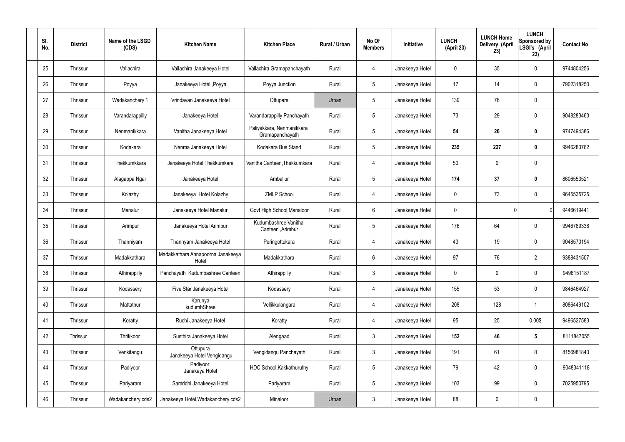| SI.<br>No. | <b>District</b> | Name of the LSGD<br>(CDS) | <b>Kitchen Name</b>                        | <b>Kitchen Place</b>                         | Rural / Urban | No Of<br><b>Members</b> | Initiative      | <b>LUNCH</b><br>(April 23) | <b>LUNCH Home</b><br>Delivery (April<br>23) | <b>LUNCH</b><br>Sponsored by<br>LSGI's (April<br>23) | <b>Contact No</b> |
|------------|-----------------|---------------------------|--------------------------------------------|----------------------------------------------|---------------|-------------------------|-----------------|----------------------------|---------------------------------------------|------------------------------------------------------|-------------------|
| 25         | Thrissur        | Vallachira                | Vallachira Janakeeya Hotel                 | Vallachira Gramapanchayath                   | Rural         | 4                       | Janakeeya Hotel | $\mathbf 0$                | 35                                          | $\mathbf 0$                                          | 9744804256        |
| 26         | Thrissur        | Poyya                     | Janakeeya Hotel , Poyya                    | Poyya Junction                               | Rural         | $5\phantom{.0}$         | Janakeeya Hotel | 17                         | 14                                          | $\mathbf 0$                                          | 7902318250        |
| 27         | Thrissur        | Wadakanchery 1            | Vrindavan Janakeeya Hotel                  | Ottupara                                     | Urban         | $5\phantom{.0}$         | Janakeeya Hotel | 139                        | 76                                          | $\mathbf 0$                                          |                   |
| 28         | Thrissur        | Varandarappilly           | Janakeeya Hotel                            | Varandarappilly Panchayath                   | Rural         | $5\phantom{.0}$         | Janakeeya Hotel | 73                         | 29                                          | $\mathbf 0$                                          | 9048283463        |
| 29         | Thrissur        | Nenmanikkara              | Vanitha Janakeeya Hotel                    | Paliyekkara, Nenmanikkara<br>Gramapanchayath | Rural         | $5\phantom{.0}$         | Janakeeya Hotel | 54                         | 20                                          | $\boldsymbol{0}$                                     | 9747494386        |
| 30         | Thrissur        | Kodakara                  | Nanma Janakeeya Hotel                      | Kodakara Bus Stand                           | Rural         | $5\phantom{.0}$         | Janakeeya Hotel | 235                        | 227                                         | $\mathbf 0$                                          | 9946283762        |
| 31         | Thrissur        | Thekkumkkara              | Janakeeya Hotel Thekkumkara                | Vanitha Canteen, Thekkumkara                 | Rural         | $\overline{4}$          | Janakeeya Hotel | 50                         | $\mathbf 0$                                 | $\mathbf 0$                                          |                   |
| 32         | Thrissur        | Alagappa Ngar             | Janakeeya Hotel                            | Amballur                                     | Rural         | $5\phantom{.0}$         | Janakeeya Hotel | 174                        | 37                                          | $\boldsymbol{0}$                                     | 8606553521        |
| 33         | Thrissur        | Kolazhy                   | Janakeeya Hotel Kolazhy                    | <b>ZMLP School</b>                           | Rural         | $\overline{4}$          | Janakeeya Hotel | $\mathbf 0$                | 73                                          | $\mathbf 0$                                          | 9645535725        |
| 34         | Thrissur        | Manalur                   | Janakeeya Hotel Manalur                    | Govt High School, Manaloor                   | Rural         | $6\phantom{.}6$         | Janakeeya Hotel | $\mathbf 0$                |                                             | $\mathbf{0}$                                         | 9446619441        |
| 35         | Thrissur        | Arimpur                   | Janakeeya Hotel Arimbur                    | Kudumbashree Vanitha<br>Canteen , Arimbur    | Rural         | $5\phantom{.0}$         | Janakeeya Hotel | 176                        | 64                                          | $\mathbf 0$                                          | 9946789338        |
| 36         | Thrissur        | Thanniyam                 | Thannyam Janakeeya Hotel                   | Peringottukara                               | Rural         | 4                       | Janakeeya Hotel | 43                         | 19                                          | $\mathbf 0$                                          | 9048570194        |
| 37         | Thrissur        | Madakkathara              | Madakkathara Annapoorna Janakeeya<br>Hotel | Madakkathara                                 | Rural         | $6\phantom{.}6$         | Janakeeya Hotel | 97                         | 76                                          | $\overline{2}$                                       | 9388431507        |
| 38         | Thrissur        | Athirappilly              | Panchayath Kudumbashree Canteen            | Athirappilly                                 | Rural         | $\mathbf{3}$            | Janakeeya Hotel | $\mathbf 0$                | $\mathbf 0$                                 | $\mathbf 0$                                          | 9496151187        |
| 39         | Thrissur        | Kodassery                 | Five Star Janakeeya Hotel                  | Kodassery                                    | Rural         | $\overline{4}$          | Janakeeya Hotel | 155                        | 53                                          | $\mathbf 0$                                          | 9846464927        |
| 40         | Thrissur        | Mattathur                 | Karunya<br>kudumbShree                     | Vellikkulangara                              | Rural         | $\overline{4}$          | Janakeeya Hotel | 208                        | 128                                         | $\mathbf{1}$                                         | 8086449102        |
| 41         | Thrissur        | Koratty                   | Ruchi Janakeeya Hotel                      | Koratty                                      | Rural         | $\overline{4}$          | Janakeeya Hotel | 95                         | 25                                          | 0.00\$                                               | 9496527583        |
| 42         | Thrissur        | Thrikkoor                 | Susthira Janakeeya Hotel                   | Alengaad                                     | Rural         | $\mathfrak{Z}$          | Janakeeya Hotel | 152                        | 46                                          | $5\phantom{.0}$                                      | 8111847055        |
| 43         | Thrissur        | Venkitangu                | Ottupura<br>Janakeeya Hotel Vengidangu     | Vengidangu Panchayath                        | Rural         | $\mathfrak{Z}$          | Janakeeya Hotel | 191                        | 61                                          | $\mathbf 0$                                          | 8156981840        |
| 44         | Thrissur        | Padiyoor                  | Padiyoor<br>Janakeya Hotel                 | HDC School, Kakkathuruthy                    | Rural         | $5\phantom{.0}$         | Janakeeya Hotel | 79                         | 42                                          | $\mathbf 0$                                          | 9048341118        |
| 45         | Thrissur        | Pariyaram                 | Samridhi Janakeeya Hotel                   | Pariyaram                                    | Rural         | $5\phantom{.0}$         | Janakeeya Hotel | 103                        | 99                                          | $\mathbf 0$                                          | 7025950795        |
| 46         | Thrissur        | Wadakanchery cds2         | Janakeeya Hotel, Wadakanchery cds2         | Minaloor                                     | Urban         | $\mathfrak{Z}$          | Janakeeya Hotel | 88                         | 0                                           | $\mathbf 0$                                          |                   |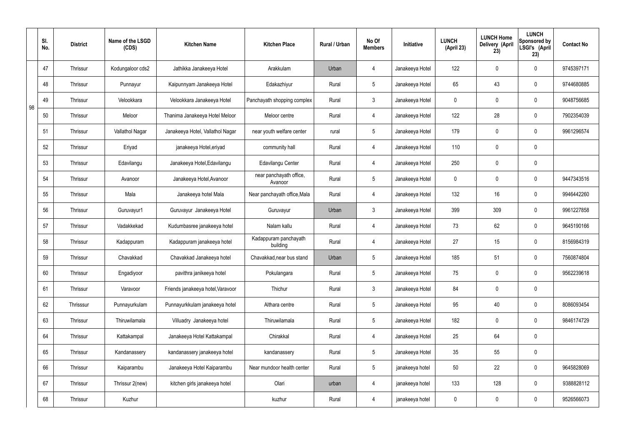|    | SI.<br>No. | <b>District</b> | Name of the LSGD<br>(CDS) | <b>Kitchen Name</b>               | <b>Kitchen Place</b>               | Rural / Urban | No Of<br><b>Members</b> | Initiative      | <b>LUNCH</b><br>(April 23) | <b>LUNCH Home</b><br>Delivery (April<br>23) | <b>LUNCH</b><br>Sponsored by<br>LSGI's (April<br>23) | <b>Contact No</b> |
|----|------------|-----------------|---------------------------|-----------------------------------|------------------------------------|---------------|-------------------------|-----------------|----------------------------|---------------------------------------------|------------------------------------------------------|-------------------|
|    | 47         | <b>Thrissur</b> | Kodungaloor cds2          | Jathikka Janakeeya Hotel          | Arakkulam                          | Urban         | 4                       | Janakeeya Hotel | 122                        | $\mathbf 0$                                 | $\mathbf 0$                                          | 9745397171        |
|    | 48         | <b>Thrissur</b> | Punnayur                  | Kaipunnyam Janakeeya Hotel        | Edakazhiyur                        | Rural         | $5\overline{)}$         | Janakeeya Hotel | 65                         | 43                                          | $\mathbf 0$                                          | 9744680885        |
| 98 | 49         | <b>Thrissur</b> | Velookkara                | Velookkara Janakeeya Hotel        | Panchayath shopping complex        | Rural         | $\mathbf{3}$            | Janakeeya Hotel | $\mathbf 0$                | $\mathbf 0$                                 | $\mathbf 0$                                          | 9048756685        |
|    | 50         | <b>Thrissur</b> | Meloor                    | Thanima Janakeeya Hotel Meloor    | Meloor centre                      | Rural         | 4                       | Janakeeya Hotel | 122                        | 28                                          | $\mathbf 0$                                          | 7902354039        |
|    | 51         | <b>Thrissur</b> | Vallathol Nagar           | Janakeeya Hotel, Vallathol Nagar  | near youth welfare center          | rural         | $5\overline{)}$         | Janakeeya Hotel | 179                        | $\mathbf 0$                                 | $\mathbf 0$                                          | 9961296574        |
|    | 52         | <b>Thrissur</b> | Eriyad                    | janakeeya Hotel, eriyad           | community hall                     | Rural         | 4                       | Janakeeya Hotel | 110                        | $\mathbf 0$                                 | $\mathbf 0$                                          |                   |
|    | 53         | <b>Thrissur</b> | Edavilangu                | Janakeeya Hotel, Edavilangu       | Edavilangu Center                  | Rural         | $\overline{4}$          | Janakeeya Hotel | 250                        | $\mathbf 0$                                 | $\mathbf 0$                                          |                   |
|    | 54         | <b>Thrissur</b> | Avanoor                   | Janakeeya Hotel, Avanoor          | near panchayath office,<br>Avanoor | Rural         | $5\overline{)}$         | Janakeeya Hotel | $\mathbf 0$                | $\mathbf 0$                                 | $\mathbf 0$                                          | 9447343516        |
|    | 55         | <b>Thrissur</b> | Mala                      | Janakeeya hotel Mala              | Near panchayath office, Mala       | Rural         | $\overline{4}$          | Janakeeya Hotel | 132                        | 16                                          | $\mathbf 0$                                          | 9946442260        |
|    | 56         | Thrissur        | Guruvayur1                | Guruvayur Janakeeya Hotel         | Guruvayur                          | Urban         | $\mathbf{3}$            | Janakeeya Hotel | 399                        | 309                                         | $\mathbf 0$                                          | 9961227858        |
|    | 57         | Thrissur        | Vadakkekad                | Kudumbasree janakeeya hotel       | Nalam kallu                        | Rural         | 4                       | Janakeeya Hotel | 73                         | 62                                          | $\mathbf 0$                                          | 9645190166        |
|    | 58         | Thrissur        | Kadappuram                | Kadappuram janakeeya hotel        | Kadappuram panchayath<br>building  | Rural         | 4                       | Janakeeya Hotel | 27                         | 15                                          | $\mathbf 0$                                          | 8156984319        |
|    | 59         | <b>Thrissur</b> | Chavakkad                 | Chavakkad Janakeeya hotel         | Chavakkad, near bus stand          | Urban         | 5 <sup>5</sup>          | Janakeeya Hotel | 185                        | 51                                          | $\mathbf 0$                                          | 7560874804        |
|    | 60         | Thrissur        | Engadiyoor                | pavithra janikeeya hotel          | Pokulangara                        | Rural         | $5\overline{)}$         | Janakeeya Hotel | 75                         | $\pmb{0}$                                   | $\mathbf 0$                                          | 9562239618        |
|    | 61         | Thrissur        | Varavoor                  | Friends janakeeya hotel, Varavoor | Thichur                            | Rural         | $3\phantom{a}$          | Janakeeya Hotel | 84                         | $\pmb{0}$                                   | $\mathbf 0$                                          |                   |
|    | 62         | Thrisssur       | Punnayurkulam             | Punnayurkkulam janakeeya hotel    | Althara centre                     | Rural         | $5\overline{)}$         | Janakeeya Hotel | 95                         | 40                                          | $\mathbf 0$                                          | 8086093454        |
|    | 63         | Thrissur        | Thiruwilamala             | Villuadry Janakeeya hotel         | Thiruwilamala                      | Rural         | $5\overline{)}$         | Janakeeya Hotel | 182                        | $\pmb{0}$                                   | $\mathbf 0$                                          | 9846174729        |
|    | 64         | Thrissur        | Kattakampal               | Janakeeya Hotel Kattakampal       | Chirakkal                          | Rural         | $\overline{4}$          | Janakeeya Hotel | 25                         | 64                                          | $\mathbf 0$                                          |                   |
|    | 65         | Thrissur        | Kandanassery              | kandanassery janakeeya hotel      | kandanassery                       | Rural         | $5\overline{)}$         | Janakeeya Hotel | 35                         | 55                                          | $\mathbf 0$                                          |                   |
|    | 66         | Thrissur        | Kaiparambu                | Janakeeya Hotel Kaiparambu        | Near mundoor health center         | Rural         | $5\overline{)}$         | janakeeya hotel | 50                         | 22                                          | $\mathbf 0$                                          | 9645828069        |
|    | 67         | Thrissur        | Thrissur 2(new)           | kitchen girls janakeeya hotel     | Olari                              | urban         | 4                       | janakeeya hotel | 133                        | 128                                         | $\mathbf 0$                                          | 9388828112        |
|    | 68         | Thrissur        | Kuzhur                    |                                   | kuzhur                             | Rural         | $\overline{4}$          | janakeeya hotel | $\pmb{0}$                  | $\pmb{0}$                                   | $\boldsymbol{0}$                                     | 9526566073        |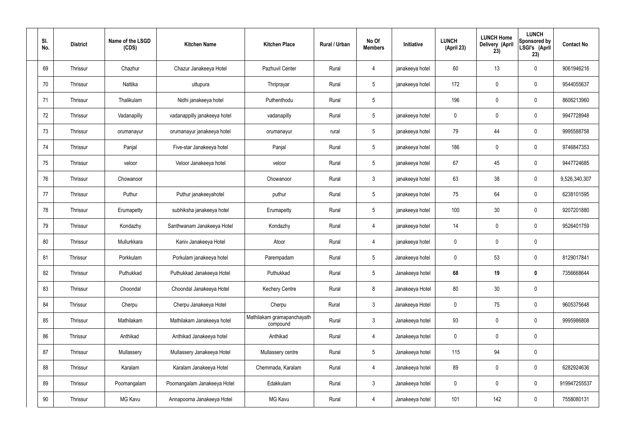| SI.<br>No. | <b>District</b> | Name of the LSGD<br>(CDS) | <b>Kitchen Name</b>          | <b>Kitchen Place</b>                   | Rural / Urban | No Of<br><b>Members</b> | Initiative      | <b>LUNCH</b><br>(April 23) | <b>LUNCH Home</b><br>Delivery (April<br>23) | <b>LUNCH</b><br>Sponsored by<br>LSGI's (April<br>23) | <b>Contact No</b> |
|------------|-----------------|---------------------------|------------------------------|----------------------------------------|---------------|-------------------------|-----------------|----------------------------|---------------------------------------------|------------------------------------------------------|-------------------|
| 69         | Thrissur        | Chazhur                   | Chazur Janakeeya Hotel       | Pazhuvil Center                        | Rural         | 4                       | janakeeya hotel | 60                         | 13                                          | $\mathbf 0$                                          | 9061946216        |
| 70         | Thrissur        | Nattika                   | uttupura                     | Thriprayar                             | Rural         | 5 <sup>5</sup>          | janakeeya hotel | 172                        | $\mathbf 0$                                 | $\mathbf 0$                                          | 9544055637        |
| 71         | Thrissur        | Thalikulam                | Nidhi janakeeya hotel        | Puthenthodu                            | Rural         | $5\overline{)}$         |                 | 196                        | $\mathbf 0$                                 | $\mathbf 0$                                          | 8606213960        |
| 72         | Thrissur        | Vadanapilly               | vadanappilly janakeeya hotel | vadanapilly                            | Rural         | $5\overline{)}$         | janakeeya hotel | $\mathbf 0$                | $\mathbf 0$                                 | $\mathbf 0$                                          | 9947728948        |
| 73         | Thrissur        | orumanayur                | orumanayur janakeeya hotel   | orumanayur                             | rural         | $5\overline{)}$         | janakeeya hotel | 79                         | 44                                          | $\mathbf 0$                                          | 9995588758        |
| 74         | Thrissur        | Panjal                    | Five-star Janakeeya hotel    | Panjal                                 | Rural         | $5\phantom{.0}$         | janakeeya hotel | 186                        | $\mathbf 0$                                 | $\mathbf 0$                                          | 9746847353        |
| 75         | Thrissur        | veloor                    | Veloor Janakeeya hotel       | veloor                                 | Rural         | $5\overline{)}$         | janakeeya hotel | 67                         | 45                                          | $\mathbf 0$                                          | 9447724685        |
| 76         | Thrissur        | Chowanoor                 |                              | Chowanoor                              | Rural         | $\mathbf{3}$            | janakeeya hotel | 63                         | 38                                          | $\mathbf 0$                                          | 9,526,340,307     |
| 77         | Thrissur        | Puthur                    | Puthur janakeeyahotel        | puthur                                 | Rural         | $5\overline{)}$         | janakeeya hotel | 75                         | 64                                          | $\mathbf 0$                                          | 6238101595        |
| 78         | Thrissur        | Erumapetty                | subhiksha janakeeya hotel    | Erumapetty                             | Rural         | $5\overline{)}$         | janakeeya hotel | 100                        | 30                                          | $\mathbf 0$                                          | 9207201880        |
| 79         | Thrissur        | Kondazhy                  | Santhwanam Janakeeya Hotel   | Kondazhy                               | Rural         | 4                       | janakeeya hotel | 14                         | $\mathbf 0$                                 | $\mathbf 0$                                          | 9526401759        |
| 80         | Thrissur        | Mullurkkara               | Kaniv Janakeeya Hotel        | Atoor                                  | Rural         | 4                       | janakeeya hotel | $\mathbf 0$                | $\mathbf 0$                                 | $\mathbf 0$                                          |                   |
| 81         | Thrissur        | Porkkulam                 | Porkulam janakeeya hotel     | Parempadam                             | Rural         | $5\overline{)}$         | Janakeeya hotel | $\mathbf 0$                | 53                                          | $\mathbf 0$                                          | 8129017841        |
| 82         | Thrissur        | Puthukkad                 | Puthukkad Janakeeya Hotel    | Puthukkad                              | Rural         | $5\phantom{.0}$         | Janakeeya hotel | 68                         | 19                                          | $\mathbf 0$                                          | 7356668644        |
| 83         | Thrissur        | Choondal                  | Choondal Janakeeya Hotel     | <b>Kechery Centre</b>                  | Rural         | 8                       | Janakeeya Hotel | 80                         | 30                                          | $\mathbf 0$                                          |                   |
| 84         | Thrissur        | Cherpu                    | Cherpu Janakeeya Hotel       | Cherpu                                 | Rural         | $3\phantom{a}$          | Janakeeya Hotel | $\mathbf 0$                | 75                                          | $\mathbf 0$                                          | 9605375648        |
| 85         | Thrissur        | Mathilakam                | Mathilakam Janakeeya hotel   | Mathilakam gramapanchayath<br>compound | Rural         | $3\phantom{a}$          | Janakeeya hotel | 93                         | $\pmb{0}$                                   | $\mathbf 0$                                          | 9995986808        |
| 86         | Thrissur        | Anthikad                  | Anthikad Janakeeya hotel     | Anthikad                               | Rural         | $\overline{4}$          | Janakeeya hotel | $\mathbf 0$                | $\pmb{0}$                                   | $\mathbf 0$                                          |                   |
| 87         | Thrissur        | Mullassery                | Mullassery Janakeeya Hotel   | Mullassery centre                      | Rural         | $5\overline{)}$         | Janakeeya hotel | 115                        | 94                                          | $\mathbf 0$                                          |                   |
| 88         | Thrissur        | Karalam                   | Karalam Janakeeya Hotel      | Chemmada, Karalam                      | Rural         | $\overline{4}$          | Janakeeya hotel | 89                         | $\pmb{0}$                                   | $\mathbf 0$                                          | 6282924636        |
| 89         | Thrissur        | Poomangalam               | Poomangalam Janakeeya Hotel  | Edakkulam                              | Rural         | $3\phantom{a}$          | Janakeeya hotel | $\mathbf 0$                | $\pmb{0}$                                   | $\mathbf 0$                                          | 919947255537      |
| 90         | Thrissur        | MG Kavu                   | Annapoorna Janakeeya Hotel   | MG Kavu                                | Rural         | 4                       | Janakeeya hotel | 101                        | 142                                         | $\mathbf 0$                                          | 7558080131        |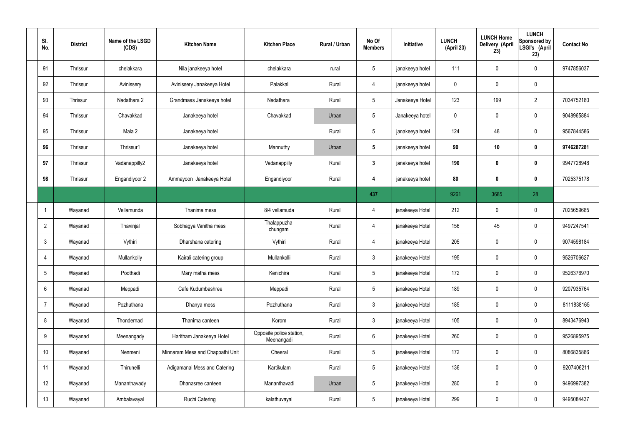| SI.<br>No.      | <b>District</b> | Name of the LSGD<br>(CDS) | <b>Kitchen Name</b>              | <b>Kitchen Place</b>                   | Rural / Urban | No Of<br><b>Members</b> | Initiative      | <b>LUNCH</b><br>(April 23) | <b>LUNCH Home</b><br>Delivery (April<br>23) | <b>LUNCH</b><br>Sponsored by<br>LSGI's (April<br>23) | <b>Contact No</b> |
|-----------------|-----------------|---------------------------|----------------------------------|----------------------------------------|---------------|-------------------------|-----------------|----------------------------|---------------------------------------------|------------------------------------------------------|-------------------|
| 91              | Thrissur        | chelakkara                | Nila janakeeya hotel             | chelakkara                             | rural         | $5\overline{)}$         | janakeeya hotel | 111                        | 0                                           | $\mathbf 0$                                          | 9747856037        |
| 92              | Thrissur        | Avinissery                | Avinissery Janakeeya Hotel       | Palakkal                               | Rural         | $\overline{4}$          | janakeeya hotel | $\mathbf 0$                | $\mathbf 0$                                 | $\mathbf 0$                                          |                   |
| 93              | Thrissur        | Nadathara 2               | Grandmaas Janakeeya hotel        | Nadathara                              | Rural         | $5\overline{)}$         | Janakeeya Hotel | 123                        | 199                                         | $\overline{2}$                                       | 7034752180        |
| 94              | Thrissur        | Chavakkad                 | Janakeeya hotel                  | Chavakkad                              | Urban         | $5\overline{)}$         | Janakeeya hotel | $\mathbf 0$                | $\mathbf 0$                                 | $\mathbf 0$                                          | 9048965884        |
| 95              | <b>Thrissur</b> | Mala 2                    | Janakeeya hotel                  |                                        | Rural         | $5\phantom{.0}$         | janakeeya hotel | 124                        | 48                                          | $\mathbf 0$                                          | 9567844586        |
| 96              | Thrissur        | Thrissur1                 | Janakeeya hotel                  | Mannuthy                               | Urban         | $5\phantom{.0}$         | janakeeya hotel | 90                         | 10                                          | $\mathbf 0$                                          | 9746287281        |
| 97              | <b>Thrissur</b> | Vadanappilly2             | Janakeeya hotel                  | Vadanappilly                           | Rural         | $3\phantom{a}$          | janakeeya hotel | 190                        | $\boldsymbol{0}$                            | $\mathbf 0$                                          | 9947728948        |
| 98              | Thrissur        | Engandiyoor 2             | Ammayoon Janakeeya Hotel         | Engandiyoor                            | Rural         | 4                       | janakeeya hotel | 80                         | $\boldsymbol{0}$                            | $\mathbf 0$                                          | 7025375178        |
|                 |                 |                           |                                  |                                        |               | 437                     |                 | 9261                       | 3685                                        | 28                                                   |                   |
| -1              | Wayanad         | Vellamunda                | Thanima mess                     | 8/4 vellamuda                          | Rural         | 4                       | janakeeya Hotel | 212                        | $\mathbf 0$                                 | $\mathbf 0$                                          | 7025659685        |
| $\overline{2}$  | Wayanad         | Thavinjal                 | Sobhagya Vanitha mess            | Thalappuzha<br>chungam                 | Rural         | 4                       | janakeeya Hotel | 156                        | 45                                          | $\mathbf 0$                                          | 9497247541        |
| $\mathbf{3}$    | Wayanad         | Vythiri                   | Dharshana catering               | Vythiri                                | Rural         | $\overline{4}$          | janakeeya Hotel | 205                        | $\mathbf 0$                                 | $\mathbf 0$                                          | 9074598184        |
| $\overline{4}$  | Wayanad         | Mullankolly               | Kairali catering group           | Mullankolli                            | Rural         | $\mathbf{3}$            | janakeeya Hotel | 195                        | $\mathbf 0$                                 | $\mathbf 0$                                          | 9526706627        |
| $5\overline{)}$ | Wayanad         | Poothadi                  | Mary matha mess                  | Kenichira                              | Rural         | $5\phantom{.0}$         | janakeeya Hotel | 172                        | $\pmb{0}$                                   | $\mathbf 0$                                          | 9526376970        |
| 6               | Wayanad         | Meppadi                   | Cafe Kudumbashree                | Meppadi                                | Rural         | $5\overline{)}$         | janakeeya Hotel | 189                        | $\pmb{0}$                                   | $\mathbf 0$                                          | 9207935764        |
| $\overline{7}$  | Wayanad         | Pozhuthana                | Dhanya mess                      | Pozhuthana                             | Rural         | $3\phantom{a}$          | janakeeya Hotel | 185                        | 0                                           | $\mathbf 0$                                          | 8111838165        |
| 8               | Wayanad         | Thondernad                | Thanima canteen                  | Korom                                  | Rural         | $3\phantom{a}$          | janakeeya Hotel | 105                        | $\pmb{0}$                                   | $\mathbf 0$                                          | 8943476943        |
| 9               | Wayanad         | Meenangady                | Haritham Janakeeya Hotel         | Opposite police station,<br>Meenangadi | Rural         | $6\overline{6}$         | janakeeya Hotel | 260                        | 0                                           | $\mathbf 0$                                          | 9526895975        |
| 10              | Wayanad         | Nenmeni                   | Minnaram Mess and Chappathi Unit | Cheeral                                | Rural         | $5\phantom{.0}$         | janakeeya Hotel | 172                        | 0                                           | $\mathbf 0$                                          | 8086835886        |
| 11              | Wayanad         | Thirunelli                | Adigamanai Mess and Catering     | Kartikulam                             | Rural         | $5\overline{)}$         | janakeeya Hotel | 136                        | 0                                           | $\mathbf 0$                                          | 9207406211        |
| 12              | Wayanad         | Mananthavady              | Dhanasree canteen                | Mananthavadi                           | Urban         | $5\phantom{.0}$         | janakeeya Hotel | 280                        | 0                                           | $\mathbf 0$                                          | 9496997382        |
| 13              | Wayanad         | Ambalavayal               | <b>Ruchi Catering</b>            | kalathuvayal                           | Rural         | $5\phantom{.0}$         | janakeeya Hotel | 299                        | 0                                           | $\boldsymbol{0}$                                     | 9495084437        |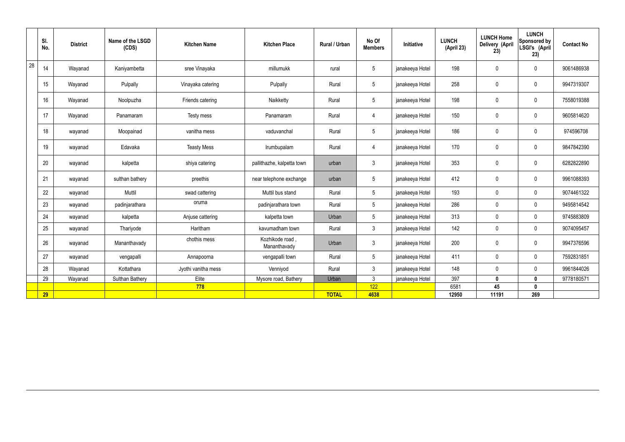|    | SI.<br>No. | <b>District</b> | Name of the LSGD<br>(CDS) | <b>Kitchen Name</b> | <b>Kitchen Place</b>           | Rural / Urban | No Of<br><b>Members</b> | Initiative      | <b>LUNCH</b><br>(April 23) | <b>LUNCH Home</b><br>Delivery (April<br>23) | <b>LUNCH</b><br>Sponsored by<br>LSGI's (April<br>23) | <b>Contact No</b> |
|----|------------|-----------------|---------------------------|---------------------|--------------------------------|---------------|-------------------------|-----------------|----------------------------|---------------------------------------------|------------------------------------------------------|-------------------|
| 28 | 14         | Wayanad         | Kaniyambetta              | sree Vinayaka       | millumukk                      | rural         | $5\overline{)}$         | janakeeya Hotel | 198                        | $\mathbf 0$                                 | $\mathbf 0$                                          | 9061486938        |
|    | 15         | Wayanad         | Pulpally                  | Vinayaka catering   | Pulpally                       | Rural         | $5\overline{)}$         | janakeeya Hotel | 258                        | $\mathbf 0$                                 | $\mathbf 0$                                          | 9947319307        |
|    | 16         | Wayanad         | Noolpuzha                 | Friends catering    | Naikketty                      | Rural         | $5\overline{)}$         | janakeeya Hotel | 198                        | $\pmb{0}$                                   | $\mathbf 0$                                          | 7558019388        |
|    | 17         | Wayanad         | Panamaram                 | Testy mess          | Panamaram                      | Rural         | $\overline{4}$          | janakeeya Hotel | 150                        | $\pmb{0}$                                   | $\mathbf 0$                                          | 9605814620        |
|    | 18         | wayanad         | Moopainad                 | vanitha mess        | vaduvanchal                    | Rural         | $5\phantom{.0}$         | janakeeya Hotel | 186                        | $\mathbf 0$                                 | $\mathbf 0$                                          | 974596708         |
|    | 19         | wayanad         | Edavaka                   | <b>Teasty Mess</b>  | Irumbupalam                    | Rural         | $\overline{4}$          | janakeeya Hotel | 170                        | $\pmb{0}$                                   | $\mathbf 0$                                          | 9847842390        |
|    | 20         | wayanad         | kalpetta                  | shiya catering      | pallithazhe, kalpetta town     | urban         | $\mathbf{3}$            | janakeeya Hotel | 353                        | $\mathbf 0$                                 | $\mathbf 0$                                          | 6282822890        |
|    | 21         | wayanad         | sulthan bathery           | preethis            | near telephone exchange        | urban         | $5\phantom{.0}$         | janakeeya Hotel | 412                        | $\mathbf 0$                                 | $\mathbf 0$                                          | 9961088393        |
|    | 22         | wayanad         | Muttil                    | swad cattering      | Muttil bus stand               | Rural         | $5\overline{)}$         | janakeeya Hotel | 193                        | $\mathbf 0$                                 | $\mathbf 0$                                          | 9074461322        |
|    | 23         | wayanad         | padinjarathara            | oruma               | padinjarathara town            | Rural         | $5\phantom{.0}$         | janakeeya Hotel | 286                        | $\pmb{0}$                                   | $\mathbf 0$                                          | 9495814542        |
|    | 24         | wayanad         | kalpetta                  | Anjuse cattering    | kalpetta town                  | Urban         | $5\phantom{.0}$         | janakeeya Hotel | 313                        | $\pmb{0}$                                   | $\mathbf 0$                                          | 9745883809        |
|    | 25         | wayanad         | Thariyode                 | Haritham            | kavumadham town                | Rural         | $\mathbf{3}$            | janakeeya Hotel | 142                        | $\pmb{0}$                                   | $\mathbf 0$                                          | 9074095457        |
|    | 26         | wayanad         | Mananthavady              | chothis mess        | Kozhikode road<br>Mananthavady | Urban         | $\mathbf{3}$            | janakeeya Hotel | 200                        | $\pmb{0}$                                   | $\mathbf 0$                                          | 9947376596        |
|    | 27         | wayanad         | vengapalli                | Annapoorna          | vengapalli town                | Rural         | $5\phantom{.0}$         | janakeeya Hotel | 411                        | $\pmb{0}$                                   | $\mathbf 0$                                          | 7592831851        |
|    | 28         | Wayanad         | Kottathara                | Jyothi vanitha mess | Venniyod                       | Rural         | $\mathbf{3}$            | janakeeya Hotel | 148                        | $\mathbf 0$                                 | $\mathbf 0$                                          | 9961844026        |
|    | 29         | Wayanad         | <b>Sulthan Bathery</b>    | Elite               | Mysore road, Bathery           | Urban         | $\mathbf{3}$            | janakeeya Hotel | 397                        | $\mathbf 0$                                 | $\mathbf 0$                                          | 9778180571        |
|    |            |                 |                           | 778                 |                                |               | 122                     |                 | 6581                       | 45                                          | $\mathbf{0}$                                         |                   |
|    | 29         |                 |                           |                     |                                | <b>TOTAL</b>  | 4638                    |                 | 12950                      | 11191                                       | 269                                                  |                   |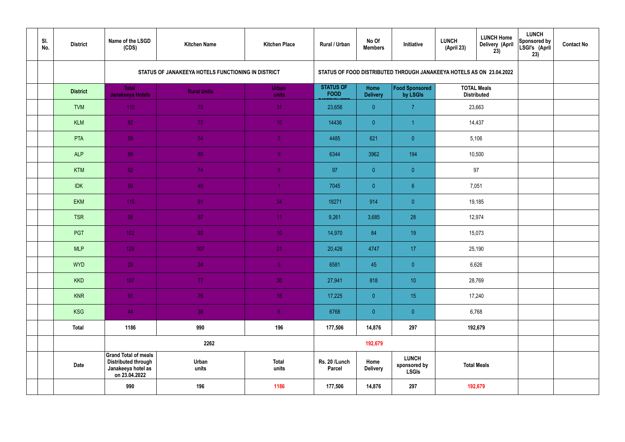| SI.<br>No. | <b>District</b> | Name of the LSGD<br>(CDS)                                                                        | <b>Kitchen Name</b>                                | <b>Kitchen Place</b>  | Rural / Urban                   | No Of<br><b>Members</b> | Initiative                                                           | <b>LUNCH</b><br>(April 23) | <b>LUNCH Home</b><br><b>Delivery (April</b><br>23) | <b>LUNCH</b><br>Sponsored by<br>LSGI's (April<br>23) | <b>Contact No</b> |
|------------|-----------------|--------------------------------------------------------------------------------------------------|----------------------------------------------------|-----------------------|---------------------------------|-------------------------|----------------------------------------------------------------------|----------------------------|----------------------------------------------------|------------------------------------------------------|-------------------|
|            |                 |                                                                                                  | STATUS OF JANAKEEYA HOTELS FUNCTIONING IN DISTRICT |                       |                                 |                         | STATUS OF FOOD DISTRIBUTED THROUGH JANAKEEYA HOTELS AS ON 23.04.2022 |                            |                                                    |                                                      |                   |
|            | <b>District</b> | <b>Total</b><br><b>Janakeeya Hotels</b>                                                          | <b>Rural Units</b>                                 | <b>Urban</b><br>units | <b>STATUS OF</b><br><b>FOOD</b> | Home<br><b>Delivery</b> | Food Sponsored<br>by LSGIs                                           |                            | <b>TOTAL Meals</b><br><b>Distributed</b>           |                                                      |                   |
|            | <b>TVM</b>      | 110                                                                                              | 79                                                 | 31                    | 23,656                          | $\overline{0}$          | $\overline{7}$                                                       |                            | 23,663                                             |                                                      |                   |
|            | <b>KLM</b>      | 82                                                                                               | 72                                                 | 10 <sup>°</sup>       | 14436                           | $\overline{0}$          |                                                                      |                            | 14,437                                             |                                                      |                   |
|            | PTA             | 59                                                                                               | 54                                                 | $\sqrt{5}$            | 4485                            | 621                     | $\overline{0}$                                                       |                            | 5,106                                              |                                                      |                   |
|            | <b>ALP</b>      | 89                                                                                               | 80                                                 | $\overline{9}$        | 6344                            | 3962                    | 194                                                                  |                            | 10,500                                             |                                                      |                   |
|            | <b>KTM</b>      | 82                                                                                               | 74                                                 | 8 <sup>°</sup>        | 97                              | $\overline{0}$          | $\overline{0}$                                                       | 97<br>7,051                |                                                    |                                                      |                   |
|            | <b>IDK</b>      | 50                                                                                               | 49                                                 | $\blacktriangleleft$  | 7045                            | $\overline{0}$          | 6 <sup>°</sup>                                                       | 19,185                     |                                                    |                                                      |                   |
|            | <b>EKM</b>      | 115                                                                                              | 81                                                 | 34                    | 18271                           | 914                     | $\overline{0}$                                                       |                            |                                                    |                                                      |                   |
|            | <b>TSR</b>      | 98                                                                                               | 87                                                 | 11                    | 9,261                           | 3,685                   | 28                                                                   |                            | 12,974                                             |                                                      |                   |
|            | PGT             | $102$                                                                                            | 92                                                 | 10 <sup>°</sup>       | 14,970                          | 84                      | 19                                                                   |                            | 15,073                                             |                                                      |                   |
|            | <b>MLP</b>      | 128                                                                                              | 107                                                | 21                    | 20,426                          | 4747                    | 17                                                                   |                            | 25,190                                             |                                                      |                   |
|            | <b>WYD</b>      | 29                                                                                               | 24                                                 | 5 <sub>1</sub>        | 6581                            | 45                      | $\overline{0}$                                                       |                            | 6,626                                              |                                                      |                   |
|            | <b>KKD</b>      | 107                                                                                              | 77 <sub>1</sub>                                    | 30 <sup>°</sup>       | 27,941                          | 818                     | 10                                                                   |                            | 28,769                                             |                                                      |                   |
|            | <b>KNR</b>      | 91                                                                                               | 76                                                 | 15 <sub>1</sub>       | 17,225                          | $\overline{0}$          | 15 <sub>15</sub>                                                     |                            | 17,240                                             |                                                      |                   |
|            | <b>KSG</b>      | 44                                                                                               | 38                                                 | 6 <sup>1</sup>        | 6768                            | $\overline{0}$          | $\pmb{0}$                                                            |                            | 6,768                                              |                                                      |                   |
|            | <b>Total</b>    | 1186                                                                                             | 990                                                | 196                   | 177,506                         | 14,876                  | 297                                                                  |                            | 192,679                                            |                                                      |                   |
|            |                 |                                                                                                  | 2262                                               |                       |                                 | 192,679                 |                                                                      |                            |                                                    |                                                      |                   |
|            | <b>Date</b>     | <b>Grand Total of meals</b><br><b>Distributed through</b><br>Janakeeya hotel as<br>on 23.04.2022 | Urban<br>units                                     | <b>Total</b><br>units | Rs. 20 /Lunch<br><b>Parcel</b>  | Home<br><b>Delivery</b> | <b>LUNCH</b><br>sponsored by<br><b>LSGIs</b>                         |                            | <b>Total Meals</b>                                 |                                                      |                   |
|            |                 | 990                                                                                              | 196                                                | 1186                  | 177,506                         | 14,876                  | 297                                                                  | 192,679                    |                                                    |                                                      |                   |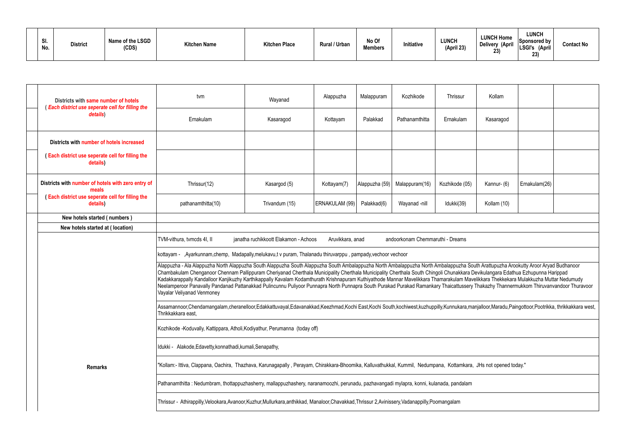| SI.<br>No. | <b>District</b> | Name of the LSGD<br>(CDS) | <b>Kitchen Name</b> | <b>Kitchen Place</b> | <b>Rural / Urban</b> | No Of<br><b>Members</b> | Initiative | <b>LUNCH</b><br>(April 23) | <b>LUNCH Home</b><br><b>Delivery (April</b><br>23) | LUNCH<br>Sponsored by<br>'LSGI's<br>(April<br>23) | <b>Contact No</b> |
|------------|-----------------|---------------------------|---------------------|----------------------|----------------------|-------------------------|------------|----------------------------|----------------------------------------------------|---------------------------------------------------|-------------------|
|------------|-----------------|---------------------------|---------------------|----------------------|----------------------|-------------------------|------------|----------------------------|----------------------------------------------------|---------------------------------------------------|-------------------|

| Districts with same number of hotels<br>(Each district use seperate cell for filling the | tvm                                                                                                                                                                                                                                                                                                                                                                                                                                                                                                                                                                                                                                                                                                                                                                     | Wayanad                                                                                       | Alappuzha      | Malappuram     | Kozhikode      | Thrissur       | Kollam      |               |  |  |  |
|------------------------------------------------------------------------------------------|-------------------------------------------------------------------------------------------------------------------------------------------------------------------------------------------------------------------------------------------------------------------------------------------------------------------------------------------------------------------------------------------------------------------------------------------------------------------------------------------------------------------------------------------------------------------------------------------------------------------------------------------------------------------------------------------------------------------------------------------------------------------------|-----------------------------------------------------------------------------------------------|----------------|----------------|----------------|----------------|-------------|---------------|--|--|--|
| details)                                                                                 | Ernakulam                                                                                                                                                                                                                                                                                                                                                                                                                                                                                                                                                                                                                                                                                                                                                               | Kasaragod                                                                                     | Kottayam       | Palakkad       | Pathanamthitta | Ernakulam      | Kasaragod   |               |  |  |  |
| Districts with number of hotels increased                                                |                                                                                                                                                                                                                                                                                                                                                                                                                                                                                                                                                                                                                                                                                                                                                                         |                                                                                               |                |                |                |                |             |               |  |  |  |
| (Each district use seperate cell for filling the<br>details)                             |                                                                                                                                                                                                                                                                                                                                                                                                                                                                                                                                                                                                                                                                                                                                                                         |                                                                                               |                |                |                |                |             |               |  |  |  |
| Districts with number of hotels with zero entry of<br>meals                              | Thrissur(12)                                                                                                                                                                                                                                                                                                                                                                                                                                                                                                                                                                                                                                                                                                                                                            | Kasargod (5)                                                                                  | Kottayam(7)    | Alappuzha (59) | Malappuram(16) | Kozhikode (05) | Kannur- (6) | Ernakulam(26) |  |  |  |
| (Each district use seperate cell for filling the<br>details)                             | pathanamthitta(10)                                                                                                                                                                                                                                                                                                                                                                                                                                                                                                                                                                                                                                                                                                                                                      | Trivandum (15)                                                                                | ERNAKULAM (99) | Palakkad(6)    | Wayanad -nill  | Idukki(39)     | Kollam (10) |               |  |  |  |
| New hotels started (numbers)                                                             |                                                                                                                                                                                                                                                                                                                                                                                                                                                                                                                                                                                                                                                                                                                                                                         |                                                                                               |                |                |                |                |             |               |  |  |  |
| New hotels started at (location)                                                         |                                                                                                                                                                                                                                                                                                                                                                                                                                                                                                                                                                                                                                                                                                                                                                         |                                                                                               |                |                |                |                |             |               |  |  |  |
|                                                                                          | TVM-vithura, tvmcds 4I, II                                                                                                                                                                                                                                                                                                                                                                                                                                                                                                                                                                                                                                                                                                                                              | andoorkonam Chemmaruthi - Dreams<br>janatha ruchikkoott Elakamon - Achoos<br>Aruvikkara, anad |                |                |                |                |             |               |  |  |  |
|                                                                                          | kottayam - ,Ayarkunnam,chemp, Madapally,melukavu,t v puram, Thalanadu thiruvarppu, pampady,vechoor vechoor                                                                                                                                                                                                                                                                                                                                                                                                                                                                                                                                                                                                                                                              |                                                                                               |                |                |                |                |             |               |  |  |  |
|                                                                                          | Alappuzha - Ala Alappuzha North Alappuzha South Alappuzha South Alappuzha South Ambalappuzha North Ambalappuzha South Arattupuzha Arookutty Aroor Aryad Budhanoor<br>Chambakulam Chenganoor Chennam Pallippuram Cheriyanad Cherthala Municipality Cherthala Municipality Cherthala South Chingoli Chunakkara Devikulangara Edathua Ezhupunna Harippad<br>Kadakkarappally Kandalloor Kanjikuzhy Karthikappally Kavalam Kodamthurath Krishnapuram Kuthiyathode Mannar Mavelikkara Thamarakulam Mavelikkara Thekkekara Mulakkuzha Muttar Nedumudy<br>Neelamperoor Panavally Pandanad Pattanakkad Pulincunnu Puliyoor Punnapra North Punnapra South Purakad Purakad Ramankary Thaicattussery Thakazhy Thannermukkom Thiruvanvandoor Thuravoor<br>Vayalar Veliyanad Venmoney |                                                                                               |                |                |                |                |             |               |  |  |  |
|                                                                                          | Assamannoor,Chendamangalam,cheranelloor,Edakkattuvayal,Edavanakkad,Keezhmad,Kochi East,Kochi South,kochiwest,kuzhuppilly,Kunnukara,manjalloor,Maradu,Paingottoor,Pootrikka, thrikkakkara west,<br>Thrikkakkara east,                                                                                                                                                                                                                                                                                                                                                                                                                                                                                                                                                    |                                                                                               |                |                |                |                |             |               |  |  |  |
|                                                                                          | Kozhikode - Koduvally, Kattippara, Atholi, Kodiyathur, Perumanna (today off)                                                                                                                                                                                                                                                                                                                                                                                                                                                                                                                                                                                                                                                                                            |                                                                                               |                |                |                |                |             |               |  |  |  |
|                                                                                          | Idukki - Alakode, Edavetty, konnathadi, kumali, Senapathy,                                                                                                                                                                                                                                                                                                                                                                                                                                                                                                                                                                                                                                                                                                              |                                                                                               |                |                |                |                |             |               |  |  |  |
| <b>Remarks</b>                                                                           | "Kollam:- Ittiva, Clappana, Oachira, Thazhava, Karunagapally, Perayam, Chirakkara-Bhoomika, Kalluvathukkal, Kummil, Nedumpana, Kottamkara, JHs not opened today."                                                                                                                                                                                                                                                                                                                                                                                                                                                                                                                                                                                                       |                                                                                               |                |                |                |                |             |               |  |  |  |
|                                                                                          | Pathanamthitta: Nedumbram, thottappuzhasherry, mallappuzhashery, naranamoozhi, perunadu, pazhavangadi mylapra, konni, kulanada, pandalam                                                                                                                                                                                                                                                                                                                                                                                                                                                                                                                                                                                                                                |                                                                                               |                |                |                |                |             |               |  |  |  |
|                                                                                          | Thrissur - Athirappilly, Velookara, Avanoor, Kuzhur, Mullurkara, anthikkad, Manaloor, Chavakkad, Thrissur 2, Avinissery, Vadanappilly, Poomangalam                                                                                                                                                                                                                                                                                                                                                                                                                                                                                                                                                                                                                      |                                                                                               |                |                |                |                |             |               |  |  |  |